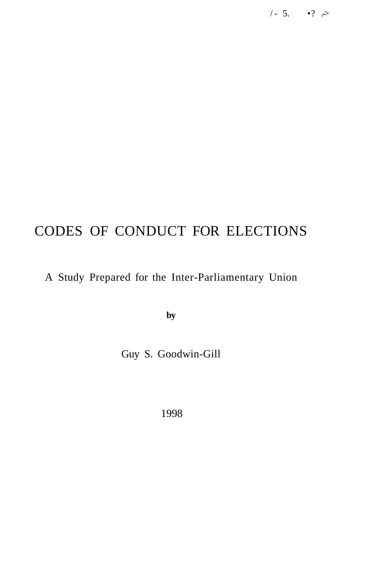$/- 5.$  •? .>

# CODES OF CONDUCT FOR ELECTIONS

# A Study Prepared for the Inter-Parliamentary Union

**by** 

Guy S. Goodwin-Gill

1998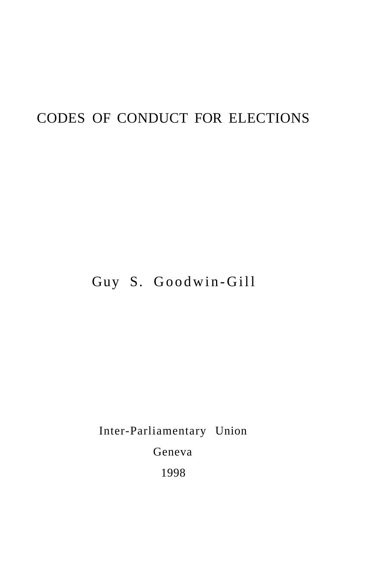# CODES OF CONDUCT FOR ELECTIONS

# Guy S. Goodwin-Gill

Inter-Parliamentary Union Geneva 1998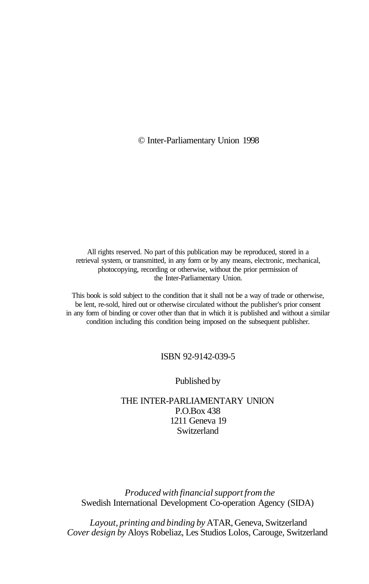© Inter-Parliamentary Union 1998

All rights reserved. No part of this publication may be reproduced, stored in a retrieval system, or transmitted, in any form or by any means, electronic, mechanical, photocopying, recording or otherwise, without the prior permission of the Inter-Parliamentary Union.

This book is sold subject to the condition that it shall not be a way of trade or otherwise, be lent, re-sold, hired out or otherwise circulated without the publisher's prior consent in any form of binding or cover other than that in which it is published and without a similar condition including this condition being imposed on the subsequent publisher.

### ISBN 92-9142-039-5

#### Published by

### THE INTER-PARLIAMENTARY UNION P.O.Box 438 1211 Geneva 19 Switzerland

*Produced with financial support from the*  Swedish International Development Co-operation Agency (SIDA)

*Layout, printing and binding by* ATAR, Geneva, Switzerland *Cover design by* Aloys Robeliaz, Les Studios Lolos, Carouge, Switzerland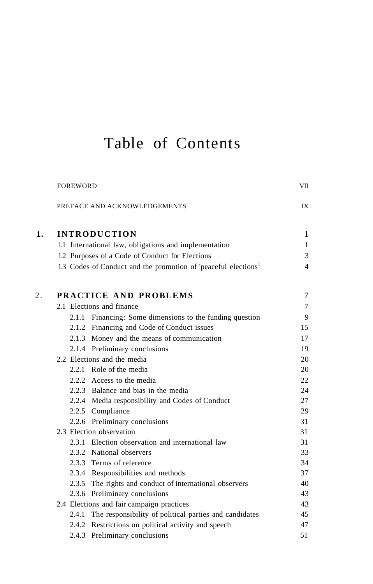# Table of Contents

|    | <b>FOREWORD</b>                                       |                                                                            | VII |
|----|-------------------------------------------------------|----------------------------------------------------------------------------|-----|
|    |                                                       | PREFACE AND ACKNOWLEDGEMENTS                                               | IX  |
| 1. |                                                       | <b>INTRODUCTION</b>                                                        | 1   |
|    | 1.1 International law, obligations and implementation |                                                                            |     |
|    |                                                       | 1.2 Purposes of a Code of Conduct for Elections                            | 3   |
|    |                                                       | 1.3 Codes of Conduct and the promotion of 'peaceful elections <sup>1</sup> | 4   |
| 2. |                                                       | PRACTICE AND PROBLEMS                                                      | 7   |
|    | 2.1 Elections and finance                             |                                                                            |     |
|    |                                                       | 2.1.1 Financing: Some dimensions to the funding question                   | 9   |
|    |                                                       | 2.1.2 Financing and Code of Conduct issues                                 | 15  |
|    |                                                       | 2.1.3 Money and the means of communication                                 | 17  |
|    |                                                       | 2.1.4 Preliminary conclusions                                              | 19  |
|    |                                                       | 2.2 Elections and the media                                                | 20  |
|    |                                                       | 2.2.1 Role of the media                                                    | 20  |
|    |                                                       | 2.2.2 Access to the media                                                  | 22  |
|    |                                                       | 2.2.3 Balance and bias in the media                                        | 24  |
|    |                                                       | 2.2.4 Media responsibility and Codes of Conduct                            | 27  |
|    |                                                       | 2.2.5 Compliance                                                           | 29  |
|    |                                                       | 2.2.6 Preliminary conclusions                                              | 31  |
|    |                                                       | 2.3 Election observation                                                   | 31  |
|    |                                                       | 2.3.1 Election observation and international law                           | 31  |
|    |                                                       | 2.3.2 National observers                                                   | 33  |
|    |                                                       | 2.3.3 Terms of reference                                                   | 34  |
|    |                                                       | 2.3.4 Responsibilities and methods                                         | 37  |
|    |                                                       | 2.3.5 The rights and conduct of international observers                    | 40  |
|    |                                                       | 2.3.6 Preliminary conclusions                                              | 43  |
|    |                                                       | 2.4 Elections and fair campaign practices                                  | 43  |
|    |                                                       | 2.4.1 The responsibility of political parties and candidates               | 45  |
|    |                                                       | 2.4.2 Restrictions on political activity and speech                        | 47  |
|    |                                                       | 2.4.3 Preliminary conclusions                                              | 51  |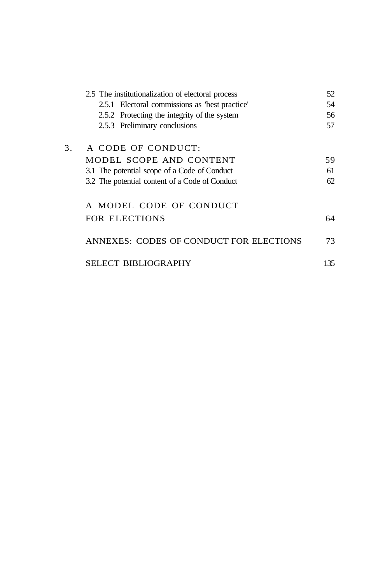|    | 2.5 The institutionalization of electoral process |     |  |
|----|---------------------------------------------------|-----|--|
|    | 2.5.1 Electoral commissions as 'best practice'    | 54  |  |
|    | 2.5.2 Protecting the integrity of the system      | 56  |  |
|    | 2.5.3 Preliminary conclusions                     | 57  |  |
| 3. | A CODE OF CONDUCT:                                |     |  |
|    | MODEL SCOPE AND CONTENT                           |     |  |
|    | 3.1 The potential scope of a Code of Conduct      | 61  |  |
|    | 3.2 The potential content of a Code of Conduct    | 62  |  |
|    | A MODEL CODE OF CONDUCT                           |     |  |
|    | FOR ELECTIONS                                     | 64  |  |
|    | ANNEXES: CODES OF CONDUCT FOR ELECTIONS           | 73  |  |
|    | SELECT BIBLIOGRAPHY                               | 135 |  |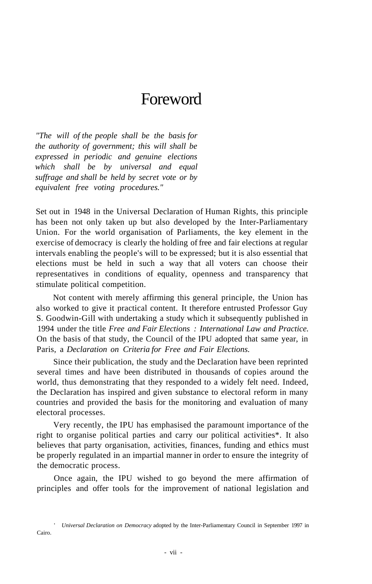# Foreword

*"The will of the people shall be the basis for the authority of government; this will shall be expressed in periodic and genuine elections which shall be by universal and equal suffrage and shall be held by secret vote or by equivalent free voting procedures."* 

Set out in 1948 in the Universal Declaration of Human Rights, this principle has been not only taken up but also developed by the Inter-Parliamentary Union. For the world organisation of Parliaments, the key element in the exercise of democracy is clearly the holding of free and fair elections at regular intervals enabling the people's will to be expressed; but it is also essential that elections must be held in such a way that all voters can choose their representatives in conditions of equality, openness and transparency that stimulate political competition.

Not content with merely affirming this general principle, the Union has also worked to give it practical content. It therefore entrusted Professor Guy S. Goodwin-Gill with undertaking a study which it subsequently published in 1994 under the title *Free and Fair Elections : International Law and Practice.*  On the basis of that study, the Council of the IPU adopted that same year, in Paris, a *Declaration on Criteria for Free and Fair Elections.* 

Since their publication, the study and the Declaration have been reprinted several times and have been distributed in thousands of copies around the world, thus demonstrating that they responded to a widely felt need. Indeed, the Declaration has inspired and given substance to electoral reform in many countries and provided the basis for the monitoring and evaluation of many electoral processes.

Very recently, the IPU has emphasised the paramount importance of the right to organise political parties and carry our political activities\*. It also believes that party organisation, activities, finances, funding and ethics must be properly regulated in an impartial manner in order to ensure the integrity of the democratic process.

Once again, the IPU wished to go beyond the mere affirmation of principles and offer tools for the improvement of national legislation and

<sup>&#</sup>x27; *Universal Declaration on Democracy* adopted by the Inter-Parliamentary Council in September 1997 in Cairo.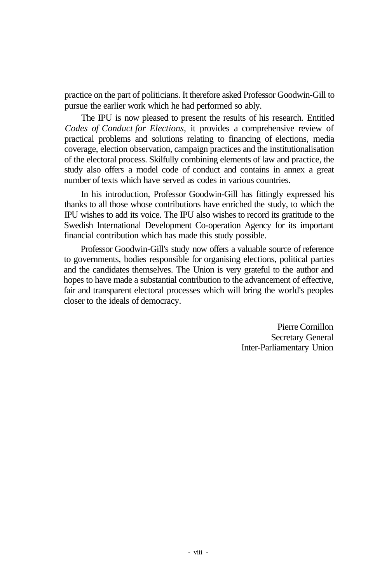practice on the part of politicians. It therefore asked Professor Goodwin-Gill to pursue the earlier work which he had performed so ably.

The IPU is now pleased to present the results of his research. Entitled *Codes of Conduct for Elections,* it provides a comprehensive review of practical problems and solutions relating to financing of elections, media coverage, election observation, campaign practices and the institutionalisation of the electoral process. Skilfully combining elements of law and practice, the study also offers a model code of conduct and contains in annex a great number of texts which have served as codes in various countries.

In his introduction, Professor Goodwin-Gill has fittingly expressed his thanks to all those whose contributions have enriched the study, to which the IPU wishes to add its voice. The IPU also wishes to record its gratitude to the Swedish International Development Co-operation Agency for its important financial contribution which has made this study possible.

Professor Goodwin-Gill's study now offers a valuable source of reference to governments, bodies responsible for organising elections, political parties and the candidates themselves. The Union is very grateful to the author and hopes to have made a substantial contribution to the advancement of effective, fair and transparent electoral processes which will bring the world's peoples closer to the ideals of democracy.

> Pierre Cornillon Secretary General Inter-Parliamentary Union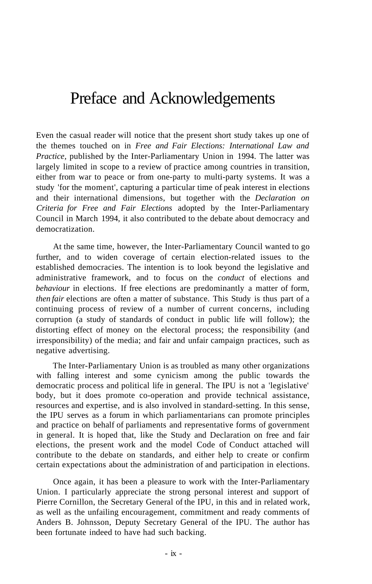# Preface and Acknowledgements

Even the casual reader will notice that the present short study takes up one of the themes touched on in *Free and Fair Elections: International Law and Practice,* published by the Inter-Parliamentary Union in 1994. The latter was largely limited in scope to a review of practice among countries in transition, either from war to peace or from one-party to multi-party systems. It was a study 'for the moment', capturing a particular time of peak interest in elections and their international dimensions, but together with the *Declaration on Criteria for Free and Fair Elections* adopted by the Inter-Parliamentary Council in March 1994, it also contributed to the debate about democracy and democratization.

At the same time, however, the Inter-Parliamentary Council wanted to go further, and to widen coverage of certain election-related issues to the established democracies. The intention is to look beyond the legislative and administrative framework, and to focus on the *conduct* of elections and *behaviour* in elections. If free elections are predominantly a matter of form, *then fair* elections are often a matter of substance. This Study is thus part of a continuing process of review of a number of current concerns, including corruption (a study of standards of conduct in public life will follow); the distorting effect of money on the electoral process; the responsibility (and irresponsibility) of the media; and fair and unfair campaign practices, such as negative advertising.

The Inter-Parliamentary Union is as troubled as many other organizations with falling interest and some cynicism among the public towards the democratic process and political life in general. The IPU is not a 'legislative' body, but it does promote co-operation and provide technical assistance, resources and expertise, and is also involved in standard-setting. In this sense, the IPU serves as a forum in which parliamentarians can promote principles and practice on behalf of parliaments and representative forms of government in general. It is hoped that, like the Study and Declaration on free and fair elections, the present work and the model Code of Conduct attached will contribute to the debate on standards, and either help to create or confirm certain expectations about the administration of and participation in elections.

Once again, it has been a pleasure to work with the Inter-Parliamentary Union. I particularly appreciate the strong personal interest and support of Pierre Cornillon, the Secretary General of the IPU, in this and in related work, as well as the unfailing encouragement, commitment and ready comments of Anders B. Johnsson, Deputy Secretary General of the IPU. The author has been fortunate indeed to have had such backing.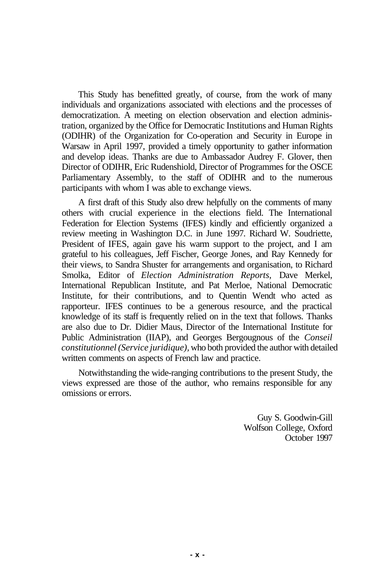This Study has benefitted greatly, of course, from the work of many individuals and organizations associated with elections and the processes of democratization. A meeting on election observation and election administration, organized by the Office for Democratic Institutions and Human Rights (ODIHR) of the Organization for Co-operation and Security in Europe in Warsaw in April 1997, provided a timely opportunity to gather information and develop ideas. Thanks are due to Ambassador Audrey F. Glover, then Director of ODIHR, Eric Rudenshiold, Director of Programmes for the OSCE Parliamentary Assembly, to the staff of ODIHR and to the numerous participants with whom I was able to exchange views.

A first draft of this Study also drew helpfully on the comments of many others with crucial experience in the elections field. The International Federation for Election Systems (IFES) kindly and efficiently organized a review meeting in Washington D.C. in June 1997. Richard W. Soudriette, President of IFES, again gave his warm support to the project, and I am grateful to his colleagues, Jeff Fischer, George Jones, and Ray Kennedy for their views, to Sandra Shuster for arrangements and organisation, to Richard Smolka, Editor of *Election Administration Reports,* Dave Merkel, International Republican Institute, and Pat Merloe, National Democratic Institute, for their contributions, and to Quentin Wendt who acted as rapporteur. IFES continues to be a generous resource, and the practical knowledge of its staff is frequently relied on in the text that follows. Thanks are also due to Dr. Didier Maus, Director of the International Institute for Public Administration (IIAP), and Georges Bergougnous of the *Conseil constitutionnel (Service juridique),* who both provided the author with detailed written comments on aspects of French law and practice.

Notwithstanding the wide-ranging contributions to the present Study, the views expressed are those of the author, who remains responsible for any omissions or errors.

> Guy S. Goodwin-Gill Wolfson College, Oxford October 1997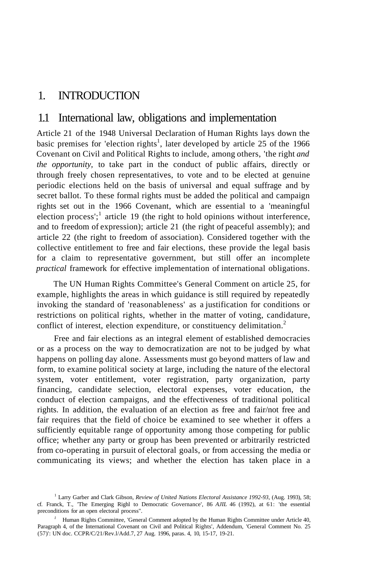## 1. INTRODUCTION

## 1.1 International law, obligations and implementation

Article 21 of the 1948 Universal Declaration of Human Rights lays down the basic premises for 'election rights<sup>1</sup>, later developed by article 25 of the 1966 Covenant on Civil and Political Rights to include, among others, 'the right *and the opportunity,* to take part in the conduct of public affairs, directly or through freely chosen representatives, to vote and to be elected at genuine periodic elections held on the basis of universal and equal suffrage and by secret ballot. To these formal rights must be added the political and campaign rights set out in the 1966 Covenant, which are essential to a 'meaningful election process';<sup>1</sup> article 19 (the right to hold opinions without interference, and to freedom of expression); article 21 (the right of peaceful assembly); and article 22 (the right to freedom of association). Considered together with the collective entitlement to free and fair elections, these provide the legal basis for a claim to representative government, but still offer an incomplete *practical* framework for effective implementation of international obligations.

The UN Human Rights Committee's General Comment on article 25, for example, highlights the areas in which guidance is still required by repeatedly invoking the standard of 'reasonableness' as a justification for conditions or restrictions on political rights, whether in the matter of voting, candidature, conflict of interest, election expenditure, or constituency delimitation.<sup>2</sup>

Free and fair elections as an integral element of established democracies or as a process on the way to democratization are not to be judged by what happens on polling day alone. Assessments must go beyond matters of law and form, to examine political society at large, including the nature of the electoral system, voter entitlement, voter registration, party organization, party financing, candidate selection, electoral expenses, voter education, the conduct of election campaigns, and the effectiveness of traditional political rights. In addition, the evaluation of an election as free and fair/not free and fair requires that the field of choice be examined to see whether it offers a sufficiently equitable range of opportunity among those competing for public office; whether any party or group has been prevented or arbitrarily restricted from co-operating in pursuit of electoral goals, or from accessing the media or communicating its views; and whether the election has taken place in a

<sup>1</sup> Larry Garber and Clark Gibson, *Review of United Nations Electoral Assistance 1992-93,* (Aug. 1993), 58; cf. Franck, T., 'The Emerging Righl to Democratic Governance', 86 *AJIL* 46 (1992), at 61: 'the essential preconditions for an open electoral process".

<sup>&</sup>lt;sup>1</sup> Human Rights Committee, 'General Comment adopted by the Human Rights Committee under Article 40, Paragraph 4, of the International Covenant on Civil and Political Rights', Addendum, 'General Comment No. 25 (57)': UN doc. CCPR/C/21/Rev.l/Add.7, 27 Aug. 1996, paras. 4, 10, 15-17, 19-21.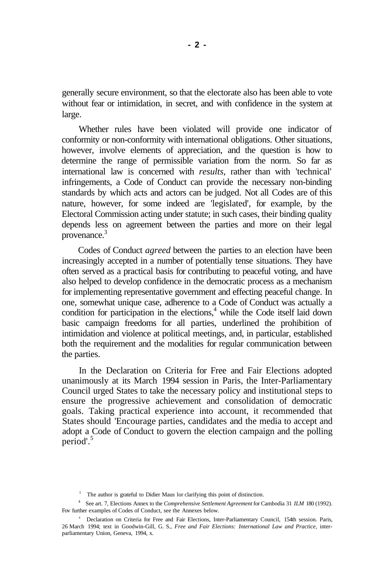generally secure environment, so that the electorate also has been able to vote without fear or intimidation, in secret, and with confidence in the system at large.

Whether rules have been violated will provide one indicator of conformity or non-conformity with international obligations. Other situations, however, involve elements of appreciation, and the question is how to determine the range of permissible variation from the norm. So far as international law is concerned with *results,* rather than with 'technical' infringements, a Code of Conduct can provide the necessary non-binding standards by which acts and actors can be judged. Not all Codes are of this nature, however, for some indeed are 'legislated', for example, by the Electoral Commission acting under statute; in such cases, their binding quality depends less on agreement between the parties and more on their legal provenance.<sup>3</sup>

Codes of Conduct *agreed* between the parties to an election have been increasingly accepted in a number of potentially tense situations. They have often served as a practical basis for contributing to peaceful voting, and have also helped to develop confidence in the democratic process as a mechanism for implementing representative government and effecting peaceful change. In one, somewhat unique case, adherence to a Code of Conduct was actually a condition for participation in the elections, $4$  while the Code itself laid down basic campaign freedoms for all parties, underlined the prohibition of intimidation and violence at political meetings, and, in particular, established both the requirement and the modalities for regular communication between the parties.

In the Declaration on Criteria for Free and Fair Elections adopted unanimously at its March 1994 session in Paris, the Inter-Parliamentary Council urged States to take the necessary policy and institutional steps to ensure the progressive achievement and consolidation of democratic goals. Taking practical experience into account, it recommended that States should 'Encourage parties, candidates and the media to accept and adopt a Code of Conduct to govern the election campaign and the polling period'.<sup>5</sup>

<sup>&</sup>lt;sup>1</sup> The author is grateful to Didier Maus lor clarifying this point of distinction.

<sup>4</sup> See art. 7, Elections Annex to the *Comprehensive Settlement Agreement* for Cambodia 31 *ILM* 180 (1992). Fov further examples of Codes of Conduct, see the Annexes below.

s Declaration on Criteria for Free and Fair Elections, Inter-Parliamentary Council, 154th session. Paris, 26 March 1994; text in Goodwin-Gill, G. S., *Free and Fair Elections: International Law and Practice,* interparliamentary Union, Geneva, 1994, x.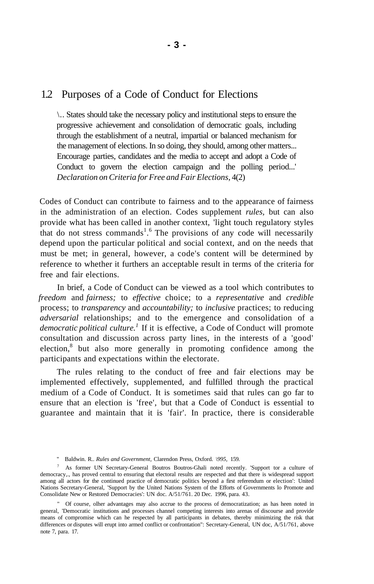### 1.2 Purposes of a Code of Conduct for Elections

\.. States should take the necessary policy and institutional steps to ensure the progressive achievement and consolidation of democratic goals, including through the establishment of a neutral, impartial or balanced mechanism for the management of elections. In so doing, they should, among other matters... Encourage parties, candidates and the media to accept and adopt a Code of Conduct to govern the election campaign and the polling period...' *Declaration on Criteria for Free and Fair Elections,* 4(2)

Codes of Conduct can contribute to fairness and to the appearance of fairness in the administration of an election. Codes supplement *rules,* but can also provide what has been called in another context, 'light touch regulatory styles that do not stress commands<sup>1</sup>.<sup>6</sup> The provisions of any code will necessarily depend upon the particular political and social context, and on the needs that must be met; in general, however, a code's content will be determined by reference to whether it furthers an acceptable result in terms of the criteria for free and fair elections.

In brief, a Code of Conduct can be viewed as a tool which contributes to *freedom* and *fairness;* to *effective* choice; to a *representative* and *credible*  process; to *transparency* and *accountability;* to *inclusive* practices; to reducing *adversarial* relationships; and to the emergence and consolidation of a *democratic political culture.<sup>1</sup>* If it is effective, a Code of Conduct will promote consultation and discussion across party lines, in the interests of a 'good' election,<sup>8</sup> but also more generally in promoting confidence among the participants and expectations within the electorate.

The rules relating to the conduct of free and fair elections may be implemented effectively, supplemented, and fulfilled through the practical medium of a Code of Conduct. It is sometimes said that rules can go far to ensure that an election is 'free', but that a Code of Conduct is essential to guarantee and maintain that it is 'fair'. In practice, there is considerable

" Of course, olher advantages may also accrue to the process of democratization; as has heen noted in general, 'Democratic institutions and processes channel competing interests into arenas of discourse and provide means of compromise which can he respected by all participants in debates, thereby minimizing the risk that differences or disputes will erupt into armed conflict or confrontation": Secretary-General, UN doc, A/51/761, above note 7, para. 17.

<sup>&#</sup>x27;' Baldwin. R.. *Rules and Government,* Clarendon Press, Oxford. *\995,* 159.

<sup>&</sup>lt;sup>7</sup> As former UN Secretary-General Boutros Boutros-Ghali noted recently. 'Support tor a culture of democracy,., has proved central to ensuring that electoral results are respected and that there is widespread support among all actors for the continued practice of democratic politics beyond a first referendum or election': United Nations Secretary-General, 'Support by the United Nations System of the Efforts of Governments lo Promote and Consolidate New or Restored Democracies': UN doc. A/51/761. 20 Dec. 1996, para. 43.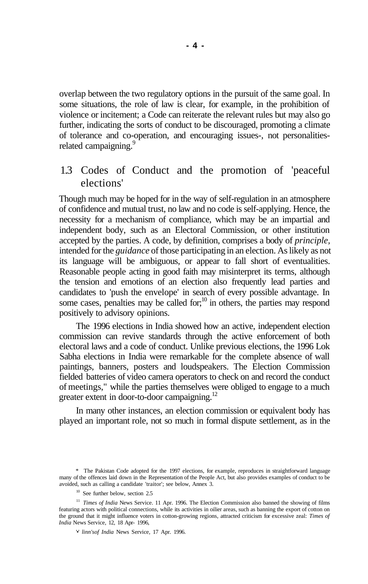overlap between the two regulatory options in the pursuit of the same goal. In some situations, the role of law is clear, for example, in the prohibition of violence or incitement; a Code can reiterate the relevant rules but may also go further, indicating the sorts of conduct to be discouraged, promoting a climate of tolerance and co-operation, and encouraging issues-, not personalitiesrelated campaigning.<sup>9</sup>

## 1.3 Codes of Conduct and the promotion of 'peaceful elections'

Though much may be hoped for in the way of self-regulation in an atmosphere of confidence and mutual trust, no law and no code is self-applying. Hence, the necessity for a mechanism of compliance, which may be an impartial and independent body, such as an Electoral Commission, or other institution accepted by the parties. A code, by definition, comprises a body of *principle,*  intended for the *guidance* of those participating in an election. As likely as not its language will be ambiguous, or appear to fall short of eventualities. Reasonable people acting in good faith may misinterpret its terms, although the tension and emotions of an election also frequently lead parties and candidates to 'push the envelope' in search of every possible advantage. In some cases, penalties may be called for; $<sup>10</sup>$  in others, the parties may respond</sup> positively to advisory opinions.

The 1996 elections in India showed how an active, independent election commission can revive standards through the active enforcement of both electoral laws and a code of conduct. Unlike previous elections, the 1996 Lok Sabha elections in India were remarkable for the complete absence of wall paintings, banners, posters and loudspeakers. The Election Commission fielded batteries of video camera operators to check on and record the conduct of meetings," while the parties themselves were obliged to engage to a much greater extent in door-to-door campaigning.<sup>12</sup>

In many other instances, an election commission or equivalent body has played an important role, not so much in formal dispute settlement, as in the

<sup>10</sup> See further below, section 2.5

'•' *linn'sof India* News Service, 17 Apr. 1996.

<sup>\*</sup> The Pakistan Code adopted for the 1997 elections, for example, reproduces in straightforward language many of the offences laid down in the Representation of the People Act, but also provides examples of conduct to be avoided, such as calling a candidate 'traitor'; see below, Annex 3.

<sup>&</sup>lt;sup>11</sup> Times of India News Service. 11 Apr. 1996. The Election Commission also banned the showing of films featuring actors with political connections, while its activities in oilier areas, such as banning the export of cotton on the ground that it might influence voters in cotton-growing regions, attracted criticism for excessive zeal: *Times of India* News Service, 12, 18 Apr- 1996,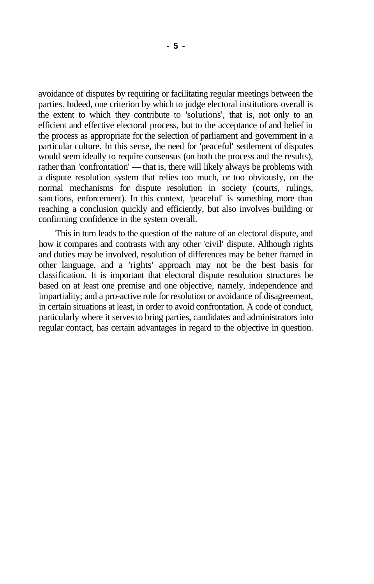avoidance of disputes by requiring or facilitating regular meetings between the parties. Indeed, one criterion by which to judge electoral institutions overall is the extent to which they contribute to 'solutions', that is, not only to an efficient and effective electoral process, but to the acceptance of and belief in the process as appropriate for the selection of parliament and government in a particular culture. In this sense, the need for 'peaceful' settlement of disputes would seem ideally to require consensus (on both the process and the results), rather than 'confrontation' — that is, there will likely always be problems with a dispute resolution system that relies too much, or too obviously, on the normal mechanisms for dispute resolution in society (courts, rulings, sanctions, enforcement). In this context, 'peaceful' is something more than reaching a conclusion quickly and efficiently, but also involves building or confirming confidence in the system overall.

This in turn leads to the question of the nature of an electoral dispute, and how it compares and contrasts with any other 'civil' dispute. Although rights and duties may be involved, resolution of differences may be better framed in other language, and a 'rights' approach may not be the best basis for classification. It is important that electoral dispute resolution structures be based on at least one premise and one objective, namely, independence and impartiality; and a pro-active role for resolution or avoidance of disagreement, in certain situations at least, in order to avoid confrontation. A code of conduct, particularly where it serves to bring parties, candidates and administrators into regular contact, has certain advantages in regard to the objective in question.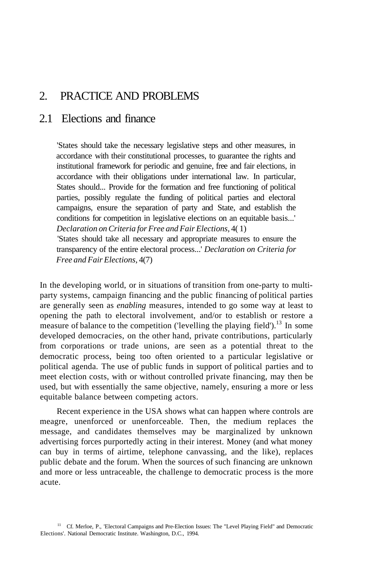## 2. PRACTICE AND PROBLEMS

## 2.1 Elections and finance

'States should take the necessary legislative steps and other measures, in accordance with their constitutional processes, to guarantee the rights and institutional framework for periodic and genuine, free and fair elections, in accordance with their obligations under international law. In particular, States should... Provide for the formation and free functioning of political parties, possibly regulate the funding of political parties and electoral campaigns, ensure the separation of party and State, and establish the conditions for competition in legislative elections on an equitable basis...' *Declaration on Criteria for Free and Fair Elections,* 4( 1)

'States should take all necessary and appropriate measures to ensure the transparency of the entire electoral process...' *Declaration on Criteria for Free and Fair Elections,* 4(7)

In the developing world, or in situations of transition from one-party to multiparty systems, campaign financing and the public financing of political parties are generally seen as *enabling* measures, intended to go some way at least to opening the path to electoral involvement, and/or to establish or restore a measure of balance to the competition ('levelling the playing field').<sup>13</sup> In some developed democracies, on the other hand, private contributions, particularly from corporations or trade unions, are seen as a potential threat to the democratic process, being too often oriented to a particular legislative or political agenda. The use of public funds in support of political parties and to meet election costs, with or without controlled private financing, may then be used, but with essentially the same objective, namely, ensuring a more or less equitable balance between competing actors.

Recent experience in the USA shows what can happen where controls are meagre, unenforced or unenforceable. Then, the medium replaces the message, and candidates themselves may be marginalized by unknown advertising forces purportedly acting in their interest. Money (and what money can buy in terms of airtime, telephone canvassing, and the like), replaces public debate and the forum. When the sources of such financing are unknown and more or less untraceable, the challenge to democratic process is the more acute.

<sup>&</sup>lt;sup>11</sup> Cf. Merloe, P., 'Electoral Campaigns and Pre-Election Issues: The "Level Playing Field" and Democratic Elections'. National Democratic Institute. Washington, D.C., 1994.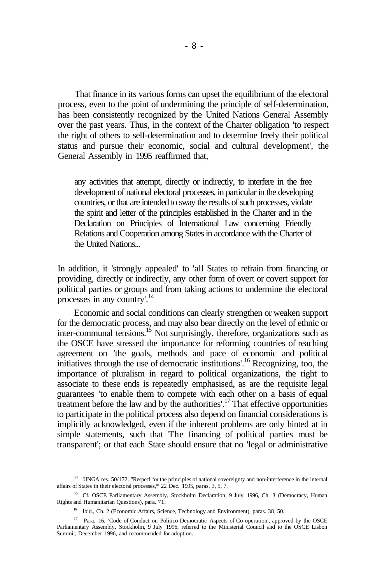That finance in its various forms can upset the equilibrium of the electoral process, even to the point of undermining the principle of self-determination, has been consistently recognized by the United Nations General Assembly over the past years. Thus, in the context of the Charter obligation 'to respect the right of others to self-determination and to determine freely their political status and pursue their economic, social and cultural development', the General Assembly in 1995 reaffirmed that,

any activities that attempt, directly or indirectly, to interfere in the free development of national electoral processes, in particular in the developing countries, or that are intended to sway the results of such processes, violate the spirit and letter of the principles established in the Charter and in the Declaration on Principles of International Law concerning Friendly Relations and Cooperation among States in accordance with the Charter of the United Nations...

In addition, it 'strongly appealed' to 'all States to refrain from financing or providing, directly or indirectly, any other form of overt or covert support for political parties or groups and from taking actions to undermine the electoral processes in any country'.<sup>14</sup>

Economic and social conditions can clearly strengthen or weaken support for the democratic process, and may also bear directly on the level of ethnic or inter-communal tensions.<sup>15</sup> Not surprisingly, therefore, organizations such as the OSCE have stressed the importance for reforming countries of reaching agreement on 'the goals, methods and pace of economic and political initiatives through the use of democratic institutions'.<sup>16</sup> Recognizing, too, the importance of pluralism in regard to political organizations, the right to associate to these ends is repeatedly emphasised, as are the requisite legal guarantees 'to enable them to compete with each other on a basis of equal treatment before the law and by the authorities'.<sup>17</sup> That effective opportunities to participate in the political process also depend on financial considerations is implicitly acknowledged, even if the inherent problems are only hinted at in simple statements, such that The financing of political parties must be transparent'; or that each State should ensure that no 'legal or administrative

<sup>&</sup>lt;sup>14</sup> UNGA res. 50/172. "Respect for the principles of national sovereignty and non-interference in the internal affairs of States in their electoral processes,\* 22 Dec. 1995, paras. 3, 5, 7.

<sup>&</sup>lt;sup>15</sup> Cf. OSCE Parliamentary Assembly, Stockholm Declaration, 9 July 1996, Ch. 3 (Democracy, Human Rights and Humanitarian Questions), para. 71.

<sup>&</sup>lt;sup>Ih</sup> Ibid., Ch. 2 (Economic Affairs, Science, Technology and Environment), paras. 38, 50.

<sup>&</sup>lt;sup>17</sup> Para. 16. 'Code of Conduct on Politico-Democratic Aspects of Co-operation', approved by the OSCE Parliamentary Assembly, Stockholm, 9 July 1996; referred to the Ministerial Council and to the OSCE Lisbon Summit, December 1996, and recommended for adoption.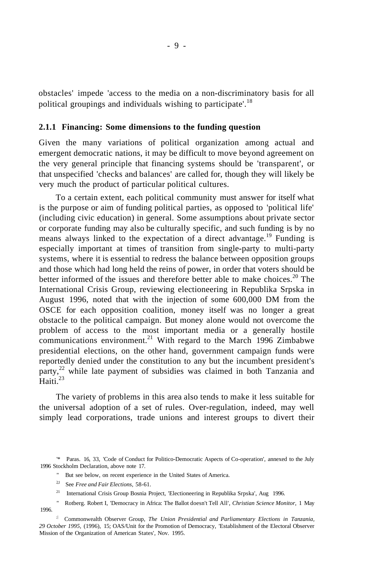obstacles' impede 'access to the media on a non-discriminatory basis for all political groupings and individuals wishing to participate'.<sup>18</sup>

#### **2.1.1 Financing: Some dimensions to the funding question**

Given the many variations of political organization among actual and emergent democratic nations, it may be difficult to move beyond agreement on the very general principle that financing systems should be 'transparent', or that unspecified 'checks and balances' are called for, though they will likely be very much the product of particular political cultures.

To a certain extent, each political community must answer for itself what is the purpose or aim of funding political parties, as opposed to 'political life' (including civic education) in general. Some assumptions about private sector or corporate funding may also be culturally specific, and such funding is by no means always linked to the expectation of a direct advantage.<sup>19</sup> Funding is especially important at times of transition from single-party to multi-party systems, where it is essential to redress the balance between opposition groups and those which had long held the reins of power, in order that voters should be better informed of the issues and therefore better able to make choices.<sup>20</sup> The International Crisis Group, reviewing electioneering in Republika Srpska in August 1996, noted that with the injection of some 600,000 DM from the OSCE for each opposition coalition, money itself was no longer a great obstacle to the political campaign. But money alone would not overcome the problem of access to the most important media or a generally hostile communications environment.<sup>21</sup> With regard to the March 1996 Zimbabwe presidential elections, on the other hand, government campaign funds were reportedly denied under the constitution to any but the incumbent president's party,<sup>22</sup> while late payment of subsidies was claimed in both Tanzania and Haiti.<sup>23</sup>

The variety of problems in this area also tends to make it less suitable for the universal adoption of a set of rules. Over-regulation, indeed, may well simply lead corporations, trade unions and interest groups to divert their

- " But see below, on recent experience in the United States of America.
- 2,1 See *Free and Fair Elections,* 58-61.
- <sup>21</sup> International Crisis Group Bosnia Project, 'Electioneering in Republika Srpska', Aug 1996.
- " Rotberg. Robert I, 'Democracy in Africa: The Ballot doesn't Tell All', *Christian Science Monitor,* 1 May 1996.

<sup>&#</sup>x27;\* Paras. 16, 33, 'Code of Conduct for Politico-Democratic Aspects of Co-operation', annexed to the July 1996 Stockholm Declaration, above note 17.

<sup>&</sup>lt;sup>:1</sup> Commonwealth Observer Group, *The Union Presidential and Parliamentary Elections in Tanzania, 29 October 1995,* (1996), 15; OAS/Unit for the Promotion of Democracy, 'Establishment of the Electoral Observer Mission of the Organization of American States', Nov. 1995.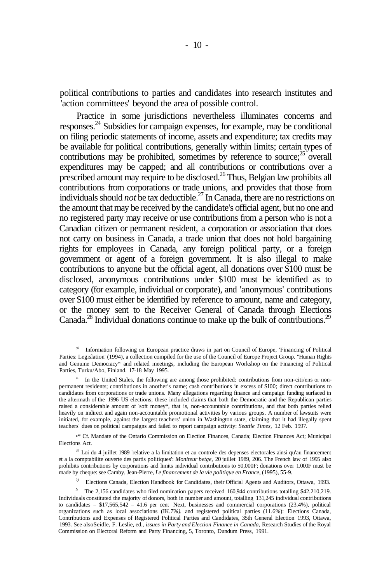political contributions to parties and candidates into research institutes and 'action committees' beyond the area of possible control.

Practice in some jurisdictions nevertheless illuminates concerns and responses.<sup>24</sup> Subsidies for campaign expenses, for example, may be conditional on filing periodic statements of income, assets and expenditure; tax credits may be available for political contributions, generally within limits; certain types of contributions may be prohibited, sometimes by reference to source; $25$  overall expenditures may be capped; and all contributions or contributions over a prescribed amount may require to be disclosed.<sup>26</sup> Thus, Belgian law prohibits all contributions from corporations or trade unions, and provides that those from individuals should *not* be tax deductible.<sup>27</sup> In Canada, there are no restrictions on the amount that may be received by the candidate's official agent, but no one and no registered party may receive or use contributions from a person who is not a Canadian citizen or permanent resident, a corporation or association that does not carry on business in Canada, a trade union that does not hold bargaining rights for employees in Canada, any foreign political party, or a foreign government or agent of a foreign government. It is also illegal to make contributions to anyone but the official agent, all donations over \$100 must be disclosed, anonymous contributions under \$100 must be identified as to category (for example, individual or corporate), and 'anonymous' contributions over \$100 must either be identified by reference to amount, name and category, or the money sent to the Receiver General of Canada through Elections Canada.<sup>28</sup> Individual donations continue to make up the bulk of contributions.<sup>29</sup>

•\* Cf. Mandate of the Ontario Commission on Election Finances, Canada; Election Finances Act; Municipal Elections Act.

37 Loi du 4 juillet 1989 'relative a la limitation et au controle des depenses electorales ainsi qu'au financement et a la comptabilite ouverte des partis politiques': *Moniteur betge,* 20 juillet 1989, 206. The French law of 1995 also prohibits contributions by corporations and limits individual contributions to 50,000F; donations over 1.000F must be made by cheque: see Camby, Jean-Pierre, *Le financement de la vie politique en France,* (1995), 55-9.

 $21$ Elections Canada, Election Handbook for Candidates, their Official Agents and Auditors, Ottawa, 1993.

<sup>N</sup> The 2,156 candidates who filed nomination papers received 160,944 contributions totalling \$42,210,219. Individuals constituted the majority of donors, both in number and amount, totalling 131,245 individual contributions to candidates =  $$17,565,542 = 41.6$  per cent Next, businesses and commercial corporations (23.4%), political organizations such as local associations (IK.*7%).* and registered political parties (11.6%): Elections Canada, Contributions and Expenses of Registered Political Parties and Candidates, 35th General Election 1993, Ottawa, 1993. See alsoSeidle, F. Leslie, ed., *issues in Party and Election Finance in Canada,* Research Studies of the Royal Commission on Electoral Reform and Party Financing, 5, Toronto, Dundum Press, 1991.

<sup>:4</sup> Information following on European practice draws in part on Council of Europe, 'Financing of Political Parties: Legislation' (1994), a collection compiled for the use of tlie Council of Europe Project Group. "Human Rights and Genuine Democracy\* and related meetings, including the European Workshop on the Financing of Political Parties, Turku/Abo, Finland. 17-18 May 1995.

<sup>:</sup>s In the United Stales, the following are among those prohibited: contributions from non-citi/ens or nonpermanent residents; contributions in another's name; cash contributions in excess of SI00; direct contributions to candidates from corporations or trade unions. Many allegations regarding finance and campaign funding surfaced in the aftermath of the 1996 US elections; these included claims that both the Democratic and the Republican parties raised a considerable amount of 'soft money\*, that is, non-accountable contributions, and that both parties relied heavily on indirect and again non-accountable promotional activities by various groups. A number of lawsuits were initiated, for example, against the largest teachers' union in Washington state, claiming that it had illegally spent teachers' dues on political campaigns and failed to report campaign activity: *Seattle Times,* 12 Feb. 1997.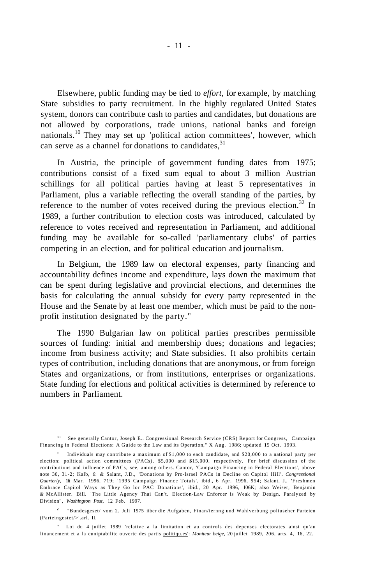Elsewhere, public funding may be tied to *effort,* for example, by matching State subsidies to party recruitment. In the highly regulated United States system, donors can contribute cash to parties and candidates, but donations are not allowed by corporations, trade unions, national banks and foreign nationals.<sup>10</sup> They may set up 'political action committees', however, which can serve as a channel for donations to candidates,  $31$ 

In Austria, the principle of government funding dates from 1975; contributions consist of a fixed sum equal to about 3 million Austrian schillings for all political parties having at least 5 representatives in Parliament, plus a variable reflecting the overall standing of the parties, by reference to the number of votes received during the previous election.<sup>32</sup> In 1989, a further contribution to election costs was introduced, calculated by reference to votes received and representation in Parliament, and additional funding may be available for so-called 'parliamentary clubs' of parties competing in an election, and for political education and journalism.

In Belgium, the 1989 law on electoral expenses, party financing and accountability defines income and expenditure, lays down the maximum that can be spent during legislative and provincial elections, and determines the basis for calculating the annual subsidy for every party represented in the House and the Senate by at least one member, which must be paid to the nonprofit institution designated by the party."

The 1990 Bulgarian law on political parties prescribes permissible sources of funding: initial and membership dues; donations and legacies; income from business activity; and State subsidies. It also prohibits certain types of contribution, including donations that are anonymous, or from foreign States and organizations, or from institutions, enterprises or organizations. State funding for elections and political activities is determined by reference to numbers in Parliament.

' : "Bundesgeset/ vom 2. Juli 1975 iiber die Aufgaben, Finan/iernng und Wahlverbung poliuseher Parteien (Parteingestet/>'.arl. II.

<sup>&</sup>quot;' See generally Cantor, Joseph E.. Congressional Research Service (CRS) Report for Congress, Campaign Financing in Federal Elections: A Guide to the Law and its Operation," X Aug. 1986; updated 15 Oct. 1993.

<sup>&#</sup>x27;' Individuals may contribute a maximum of \$1,000 to each candidate, and \$20,000 to a national party per election; political action committees (PACs), \$5,000 and \$15,000, respectively. For brief discussion of the contributions and influence of PACs, see, among others. Cantor, 'Campaign Financing in Federal Elections', above note 30, 31-2; Kalb, *0. &* Salant, J.D., 'Donations by Pro-Israel PACs in Decline on Capitol Hill'. *Congressional Quarterly,* 1ft Mar. 1996, 719; '1995 Campaign Finance Totals', ibid., 6 Apr. 1996, 954; Salant, J., 'Freshmen Embrace Capitol Ways as They Go lor PAC Donations', ibid., 20 Apr. 1996, I06K; also Weiser, Benjamin *&* McAllister. Bill. 'The Little Agency Thai Can't. Election-Law Enforcer is Weak by Design. Paralyzed by Division", *Washington Post,* 12 Feb. 1997.

<sup>&</sup>quot; Loi du 4 juillet 1989 'relative a la limitation et au controls des depenses electorates ainsi qu'au linancement et a la cuniptabilite ouverte des partis [politiqu.es':](http://politiqu.es) *Moniteur beige,* 20 juillet 1989, 206, arts. 4, 16, 22.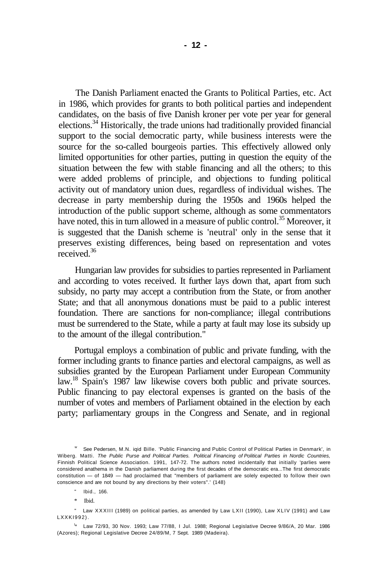The Danish Parliament enacted the Grants to Political Parties, etc. Act in 1986, which provides for grants to both political parties and independent candidates, on the basis of five Danish kroner per vote per year for general elections.<sup>34</sup> Historically, the trade unions had traditionally provided financial support to the social democratic party, while business interests were the source for the so-called bourgeois parties. This effectively allowed only limited opportunities for other parties, putting in question the equity of the situation between the few with stable financing and all the others; to this were added problems of principle, and objections to funding political activity out of mandatory union dues, regardless of individual wishes. The decrease in party membership during the 1950s and 1960s helped the introduction of the public support scheme, although as some commentators have noted, this in turn allowed in a measure of public control.<sup>35</sup> Moreover, it is suggested that the Danish scheme is 'neutral' only in the sense that it preserves existing differences, being based on representation and votes  $r$ eceived  $36$ 

Hungarian law provides for subsidies to parties represented in Parliament and according to votes received. It further lays down that, apart from such subsidy, no party may accept a contribution from the State, or from another State; and that all anonymous donations must be paid to a public interest foundation. There are sanctions for non-compliance; illegal contributions must be surrendered to the State, while a party at fault may lose its subsidy up to the amount of the illegal contribution."

Portugal employs a combination of public and private funding, with the former including grants to finance parties and electoral campaigns, as well as subsidies granted by the European Parliament under European Community law.<sup>18</sup> Spain's 1987 law likewise covers both public and private sources. Public financing to pay electoral expenses is granted on the basis of the number of votes and members of Parliament obtained in the election by each party; parliamentary groups in the Congress and Senate, and in regional

" Ibid., 166.

\* Ibid.

" Law XXXIII (1989) on political parties, as amended by Law LXII (1990), Law XLIV (1991) and Law LXXKI992).

l \* Law 72/93, 30 Nov. 1993; Law 77/88, I Jul. 1988; Regional Legislative Decree 9/86/A, 20 Mar. 1986 (Azores); Regional Legislative Decree 24/89/M, 7 Sept. 1989 (Madeira).

w See Pedersen, M.N. iqid Bille. 'Public Financing and Public Control of Political Parties in Denmark', in Wiberg. Matti. The Public Purse and Political Parties. Political Financing of Political Parties in Nordic Countries, Finnish Political Science Association. 1991, 147-72. The authors noted incidentally that initially 'parlies were considered anathema in the Danish parliament during the first decades of the democratic era...The first democratic constitution — of 1849 — had proclaimed that "members of parliament are solely expected to follow their own conscience and are not bound by any directions by their voters".' (148)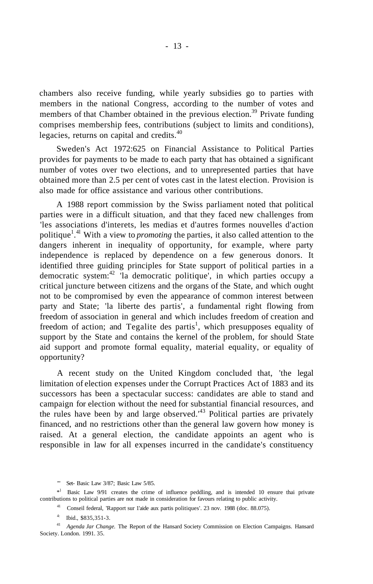chambers also receive funding, while yearly subsidies go to parties with members in the national Congress, according to the number of votes and members of that Chamber obtained in the previous election.<sup>39</sup> Private funding comprises membership fees, contributions (subject to limits and conditions), legacies, returns on capital and credits.<sup>40</sup>

Sweden's Act 1972:625 on Financial Assistance to Political Parties provides for payments to be made to each party that has obtained a significant number of votes over two elections, and to unrepresented parties that have obtained more than 2.5 per cent of votes cast in the latest election. Provision is also made for office assistance and various other contributions.

A 1988 report commission by the Swiss parliament noted that political parties were in a difficult situation, and that they faced new challenges from 'les associations d'interets, les medias et d'autres formes nouvelles d'action politique<sup>1.41</sup> With a view to *promoting* the parties, it also called attention to the dangers inherent in inequality of opportunity, for example, where party independence is replaced by dependence on a few generous donors. It identified three guiding principles for State support of political parties in a democratic system:<sup>42</sup> 'la democratic politique', in which parties occupy a critical juncture between citizens and the organs of the State, and which ought not to be compromised by even the appearance of common interest between party and State; 'la liberte des partis', a fundamental right flowing from freedom of association in general and which includes freedom of creation and freedom of action; and Tegalite des partis<sup>1</sup>, which presupposes equality of support by the State and contains the kernel of the problem, for should State aid support and promote formal equality, material equality, or equality of opportunity?

A recent study on the United Kingdom concluded that, 'the legal limitation of election expenses under the Corrupt Practices Act of 1883 and its successors has been a spectacular success: candidates are able to stand and campaign for election without the need for substantial financial resources, and the rules have been by and large observed.<sup>43</sup> Political parties are privately financed, and no restrictions other than the general law govern how money is raised. At a general election, the candidate appoints an agent who is responsible in law for all expenses incurred in the candidate's constituency

\*<sup>1</sup> Basic Law 9/91 creates the crime of influence peddling, and is intended 10 ensure thai private contributions to political parties are not made in consideration for favours relating to public activity.

<sup>41</sup> Conseil federal, 'Rapport sur 1'aide aux partis politiques'. 23 nov. 1988 (doc. 88.075).

4: Ibid., \$835,351-3.

<sup>41</sup> Agenda Jar Change. The Report of the Hansard Society Commission on Election Campaigns. Hansard Society. London. 1991. 35.

<sup>&#</sup>x27;" Set- Basic Law 3/87; Basic Law 5/85.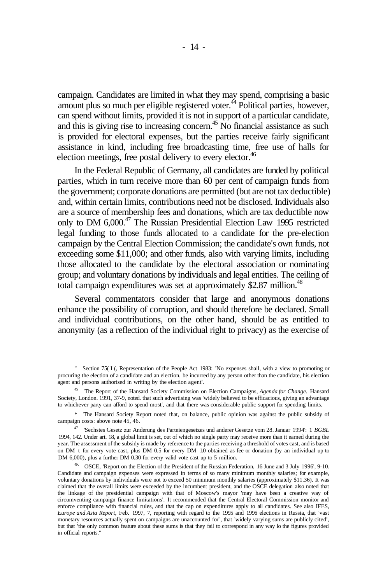campaign. Candidates are limited in what they may spend, comprising a basic amount plus so much per eligible registered voter.<sup>44</sup> Political parties, however, can spend without limits, provided it is not in support of a particular candidate, and this is giving rise to increasing concern.<sup>45</sup> No financial assistance as such is provided for electoral expenses, but the parties receive fairly significant assistance in kind, including free broadcasting time, free use of halls for election meetings, free postal delivery to every elector.<sup>46</sup>

In the Federal Republic of Germany, all candidates are funded by political parties, which in turn receive more than 60 per cent of campaign funds from the government; corporate donations are permitted (but are not tax deductible) and, within certain limits, contributions need not be disclosed. Individuals also are a source of membership fees and donations, which are tax deductible now only to DM 6,000.<sup>47</sup> The Russian Presidential Election Law 1995 restricted legal funding to those funds allocated to a candidate for the pre-election campaign by the Central Election Commission; the candidate's own funds, not exceeding some \$11,000; and other funds, also with varying limits, including those allocated to the candidate by the electoral association or nominating group; and voluntary donations by individuals and legal entities. The ceiling of total campaign expenditures was set at approximately \$2.87 million.<sup>48</sup>

Several commentators consider that large and anonymous donations enhance the possibility of corruption, and should therefore be declared. Small and individual contributions, on the other hand, should be as entitled to anonymity (as a reflection of the individual right to privacy) as the exercise of

<sup>&</sup>quot; Section 75( I (, Representation of the People Act 1983: 'No expenses shall, with a view to promoting or procuring the election of a candidate and an election, be incurred by any person other than the candidate, his election agent and persons authorised in writing by the election agent'.

<sup>4</sup>S The Report of the Hansard Society Commission on Election Campaigns, *Agenda for Change.* Hansard Society, London. 1991, 37-9, noted. that such advertising was 'widely believed to be efficacious, giving an advantage to whichever party can afford to spend most', and that there was considerable public support for spending limits.

<sup>\*</sup> The Hansard Society Report noted that, on balance, public opinion was against the public subsidy of campaign costs: above note 45, 46.

<sup>47</sup> 'Sechstes Gesetz zur Anderung des Parteiengesetzes und anderer Gesetze vom 28. Januar 1994': 1 *BGBL*  1994, 142. Under art. 18, a global limit is set, out of which no single party may receive more than it earned during the year. The assessment of the subsidy is made by reference to the parties receiving a threshold of votes cast, and is based on DM t for every vote cast, plus DM 0.5 for every DM 1.0 obtained as fee or donation (by an individual up to DM 6,000), plus a further DM 0.30 for every valid vote cast up to 5 million.

<sup>&</sup>lt;sup>4K</sup> OSCE, 'Report on the Election of the President of the Russian Federation, 16 June and 3 July 1996', 9-10. Candidate and campaign expenses were expressed in terms of so many minimum monthly salaries; for example, voluntary donations by individuals were not to exceed 50 minimum monthly salaries (approximately \$11.36). It was claimed that the overall limits were exceeded by the incumbent president, and the OSCE delegation also noted that the linkage of the presidential campaign with that of Moscow's mayor 'may have been a creative way of circumventing campaign finance limitations'. It recommended that the Central Electoral Commission monitor and enforce compliance with financial rules, and that the cap on expenditures apply to all candidates. See also IFES, *Europe and Asia Report,* Feb. 1997, 7, reporting with regard to the 1995 and 1996 elections in Russia, that 'vast monetary resources actually spent on campaigns are unaccounted for", that 'widely varying sums are publicly cited', but that 'the only common feature about these sums is that they fail to correspond in any way lo the figures provided in official reports."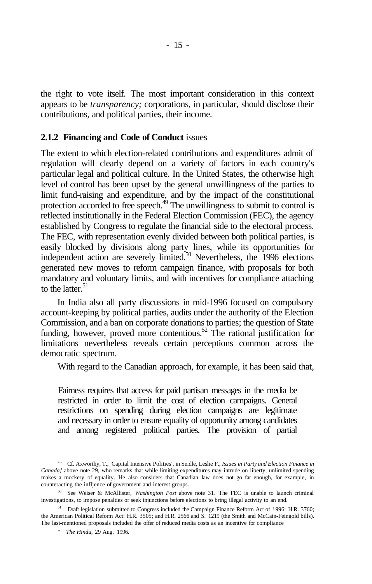the right to vote itself. The most important consideration in this context appears to be *transparency;* corporations, in particular, should disclose their contributions, and political parties, their income.

### **2.1.2 Financing and Code of Conduct** issues

The extent to which election-related contributions and expenditures admit of regulation will clearly depend on a variety of factors in each country's particular legal and political culture. In the United States, the otherwise high level of control has been upset by the general unwillingness of the parties to limit fund-raising and expenditure, and by the impact of the constitutional protection accorded to free speech.<sup>49</sup> The unwillingness to submit to control is reflected institutionally in the Federal Election Commission (FEC), the agency established by Congress to regulate the financial side to the electoral process. The FEC, with representation evenly divided between both political parties, is easily blocked by divisions along party lines, while its opportunities for independent action are severely limited.<sup>50</sup> Nevertheless, the 1996 elections generated new moves to reform campaign finance, with proposals for both mandatory and voluntary limits, and with incentives for compliance attaching to the latter  $51$ 

In India also all party discussions in mid-1996 focused on compulsory account-keeping by political parties, audits under the authority of the Election Commission, and a ban on corporate donations to parties; the question of State funding, however, proved more contentious.<sup>52</sup> The rational justification for limitations nevertheless reveals certain perceptions common across the democratic spectrum.

With regard to the Canadian approach, for example, it has been said that,

Fairness requires that access for paid partisan messages in the media be restricted in order to limit the cost of election campaigns. General restrictions on spending during election campaigns are legitimate and necessary in order to ensure equality of opportunity among candidates and among registered political parties. The provision of partial

<sup>4</sup> " Cf. Axworthy, T., 'Capital Intensive Polities', in Seidle, Leslie F., *Issues in Party and Election Finance in Canada,*' above note 29, who remarks that while limiting expenditures may intrude on liberty, unlimited spending makes a mockery of equality. He also considers that Canadian law does not go far enough, for example, in counteracting the infljence of government and interest groups.

<sup>50</sup> See Weiser & McAllister, *Washington Post* above note 31. The FEC is unable to launch criminal investigations, to impose penalties or seek injunctions before elections to bring illegal activity to an end.

<sup>&</sup>lt;sup>51</sup> Draft legislation submitted to Congress included the Campaign Finance Reform Act of 1996: H.R. 3760; the American Political Reform Act: H.R. 3505; and H.R. 2566 and S. 1219 (the Smith and McCain-Feingold bills). The last-mentioned proposals included the offer of reduced media costs as an incentive for compliance

<sup>&</sup>quot; *The Hindu,* 29 Aug. 1996.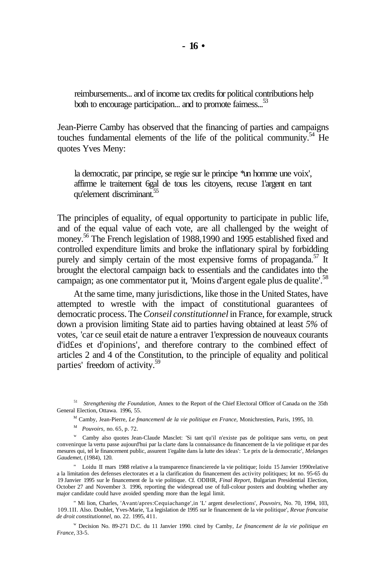reimbursements... and of income tax credits for political contributions help both to encourage participation... and to promote fairness...<sup>53</sup>

Jean-Pierre Camby has observed that the financing of parties and campaigns touches fundamental elements of the life of the political community.<sup>54</sup> He quotes Yves Meny:

la democratic, par principe, se regie sur le principe \*un homme une voix', affirme le traitement 6gal de tous les citoyens, recuse 1'argent en tant qu'element discriminant.<sup>55</sup>

The principles of equality, of equal opportunity to participate in public life, and of the equal value of each vote, are all challenged by the weight of money.<sup>56</sup> The French legislation of 1988,1990 and 1995 established fixed and controlled expenditure limits and broke the inflationary spiral by forbidding purely and simply certain of the most expensive forms of propaganda.<sup>57</sup> It brought the electoral campaign back to essentials and the candidates into the campaign; as one commentator put it, 'Moins d'argent egale plus de qualite'.<sup>58</sup>

At the same time, many jurisdictions, like those in the United States, have attempted to wrestle with the impact of constitutional guarantees of democratic process. The *Conseil constitutionnel* in France, for example, struck down a provision limiting State aid to parties having obtained at least *5%* of votes, 'car ce seuil etait de nature a entraver 1'expression de nouveaux courants d'id£es et d'opinions', and therefore contrary to the combined effect of articles 2 and 4 of the Constitution, to the principle of equality and political parties' freedom of activity.<sup>59</sup>

" Loidu II mars 1988 relative a la transparence financierede la vie politique; loidu 15 Janvier 1990relative a la limitation des defenses electorates et a la clarification du financement des activity politiques; lot no. 95-65 du 19 Janvier 1995 sur le financement de la vie politique. Cf. ODIHR, *Final Report,* Bulgarian Presidential Election, October 27 and November 3. 1996, reporting the widespread use of full-colour posters and doubting whether any major candidate could have avoided spending more than the legal limit.

" Mi lion, Charles, 'Avant/apres:Cequiachange',in 'L' argent deselections', *Pouvoirs,* No. 70, 1994, 103, 109.1II. Also. Doublet, Yves-Marie, 'La legislation de 1995 sur le financement de la vie politique', *Revue francaise de droit constitutionnel,* no. 22. 1995, 411.

w Decision No. 89-271 D.C. du 11 Janvier 1990. cited by Camby, *Le financement de la vie politique en France,* 33-5.

<sup>&</sup>lt;sup>51</sup> Strengthening the Foundation, Annex to the Report of the Chief Electoral Officer of Canada on the 35th General Election, Ottawa. 1996, 55.

M Camby, Jean-Pierre, *Le fmancemenl de la vie politique en France,* Monichrestien, Paris, 1995, 10.

M  *Pouvoirs,* no. 65, p. 72.

w Camby also quotes Jean-Claude Masclet: 'Si tant qu'il n'existe pas de politique sans vertu, on peut convenirque la vertu passe aujourd'hui par la clarte dans la connaissance du financement de la vie politique et par des<br>mesures qui, tel le financement public, assurent l'egalite dans la lutte des ideas': 'Le prix de la de *Gaudemet,* (1984), 120.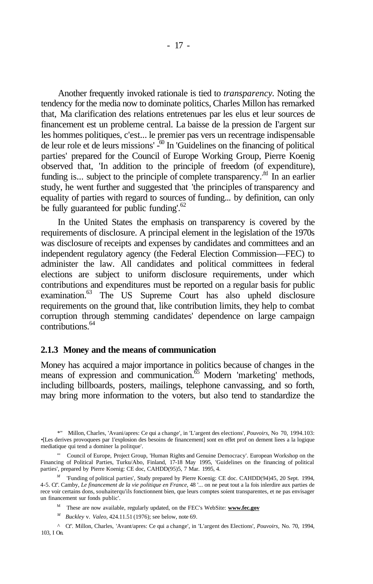Another frequently invoked rationale is tied to *transparency.* Noting the tendency for the media now to dominate politics, Charles Millon has remarked that, Ma clarification des relations entretenues par les elus et leur sources de financement est un probleme central. La baisse de la pression de I'argent sur les hommes politiques, c'est... le premier pas vers un recentrage indispensable de leur role et de leurs missions'  $\frac{1}{2}$ <sup>0</sup> In 'Guidelines on the financing of political parties' prepared for the Council of Europe Working Group, Pierre Koenig observed that, 'In addition to the principle of freedom (of expenditure), funding is... subject to the principle of complete transparency.<sup>ftl</sup> In an earlier study, he went further and suggested that 'the principles of transparency and equality of parties with regard to sources of funding... by definition, can only be fully guaranteed for public funding'.<sup>62</sup>

In the United States the emphasis on transparency is covered by the requirements of disclosure. A principal element in the legislation of the 1970s was disclosure of receipts and expenses by candidates and committees and an independent regulatory agency (the Federal Election Commission—FEC) to administer the law. All candidates and political committees in federal elections are subject to uniform disclosure requirements, under which contributions and expenditures must be reported on a regular basis for public examination.<sup>63</sup> The US Supreme Court has also upheld disclosure requirements on the ground that, like contribution limits, they help to combat corruption through stemming candidates' dependence on large campaign contributions.<sup>64</sup>

#### **2.1.3 Money and the means of communication**

Money has acquired a major importance in politics because of changes in the means of expression and communication.<sup>65</sup> Modern 'marketing' methods, including billboards, posters, mailings, telephone canvassing, and so forth, may bring more information to the voters, but also tend to standardize the

\*" Millon, Charles, 'Avani/apres: Ce qui a change', in 'L'argent des elections', *Pouvoirs,* No 70, 1994.103: •[Les derives provoquees par 1'explosion des besoins de financement] sont en effet prof on dement liees a la logique mediatique qui tend a dominer la politque'.

<sup>&</sup>quot;' Council of Europe, Project Group, 'Human Rights and Genuine Democracy'. European Workshop on the Financing of Political Parties, Turku/Abo, Finland, 17-18 May 1995, 'Guidelines on the financing of political parties', prepared by Pierre Koenig: CE doc, CAHDD(95)5, 7 Mar. 1995, 4.

*M* 'Funding of political parties', Study prepared by Pierre Koenig: CE doc. CAHDD(94)45, 20 Sept. 1994, 4-5. Ct". Camby, *Le financement de la vie politique en France*, 48 '... on ne peut tout a la fois inlerdire aux parties de rece voir certains dons, souhaiterqu'ils fonctionnent bien, que leurs comptes soient transparentes, et ne pas envisager un financement sur fonds public'.

M These are now available, regularly updated, on the FEC's WebSite: **[www.fec.gov](http://www.fec.gov)** 

*M Buckley* v. *Valeo,* 424.11.51 (1976); see below, note 69.

<sup>^</sup> Ct". Millon, Charles, 'Avant/apres: Ce qui a change', in 'L'argent des Elections', *Pouvoirs,* No. 70, 1994, 103, I On.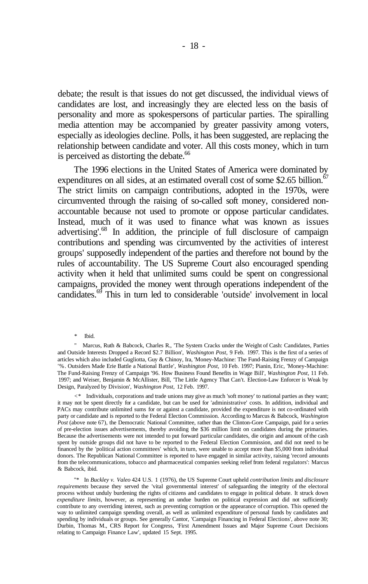debate; the result is that issues do not get discussed, the individual views of candidates are lost, and increasingly they are elected less on the basis of personality and more as spokespersons of particular parties. The spiralling media attention may be accompanied by greater passivity among voters, especially as ideologies decline. Polls, it has been suggested, are replacing the relationship between candidate and voter. All this costs money, which in turn is perceived as distorting the debate.<sup>66</sup>

The 1996 elections in the United States of America were dominated by expenditures on all sides, at an estimated overall cost of some \$2.65 billion.<sup> $67$ </sup> The strict limits on campaign contributions, adopted in the 1970s, were circumvented through the raising of so-called soft money, considered nonaccountable because not used to promote or oppose particular candidates. Instead, much of it was used to finance what was known as issues advertising'.<sup>68</sup> In addition, the principle of full disclosure of campaign contributions and spending was circumvented by the activities of interest groups' supposedly independent of the parties and therefore not bound by the rules of accountability. The US Supreme Court also encouraged spending activity when it held that unlimited sums could be spent on congressional campaigns, provided the money went through operations independent of the candidates.<sup>69</sup> This in turn led to considerable 'outside' involvement in local

" Marcus, Ruth & Babcock, Charles R., 'The System Cracks under the Weight of Cash: Candidates, Parties and Outside Interests Dropped a Record \$2.7 Billion', *Washington Post,* 9 Feb. 1997. This is the first of a series of articles which also included Gugliotta, Guy & Chinoy, Ira, 'Money-Machine: The Fund-Raising Frenzy of Campaign '%. Outsiders Made Erie Battle a National Battle', *Washington Post,* 10 Feb. 1997; Pianin, Eric, 'Money-Machine: The Fund-Raising Frenzy of Campaign '96. How Business Found Benefits in Wage Bill', *Washington Post,* 11 Feb. 1997; and Weiser, Benjamin & McAllister, Bill, 'The Little Agency That Can't. Election-Law Enforcer is Weak by Design, Paralyzed by Division', *Washington Post,* 12 Feb. 1997.

*<\** Individuals, corporations and trade unions may give as much 'soft money' to national parties as they want; it may not be spent directly for a candidate, but can be used for 'administrative' costs. In addition, individual and PACs may contribute unlimited sums for or against a candidate, provided the expenditure is not co-ordinated with party or candidate and is reported to the Federal Election Commission. According to Marcus & Babcock, *Washington Post* (above note 67), the Democratic National Committee, rather than the Clinton-Gore Campaign, paid for a series of pre-election issues advertisements, thereby avoiding the \$36 million limit on candidates during the primaries. Because the advertisements were not intended to put forward particular candidates, die origin and amount of the cash spent by outside groups did not have to be reported to the Federal Election Commission, and did not need to be financed by the 'political action committees' which, in turn, were unable to accept more than \$5,000 from individual donors. The Republican National Committee is reported to have engaged in similar activity, raising 'record amounts from the telecommunications, tobacco and pharmaceutical companies seeking relief from federal regulators': Marcus & Babcock, ibid.

"\* In *Buckley v. Valeo* 424 U.S. 1 (1976), the US Supreme Court upheld *contribution limits* and *disclosure requirements* because they served the 'vital governmental interest' of safeguarding the integrity of the electoral process without unduly burdening the rights of citizens and candidates to engage in political debate. It struck down *expenditure limits,* however, as representing an undue burden on political expression and did not sufficiently contribute to any overriding interest, such as preventing corruption or the appearance of corruption. This opened the way to unlimited campaign spending overall, as well as unlimited expenditure of personal funds by candidates and spending by individuals or groups. See generally Cantor, 'Campaign Financing in Federal Elections', above note 30; Durbin, Thomas M., CRS Report for Congress, 'First Amendment Issues and Major Supreme Court Decisions relating to Campaign Finance Law', updated 15 Sept. 1995.

<sup>\*</sup> Ibid.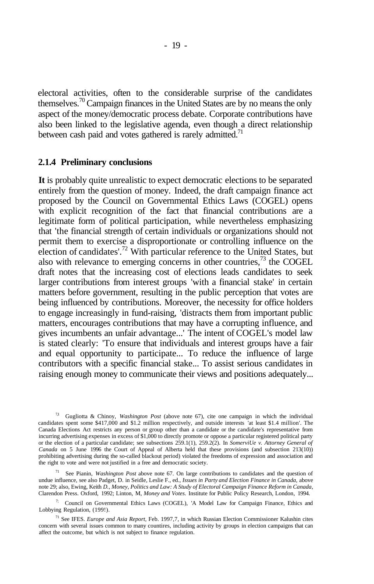electoral activities, often to the considerable surprise of the candidates themselves.<sup>70</sup> Campaign finances in the United States are by no means the only aspect of the money/democratic process debate. Corporate contributions have also been linked to the legislative agenda, even though a direct relationship between cash paid and votes gathered is rarely admitted.<sup>71</sup>

#### **2.1.4 Preliminary conclusions**

**It** is probably quite unrealistic to expect democratic elections to be separated entirely from the question of money. Indeed, the draft campaign finance act proposed by the Council on Governmental Ethics Laws (COGEL) opens with explicit recognition of the fact that financial contributions are a legitimate form of political participation, while nevertheless emphasizing that 'the financial strength of certain individuals or organizations should not permit them to exercise a disproportionate or controlling influence on the election of candidates'.<sup>72</sup> With particular reference to the United States, but also with relevance to emerging concerns in other countries, $^{73}$  the COGEL draft notes that the increasing cost of elections leads candidates to seek larger contributions from interest groups 'with a financial stake' in certain matters before government, resulting in the public perception that votes are being influenced by contributions. Moreover, the necessity for office holders to engage increasingly in fund-raising, 'distracts them from important public matters, encourages contributions that may have a corrupting influence, and gives incumbents an unfair advantage...' The intent of COGEL's model law is stated clearly: 'To ensure that individuals and interest groups have a fair and equal opportunity to participate... To reduce the influence of large contributors with a specific financial stake... To assist serious candidates in raising enough money to communicate their views and positions adequately...

71 See Pianin, *Washington Post* above note 67. On large contributions to candidates and the question of undue influence, see also Padget, D. in Seidle, Leslie F., ed., *Issues in Party and Election Finance in Canada,* above note 29; also, Ewing, Keith *D., Money, Politics and Law: A Study of Electoral Campaign Finance Reform in Canada,*  Clarendon Press. Oxford, 1992; Linton, M, *Money and Votes.* Institute for Public Policy Research, London, 1994.

<sup>7;</sup> Council on Governmental Ethics Laws (COGEL), 'A Model Law for Campaign Finance, Ethics and Lobbying Regulation, (199!).

71 See IFES. *Europe and Asia Report,* Feb. 1997,7, in which Russian Election Commissioner Kalushin cites concern with several issues common to many countires, including activity by groups in election campaigns that can affect the outcome, but which is not subject to finance regulation.

<sup>7,1</sup> Gugliotta & Chinoy, *Washington Post* (above note 67), cite one campaign in which the individual candidates spent some \$417,000 and \$1.2 million respectively, and outside interests 'at least \$1.4 million'. The Canada Elections Act restricts any person or group other than a candidate or the candidate's representative from incurring advertising expenses in excess of \$1,000 to directly promote or oppose a particular registered political party or the election of a particular candidate; see subsections 259.1(1), 259.2(2). In *SomerviUe v. Attorney General of Canada* on 5 June 1996 the Court of Appeal of Alberta held that these provisions (and subsection 213(10)) prohibiting advertising during the so-called blackout period) violated the freedoms of expression and association and the right to vote and were not justified in a free and democratic society.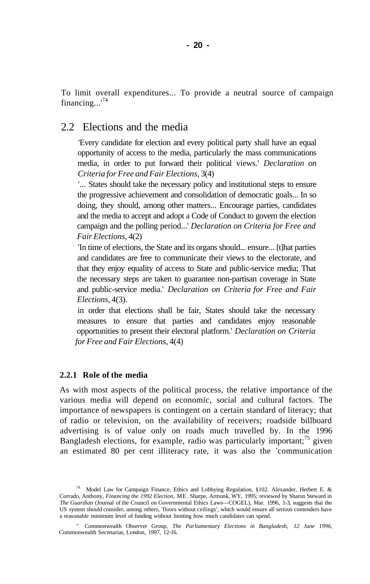To limit overall expenditures... To provide a neutral source of campaign financing...'<sup>74</sup>

### 2.2 Elections and the media

'Every candidate for election and every political party shall have an equal opportunity of access to the media, particularly the mass communications media, in order to put forward their political views.' *Declaration on Criteria for Free and Fair Elections,* 3(4)

'... States should take the necessary policy and institutional steps to ensure the progressive achievement and consolidation of democratic goals... In so doing, they should, among other matters... Encourage parties, candidates and the media to accept and adopt a Code of Conduct to govern the election campaign and the polling period...' *Declaration on Criteria for Free and Fair Elections,* 4(2)

'In time of elections, the State and its organs should... ensure... [t]hat parties and candidates are free to communicate their views to the electorate, and that they enjoy equality of access to State and public-service media; That the necessary steps are taken to guarantee non-partisan coverage in State and public-service media.' *Declaration on Criteria for Free and Fair Elections,* 4(3).

in order that elections shall be fair, States should take the necessary measures to ensure that parties and candidates enjoy reasonable opportunities to present their electoral platform.' *Declaration on Criteria for Free and Fair Elections,* 4(4)

#### **2.2.1 Role of the media**

As with most aspects of the political process, the relative importance of the various media will depend on economic, social and cultural factors. The importance of newspapers is contingent on a certain standard of literacy; that of radio or television, on the availability of receivers; roadside billboard advertising is of value only on roads much travelled by. In the 1996 Bangladesh elections, for example, radio was particularly important;<sup>75</sup> given an estimated 80 per cent illiteracy rate, it was also the 'communication

<sup>74</sup> Model Law for Campaign Finance, Ethics and Lobbying Regulation, §102. Alexander, Herbert E. & Corrado, Anthony, *Financing the 1992 Election,* ME. Sharpe, Armonk, WY, 1995; reviewed by Sharon Steward in *The Guardian* (Journal of the Council on Governmental Ethics Laws—COGEL), Mar. 1996, 1-3, suggests thai the US system should consider, among others, 'floors without ceilings', which would ensure all serious contenders have a reasonable minimum level of funding without limiting how much candidates can spend.

<sup>&</sup>quot; Commonwealth Observer Group, *The Parliamentary Elections in Bangladesh, 12 June 1996,*  Commonwealth Secretariat, London, 1997, 12-16.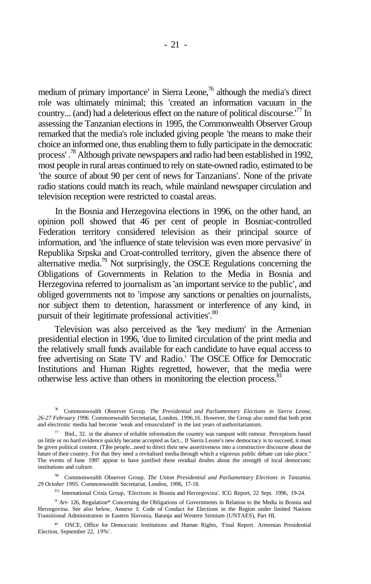medium of primary importance' in Sierra Leone,<sup>76</sup> although the media's direct role was ultimately minimal; this 'created an information vacuum in the country... (and) had a deleterious effect on the nature of political discourse.<sup>77</sup> In assessing the Tanzanian elections in 1995, the Commonwealth Observer Group remarked that the media's role included giving people 'the means to make their choice an informed one, thus enabling them to fully participate in the democratic process'.<sup>78</sup> Although private newspapers and radio had been established in 1992, most people in rural areas continued to rely on state-owned radio, estimated to be 'the source of about 90 per cent of news for Tanzanians'. None of the private radio stations could match its reach, while mainland newspaper circulation and television reception were restricted to coastal areas.

In the Bosnia and Herzegovina elections in 1996, on the other hand, an opinion poll showed that 46 per cent of people in Bosniac-controlled Federation territory considered television as their principal source of information, and 'the influence of state television was even more pervasive' in Republika Srpska and Croat-controlled territory, given the absence there of alternative media.<sup>79</sup> Not surprisingly, the OSCE Regulations concerning the Obligations of Governments in Relation to the Media in Bosnia and Herzegovina referred to journalism as 'an important service to the public', and obliged governments not to 'impose any sanctions or penalties on journalists, nor subject them to detention, harassment or interference of any kind, in pursuit of their legitimate professional activities'.<sup>80</sup>

Television was also perceived as the 'key medium' in the Armenian presidential election in 1996, 'due to limited circulation of the print media and the relatively small funds available for each candidate to have equal access to free advertising on State TV and Radio.' The OSCE Office for Democratic Institutions and Human Rights regretted, however, that the media were otherwise less active than others in monitoring the election process.<sup>81</sup>

714 Commonwealth Observer Group, *The Union Presidential and Parliamentary Elections in Tanzania. 29 October 1995.* Commonwealth Secretariat, London, 1996, 17-18.

<sup>TO</sup> International Crisis Group, 'Elections in Bosnia and Herzegovina'. ICG Report, 22 Sept. 1996, 19-24.

*m* Art-126, Regulation\* Concerning the Obligations of Governments in Relation to the Media in Bosnia and Herzegovina. See also below, Annexe I: Code of Conduct for Elections in the Region under limited Nations Transitional Administration in Eastern Slavonia, Baranja and Western Sirmium (UNTAES), Part HI.

\*' OSCE, Office for Democratic Institutions and Human Rights, 'Final Report. Armenian Presidential Election, September 22, 19%'.

<sup>7</sup>ft Commonwealth Observer Group. *The Presidential and Parliamentary Elections in Sierra Leone, 26-27 February 1996.* Commonwealth Secretariat, London, 1996,16. However, the Group also noted that both print and electronic media had become 'weak and emasculated' in the last years of authoritarianism.

<sup>77</sup> Ibid., 32. in the absence of reliable information the country was rampant with rumour. Perceptions based on little or no hard evidence quickly became accepted as fact... If Sierra Leone's new democracy is to succeed, it must be given political content. (T)he people...need to direct their new assertiveness into a constructive discourse about the future of their country. For that they need a revitalised media through which a vigorous public debate can take place." The events of June 1997 appear to have justified these residual doubts about the strength of local democratic institutions and culture.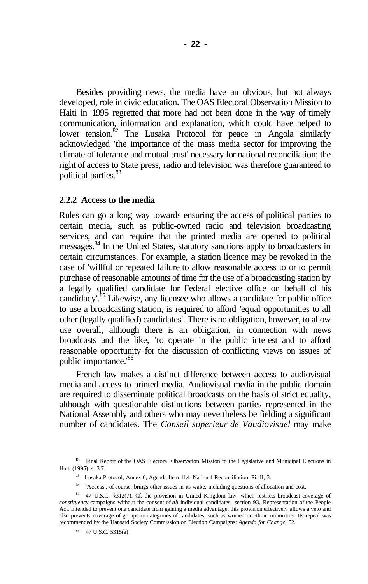Besides providing news, the media have an obvious, but not always developed, role in civic education. The OAS Electoral Observation Mission to Haiti in 1995 regretted that more had not been done in the way of timely communication, information and explanation, which could have helped to lower tension.<sup>82</sup> The Lusaka Protocol for peace in Angola similarly acknowledged 'the importance of the mass media sector for improving the climate of tolerance and mutual trust' necessary for national reconciliation; the right of access to State press, radio and television was therefore guaranteed to political parties.<sup>83</sup>

### **2.2.2 Access to the media**

Rules can go a long way towards ensuring the access of political parties to certain media, such as public-owned radio and television broadcasting services, and can require that the printed media are opened to political messages.<sup>84</sup> In the United States, statutory sanctions apply to broadcasters in certain circumstances. For example, a station licence may be revoked in the case of 'willful or repeated failure to allow reasonable access to or to permit purchase of reasonable amounts of time for the use of a broadcasting station by a legally qualified candidate for Federal elective office on behalf of his candidacy'.<sup>85</sup> Likewise, any licensee who allows a candidate for public office to use a broadcasting station, is required to afford 'equal opportunities to all other (legally qualified) candidates'. There is no obligation, however, to allow use overall, although there is an obligation, in connection with news broadcasts and the like, 'to operate in the public interest and to afford reasonable opportunity for the discussion of conflicting views on issues of public importance.'<sup>86</sup>

French law makes a distinct difference between access to audiovisual media and access to printed media. Audiovisual media in the public domain are required to disseminate political broadcasts on the basis of strict equality, although with questionable distinctions between parties represented in the National Assembly and others who may nevertheless be fielding a significant number of candidates. The *Conseil superieur de Vaudiovisuel* may make

- *xi* Lusaka Protocol, Annex 6, Agenda Item 11.4: National Reconciliation, Pi. II, 3.
- <sup>M</sup> 'Access', of course, brings other issues in its wake, including questions of allocation and cost.

<sup>&</sup>lt;sup>BI</sup> Final Report of the OAS Electoral Observation Mission to the Legislative and Municipal Elections in Haiti (1995), s. 3.7.

<sup>&</sup>lt;sup>81</sup> 47 U.S.C. §312(7). Cf, the provision in United Kingdom law, which restricts broadcast coverage of *constituency* campaigns without the consent of *all* individual candidates; section 93, Representation of the People Act. Intended to prevent one candidate from gaining a media advantage, this provision effectively allows a veto and also prevents coverage of groups or categories of candidates, such as women or ethnic minorities. Its repeal was recommended by the Hansard Society Commission on Election Campaigns: *Agenda for Change,* 52.

<sup>\*\* 47</sup> U.S.C. 5315(a)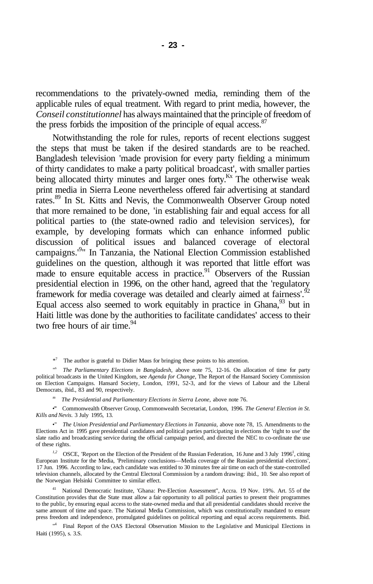recommendations to the privately-owned media, reminding them of the applicable rules of equal treatment. With regard to print media, however, the *Conseil constitutionnel* has always maintained that the principle of freedom of the press forbids the imposition of the principle of equal access.<sup>87</sup>

Notwithstanding the role for rules, reports of recent elections suggest the steps that must be taken if the desired standards are to be reached. Bangladesh television 'made provision for every party fielding a minimum of thirty candidates to make a party political broadcast', with smaller parties being allocated thirty minutes and larger ones forty.<sup>Kx</sup> The otherwise weak print media in Sierra Leone nevertheless offered fair advertising at standard rates.<sup>89</sup> In St. Kitts and Nevis, the Commonwealth Observer Group noted that more remained to be done, 'in establishing fair and equal access for all political parties to (the state-owned radio and television services), for example, by developing formats which can enhance informed public discussion of political issues and balanced coverage of electoral campaigns.<sup>'9</sup>" In Tanzania, the National Election Commission established guidelines on the question, although it was reported that little effort was made to ensure equitable access in practice.<sup>91</sup> Observers of the Russian presidential election in 1996, on the other hand, agreed that the 'regulatory framework for media coverage was detailed and clearly aimed at fairness'.<sup>92</sup> Equal access also seemed to work equitably in practice in Ghana,<sup>93</sup> but in Haiti little was done by the authorities to facilitate candidates' access to their two free hours of air time.<sup>94</sup>

\*<sup>7</sup> The author is grateful to Didier Maus for bringing these points to his attention.

<sup>18</sup> The Parliamentary Elections in Bangladesh, above note 75, 12-16. On allocation of time for party political broadcasts in the United Kingdom, see *Agenda for Change,* The Report of the Hansard Society Commission on Election Campaigns. Hansard Society, London, 1991, 52-3, and for the views of Labour and the Liberal Democrats, ibid., 83 and 90, respectively.

*m The Presidential and Parliamentary Elections in Sierra Leone,* above note 76.

•"' Commonwealth Observer Group, Commonwealth Secretariat, London, 1996. *The Genera! Election in St. Kills and Nevis.* 3 July 1995, 13.

•" *The Union Presidential and Parliamentary Elections in Tanzania,* above note 78, 15. Amendments to the Elections Act in 1995 gave presidential candidates and political parties participating in elections the 'right to use' the slate radio and broadcasting service during the official campaign period, and directed the NEC to co-ordinate the use of these rights.

<sup>1,2</sup> OSCE, 'Report on the Election of the President of the Russian Federation, 16 June and 3 July 1996<sup>1</sup>, citing European Institute for the Media, 'Preliminary conclusions—Media coverage of the Russian presidential elections', 17 Jun. 1996. According to law, each candidate was entitled to 30 minutes free air time on each of the state-controlled television channels, allocated by the Central Electoral Commission by a random drawing: ibid., 10. See also report of the Norwegian Helsinki Committee to similar effect.

41 National Democratic Institute, 'Ghana: Pre-Election Assessment", Accra. 19 Nov. 19%. Art. 55 of the Constitution provides that die State must allow a fair opportunity to all political parties to present their programmes to the public, by ensuring equal access to the state-owned media and that all presidential candidates should receive the same amount of time and space. The National Media Commission, which was constitutionally mandated to ensure press freedom and independence, promulgated guidelines on political reporting and equal access requirements. Ibid.

<sup>44</sup> Final Report of the OAS Electoral Observation Mission to the Legislative and Municipal Elections in Haiti (1995), s. 3.S.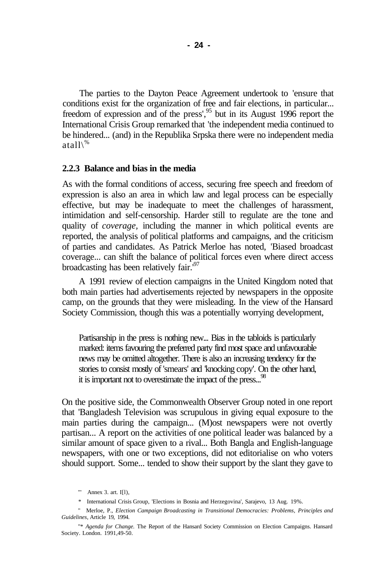The parties to the Dayton Peace Agreement undertook to 'ensure that conditions exist for the organization of free and fair elections, in particular... freedom of expression and of the press',<sup>95</sup> but in its August 1996 report the International Crisis Group remarked that 'the independent media continued to be hindered... (and) in the Republika Srpska there were no independent media atall $\mathbb{R}^{\infty}$ 

#### **2.2.3 Balance and bias in the media**

As with the formal conditions of access, securing free speech and freedom of expression is also an area in which law and legal process can be especially effective, but may be inadequate to meet the challenges of harassment, intimidation and self-censorship. Harder still to regulate are the tone and quality of *coverage,* including the manner in which political events are reported, the analysis of political platforms and campaigns, and the criticism of parties and candidates. As Patrick Merloe has noted, 'Biased broadcast coverage... can shift the balance of political forces even where direct access broadcasting has been relatively fair.'<sup>97</sup>

A 1991 review of election campaigns in the United Kingdom noted that both main parties had advertisements rejected by newspapers in the opposite camp, on the grounds that they were misleading. In the view of the Hansard Society Commission, though this was a potentially worrying development,

Partisanship in the press is nothing new... Bias in the tabloids is particularly marked: items favouring the preferred party find most space and unfavourable news may be omitted altogether. There is also an increasing tendency for the stories to consist mostly of 'smears' and 'knocking copy'. On the other hand, it is important not to overestimate the impact of the press...<sup>98</sup>

On the positive side, the Commonwealth Observer Group noted in one report that 'Bangladesh Television was scrupulous in giving equal exposure to the main parties during the campaign... (M)ost newspapers were not overtly partisan... A report on the activities of one political leader was balanced by a similar amount of space given to a rival... Both Bangla and English-language newspapers, with one or two exceptions, did not editorialise on who voters should support. Some... tended to show their support by the slant they gave to

<sup>&</sup>quot;' Annex 3. art. I[l),

<sup>\*</sup> International Crisis Group, 'Elections in Bosnia and Herzegovina', Sarajevo, 13 Aug. 19%.

<sup>&</sup>quot; Merloe, P., *Election Campaign Broadcasting in Transitional Democracies: Problems, Principles and Guidelines,* Article 19, 1994.

<sup>&</sup>quot;\* *Agenda for Change.* The Report of the Hansard Society Commission on Election Campaigns. Hansard Society. London. 1991,49-50.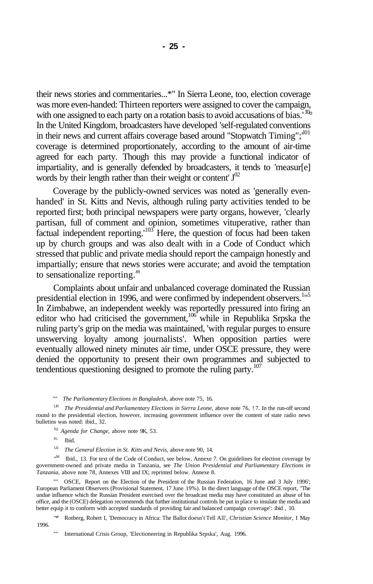their news stories and commentaries...\*" In Sierra Leone, too, election coverage was more even-handed: Thirteen reporters were assigned to cover the campaign, with one assigned to each party on a rotation basis to avoid accusations of bias.<sup>10</sup> In the United Kingdom, broadcasters have developed 'self-regulated conventions in their news and current affairs coverage based around "Stopwatch Timing";<sup>101</sup> coverage is determined proportionately, according to the amount of air-time agreed for each party. Though this may provide a functional indicator of impartiality, and is generally defended by broadcasters, it tends to 'measur[e] words by their length rather than their weight or content'  $J^{02}$ 

Coverage by the publicly-owned services was noted as 'generally evenhanded' in St. Kitts and Nevis, although ruling party activities tended to be reported first; both principal newspapers were party organs, however, 'clearly partisan, full of comment and opinion, sometimes vituperative, rather than factual independent reporting.<sup>103</sup> Here, the question of focus had been taken up by church groups and was also dealt with in a Code of Conduct which stressed that public and private media should report the campaign honestly and impartially; ensure that news stories were accurate; and avoid the temptation to sensationalize reporting.*<sup>m</sup>*

Complaints about unfair and unbalanced coverage dominated the Russian presidential election in 1996, and were confirmed by independent observers.<sup>115</sup> In Zimbabwe, an independent weekly was reportedly pressured into firing an editor who had criticised the government,<sup>106</sup> while in Republika Srpska the ruling party's grip on the media was maintained, 'with regular purges to ensure unswerving loyalty among journalists'. When opposition parties were eventually allowed ninety minutes air time, under OSCE pressure, they were denied the opportunity to present their own programmes and subjected to tendentious questioning designed to promote the ruling party.<sup>107</sup>

"" *The Parliamentary Elections in Bangladesh,* above note 75, 16.

<sup>1.10</sup> *The Presidential and Parliamentary Elections in Sierra Leone, above note 76, 17. In the run-off second* round to the presidential election, however, increasing government influence over the content of state radio news bulletins was noted: ibid., 32.

<sup>11,1</sup> Agenda for Change, above note 9K, 53.

1.11  *The General Election in St. Kitts and Nevis,* above note 90, 14.

<sup>"M</sup> Ibid., 13. For text of the Code of Conduct, see below. Annexe 7. On guidelines for election coverage by government-owned and private media in Tanzania, see *The Union Presidential and Parliamentary Elections in Tanzania,* above note 78, Annexes VIII and IX; reprinted below. Annexe 8.

"" OSCE, Report on the Election of the President of the Russian Federation, 16 June and 3 July 1996'; European Parliament Observers (Provisional Statement, 17 June 19%). In the direct language of the OSCE report, "The undue influence which the Russian President exercised over the broadcast media may have constituted an abuse of his office, and the (OSCE) delegation recommends that further institutional controls be put in place to insulate the media and better equip it to conform with accepted standards of providing fair and balanced campaign coverage': ibid , 10.

"\*' Rotberg, Robert I, 'Democracy in Africa: The Ballot doesn't Tell All', *Christian Science Monitor,* I May 1996.

m; Ibid.

<sup>&</sup>quot;" International Crisis Group, 'Electioneering in Republika Srpska', Aug. 1996.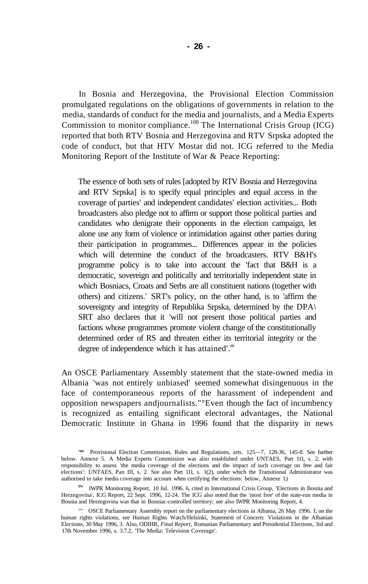In Bosnia and Herzegovina, the Provisional Election Commission promulgated regulations on the obligations of governments in relation to the media, standards of conduct for the media and journalists, and a Media Experts Commission to monitor compliance.<sup>108</sup> The International Crisis Group (ICG) reported that both RTV Bosnia and Herzegovina and RTV Srpska adopted the code of conduct, but that HTV Mostar did not. ICG referred to the Media Monitoring Report of the Institute of War & Peace Reporting:

The essence of both sets of rules [adopted by RTV Bosnia and Herzegovina and RTV Srpska] is to specify equal principles and equal access in the coverage of parties' and independent candidates' election activities... Both broadcasters also pledge not to affirm or support those political parties and candidates who denigrate their opponents in the election campaign, let alone use any form of violence or intimidation against other parties during their participation in programmes... Differences appear in the policies which will determine the conduct of the broadcasters. RTV B&H's programme policy is to take into account the 'fact that B&H is a democratic, sovereign and politically and territorially independent state in which Bosniacs, Croats and Serbs are all constituent nations (together with others) and citizens.' SRT's policy, on the other hand, is to 'affirm the sovereignty and integrity of Republika Srpska, determined by the DPA\ SRT also declares that it 'will not present those political parties and factions whose programmes promote violent change of the constitutionally determined order of RS and threaten either its territorial integrity or the degree of independence which it has attained'.*<sup>m</sup>*

An OSCE Parliamentary Assembly statement that the state-owned media in Albania 'was not entirely unbiased' seemed somewhat disingenuous in the face of contemporaneous reports of the harassment of independent and opposition newspapers andjournalists."°Even though the fact of incumbency is recognized as entailing significant electoral advantages, the National Democratic Institute in Ghana in 1996 found that the disparity in news

<sup>&</sup>quot;\*\* Provisional Election Commission, Rules and Regulations, arts. 125—7, 128-36, 145-8. See further below. Annexe 5. A Media Experts Commission was also established under UNTAES, Part 111, s. 2, with responsibility to assess 'the media coverage of the elections and the impact of such coverage on free and fair elections': UNTAES, Pan III, s. 2. See also Part 111, s. 1(2), under which the Transitional Administrator was authorised to take media coverage into account when certifying the elections: below, Annexe 1.)

I1W IWPR Monitoring Report, 10 Jul. 1996. 6, cited in International Crisis Group, 'Elections in Bosnia and Herzegovina', ICG Report, 22 Sept. 1996, 12-24. The ICG also noted that the 'most free' of the state-run media in Bosnia and Herzegovina was that in Bosniac-controlled territory; see also IWPR Monitoring Report, 4.

<sup>&</sup>quot;" OSCE Parliamentary Assembly report on the parliamentary elections in Albania, 26 May 1996. I; on the human rights violations, see Human Rights Watch/Helsinki, Statement of Concern: Violations in the Albanian Elections, 30 May 1996, 3. Also, ODIHR, *Final Report,* Romanian Parliamentary and Presidential Elections, 3rd and 17th November 1996, s. 3.7.2, 'The Media: Television Coverage'.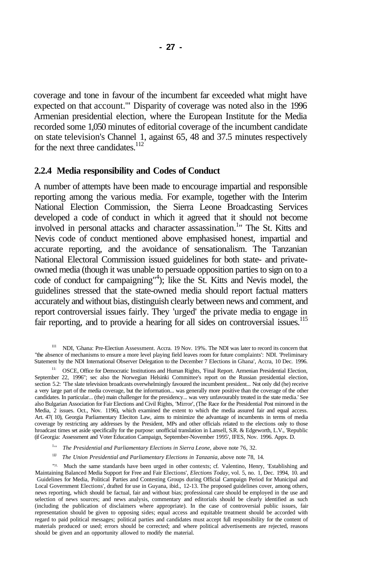coverage and tone in favour of the incumbent far exceeded what might have expected on that account.''' Disparity of coverage was noted also in the 1996 Armenian presidential election, where the European Institute for the Media recorded some 1,050 minutes of editorial coverage of the incumbent candidate on state television's Channel 1, against 65, 48 and 37.5 minutes respectively for the next three candidates. $112$ 

#### **2.2.4 Media responsibility and Codes of Conduct**

A number of attempts have been made to encourage impartial and responsible reporting among the various media. For example, together with the Interim National Election Commission, the Sierra Leone Broadcasting Services developed a code of conduct in which it agreed that it should not become involved in personal attacks and character assassination.<sup>1</sup>" The St. Kitts and Nevis code of conduct mentioned above emphasised honest, impartial and accurate reporting, and the avoidance of sensationalism. The Tanzanian National Electoral Commission issued guidelines for both state- and privateowned media (though it was unable to persuade opposition parties to sign on to a code of conduct for campaigning"<sup>4</sup>); like the St. Kitts and Nevis model, the guidelines stressed that the state-owned media should report factual matters accurately and without bias, distinguish clearly between news and comment, and report controversial issues fairly. They 'urged' the private media to engage in fair reporting, and to provide a hearing for all sides on controversial issues.<sup>115</sup>

- <sup>1</sup>" The Presidential and Parliamentary Elections in Sierra Leone, above note 76, 32.
- <sup>1IJ</sup> The Union Presidential and Parliamentary Elections in Tanzania, above note 78, 14.

"^ Much the same standards have been urged in other contexts; cf. Valentino, Henry, 'Establishing and Maintaining Balanced Media Support for Free and Fair Elections', *Elections Today,* vol. 5, no. 1, Dec. 1994, 10. and Guidelines for Media, Political Parties and Contesting Groups during Official Campaign Period for Municipal and Local Government Elections', drafted for use in Guyana, ibid., 12-13. The proposed guidelines cover, among others, news reporting, which should be factual, fair and without bias; professional care should be employed in the use and selection of news sources; and news analysis, commentary and editorials should be clearly identified as such (including the publication of disclaimers where appropriate). In the case of controversial public issues, fair representation should be given to opposing sides; equal access and equitable treatment should be accorded with regard to paid political messages; political parties and candidates must accept full responsibility for the content of materials produced or used; errors should be corrected; and where political advertisements are rejected, reasons should be given and an opportunity allowed to modify the material.

<sup>&</sup>lt;sup>111</sup> NDI, 'Ghana: Pre-Electiun Assessment. Accra. 19 Nov. 19%. The NDI was later to record its concern that "the absence of mechanisms to ensure a more level playing field leaves room for future complaints': NDI. 'Preliminary Statement by the NDI International Observer Delegation to the December 7 Elections in Ghana', Accra, 10 Dec. 1996.

<sup>&</sup>lt;sup>11:</sup> OSCE, Office for Democratic Institutions and Human Rights, 'Final Report. Armenian Presidential Election, September 22, 1996"; sec also the Norwegian Helsinki Committee's report on the Russian presidential election, section 5.2: 'The slate television broadcasts overwhelmingly favoured the incumbent president... Not only did (he) receive a very large part of the media coverage, but the information... was generally more positive than the coverage of the other candidates. In particular... (the) main challenger for the presidency... was very unfavourably treated in the state media.' See also Bulgarian Association for Fair Elections and Civil Rights, 'Mirror', (The Race for the Presidential Post mirrored in the Media,  $\overline{2}$  issues. Oct., Nov. 1196), which examined the extent to which the media assured fair and equal access. Art. 47( 10), Georgia Parliamentary Eleciton Law, aims to minimize the advantage of incumbents in terms of media coverage by restricting any addresses by the President, MPs and other officials related to the elections only to those hroadcast times set aside specifically for the purpose: unofficial translation in Lansell, S.R. & Edgeworth, L.V., 'Republic (if Georgia: Assessment and Voter Education Campaign, September-November 1995', IFES, Nov. 1996. Appx. D.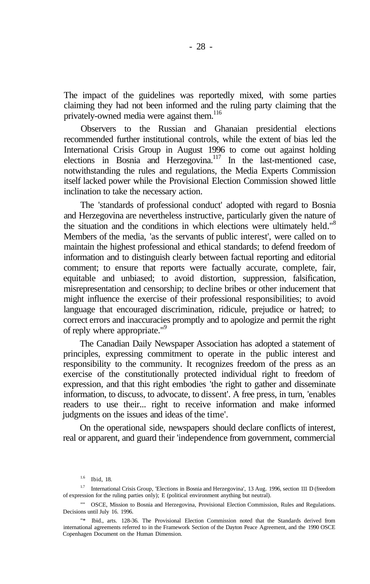The impact of the guidelines was reportedly mixed, with some parties claiming they had not been informed and the ruling party claiming that the privately-owned media were against them.<sup>116</sup>

Observers to the Russian and Ghanaian presidential elections recommended further institutional controls, while the extent of bias led the International Crisis Group in August 1996 to come out against holding elections in Bosnia and Herzegovina.<sup>117</sup> In the last-mentioned case, notwithstanding the rules and regulations, the Media Experts Commission itself lacked power while the Provisional Election Commission showed little inclination to take the necessary action.

The 'standards of professional conduct' adopted with regard to Bosnia and Herzegovina are nevertheless instructive, particularly given the nature of the situation and the conditions in which elections were ultimately held."<sup>8</sup> Members of the media, 'as the servants of public interest', were called on to maintain the highest professional and ethical standards; to defend freedom of information and to distinguish clearly between factual reporting and editorial comment; to ensure that reports were factually accurate, complete, fair, equitable and unbiased; to avoid distortion, suppression, falsification, misrepresentation and censorship; to decline bribes or other inducement that might influence the exercise of their professional responsibilities; to avoid language that encouraged discrimination, ridicule, prejudice or hatred; to correct errors and inaccuracies promptly and to apologize and permit the right of reply where appropriate."<sup>9</sup>

The Canadian Daily Newspaper Association has adopted a statement of principles, expressing commitment to operate in the public interest and responsibility to the community. It recognizes freedom of the press as an exercise of the constitutionally protected individual right to freedom of expression, and that this right embodies 'the right to gather and disseminate information, to discuss, to advocate, to dissent'. A free press, in turn, 'enables readers to use their... right to receive information and make informed judgments on the issues and ideas of the time'.

On the operational side, newspapers should declare conflicts of interest, real or apparent, and guard their 'independence from government, commercial

"" OSCE, Mission to Bosnia and Herzegovina, Provisional Election Commission, Rules and Regulations. Decisions until July 16. 1996.

<sup>1.6</sup> Ibid, 18.

<sup>&</sup>lt;sup>1.7</sup> International Crisis Group, 'Elections in Bosnia and Herzegovina', 13 Aug. 1996, section 111 D (freedom of expression for the ruling parties only); E (political environment anything but neutral).

<sup>&</sup>quot;\* Ibid., arts. 128-36. The Provisional Election Commission noted that the Standards derived from international agreements referred to in the Framework Section of the Dayton Peace Agreement, and the 1990 OSCE Copenhagen Document on the Human Dimension.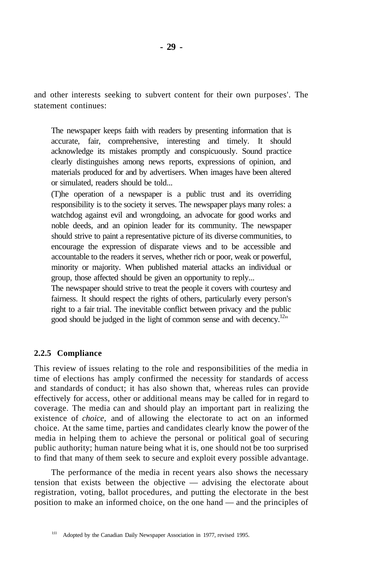and other interests seeking to subvert content for their own purposes'. The statement continues:

The newspaper keeps faith with readers by presenting information that is accurate, fair, comprehensive, interesting and timely. It should acknowledge its mistakes promptly and conspicuously. Sound practice clearly distinguishes among news reports, expressions of opinion, and materials produced for and by advertisers. When images have been altered or simulated, readers should be told...

(T)he operation of a newspaper is a public trust and its overriding responsibility is to the society it serves. The newspaper plays many roles: a watchdog against evil and wrongdoing, an advocate for good works and noble deeds, and an opinion leader for its community. The newspaper should strive to paint a representative picture of its diverse communities, to encourage the expression of disparate views and to be accessible and accountable to the readers it serves, whether rich or poor, weak or powerful, minority or majority. When published material attacks an individual or group, those affected should be given an opportunity to reply...

The newspaper should strive to treat the people it covers with courtesy and fairness. It should respect the rights of others, particularly every person's right to a fair trial. The inevitable conflict between privacy and the public good should be judged in the light of common sense and with decency.<sup>12</sup>"

### **2.2.5 Compliance**

This review of issues relating to the role and responsibilities of the media in time of elections has amply confirmed the necessity for standards of access and standards of conduct; it has also shown that, whereas rules can provide effectively for access, other or additional means may be called for in regard to coverage. The media can and should play an important part in realizing the existence of *choice,* and of allowing the electorate to act on an informed choice. At the same time, parties and candidates clearly know the power of the media in helping them to achieve the personal or political goal of securing public authority; human nature being what it is, one should not be too surprised to find that many of them seek to secure and exploit every possible advantage.

The performance of the media in recent years also shows the necessary tension that exists between the objective — advising the electorate about registration, voting, ballot procedures, and putting the electorate in the best position to make an informed choice, on the one hand — and the principles of

<sup>&</sup>lt;sup>1:11</sup> Adopted by the Canadian Daily Newspaper Association in 1977, revised 1995.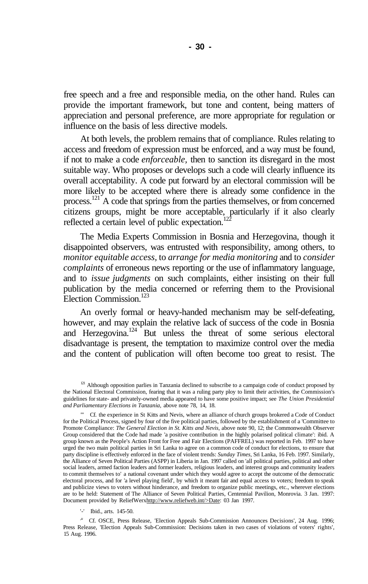free speech and a free and responsible media, on the other hand. Rules can provide the important framework, but tone and content, being matters of appreciation and personal preference, are more appropriate for regulation or influence on the basis of less directive models.

At both levels, the problem remains that of compliance. Rules relating to access and freedom of expression must be enforced, and a way must be found, if not to make a code *enforceable,* then to sanction its disregard in the most suitable way. Who proposes or develops such a code will clearly influence its overall acceptability. A code put forward by an electoral commission will be more likely to be accepted where there is already some confidence in the process.<sup>121</sup> A code that springs from the parties themselves, or from concerned citizens groups, might be more acceptable, particularly if it also clearly reflected a certain level of public expectation.

The Media Experts Commission in Bosnia and Herzegovina, though it disappointed observers, was entrusted with responsibility, among others, to *monitor equitable access,* to *arrange for media monitoring* and to *consider complaints* of erroneous news reporting or the use of inflammatory language, and to *issue judgments* on such complaints, either insisting on their full publication by the media concerned or referring them to the Provisional Election Commission<sup>123</sup>

An overly formal or heavy-handed mechanism may be self-defeating, however, and may explain the relative lack of success of the code in Bosnia and Herzegovina.<sup>124</sup> But unless the threat of some serious electoral disadvantage is present, the temptation to maximize control over the media and the content of publication will often become too great to resist. The

'-' Ibid., arts. 145-50.

<sup>&</sup>lt;sup>121</sup> Although opposition parlies in Tanzania declined to subscribe to a campaign code of conduct proposed by the National Electoral Commission, fearing that it was a ruling party ploy to limit their activities, the Commission's guidelines for state- and privately-owned media appeared to have some positive impact; see *The Union Presidential and Parliamentary Elections in Tanzania,* above note 78, 14, 18.

<sup>&#</sup>x27;" Cf. the experience in St Kitts and Nevis, where an alliance of church groups brokered a Code of Conduct for the Political Process, signed by four of the five political parties, followed by the establishment of a 'Committee to Promote Compliance: *The General Election in St. Kitts and Nevis,* above note 90, 12; the Commonwealth Observer Group considered that the Code had made 'a positive contribution in the highly polarised political climate': ibid. A group known as the People's Action Front for Free and Fair Elections (PAFFREL) was reported in Feb. 1997 to have urged the two main political parties in Sri Lanka to agree on a common code of conduct for elections, to ensure that party discipline is effectively enforced in the face of violent trends: *Sunday Times,* Sri Lanka, 16 Feb. 1997. Similarly, the Alliance of Seven Political Parties (ASPP) in Liberia in Jan. 1997 called on 'all political parties, political and other social leaders, armed faction leaders and former leaders, religious leaders, and interest groups and community leaders to commit themselves to' a national covenant under which they would agree to accept the outcome of the democratic electoral process, and for 'a level playing field', by which it meant fair and equal access to voters; freedom to speak and publicize views to voters without hinderance, and freedom to organize public meetings, etc., wherever elections are to be held: Statement of The Alliance of Seven Political Parties, Centennial Pavilion, Monrovia. 3 Jan. 1997: Document provided by ReliefWer[xhttp://www.reliefweb.int/>Date:](http://www.reliefweb.int/%3eDate) 03 Jan 1997.

*<sup>,</sup>u* Cf. OSCE, Press Release, 'Election Appeals Sub-Commission Announces Decisions', 24 Aug. 1996; Press Release, 'Election Appeals Sub-Commission: Decisions taken in two cases of violations of voters' rights', 15 Aug. 1996.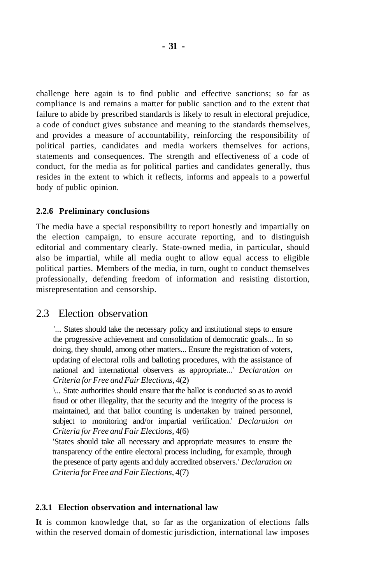challenge here again is to find public and effective sanctions; so far as compliance is and remains a matter for public sanction and to the extent that failure to abide by prescribed standards is likely to result in electoral prejudice, a code of conduct gives substance and meaning to the standards themselves, and provides a measure of accountability, reinforcing the responsibility of political parties, candidates and media workers themselves for actions, statements and consequences. The strength and effectiveness of a code of conduct, for the media as for political parties and candidates generally, thus resides in the extent to which it reflects, informs and appeals to a powerful body of public opinion.

### **2.2.6 Preliminary conclusions**

The media have a special responsibility to report honestly and impartially on the election campaign, to ensure accurate reporting, and to distinguish editorial and commentary clearly. State-owned media, in particular, should also be impartial, while all media ought to allow equal access to eligible political parties. Members of the media, in turn, ought to conduct themselves professionally, defending freedom of information and resisting distortion, misrepresentation and censorship.

## 2.3 Election observation

'... States should take the necessary policy and institutional steps to ensure the progressive achievement and consolidation of democratic goals... In so doing, they should, among other matters... Ensure the registration of voters, updating of electoral rolls and balloting procedures, with the assistance of national and international observers as appropriate...' *Declaration on Criteria for Free and Fair Elections,* 4(2)

\.. State authorities should ensure that the ballot is conducted so as to avoid fraud or other illegality, that the security and the integrity of the process is maintained, and that ballot counting is undertaken by trained personnel, subject to monitoring and/or impartial verification.' *Declaration on Criteria for Free and Fair Elections,* 4(6)

'States should take all necessary and appropriate measures to ensure the transparency of the entire electoral process including, for example, through the presence of party agents and duly accredited observers.' *Declaration on Criteria for Free and Fair Elections,* 4(7)

### **2.3.1 Election observation and international law**

**It** is common knowledge that, so far as the organization of elections falls within the reserved domain of domestic jurisdiction, international law imposes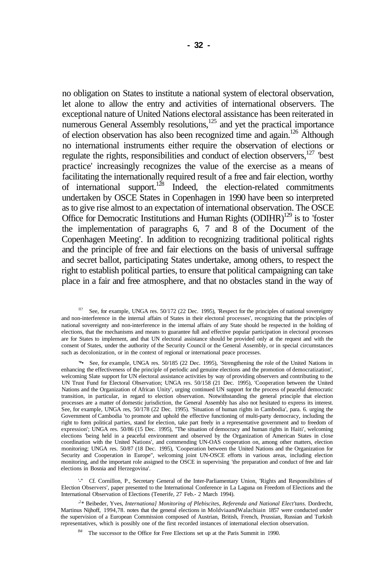no obligation on States to institute a national system of electoral observation, let alone to allow the entry and activities of international observers. The exceptional nature of United Nations electoral assistance has been reiterated in numerous General Assembly resolutions,<sup>125</sup> and yet the practical importance of election observation has also been recognized time and again.<sup>126</sup> Although no international instruments either require the observation of elections or regulate the rights, responsibilities and conduct of election observers,<sup>127</sup> 'best practice' increasingly recognizes the value of the exercise as a means of facilitating the internationally required result of a free and fair election, worthy of international support.<sup>128</sup> Indeed, the election-related commitments undertaken by OSCE States in Copenhagen in 1990 have been so interpreted as to give rise almost to an expectation of international observation. The OSCE Office for Democratic Institutions and Human Rights  $(DDHR)^{129}$  is to 'foster the implementation of paragraphs 6, 7 and  $\overline{8}$  of the Document of the Copenhagen Meeting'. In addition to recognizing traditional political rights and the principle of free and fair elections on the basis of universal suffrage and secret ballot, participating States undertake, among others, to respect the right to establish political parties, to ensure that political campaigning can take place in a fair and free atmosphere, and that no obstacles stand in the way of

ll? See, for example, UNGA res. 50/172 (22 Dec. 1995), 'Respect for the principles of national sovereignty and non-interference in the internal affairs of States in their electoral processes', recognizing that the principles of national sovereignty and non-interference in the internal affairs of any State should be respected in the holding of elections, that the mechanisms and means to guarantee full and effective popular participation in electoral processes are for States to implement, and that UN electoral assistance should be provided only at the request and with the consent of States, under the authority of the Security Council or the General Assembly, or in special circumstances such as decolonization, or in the context of regional or international peace processes.

'\*• See, for example, UNGA res. 50/185 (22 Dec. 1995), 'Strengthening the role of the United Nations in enhancing the effectiveness of the principle of periodic and genuine elections and the promotion of democratization', welcoming Slate support for UN electoral assistance activities by way of providing observers and contributing to the UN Trust Fund for Electoral Observation; UNGA res. 50/158 (21 Dec. 1995), 'Cooperation between the United Nations and the Organization of African Unity', urging continued UN support for the process of peaceful democratic transition, in particular, in regard to election observation. Notwithstanding the general principle that election processes are a matter of domestic jurisdiction, the General Assembly has also not hesitated to express its interest. See, for example, UNGA res, 50/178 (22 Dec. 1995). 'Situation of human rights in Cambodia', para. 6. urging the Government of Cambodia 'to promote and uphold the effective functioning of multi-party democracy, including the right to form political parties, stand for election, take part freely in a representative government and to freedom of expression'; UNGA res. 50/86 (15 Dec. 1995), "The situation of democracy and human rights in Haiti', welcoming elections 'being held in a peaceful environment and observed by the Organization of American States in close coordination with the United Nations', and commending UN-OAS cooperation on, among other matters, election monitoring; UNGA res. 50/87 (18 Dec. 1995), 'Cooperation between the United Nations and the Organization for Security and Cooperation in Europe", welcoming joint UN-OSCE efforts in various areas, including election monitoring, and the important role assigned to the OSCE in supervising 'the preparation and conduct of free and fair elections in Bosnia and Herzegovina'.

'-'' Cf. Cornillon, P., Secretary General of the Inter-Parliamentary Union, 'Rights and Responsibilities of Election Observers', paper presented to the International Conference in La Laguna on Freedom of Elections and the International Observation of Elections (Tenerife, 27 Feb.- 2 March 1994).

*,2\** Beibeder, Yves, *Internationa] Monitoring of Plebiscites, Referenda and National Elect'tans.* Dordrecht, Martinus Nijhoff, 1994,78. notes that the general elections in MoldviaandWalachiain 1857 were conducted under the supervision of a European Commission composed of Austrian, British, French, Prussian, Russian and Turkish representatives, which is possibly one of the first recorded instances of international election observation.

<sup>IM</sup> The successor to the Office for Free Elections set up at the Paris Summit in 1990.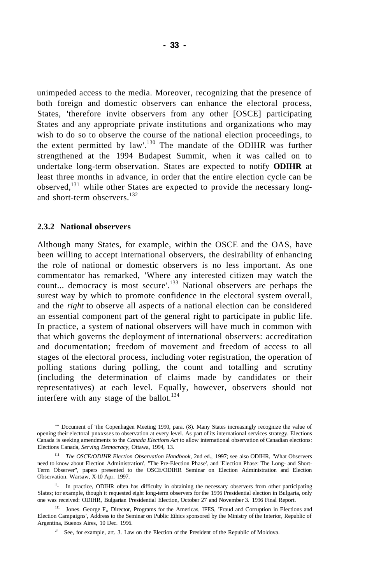unimpeded access to the media. Moreover, recognizing that the presence of both foreign and domestic observers can enhance the electoral process, States, 'therefore invite observers from any other [OSCE] participating States and any appropriate private institutions and organizations who may wish to do so to observe the course of the national election proceedings, to the extent permitted by  $law^{130}$ . The mandate of the ODIHR was further strengthened at the 1994 Budapest Summit, when it was called on to undertake long-term observation. States are expected to notify **ODIHR** at least three months in advance, in order that the entire election cycle can be observed,<sup>131</sup> while other States are expected to provide the necessary longand short-term observers.<sup>132</sup>

### **2.3.2 National observers**

Although many States, for example, within the OSCE and the OAS, have been willing to accept international observers, the desirability of enhancing the role of national or domestic observers is no less important. As one commentator has remarked, 'Where any interested citizen may watch the count... democracy is most secure'.<sup>133</sup> National observers are perhaps the surest way by which to promote confidence in the electoral system overall, and the *right* to observe all aspects of a national election can be considered an essential component part of the general right to participate in public life. In practice, a system of national observers will have much in common with that which governs the deployment of international observers: accreditation and documentation; freedom of movement and freedom of access to all stages of the electoral process, including voter registration, the operation of polling stations during polling, the count and totalling and scrutiny (including the determination of claims made by candidates or their representatives) at each level. Equally, however, observers should not interfere with any stage of the ballot. $134$ 

<sup>&</sup>quot;" Document of 'the Copenhagen Meeting 1990, para. (8). Many States increasingly recognize the value of opening their electoral pnxxsses to observation at every level. As part of its international services strategy. Elections Canada is seeking amendments to the *Canada Elections Act* to allow international observation of Canadian elections: Elections Canada, *Serving Democracy,* Ottawa, 1994, 13.

<sup>111</sup>  *The OSCE/ODIHR Election Observation Handbook,* 2nd ed., 1997; see also ODIHR, 'What Observers need to know about Election Administration', "The Pre-Election Phase', and 'Election Phase: The Long- and Short-Term Observer", papers presented to the OSCE/ODIHR Seminar on Election Administration and Election Observation. Warsaw, X-10 Apr. 1997.

<sup>&</sup>lt;sup>11</sup>- In practice, ODIHR often has difficulty in obtaining the necessary observers from other participating Slates; tor example, though it requested eight long-term observers for the 1996 Presidential election in Bulgaria, only one was received: ODIHR, Bulgarian Presidential Election, October 27 and November 3. 1996 Final Report.

<sup>&</sup>lt;sup>111</sup> Jones. George F., Director, Programs for the Americas, IFES, 'Fraud and Corruption in Elections and Election Campaigns', Address to the Seminar on Public Ethics sponsored by the Ministry of the Interior, Republic of Argentina, Buenos Aires, 10 Dec. 1996.

<sup>&</sup>lt;sup>,u</sup> See, for example, art. 3. Law on the Election of the President of the Republic of Moldova.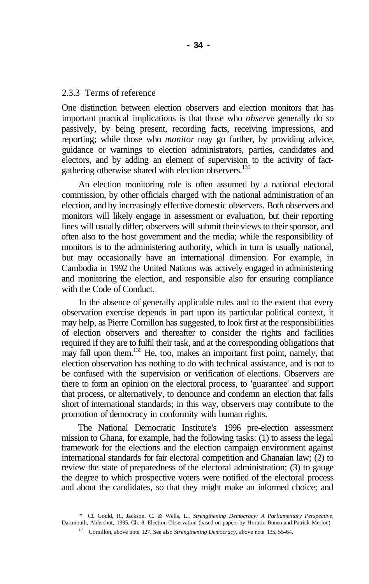## 2.3.3 Terms of reference

One distinction between election observers and election monitors that has important practical implications is that those who *observe* generally do so passively, by being present, recording facts, receiving impressions, and reporting; while those who *monitor* may go further, by providing advice, guidance or warnings to election administrators, parties, candidates and electors, and by adding an element of supervision to the activity of factgathering otherwise shared with election observers.<sup>135</sup>

An election monitoring role is often assumed by a national electoral commission, by other officials charged with the national administration of an election, and by increasingly effective domestic observers. Both observers and monitors will likely engage in assessment or evaluation, but their reporting lines will usually differ; observers will submit their views to their sponsor, and often also to the host government and the media; while the responsibility of monitors is to the administering authority, which in turn is usually national, but may occasionally have an international dimension. For example, in Cambodia in 1992 the United Nations was actively engaged in administering and monitoring the election, and responsible also for ensuring compliance with the Code of Conduct.

In the absence of generally applicable rules and to the extent that every observation exercise depends in part upon its particular political context, it may help, as Pierre Cornillon has suggested, to look first at the responsibilities of election observers and thereafter to consider the rights and facilities required if they are to fulfil their task, and at the corresponding obligations that may fall upon them.<sup>136</sup> He, too, makes an important first point, namely, that election observation has nothing to do with technical assistance, and is not to be confused with the supervision or verification of elections. Observers are there to form an opinion on the electoral process, to 'guarantee' and support that process, or alternatively, to denounce and condemn an election that falls short of international standards; in this way, observers may contribute to the promotion of democracy in conformity with human rights.

The National Democratic Institute's 1996 pre-election assessment mission to Ghana, for example, had the following tasks: (1) to assess the legal framework for the elections and the election campaign environment against international standards for fair electoral competition and Ghanaian law; (2) to review the state of preparedness of the electoral administration; (3) to gauge the degree to which prospective voters were notified of the electoral process and about the candidates, so that they might make an informed choice; and

116 Cornillon, above note 127. See also *Strengthening Democracy,* above note 135, 55-64.

<sup>&#</sup>x27;" Cf. Gould, R., Jackson. C. *&* Wells, L., *Strengthening Democracy: A Parliamentary Perspective,*  Dartmouth, Aldershot, 1995. Ch. 8. Election Observation (based on papers by Horatio Boneo and Patrick Merloe).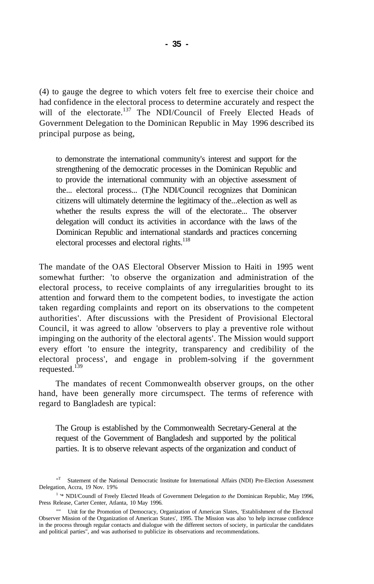(4) to gauge the degree to which voters felt free to exercise their choice and had confidence in the electoral process to determine accurately and respect the will of the electorate.<sup>137</sup> The NDI/Council of Freely Elected Heads of Government Delegation to the Dominican Republic in May 1996 described its principal purpose as being,

to demonstrate the international community's interest and support for the strengthening of the democratic processes in the Dominican Republic and to provide the international community with an objective assessment of the... electoral process... (T)he NDI/Council recognizes that Dominican citizens will ultimately determine the legitimacy of the...election as well as whether the results express the will of the electorate... The observer delegation will conduct its activities in accordance with the laws of the Dominican Republic and international standards and practices concerning electoral processes and electoral rights.<sup>118</sup>

The mandate of the OAS Electoral Observer Mission to Haiti in 1995 went somewhat further: 'to observe the organization and administration of the electoral process, to receive complaints of any irregularities brought to its attention and forward them to the competent bodies, to investigate the action taken regarding complaints and report on its observations to the competent authorities'. After discussions with the President of Provisional Electoral Council, it was agreed to allow 'observers to play a preventive role without impinging on the authority of the electoral agents'. The Mission would support every effort 'to ensure the integrity, transparency and credibility of the electoral process', and engage in problem-solving if the government requested.<sup>139</sup>

The mandates of recent Commonwealth observer groups, on the other hand, have been generally more circumspect. The terms of reference with regard to Bangladesh are typical:

The Group is established by the Commonwealth Secretary-General at the request of the Government of Bangladesh and supported by the political parties. It is to observe relevant aspects of the organization and conduct of

" T Statement of the National Democratic Institute for International Affairs (NDI) Pre-Election Assessment Delegation, Accra, 19 Nov. 19%

<sup>&</sup>lt;sup>1</sup> \* NDI/Coundl of Freely Elected Heads of Government Delegation to the Dominican Republic, May 1996, Press Release, Carter Center, Atlanta, 10 May 1996.

<sup>&</sup>quot;" Unit for the Promotion of Democracy, Organization of American Slates, 'Establishment of the Electoral Observer Mission of the Organization of American States', 1995. The Mission was also 'to help increase confidence in the process through regular contacts and dialogue with the different sectors of society, in particular the candidates and political parties", and was authorised to publicize its observations and recommendations.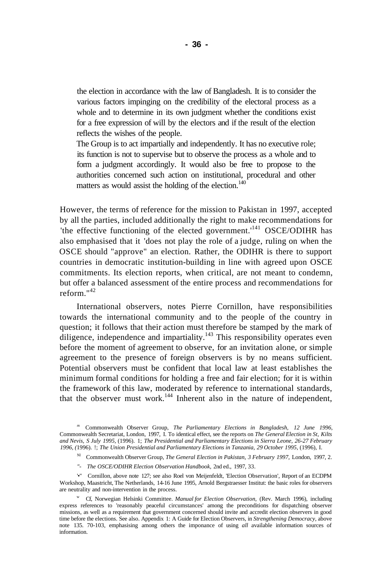the election in accordance with the law of Bangladesh. It is to consider the various factors impinging on the credibility of the electoral process as a whole and to determine in its own judgment whether the conditions exist for a free expression of will by the electors and if the result of the election reflects the wishes of the people.

The Group is to act impartially and independently. It has no executive role; its function is not to supervise but to observe the process as a whole and to form a judgment accordingly. It would also be free to propose to the authorities concerned such action on institutional, procedural and other matters as would assist the holding of the election.<sup>140</sup>

However, the terms of reference for the mission to Pakistan in 1997, accepted by all the parties, included additionally the right to make recommendations for 'the effective functioning of the elected government.'<sup>141</sup> OSCE/ODIHR has also emphasised that it 'does not play the role of a judge, ruling on when the OSCE should "approve" an election. Rather, the ODIHR is there to support countries in democratic institution-building in line with agreed upon OSCE commitments. Its election reports, when critical, are not meant to condemn, but offer a balanced assessment of the entire process and recommendations for reform."<sup>42</sup>

International observers, notes Pierre Cornillon, have responsibilities towards the international community and to the people of the country in question; it follows that their action must therefore be stamped by the mark of diligence, independence and impartiality.<sup>143</sup> This responsibility operates even before the moment of agreement to observe, for an invitation alone, or simple agreement to the presence of foreign observers is by no means sufficient. Potential observers must be confident that local law at least establishes the minimum formal conditions for holding a free and fair election; for it is within the framework of this law, moderated by reference to international standards, that the observer must work.<sup>144</sup> Inherent also in the nature of independent,

*m* Commonwealth Observer Group, *The Parliamentary Elections in Bangladesh, 12 June 1996,*  Commonwealth Secretariat, London, 1997, I. To identical effect, see the reports on *The General Election in St, Kilts and Nevis, S July 1995,* (1996). 1; *The Presidential and Parliamentary Elections in Sierra Leone, 26-27 February 1996, (*1996). !; *The Union Presidential and Parliamentary Elections in Tanzania, 29 October 1995,* (1996), I.

<sup>Nl</sup> Commonwealth Observer Group, *The General Election in Pakistan, 3 February 1997*, London, 1997, 2.

*"- The OSCE/ODIHR Election Observation Handbook,* 2nd ed., 1997, 33.

'•" Cornillon, above note 127; see also Roel von Meijenfeldt, 'Election Observation', Report of an ECDPM Workshop, Maastricht, The Netherlands, 14-16 June 1995, Arnold Bergstraesser Institut: the basic roles for observers are neutrality and non-intervention in the process.

w Cf, Norwegian Helsinki Committee. *Manual for Election Observation,* (Rev. March 1996), including express references to 'reasonably peaceful circumstances' among the preconditions for dispatching observer missions, as well as a requirement that government concerned should invite and accredit election observers in good time before the elections. See also. Appendix 1: A Guide for Election Observers, in *Strengthening Democracy,* above note 135. 70-103, emphasising among others the imponance of using *all* available information sources of information.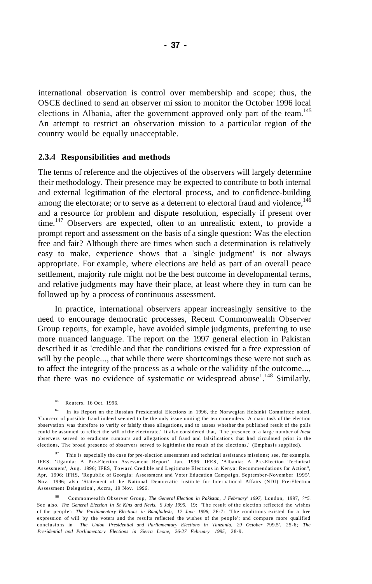international observation is control over membership and scope; thus, the OSCE declined to send an observer mi ssion to monitor the October 1996 local elections in Albania, after the government approved only part of the team.<sup>145</sup> An attempt to restrict an observation mission to a particular region of the country would be equally unacceptable.

### **2.3.4 Responsibilities and methods**

The terms of reference and the objectives of the observers will largely determine their methodology. Their presence may be expected to contribute to both internal and external legitimation of the electoral process, and to confidence-building among the electorate; or to serve as a deterrent to electoral fraud and violence.<sup>146</sup> and a resource for problem and dispute resolution, especially if present over time.<sup>147</sup> Observers are expected, often to an unrealistic extent, to provide a prompt report and assessment on the basis of a single question: Was the election free and fair? Although there are times when such a determination is relatively easy to make, experience shows that a 'single judgment' is not always appropriate. For example, where elections are held as part of an overall peace settlement, majority rule might not be the best outcome in developmental terms, and relative judgments may have their place, at least where they in turn can be followed up by a process of continuous assessment.

In practice, international observers appear increasingly sensitive to the need to encourage democratic processes, Recent Commonwealth Observer Group reports, for example, have avoided simple judgments, preferring to use more nuanced language. The report on the 1997 general election in Pakistan described it as 'credible and that the conditions existed for a free expression of will by the people..., that while there were shortcomings these were not such as to affect the integrity of the process as a whole or the validity of the outcome..., that there was no evidence of systematic or widespread abuse<sup>1</sup>.<sup>148</sup> Similarly,

 $157$  This is especially the case for pre-election assessment and technical assistance missions; see, for example. IFES. 'Uganda: A Pre-Election Assessment Report', Jan. 1996; IFES, 'Albania: A Pre-Election Technical Assessment', Aug. 1996; IFES, Toward Credible and Legitimate Elections in Kenya: Recommendations for Action", Apr. 1996; IFHS, 'Republic of Georgia: Assessment and Voter Education Campaign, September-November 1995'. Nov. 1996; also 'Statement of the National Democratic Institute for International Affairs (NDI) Pre-Election Assessment Delegation', Accra, 19 Nov. 1996.

I4H Commonwealth Observer Group, *The General Election in Pakistan, J February' 1997,* London, 1997, *?\*5.*  See also. *The General Election in St Kins and Nevis, S July 1995,* 19: 'The result of the election reflected the wishes of the people': *The Parliamentary Elections in Bangladesh, 12 June 1996,* 26-7: 'The conditions existed for a free expression of will by the voters and the results reflected the wishes of the people'; and compare more qualified conclusions in *The Union Presidential and Parliamentary Elections in Tanzania, 29 October* 799.5'. 25-6; *The Presidential and Parliamentary Elections in Sierra Leone, 26-27 February 1995,* 28-9.

<sup>&</sup>lt;sup>14S</sup> Reuters. 16 Oct. 1996.

<sup>&</sup>lt;sup>14</sup>" In its Report nn the Russian Presidential Elections in 1996, the Norwegian Helsinki Committee noietl, 'Concern of possible fraud indeed seemed to be the only issue uniting the ten contenders. A main task of the election observation was therefore to verify or falsify these allegations, and to assess whether the published result of the polls could be assumed to reflect the will of the electorate.' It also considered that, 'The presence of a large number of *Incut*  observers served to eradicate rumours and allegations of fraud and falsifications that had circulated prior io the elections, The broad presence of observers served to legitimise the result of the elections.' (Emphasis supplied).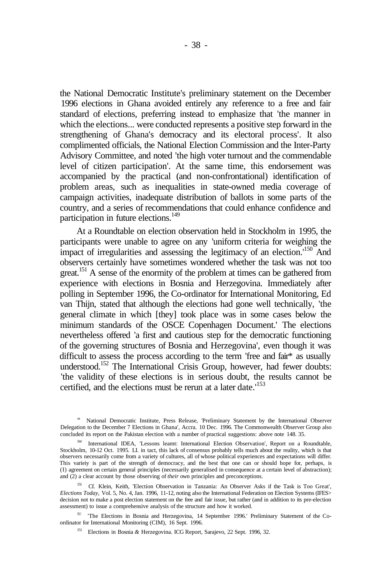the National Democratic Institute's preliminary statement on the December 1996 elections in Ghana avoided entirely any reference to a free and fair standard of elections, preferring instead to emphasize that 'the manner in which the elections... were conducted represents a positive step forward in the strengthening of Ghana's democracy and its electoral process'. It also complimented officials, the National Election Commission and the Inter-Party Advisory Committee, and noted 'the high voter turnout and the commendable level of citizen participation'. At the same time, this endorsement was accompanied by the practical (and non-confrontational) identification of problem areas, such as inequalities in state-owned media coverage of campaign activities, inadequate distribution of ballots in some parts of the country, and a series of recommendations that could enhance confidence and participation in future elections.<sup>149</sup>

At a Roundtable on election observation held in Stockholm in 1995, the participants were unable to agree on any 'uniform criteria for weighing the impact of irregularities and assessing the legitimacy of an election.<sup>150</sup> And observers certainly have sometimes wondered whether the task was not too great.<sup>151</sup> A sense of the enormity of the problem at times can be gathered from experience with elections in Bosnia and Herzegovina. Immediately after polling in September 1996, the Co-ordinator for International Monitoring, Ed van Thijn, stated that although the elections had gone well technically, 'the general climate in which [they] took place was in some cases below the minimum standards of the OSCE Copenhagen Document.' The elections nevertheless offered 'a first and cautious step for the democratic functioning of the governing structures of Bosnia and Herzegovina', even though it was difficult to assess the process according to the term 'free and fair\* as usually understood.<sup>152</sup> The International Crisis Group, however, had fewer doubts: 'the validity of these elections is in serious doubt, the results cannot be certified, and the elections must be rerun at a later date.<sup>153</sup>

*m* National Democratic Institute, Press Release, 'Preliminary Statement by the International Observer Delegation to the December 7 Elections in Ghana', Accra. 10 Dec. 1996. The Commonwealth Observer Group also concluded its report on the Pakistan election with a number of practical suggestions: above note 148. 35.

IW International IDEA, 'Lessons leamt: International Election Observation', Report on a Roundtable, Stockholm, 10-12 Oct. 1995. LI. in tact, this lack of consensus probably tells much about the reality, which is that observers necessarily come from a variety of cultures, all of whose political experiences and expectations will differ. This varieiy is part of the strength of democracy, and the best that one can or should hope for, perhaps, is (I) agreement on certain general principles (necessarily generalised in consequence at a certain level of abstraction); and (2) a clear account by those observing of *their* own principles and preconceptions.

151 Cf. Klein, Keith, 'Election Observation in Tanzania: An Observer Asks if the Task is Too Great', *Elections Today,* Vol. 5, No. 4, Jan. 1996, 11-12, noting also the International Federation on Election Systems (IFES> decision not to make a post election statement on the free and fair issue, but rather (and in addition to its pre-election assessment) to issue a comprehensive analysis of the structure and how it worked.

<sup>IU</sup> The Elections in Bosnia and Herzegovina, 14 September 1996.' Preliminary Statement of the Coordinator for International Monitoring (CIM), 16 Sept. 1996.

<sup>&</sup>lt;sup>151</sup> Elections in Bosnia & Herzegovina. ICG Report, Sarajevo, 22 Sept. 1996, 32.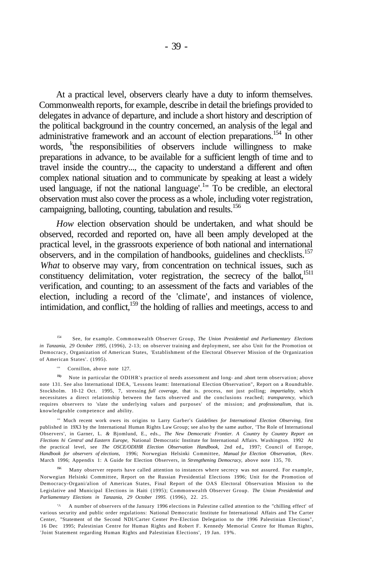At a practical level, observers clearly have a duty to inform themselves. Commonwealth reports, for example, describe in detail the briefings provided to delegates in advance of departure, and include a short history and description of the political background in the country concerned, an analysis of the legal and administrative framework and an account of election preparations.<sup>154</sup> In other words, <sup>k</sup>the responsibilities of observers include willingness to make preparations in advance, to be available for a sufficient length of time and to travel inside the country..., the capacity to understand a different and often complex national situation and to communicate by speaking at least a widely used language, if not the national language'.<sup>1</sup>" To be credible, an electoral observation must also cover the process as a whole, including voter registration, campaigning, balloting, counting, tabulation and results.<sup>156</sup>

*How* election observation should be undertaken, and what should be observed, recorded and reported on, have all been amply developed at the practical level, in the grassroots experience of both national and international observers, and in the compilation of handbooks, guidelines and checklists.<sup>157</sup> *What* to observe may vary, from concentration on technical issues, such as constituency delimitation, voter registration, the secrecy of the ballot, $^{1511}$ verification, and counting; to an assessment of the facts and variables of the election, including a record of the 'climate', and instances of violence, intimidation, and conflict,<sup>159</sup> the holding of rallies and meetings, access to and

154 See, for example. Commonwealth Observer Group, *The Union Presidential and Parliamentary Elections in Tanzania, 29 October 1995,* (1996), 2-13; on observer training and deployment, see also Unit for the Promotion ot Democracy, Organization of American States, 'Establishment of the Electoral Observer Mission of the Organization of American States'. (1995).

'" Cornillon, above note 127.

 $E_{\text{p}}$  Note in particular the ODIHR's practice ol needs assessment and long- and .short term observation; above note 131. See also International IDEA, 'Lessons leamt: International Election Observation", Report on a Roundtable. Stockholm. 10-12 Oct. 1995, 7, stressing *full coverage,* that is. process, not just polling; *impartiality,* which necessitates a direct relationship between the facts observed and the conclusions reached; *transparency,* which requires observers to 'slate the underlying values and purposes' of the mission; and *professionalism,* that is. knowledgeable competence and ability.

'" Much recent work owes its origins to Larry Garber's *Guidelines for International Election Observing,* first published in 19X3 by the International Human Rights Law Group; see also by the same author, 'The Role of International Observers', in Garner, L. *&* Bjomlund, E., eds., *The New Democratic Frontier. A Country by Country Report on Flections hi Centra! and Eastern Europe,* National Democratic Institute for International Affairs. Washington. 1992 At the practical level, see The OSCE/ODIHR Election Observation Handbook, 2nd ed., 1997; Council of Europe, *Handbook for observers of elections,* 1996; Norwegian Helsinki Committee, *Manual for Election Observation,* (Rev. March 1996; Appendix 1: A Guide for Election Observers, in *Strengthening Democracy,* above note 135, 70.

ISK Many observer reports have called attention to instances where secrecy was not assured. For example, Norwegian Helsinki Committee, Report on the Russian Presidential Elections 1996; Unit for the Promotion of Democracy-Organi/alion of American States, Final Report of the OAS Electoral Observation Mission to the Legislative and Municipal Elections in Haiti (1995); Commonwealth Observer Group. *The Union Presidential and Parliamentary Elections in Tanzania, 29 October 1995.* (1996), 22. 25.

'^ A number of observers of the January 1996 elections in Palestine called attention to the "chilling effect' of various security and public order regulations: National Democratic Institute for International Affairs and The Carter Center, "Statement of the Second NDI/Carter Center Pre-Election Delegation to the 1996 Palestinian Elections", 16 Dec 1995; Palestinian Centre for Human Rights and Robert F. Kennedy Memorial Centre for Human Rights, 'Joint Statement regarding Human Rights and Palestinian Elections', 19 Jan. 19%.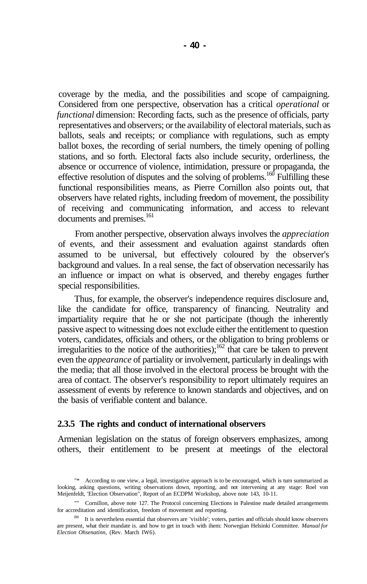coverage by the media, and the possibilities and scope of campaigning. Considered from one perspective, observation has a critical *operational* or *functional* dimension: Recording facts, such as the presence of officials, party representatives and observers; or the availability of electoral materials, such as ballots, seals and receipts; or compliance with regulations, such as empty ballot boxes, the recording of serial numbers, the timely opening of polling stations, and so forth. Electoral facts also include security, orderliness, the absence or occurrence of violence, intimidation, pressure or propaganda, the effective resolution of disputes and the solving of problems.<sup>160</sup> Fulfilling these functional responsibilities means, as Pierre Cornillon also points out, that observers have related rights, including freedom of movement, the possibility of receiving and communicating information, and access to relevant documents and premises.<sup>161</sup>

From another perspective, observation always involves the *appreciation*  of events, and their assessment and evaluation against standards often assumed to be universal, but effectively coloured by the observer's background and values. In a real sense, the fact of observation necessarily has an influence or impact on what is observed, and thereby engages further special responsibilities.

Thus, for example, the observer's independence requires disclosure and, like the candidate for office, transparency of financing. Neutrality and impartiality require that he or she not participate (though the inherently passive aspect to witnessing does not exclude either the entitlement to question voters, candidates, officials and others, or the obligation to bring problems or irregularities to the notice of the authorities); $162$  that care be taken to prevent even the *appearance* of partiality or involvement, particularly in dealings with the media; that all those involved in the electoral process be brought with the area of contact. The observer's responsibility to report ultimately requires an assessment of events by reference to known standards and objectives, and on the basis of verifiable content and balance.

### **2.3.5 The rights and conduct of international observers**

Armenian legislation on the status of foreign observers emphasizes, among others, their entitlement to be present at meetings of the electoral

<sup>&</sup>quot;\* According to one view, a legal, investigative approach is to be encouraged, which is turn summarized as looking, asking questions, writing observations down, reporting, and not intervening at any stage: Roel von Meijenfeldt, 'Election Observation", Report of an ECDPM Workshop, above note 143, 10-11.

<sup>&</sup>quot;" Cornillon, above note 127. The Protocol concerning Elections in Palestine made detailed arrangements for accreditation and identification, freedom of movement and reporting.

IM It is nevertheless essential that observers are 'visible'; voters, parties and officials should know observers are present, what their mandate is. and how to get in touch with ihem: Norwegian Helsinki Committee. *Manual for Election Ohsenatinn,* (Rev. March IW6).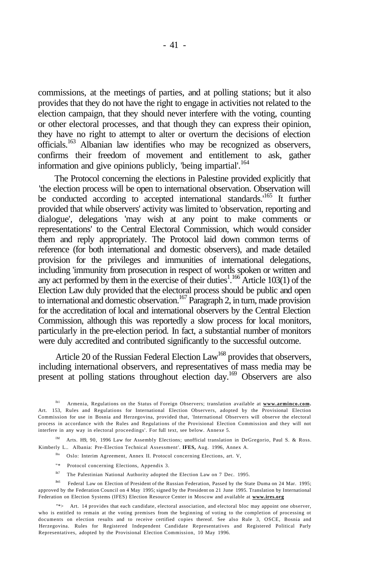commissions, at the meetings of parties, and at polling stations; but it also provides that they do not have the right to engage in activities not related to the election campaign, that they should never interfere with the voting, counting or other electoral processes, and that though they can express their opinion, they have no right to attempt to alter or overturn the decisions of election officials.<sup>163</sup> Albanian law identifies who may be recognized as observers, confirms their freedom of movement and entitlement to ask, gather information and give opinions publicly, 'being impartial'.<sup>164</sup>

The Protocol concerning the elections in Palestine provided explicitly that 'the election process will be open to international observation. Observation will be conducted according to accepted international standards.<sup>165</sup> It further provided that while observers' activity was limited to 'observation, reporting and dialogue', delegations 'may wish at any point to make comments or representations' to the Central Electoral Commission, which would consider them and reply appropriately. The Protocol laid down common terms of reference (for both international and domestic observers), and made detailed provision for the privileges and immunities of international delegations, including 'immunity from prosecution in respect of words spoken or written and any act performed by them in the exercise of their duties<sup>1,166</sup> Article 103(1) of the Election Law duly provided that the electoral process should be public and open to international and domestic observation.<sup>167</sup> Paragraph 2, in turn, made provision for the accreditation of local and international observers by the Central Election Commission, although this was reportedly a slow process for local monitors, particularly in the pre-election period. In fact, a substantial number of monitors were duly accredited and contributed significantly to the successful outcome.

Article 20 of the Russian Federal Election Law<sup>168</sup> provides that observers, including international observers, and representatives of mass media may be present at polling stations throughout election day.<sup>169</sup> Observers are also

lb1 Armenia, Regulations on the Status of Foreign Observers; translation available at **[www.arminco.com.](http://www.arminco.com)**  Art. 153, Rules and Regulations for International Election Observers, adopted by the Provisional Election Commission for use in Bosnia and Herzegovina, provided that, 'International Observers will observe the electoral process in accordance with the Rules and Regulations of the Provisional Election Commission and they will not interfere in any way in electoral proceedings'. For full text, see below. Annexe 5.

IM Arts. H9, 90, 1996 Law for Assembly Elections; unofficial translation in DeGregorio, Paul S. & Ross. Kimberly L.. Albania: Pre-Election Technical Assessment'. **IFES,** Aug. 1996, Annex A.

- Ihs Oslo: Interim Agreement, Annex II. Protocol concerning Elections, art. V,
- "\* Protocol concerning Elections, Appendix 3.
- <sup>Ih7</sup> The Palestinian National Authority adopted the Election Law on 7 Dec. 1995.

<sup>M1</sup> Federal Law on Election of President of the Russian Federation, Passed by the State Duma on 24 Mar. 1995; approved by the Federation Council on 4 May 1995; signed by the President on 21 June 1995. Translation by International Federation on Election Systems (IFES) Election Resource Center in Moscow and available at **[www.ires.org](http://www.ires.org)** 

*"\*>* Art. 14 provides that each candidate, electoral association, and electoral bloc may appoint one observer, who is entitled to remain at the voting premises from the beginning of voting to the completion of processing ot documents on election results and to receive certified copies thereof. See also Rule 3, OSCE, Bosnia and Herzegovina. Rules for Registered Independent Candidate Representatives and Registered Political Parly Representatives, adopted by the Provisional Election Commission, 10 May 1996.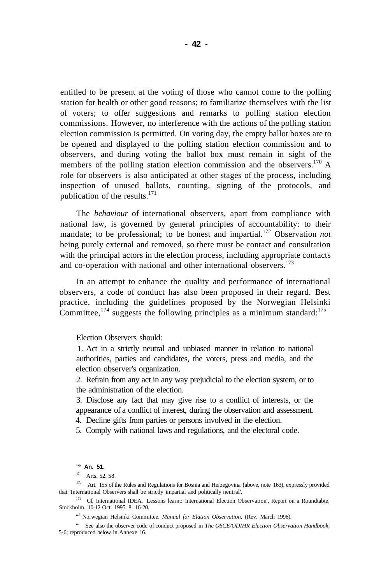entitled to be present at the voting of those who cannot come to the polling station for health or other good reasons; to familiarize themselves with the list of voters; to offer suggestions and remarks to polling station election commissions. However, no interference with the actions of the polling station election commission is permitted. On voting day, the empty ballot boxes are to be opened and displayed to the polling station election commission and to observers, and during voting the ballot box must remain in sight of the members of the polling station election commission and the observers.<sup>170</sup> A role for observers is also anticipated at other stages of the process, including inspection of unused ballots, counting, signing of the protocols, and publication of the results. $171$ 

The *behaviour* of international observers, apart from compliance with national law, is governed by general principles of accountability: to their mandate; to be professional; to be honest and impartial.<sup>172</sup> Observation *not* being purely external and removed, so there must be contact and consultation with the principal actors in the election process, including appropriate contacts and co-operation with national and other international observers.<sup>173</sup>

In an attempt to enhance the quality and performance of international observers, a code of conduct has also been proposed in their regard. Best practice, including the guidelines proposed by the Norwegian Helsinki Committee,  $174$  suggests the following principles as a minimum standard:  $175$ 

Election Observers should:

1. Act in a strictly neutral and unbiased manner in relation to national authorities, parties and candidates, the voters, press and media, and the election observer's organization.

2. Refrain from any act in any way prejudicial to the election system, or to the administration of the election.

3. Disclose any fact that may give rise to a conflict of interests, or the appearance of a conflict of interest, during the observation and assessment.

4. Decline gifts from parties or persons involved in the election.

5. Comply with national laws and regulations, and the electoral code.

- **"° An. 51.**
- $171$  Arts. 52. 58.

*<sup>171</sup>* Art. 155 of the Rules and Regulations for Bosnia and Herzegovina {above, note 163), expressly provided that 'International Observers shall be strictly impartial and politically neutral'.

<sup>171</sup> Cf, International IDEA. 'Lessons learnt: International Election Observation', Report on a Roundtabte, Stockholm. 10-12 Oct. 1995. 8. 16-20.

" J Norwegian Helsinki Committee. *Manual for Elation Observation,* (Rev. March 1996).

'" See also the observer code of conduct proposed in *The OSCE/ODIHR Election Observation Handbook,*  5-6; reproduced below in Annexe 16.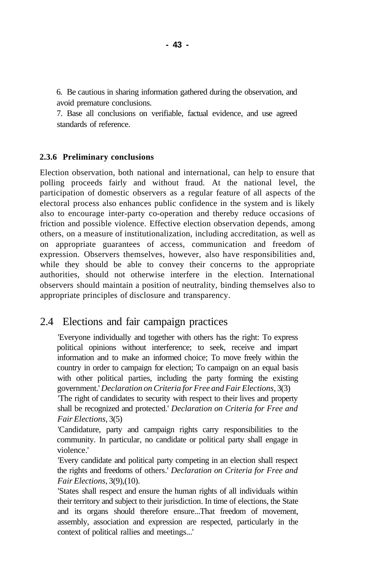6. Be cautious in sharing information gathered during the observation, and avoid premature conclusions.

7. Base all conclusions on verifiable, factual evidence, and use agreed standards of reference.

### **2.3.6 Preliminary conclusions**

Election observation, both national and international, can help to ensure that polling proceeds fairly and without fraud. At the national level, the participation of domestic observers as a regular feature of all aspects of the electoral process also enhances public confidence in the system and is likely also to encourage inter-party co-operation and thereby reduce occasions of friction and possible violence. Effective election observation depends, among others, on a measure of institutionalization, including accreditation, as well as on appropriate guarantees of access, communication and freedom of expression. Observers themselves, however, also have responsibilities and, while they should be able to convey their concerns to the appropriate authorities, should not otherwise interfere in the election. International observers should maintain a position of neutrality, binding themselves also to appropriate principles of disclosure and transparency.

# 2.4 Elections and fair campaign practices

'Everyone individually and together with others has the right: To express political opinions without interference; to seek, receive and impart information and to make an informed choice; To move freely within the country in order to campaign for election; To campaign on an equal basis with other political parties, including the party forming the existing government.' *Declaration on Criteria for Free and Fair Elections,* 3(3)

'The right of candidates to security with respect to their lives and property shall be recognized and protected.' *Declaration on Criteria for Free and Fair Elections,* 3(5)

'Candidature, party and campaign rights carry responsibilities to the community. In particular, no candidate or political party shall engage in violence.'

'Every candidate and political party competing in an election shall respect the rights and freedoms of others.' *Declaration on Criteria for Free and Fair Elections,* 3(9),(10).

'States shall respect and ensure the human rights of all individuals within their territory and subject to their jurisdiction. In time of elections, the State and its organs should therefore ensure...That freedom of movement, assembly, association and expression are respected, particularly in the context of political rallies and meetings...'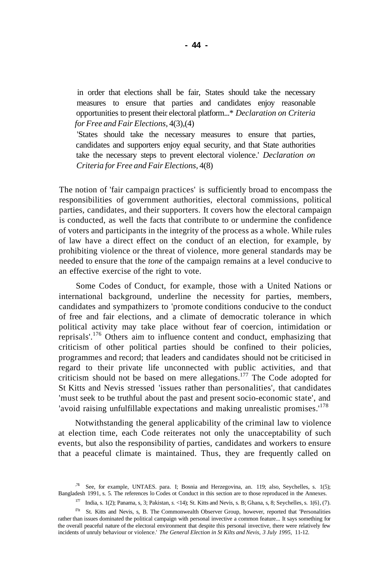in order that elections shall be fair, States should take the necessary measures to ensure that parties and candidates enjoy reasonable opportunities to present their electoral platform...\* *Declaration on Criteria* 

*for Free and Fair Elections,* 4(3),(4)

'States should take the necessary measures to ensure that parties, candidates and supporters enjoy equal security, and that State authorities take the necessary steps to prevent electoral violence.' *Declaration on Criteria for Free and Fair Elections,* 4(8)

The notion of 'fair campaign practices' is sufficiently broad to encompass the responsibilities of government authorities, electoral commissions, political parties, candidates, and their supporters. It covers how the electoral campaign is conducted, as well the facts that contribute to or undermine the confidence of voters and participants in the integrity of the process as a whole. While rules of law have a direct effect on the conduct of an election, for example, by prohibiting violence or the threat of violence, more general standards may be needed to ensure that the *tone* of the campaign remains at a level conducive to an effective exercise of the right to vote.

Some Codes of Conduct, for example, those with a United Nations or international background, underline the necessity for parties, members, candidates and sympathizers to 'promote conditions conducive to the conduct of free and fair elections, and a climate of democratic tolerance in which political activity may take place without fear of coercion, intimidation or reprisals'.<sup>176</sup> Others aim to influence content and conduct, emphasizing that criticism of other political parties should be confined to their policies, programmes and record; that leaders and candidates should not be criticised in regard to their private life unconnected with public activities, and that criticism should not be based on mere allegations.<sup>177</sup> The Code adopted for St Kitts and Nevis stressed 'issues rather than personalities', that candidates 'must seek to be truthful about the past and present socio-economic state', and 'avoid raising unfulfillable expectations and making unrealistic promises.<sup>178</sup>

Notwithstanding the general applicability of the criminal law to violence at election time, each Code reiterates not only the unacceptability of such events, but also the responsibility of parties, candidates and workers to ensure that a peaceful climate is maintained. Thus, they are frequently called on

 $7<sup>π</sup>$  See, for example, UNTAES. para. I; Bosnia and Herzegovina, an. 119; also, Seychelles, s. 1(5); Bangladesh 1991, s. 5. The references lo Codes ot Conduct in this section are to those reproduced in the Annexes.

<sup>177</sup> India, s. 1(2); Panama, s, 3; Pakistan, *s.* <14); St. Kitts and Nevis, s. B; Ghana, s, 8; Seychelles, s. 1(6}, (7).

 $<sup>TIt</sup>$  St. Kitts and Nevis, s, B. The Commonwealth Observer Group, however, reported that 'Personalities</sup> rather than issues dominated the political campaign with personal invective a common feature... It says something for the overall peaceful nature of the electoral environment that despite this personal invective, there were relatively few incidents of unruly behaviour or violence.' *The General Election in St Kilts and Nevis, 3 July 1995,* 11-12.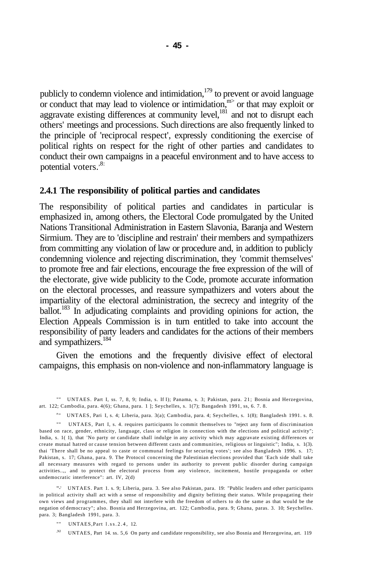publicly to condemn violence and intimidation,<sup>179</sup> to prevent or avoid language or conduct that may lead to violence or intimidation, $m$  or that may exploit or aggravate existing differences at community level,<sup>181</sup> and not to disrupt each others' meetings and processions. Such directions are also frequently linked to the principle of 'reciprocal respect', expressly conditioning the exercise of political rights on respect for the right of other parties and candidates to conduct their own campaigns in a peaceful environment and to have access to potential voters.<sup>8:</sup>

### **2.4.1 The responsibility of political parties and candidates**

The responsibility of political parties and candidates in particular is emphasized in, among others, the Electoral Code promulgated by the United Nations Transitional Administration in Eastern Slavonia, Baranja and Western Sirmium. They are to 'discipline and restrain' their members and sympathizers from committing any violation of law or procedure and, in addition to publicly condemning violence and rejecting discrimination, they 'commit themselves' to promote free and fair elections, encourage the free expression of the will of the electorate, give wide publicity to the Code, promote accurate information on the electoral processes, and reassure sympathizers and voters about the impartiality of the electoral administration, the secrecy and integrity of the ballot.<sup>183</sup> In adjudicating complaints and providing opinions for action, the Election Appeals Commission is in turn entitled to take into account the responsibility of party leaders and candidates for the actions of their members and sympathizers.<sup>184</sup>

Given the emotions and the frequently divisive effect of electoral campaigns, this emphasis on non-violence and non-inflammatory language is

*n "* UNTAES, Pari I, s. 4; Liberia, para. 3(a); Cambodia, para. 4; Seychelles, s. 1(8); Bangladesh 1991. s. 8.

'"-' UNTAES. Part 1. s. 9; Liberia, para. 3. See also Pakistan, para. 19: "Public leaders and other participants in political activity shall act with a sense of responsibility and dignity befitting their status. While propagating their own views and programmes, they shall not interfere with the freedom of others to do the same as that would be the negation of democracy"; also. Bosnia and Herzegovina, art. 122; Cambodia, para. 9; Ghana, paras. 3. 10; Seychelles. para. 3; Bangladesh 1991, para. 3.

"" UNTAES,Part l.ss.2.4 , 12.

<sup>NJ</sup> UNTAES, Part 14. ss. 5,6 On party and candidate responsibility, see also Bosnia and Herzegovina, art. 119

<sup>&</sup>quot;" UNTAES. Part I, ss. 7, 8, 9; India, s. If I); Panama, s. 3; Pakistan, para. 21; Bosnia and Herzegovina, art. 122; Cambodia, para. 4(6); Ghana, para. 1 ]; Seychelles, s. 1(7); Bangadesh 1991, ss, 6. 7. 8.

<sup>&</sup>quot;" UNTAES, Part I, s. 4. requires participants lo commit themselves to "reject any form of discrimination based on race, gender, ethnicity, language, class or religion in connection with the elections and political activity"; India, s. 1( 1), that 'No party or candidate shall indulge in any activity which may aggravate existing differences or create mutual hatred or cause tension between different casts and communities, religious or linguistic"; India, s. 1(3). thai 'There shall be no appeal to caste or communal feelings for securing votes'; see also Bangladesh 1996. s. 17; Pakistan, s. 17; Ghana, para. 9. The Protocol concerning the Palestinian elections provided that 'Each side shall take all necessary measures with regard to persons under its authority to prevent public disorder during campaign activities..,, and to protect the electoral process from any violence, incitement, hostile propaganda or other undemocratic interference": art. IV, 2(d)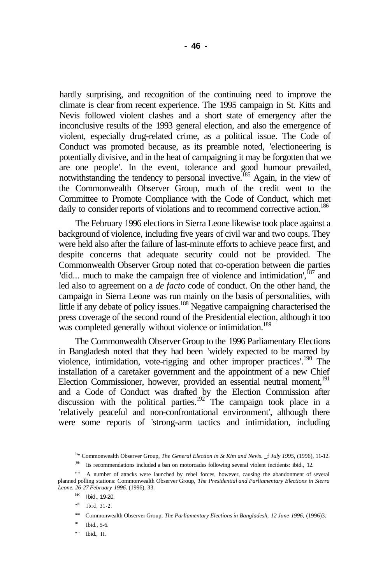hardly surprising, and recognition of the continuing need to improve the climate is clear from recent experience. The 1995 campaign in St. Kitts and Nevis followed violent clashes and a short state of emergency after the inconclusive results of the 1993 general election, and also the emergence of violent, especially drug-related crime, as a political issue. The Code of Conduct was promoted because, as its preamble noted, 'electioneering is potentially divisive, and in the heat of campaigning it may be forgotten that we are one people'. In the event, tolerance and good humour prevailed, notwithstanding the tendency to personal invective.<sup>185</sup> Again, in the view of the Commonwealth Observer Group, much of the credit went to the Committee to Promote Compliance with the Code of Conduct, which met daily to consider reports of violations and to recommend corrective action.<sup>186</sup>

The February 1996 elections in Sierra Leone likewise took place against a background of violence, including five years of civil war and two coups. They were held also after the failure of last-minute efforts to achieve peace first, and despite concerns that adequate security could not be provided. The Commonwealth Observer Group noted that co-operation between die parties 'did... much to make the campaign free of violence and intimidation',<sup>187</sup> and led also to agreement on a *de facto* code of conduct. On the other hand, the campaign in Sierra Leone was run mainly on the basis of personalities, with little if any debate of policy issues.<sup>188</sup> Negative campaigning characterised the press coverage of the second round of the Presidential election, although it too was completed generally without violence or intimidation.<sup>189</sup>

The Commonwealth Observer Group to the 1996 Parliamentary Elections in Bangladesh noted that they had been 'widely expected to be marred by violence, intimidation, vote-rigging and other improper practices'.<sup>190</sup> The installation of a caretaker government and the appointment of a new Chief Election Commissioner, however, provided an essential neutral moment,<sup>191</sup> and a Code of Conduct was drafted by the Election Commission after discussion with the political parties.<sup>192</sup> The campaign took place in a 'relatively peaceful and non-confrontational environment', although there were some reports of 'strong-arm tactics and intimidation, including

'"" Commonwealth Observer Group, *The Parliamentary Elections in Bangladesh, 12 June 1996,* (1996)3.

*m* Ibid., 5-6.

"" Ibid., II.

ls" Commonwealth Observer Group, *The General Election in St Kim and Nevis.* \_f *July 1995,* (1996), 11-12.

<sup>&</sup>lt;sup>Bft</sup> Its recommendations included a ban on motorcades following several violent incidents: ibid., 12.

<sup>&</sup>quot;" A number of attacks were launched by rebel forces, however, causing the abandonment of several planned polling stations: Commonwealth Observer Group, *The Presidential and Parliamentary Elections in Sierra Leone. 26-27 February 1996.* (1996), 33.

<sup>&</sup>lt;sup>laK</sup> Ibid., 19-20.

 $^{\text{N}}$  Ibid, 31-2.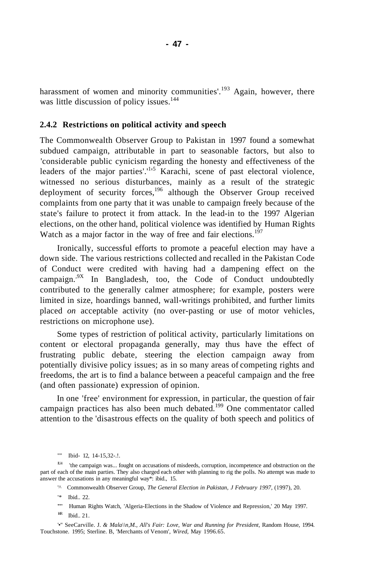harassment of women and minority communities'.<sup>193</sup> Again, however, there was little discussion of policy issues. $144$ 

### **2.4.2 Restrictions on political activity and speech**

The Commonwealth Observer Group to Pakistan in 1997 found a somewhat subdued campaign, attributable in part to seasonable factors, but also to 'considerable public cynicism regarding the honesty and effectiveness of the leaders of the major parties'.<sup>115</sup> Karachi, scene of past electoral violence, witnessed no serious disturbances, mainly as a result of the strategic deployment of security forces,<sup>196</sup> although the Observer Group received complaints from one party that it was unable to campaign freely because of the state's failure to protect it from attack. In the lead-in to the 1997 Algerian elections, on the other hand, political violence was identified by Human Rights Watch as a major factor in the way of free and fair elections.<sup>197</sup>

Ironically, successful efforts to promote a peaceful election may have a down side. The various restrictions collected and recalled in the Pakistan Code of Conduct were credited with having had a dampening effect on the campaign.<sup>9X</sup> In Bangladesh, too, the Code of Conduct undoubtedly contributed to the generally calmer atmosphere; for example, posters were limited in size, hoardings banned, wall-writings prohibited, and further limits placed *on* acceptable activity (no over-pasting or use of motor vehicles, restrictions on microphone use).

Some types of restriction of political activity, particularly limitations on content or electoral propaganda generally, may thus have the effect of frustrating public debate, steering the election campaign away from potentially divisive policy issues; as in so many areas of competing rights and freedoms, the art is to find a balance between a peaceful campaign and the free (and often passionate) expression of opinion.

In one 'free' environment for expression, in particular, the question of fair campaign practices has also been much debated.<sup>199</sup> One commentator called attention to the 'disastrous effects on the quality of both speech and politics of

'\* Ibid.. 22.

<sup>&</sup>quot;" Ibid- 12, 14-15,32-.!.

 $\mathbb{I}\mathfrak{U}4$  'the campaign was... fought on accusations of misdeeds, corruption, incompetence and obstruction on the part of each of the main parties. They also charged each other with planning to rig the polls. No attempt was made to answer the accusations in any meaningful way\*: ibid., 15.

<sup>&#</sup>x27;^ Commonwealth Observer Group, *The General Election in Pakistan, J February 1997,* (1997), 20.

<sup>&#</sup>x27;"" Human Rights Watch, 'Algeria-Elections in the Shadow of Violence and Repression,' 20 May 1997.  $^{\text{HR}}$  Ibid.. 21.

<sup>&#</sup>x27;•" SeeCarville. J. *& Mala\\n,M., All's Fair: Love, War and Running for President,* Random House, 1994. Touchstone. 1995; Sterline. B, 'Merchants of Venom', *Wired,* May 1996.65.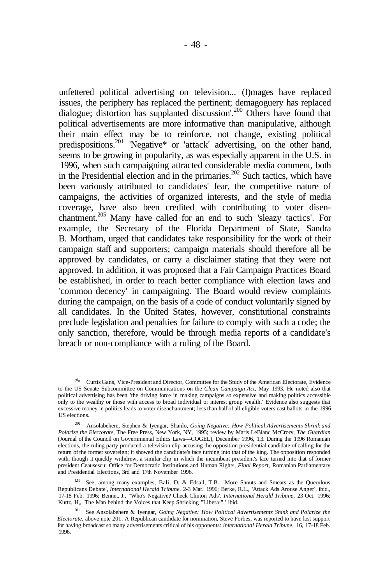unfettered political advertising on television... (I)mages have replaced issues, the periphery has replaced the pertinent; demagoguery has replaced dialogue; distortion has supplanted discussion'.<sup>200</sup> Others have found that political advertisements are more informative than manipulative, although their main effect may be to reinforce, not change, existing political predispositions.<sup>201</sup> 'Negative\* or 'attack' advertising, on the other hand, seems to be growing in popularity, as was especially apparent in the U.S. in 1996, when such campaigning attracted considerable media comment, both in the Presidential election and in the primaries.<sup>202</sup> Such tactics, which have been variously attributed to candidates' fear, the competitive nature of campaigns, the activities of organized interests, and the style of media coverage, have also been credited with contributing to voter disenchantment.<sup>205</sup> Many have called for an end to such 'sleazy tactics'. For example, the Secretary of the Florida Department of State, Sandra B. Mortham, urged that candidates take responsibility for the work of their campaign staff and supporters; campaign materials should therefore all be approved by candidates, or carry a disclaimer stating that they were not approved. In addition, it was proposed that a Fair Campaign Practices Board be established, in order to reach better compliance with election laws and 'common decency' in campaigning. The Board would review complaints during the campaign, on the basis of a code of conduct voluntarily signed by all candidates. In the United States, however, constitutional constraints preclude legislation and penalties for failure to comply with such a code; the only sanction, therefore, would be through media reports of a candidate's breach or non-compliance with a ruling of the Board.

<sup>1,11</sup> See, among many examples, Bali, D. & Edsall, T.B., 'More Shouts and Smears as the Querulous Republicans Debate', *International Herald Tribune,* 2-3 Mar. 1996; Berke, R.L., 'Attack Ads Arouse Anger', ibid., 17-18 Feb. 1996; Bennet, J., "Who's Negative? Check Clinton Ads', *International Herald Tribune,* 23 Oct. 1996; Kurtz, H,, 'The Man behind the Voices that Keep Shrieking "Liberal", 'ibid.

<sup>&</sup>lt;sup>;tlo</sup> Curtis Gans, Vice-President and Director, Committee for the Study of the American Electorate, Evidence to the US Senate Subcommittee on Communications on the *Clean Campaign Act,* May 1993. He noted also that political advertising has been 'the driving force in making campaigns so expensive and making politics accessible only to the wealthy or those with access to broad individual or interest group wealth.' Evidence also suggests that excessive money in politics leads to voter disenchantment; less than half of all eligible voters cast ballots in the 1996 US elections.

*<sup>201</sup>* Ansolabehere, Stephen & Iyengar, Shanlo, *Going Negative: How Political Advertisements Shrink and Polarize the Electorate,* The Free Press, New York, NY, 1995; review by Maris LeBlanc McCrory, *The Guardian*  (Journal of the Council on Governmental Ethics Laws—COGEL), December 1996, 1,3. During the 1996 Romanian elections, the ruling party produced a television clip accusing the opposition presidential candidate of calling for the return of the former sovereign; it showed the candidate's face turning into that of the king. The opposition responded with, though it quickly withdrew, a similar clip in which the incumbent president's face turned into that of former president Ceausescu: Office for Democratic Institutions and Human Rights, *Final Report,* Romanian Parliamentary and Presidential Elections, 3rd and 17th November 1996.

<sup>201</sup> See Ansolabehere & Iyengar, *Going Negative: How Political Advertisements Shink and Polarize the Electorate,* above note 201. A Republican candidate for nomination, Steve Forbes, was reported to have lost support for having broadcast so many advertisements critical of his opponents: *international Herald Tribune,* 16, 17-18 Feb. 1996.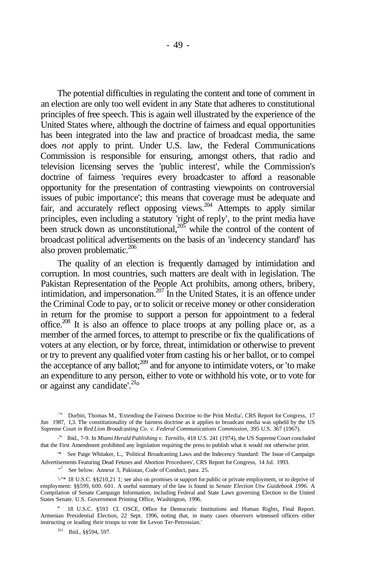The potential difficulties in regulating the content and tone of comment in an election are only too well evident in any State that adheres to constitutional principles of free speech. This is again well illustrated by the experience of the United States where, although the doctrine of fairness and equal opportunities has been integrated into the law and practice of broadcast media, the same does *not* apply to print. Under U.S. law, the Federal Communications Commission is responsible for ensuring, amongst others, that radio and television licensing serves the 'public interest', while the Commission's doctrine of fairness 'requires every broadcaster to afford a reasonable opportunity for the presentation of contrasting viewpoints on controversial issues of pubic importance'; this means that coverage must be adequate and fair, and accurately reflect opposing views.<sup>204</sup> Attempts to apply similar principles, even including a statutory 'right of reply', to the print media have been struck down as unconstitutional, $205$  while the control of the content of broadcast political advertisements on the basis of an 'indecency standard' has also proven problematic.<sup>206</sup>

The quality of an election is frequently damaged by intimidation and corruption. In most countries, such matters are dealt with in legislation. The Pakistan Representation of the People Act prohibits, among others, bribery, intimidation, and impersonation.<sup>207</sup> In the United States, it is an offence under the Criminal Code to pay, or to solicit or receive money or other consideration in return for the promise to support a person for appointment to a federal office.<sup>208</sup> It is also an offence to place troops at any polling place or, as a member of the armed forces, to attempt to prescribe or fix the qualifications of voters at any election, or by force, threat, intimidation or otherwise to prevent or try to prevent any qualified voter from casting his or her ballot, or to compel the acceptance of any ballot;<sup>209</sup> and for anyone to intimidate voters, or 'to make an expenditure to any person, either to vote or withhold his vote, or to vote for or against any candidate'.<sup>2Io</sup>

<sup>:<u</sup> Durbin, Thomas M., 'Extending the Fairness Doctrine to the Print Media', CRS Report for Congress, 17 Jun 1987, 1,3. The constitutionality of the fairness doctrine as it applies to broadcast media was upheld by the US Supreme Court *in Red Lion Broadcasting Co. v. Federal Communications Commission,* 395 U.S. 367 (1967).

- w Ibid., 7-9. In *Miami Herald Publishing v. Tornillo,* 418 U.S. 241 (1974), the US Supreme Court concluded that the First Amendment prohibited any legislation requiring the press to publish what it would not otherwise print.

'\* See Paige Whitaker, L., 'Political Broadcasting Laws and the Indecency Standard: The Issue of Campaign Advertisements Featuring Dead Fetuses and Abortion Procedures', CRS Report for Congress, 14 Jul. 1993.

<sup>167</sup> See below. Annexe 3, Pakistan, Code of Conduct, para. 25.

*'-"\** 18 U.S.C. §§210,21 1; see also on promises or support for public or private employment, or to deprive of employment: §§599, 600. 601. A useful summary of the law is found in *Senate Election Utw Guidebook 1996.* A Compilation of Senate Campaign Information, including Federal and State Laws governing Election to the United States Senate. U.S. Government Printing Office, Washington, 1996.

w 18 U.S.C. §593 Cf. OSCE, Office for Democratic Institutions and Human Rights, Final Report. Armenian Presidential Election, 22 Sept. 1996, noting that, in many cases observers witnessed officers either instructing or leading their troops to vote for Levon Ter-Petrossian.'

<sup>21,1</sup> Ibid., §§594, 597.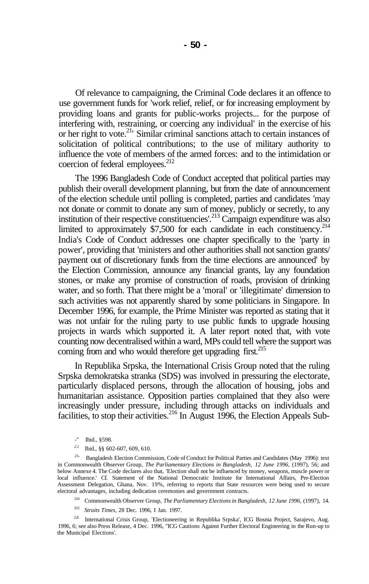Of relevance to campaigning, the Criminal Code declares it an offence to use government funds for 'work relief, relief, or for increasing employment by providing loans and grants for public-works projects... for the purpose of interfering with, restraining, or coercing any individual' in the exercise of his or her right to vote.<sup>21</sup>' Similar criminal sanctions attach to certain instances of solicitation of political contributions; to the use of military authority to influence the vote of members of the armed forces: and to the intimidation or coercion of federal employees.<sup>212</sup>

The 1996 Bangladesh Code of Conduct accepted that political parties may publish their overall development planning, but from the date of announcement of the election schedule until polling is completed, parties and candidates 'may not donate or commit to donate any sum of money, publicly or secretly, to any institution of their respective constituencies'.<sup>213</sup> Campaign expenditure was also limited to approximately  $$7,500$  for each candidate in each constituency.<sup>214</sup> India's Code of Conduct addresses one chapter specifically to the 'party in power', providing that 'ministers and other authorities shall not sanction grants/ payment out of discretionary funds from the time elections are announced' by the Election Commission, announce any financial grants, lay any foundation stones, or make any promise of construction of roads, provision of drinking water, and so forth. That there might be a 'moral' or 'illegitimate' dimension to such activities was not apparently shared by some politicians in Singapore. In December 1996, for example, the Prime Minister was reported as stating that it was not unfair for the ruling party to use public funds to upgrade housing projects in wards which supported it. A later report noted that, with vote counting now decentralised within a ward, MPs could tell where the support was coming from and who would therefore get upgrading first.<sup>215</sup>

In Republika Srpska, the International Crisis Group noted that the ruling Srpska demokratska stranka (SDS) was involved in pressuring the electorate, particularly displaced persons, through the allocation of housing, jobs and humanitarian assistance. Opposition parties complained that they also were increasingly under pressure, including through attacks on individuals and facilities, to stop their activities.<sup>216</sup> In August 1996, the Election Appeals Sub-

- -" Ibid., §598.
- *2,1* Ibid., §§ 602-607, 609, 610.

<sup>21</sup>' Bangladesh Election Commission, Code of Conduct for Political Parties and Candidates (May 1996): text in Commonwealth Observer Group, *The Parliamentary Elections in Bangladesh, 12 June 1996,* (1997), 56; and below Annexe 4. The Code declares also that, 'Election shall not be influenced by money, weapons, muscle power or local influence.' Cf. Statement of the National Democratic Institute for International Affairs, Pre-Election Assessment Delegation, Ghana, Nov. 19%, referring to reports that State resources were being used to secure electoral advantages, including dedication ceremonies and government contracts.

- 214 Commonwealth Observer Group, *The Parliamentary Elections in Bangladesh, 12 June 1996,* (1997), 14.
- 315  *Straits Times,* 28 Dec. 1996, I Jan. 1997.

<sup>2,ft</sup> International Crisis Group, 'Electioneering in Republika Srpska', ICG Bosnia Project, Sarajevo, Aug. 1996, 6; see also Press Release, 4 Dec. 1996, "ICG Cautions Against Further Electoral Engineering in the Run-up to the Municipal Elections'.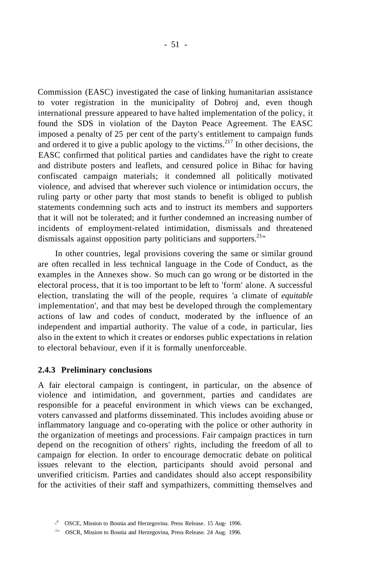Commission (EASC) investigated the case of linking humanitarian assistance to voter registration in the municipality of Dobroj and, even though international pressure appeared to have halted implementation of the policy, it found the SDS in violation of the Dayton Peace Agreement. The EASC imposed a penalty of 25 per cent of the party's entitlement to campaign funds and ordered it to give a public apology to the victims.<sup>217</sup> In other decisions, the EASC confirmed that political parties and candidates have the right to create and distribute posters and leaflets, and censured police in Bihac for having confiscated campaign materials; it condemned all politically motivated violence, and advised that wherever such violence or intimidation occurs, the ruling party or other party that most stands to benefit is obliged to publish statements condemning such acts and to instruct its members and supporters that it will not be tolerated; and it further condemned an increasing number of incidents of employment-related intimidation, dismissals and threatened dismissals against opposition party politicians and supporters.  $21$ <sup>"</sup>

In other countries, legal provisions covering the same or similar ground are often recalled in less technical language in the Code of Conduct, as the examples in the Annexes show. So much can go wrong or be distorted in the electoral process, that it is too important to be left to 'form' alone. A successful election, translating the will of the people, requires 'a climate of *equitable*  implementation', and that may best be developed through the complementary actions of law and codes of conduct, moderated by the influence of an independent and impartial authority. The value of a code, in particular, lies also in the extent to which it creates or endorses public expectations in relation to electoral behaviour, even if it is formally unenforceable.

#### **2.4.3 Preliminary conclusions**

A fair electoral campaign is contingent, in particular, on the absence of violence and intimidation, and government, parties and candidates are responsible for a peaceful environment in which views can be exchanged, voters canvassed and platforms disseminated. This includes avoiding abuse or inflammatory language and co-operating with the police or other authority in the organization of meetings and processions. Fair campaign practices in turn depend on the recognition of others' rights, including the freedom of all to campaign for election. In order to encourage democratic debate on political issues relevant to the election, participants should avoid personal and unverified criticism. Parties and candidates should also accept responsibility for the activities of their staff and sympathizers, committing themselves and

<sup>-&</sup>lt;sup>n</sup> OSCE, Mission to Bosnia and Herzegovina. Press Release. 15 Aug- 1996.

<sup>:|</sup>" OSCR, Mission to Bosnia and Herzegovina, Press Release. 24 Aug. 1996.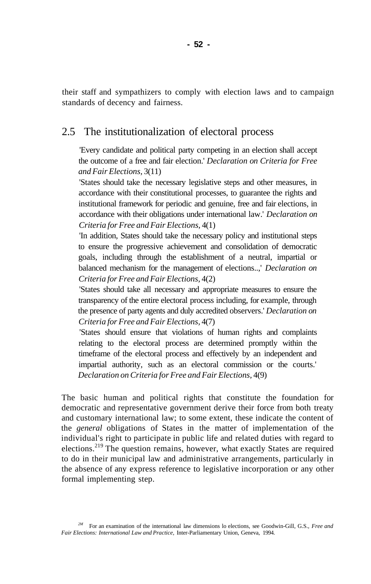their staff and sympathizers to comply with election laws and to campaign standards of decency and fairness.

# 2.5 The institutionalization of electoral process

'Every candidate and political party competing in an election shall accept the outcome of a free and fair election.' *Declaration on Criteria for Free and Fair Elections,* 3(11)

'States should take the necessary legislative steps and other measures, in accordance with their constitutional processes, to guarantee the rights and institutional framework for periodic and genuine, free and fair elections, in accordance with their obligations under international law.' *Declaration on Criteria for Free and Fair Elections,* 4(1)

'In addition, States should take the necessary policy and institutional steps to ensure the progressive achievement and consolidation of democratic goals, including through the establishment of a neutral, impartial or balanced mechanism for the management of elections..,' *Declaration on Criteria for Free and Fair Elections,* 4(2)

'States should take all necessary and appropriate measures to ensure the transparency of the entire electoral process including, for example, through the presence of party agents and duly accredited observers.' *Declaration on Criteria for Free and Fair Elections,* 4(7)

'States should ensure that violations of human rights and complaints relating to the electoral process are determined promptly within the timeframe of the electoral process and effectively by an independent and impartial authority, such as an electoral commission or the courts.' *Declaration on Criteria for Free and Fair Elections,* 4(9)

The basic human and political rights that constitute the foundation for democratic and representative government derive their force from both treaty and customary international law; to some extent, these indicate the content of the *general* obligations of States in the matter of implementation of the individual's right to participate in public life and related duties with regard to elections.<sup>219</sup> The question remains, however, what exactly States are required to do in their municipal law and administrative arrangements, particularly in the absence of any express reference to legislative incorporation or any other formal implementing step.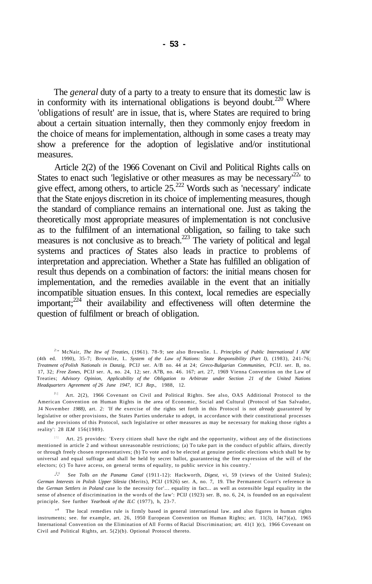The *general* duty of a party to a treaty to ensure that its domestic law is in conformity with its international obligations is beyond doubt.<sup>220</sup> Where 'obligations of result' are in issue, that is, where States are required to bring about a certain situation internally, then they commonly enjoy freedom in the choice of means for implementation, although in some cases a treaty may show a preference for the adoption of legislative and/or institutional measures.

Article 2(2) of the 1966 Covenant on Civil and Political Rights calls on States to enact such 'legislative or other measures as may be necessary<sup> $22$ </sup>' to give effect, among others, to article 25.<sup>222</sup> Words such as 'necessary' indicate that the State enjoys discretion in its choice of implementing measures, though the standard of compliance remains an international one. Just as taking the theoretically most appropriate measures of implementation is not conclusive as to the fulfilment of an international obligation, so failing to take such measures is not conclusive as to breach.<sup>223</sup> The variety of political and legal systems and practices *of* States also leads in practice to problems of interpretation and appreciation. Whether a State has fulfilled an obligation of result thus depends on a combination of factors: the initial means chosen for implementation, and the remedies available in the event that an initially incompatible situation ensues. In this context, local remedies are especially important;<sup>224</sup> their availability and effectiveness will often determine the question of fulfilment or breach of obligation.

*<sup>2:</sup>"* McNair, *The Ittw of Treaties,* (1961). 78-9; see also Brownlie. I.. *Principles of Public International I AIW*  (4th ed. 1990), 35-7; Brownlie, I.. *System of the Law of Nations: State Responsibility (Part I),* (1983), 241-76; *Treatment of Polish Nationals in Danzig,* PCIJ ser. A/B no. 44 at 24; *Greco-Bulgarian Communities,* PCIJ. ser. B, no. 17, 32; *Free Zones,* PCIJ ser. A, no. 24, 12; ser. A7B, no. 46. 167; art. 27, 1969 Vienna Convention on the Law of Treaties; *Advisory Opinion, Applicability of the Obligation to Arbitrate under Section 21 of the United Nations Headquarters Agreement of 26 June 1947,* ICJ *Rep.,* 1988, 12.

 $J$  :  $|$  Art. 2(2), 1966 Covenant on Civil and Political Rights. See also, OAS Additional Protocol to the American Convention on Human Rights in the area of Economic, Social and Cultural (Protocol of San Salvador, J4 November *1988),* art. *2:* 'If *the* exercise of the rights set forth in this Protocol is not *already* guaranteed by legislative or other provisions, the States Parties undertake to adopt, in accordance with their constitutional processes and the provisions of this Protocol, such legislative or other measures as may be necessary for making those rights a reality': 28 *ILM* 156(1989).

<sup>:::</sup> Art. 25 provides: 'Every citizen shall have the right and the opportunity, without any of the distinctions mentioned in article 2 and without unreasonable restrictions; (a) To take part in the conduct of public affairs, directly or through freely chosen representatives; (b) To vote and to be elected at genuine periodic elections which shall be by universal and equal suffrage and shall be held by secret ballot, guaranteeing the free expression of the will of the electors; (c) To have access, on general terms of equality, to public service in his country.'

<sup>&</sup>lt;sup>21</sup> See Tolls an the Panama Canal (1911-12): Hackworth, *Digest*, vi, 59 (views of the United Stales); *German Interests in Polish Upper Silesia* (Merits), PCIJ (1926) ser. A, no. 7, 19. The Permanent Court's reference in the *German Settlers in Poland* case lo the necessity for'... equality in fact... as well as ostensible legal equality in the sense of absence of discrimination in the words of the law': PCIJ (1923) ser. B, no. 6, 24, is founded on an equivalent principle. See further *Yearbook of the ILC* (1977), h, 23-7.

<sup>&</sup>lt;sup>4</sup> The local remedies rule is firmly based in general international law. and also figures in human rights instruments; see. for example, art. 26, 1950 European Convention on Human Rights; art. 11(3), I4(7)(a), 1965 International Convention on the Elimination of All Forms of Racial Discrimination; *art.* 41(1 )(c), 1966 Covenant on Civil and Political Rights, art. 5(2)(b). Optional Protocol thereto.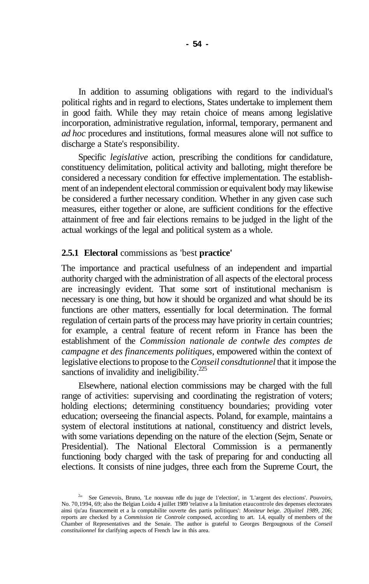In addition to assuming obligations with regard to the individual's political rights and in regard to elections, States undertake to implement them in good faith. While they may retain choice of means among legislative incorporation, administrative regulation, informal, temporary, permanent and *ad hoc* procedures and institutions, formal measures alone will not suffice to discharge a State's responsibility.

Specific *legislative* action, prescribing the conditions for candidature, constituency delimitation, political activity and balloting, might therefore be considered a necessary condition for effective implementation. The establishment of an independent electoral commission or equivalent body may likewise be considered a further necessary condition. Whether in any given case such measures, either together or alone, are sufficient conditions for the effective attainment of free and fair elections remains to be judged in the light of the actual workings of the legal and political system as a whole.

### **2.5.1 Electoral** commissions as 'best **practice'**

The importance and practical usefulness of an independent and impartial authority charged with the administration of all aspects of the electoral process are increasingly evident. That some sort of institutional mechanism is necessary is one thing, but how it should be organized and what should be its functions are other matters, essentially for local determination. The formal regulation of certain parts of the process may have priority in certain countries; for example, a central feature of recent reform in France has been the establishment of the *Commission nationale de contwle des comptes de campagne et des financements politiques,* empowered within the context of legislative elections to propose to the *Conseil consdtutionnel* that it impose the sanctions of invalidity and ineligibility. $225$ 

Elsewhere, national election commissions may be charged with the full range of activities: supervising and coordinating the registration of voters; holding elections; determining constituency boundaries; providing voter education; overseeing the financial aspects. Poland, for example, maintains a system of electoral institutions at national, constituency and district levels, with some variations depending on the nature of the election (Sejm, Senate or Presidential). The National Electoral Commission is a permanently functioning body charged with the task of preparing for and conducting all elections. It consists of nine judges, three each from the Supreme Court, the

<sup>2</sup> " See Genevois, Bruno, 'Le nouveau rdle du juge de 1'election', in 'L'argent des elections'. *Pouvoirs,*  No. 70,1994, 69; also the Belgian Loidu 4 juillet 1989 'relative a la limitation etaucontrole des depenses electorates ainsi tju'au financemeitt et a la comptabilite ouverte des partis politiques': *Moniteur beige. 20juiitel 1989,* 206; reports are checked by a *Commission tie Controle* composed, according to art. 1.4, equally of members of the Chamber of Representatives and the Senaie. The author is grateful to Georges Bergougnous of the *Conseil constituiionnel* for clarifying aspects of French law in this area.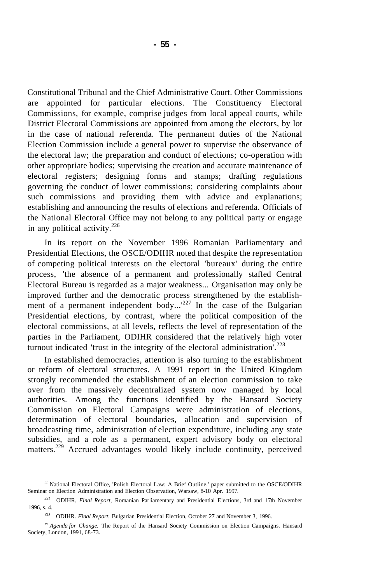**- 55 -**

Constitutional Tribunal and the Chief Administrative Court. Other Commissions are appointed for particular elections. The Constituency Electoral Commissions, for example, comprise judges from local appeal courts, while District Electoral Commissions are appointed from among the electors, by lot in the case of national referenda. The permanent duties of the National Election Commission include a general power to supervise the observance of the electoral law; the preparation and conduct of elections; co-operation with other appropriate bodies; supervising the creation and accurate maintenance of electoral registers; designing forms and stamps; drafting regulations governing the conduct of lower commissions; considering complaints about such commissions and providing them with advice and explanations; establishing and announcing the results of elections and referenda. Officials of the National Electoral Office may not belong to any political party or engage in any political activity.<sup>226</sup>

In its report on the November 1996 Romanian Parliamentary and Presidential Elections, the OSCE/ODIHR noted that despite the representation of competing political interests on the electoral 'bureaux' during the entire process, 'the absence of a permanent and professionally staffed Central Electoral Bureau is regarded as a major weakness... Organisation may only be improved further and the democratic process strengthened by the establishment of a permanent independent body...<sup>'227</sup> In the case of the Bulgarian Presidential elections, by contrast, where the political composition of the electoral commissions, at all levels, reflects the level of representation of the parties in the Parliament, ODIHR considered that the relatively high voter turnout indicated 'trust in the integrity of the electoral administration'.<sup>228</sup>

In established democracies, attention is also turning to the establishment or reform of electoral structures. A 1991 report in the United Kingdom strongly recommended the establishment of an election commission to take over from the massively decentralized system now managed by local authorities. Among the functions identified by the Hansard Society Commission on Electoral Campaigns were administration of elections, determination of electoral boundaries, allocation and supervision of broadcasting time, administration of election expenditure, including any state subsidies, and a role as a permanent, expert advisory body on electoral matters.<sup>229</sup> Accrued advantages would likely include continuity, perceived

*nt* National Electoral Office, 'Polish Electoral Law: A Brief Outline,' paper submitted to the OSCE/ODIHR Seminar on Election Administration and Election Observation, Warsaw, 8-10 Apr. 1997.

*<sup>221</sup>* ODIHR, *Final Report,* Romanian Parliamentary and Presidential Elections, 3rd and 17th November 1996, s. 4.

Z]B ODIHR. *Final Report,* Bulgarian Presidential Election, October 27 and November 3, 1996.

*m* Agenda for Change. The Report of the Hansard Society Commission on Election Campaigns. Hansard Society, London, 1991, 68-73.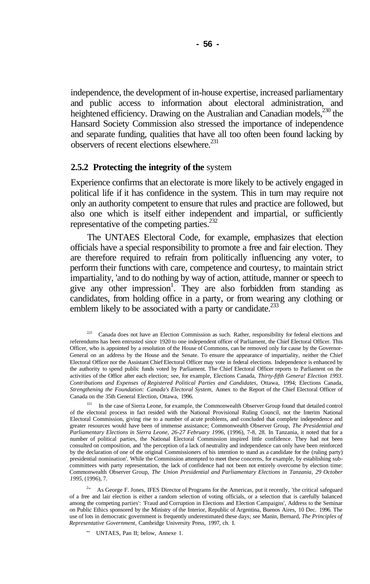independence, the development of in-house expertise, increased parliamentary and public access to information about electoral administration, and heightened efficiency. Drawing on the Australian and Canadian models,<sup>230</sup> the Hansard Society Commission also stressed the importance of independence and separate funding, qualities that have all too often been found lacking by observers of recent elections elsewhere.<sup>231</sup>

### **2.5.2 Protecting the integrity of the** system

Experience confirms that an electorate is more likely to be actively engaged in political life if it has confidence in the system. This in turn may require not only an authority competent to ensure that rules and practice are followed, but also one which is itself either independent and impartial, or sufficiently representative of the competing parties.<sup>232</sup>

The UNTAES Electoral Code, for example, emphasizes that election officials have a special responsibility to promote a free and fair election. They are therefore required to refrain from politically influencing any voter, to perform their functions with care, competence and courtesy, to maintain strict impartiality, 'and to do nothing by way of action, attitude, manner or speech to give any other impression<sup>1</sup>. They are also forbidden from standing as candidates, from holding office in a party, or from wearing any clothing or emblem likely to be associated with a party or candidate.<sup>233</sup>

<sup>2,11</sup> Canada does not have an Election Commission as such. Rather, responsibility for federal elections and referendums has been entrusted since 1920 to one independent officer of Parliament, the Chief Electoral Officer. This Officer, who is appointed by a resolution of the House of Commons, can be removed only for cause by the Governor-General on an address by the House and the Senate. To ensure the appearance of impartiality, neither the Chief Electoral Officer nor the Assistant Chief Electoral Officer may vote in federal elections. Independence is enhanced by the authority to spend public funds voted by Parliament. The Chief Electoral Officer reports to Parliament on the activities of the Office after each election; see, for example, Elections Canada, *Thirty-fifth Genera! Election 1993. Contributions and Expenses of Registered Political Parties and Candidates,* Ottawa, 1994; Elections Canada, *Strengthening the Foundation: Canada's Electoral System,* Annex to the Report of the Chief Electoral Officer of Canada on the 35th General Election, Ottawa, 1996.

<sup>111</sup> In the case of Sierra Leone, for example, the Commonwealth Observer Group found that detailed control of the electoral process in fact resided with the National Provisional Ruling Council, not the Interim National Electoral Commission, giving rise to a number of acute problems, and concluded that complete independence and greater resources would have been of immense assistance; Commonwealth Observer Group, *The Presidential and Parliamentary Elections in Sierra Leone, 26-27 February 1996,* (1996), 7-8, 28. In Tanzania, it noted that for a number of political parties, the National Electoral Commission inspired little confidence. They had not been consulted on composition, and 'the perception of a lack of neutrality and independence can only have been reinforced by the declaration of one of the original Commissioners of his intention to stand as a candidate for the (ruling party) presidential nomination'. While the Commission attempted to meet these concerns, for example, by establishing subcommittees with party representation, the lack of confidence had not been not entirely overcome by election time: Commonwealth Observer Group, *The Union Presidential and Parliamentary Elections in Tanzania, 29 October 1995,* (1996), 7.

 $2<sub>11</sub>$ As George F. Jones, IFES Director of Programs for the Americas, put it recently, 'the critical safeguard of a free and lair election is either a random selection of voting officials, or a selection that is carefully balanced among the competing parties': 'Fraud and Corruption in Elections and Election Campaigns', Address to the Seminar on Public Ethics sponsored by the Ministry of the Interior, Republic of Argentina, Buenos Aires, 10 Dec. 1996. The use of lots in democratic government is frequently underestimated these days; see Manin, Bernard, *The Principles of Representative Government,* Cambridge University Press, 1997, ch. I.

<sup>&</sup>quot;' UNTAES, Pan II; below, Annexe 1.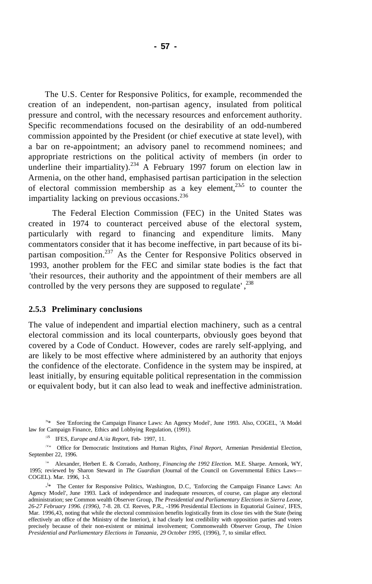The U.S. Center for Responsive Politics, for example, recommended the creation of an independent, non-partisan agency, insulated from political pressure and control, with the necessary resources and enforcement authority. Specific recommendations focused on the desirability of an odd-numbered commission appointed by the President (or chief executive at state level), with a bar on re-appointment; an advisory panel to recommend nominees; and appropriate restrictions on the political activity of members (in order to underline their impartiality).<sup>234</sup> A February 1997 forum on election law in Armenia, on the other hand, emphasised partisan participation in the selection of electoral commission membership as a key element,  $2^{3.5}$  to counter the impartiality lacking on previous occasions.<sup>236</sup>

The Federal Election Commission (FEC) in the United States was created in 1974 to counteract perceived abuse of the electoral system, particularly with regard to financing and expenditure limits. Many commentators consider that it has become ineffective, in part because of its bipartisan composition.<sup>237</sup> As the Center for Responsive Politics observed in 1993, another problem for the FEC and similar state bodies is the fact that 'their resources, their authority and the appointment of their members are all controlled by the very persons they are supposed to regulate' , 238

#### **2.5.3 Preliminary conclusions**

The value of independent and impartial election machinery, such as a central electoral commission and its local counterparts, obviously goes beyond that covered by a Code of Conduct. However, codes are rarely self-applying, and are likely to be most effective where administered by an authority that enjoys the confidence of the electorate. Confidence in the system may be inspired, at least initially, by ensuring equitable political representation in the commission or equivalent body, but it can also lead to weak and ineffective administration.

<sup>&</sup>lt;sup>3</sup>\* See 'Enforcing the Campaign Finance Laws: An Agency Model', June 1993. Also, COGEL, 'A Model' law for Campaign Finance, Ethics and Lobbying Regulation, (1991).

<sup>:</sup>iS IFES, *Europe and A.\ia Report,* Feb- 1997, 11.

*<sup>:</sup>v"* Office for Democratic Institutions and Human Rights, *Final Report,* Armenian Presidential Election, September 22, 1996.

<sup>:</sup> " Alexander, Herbert E. & Corrado, Anthony, *Financing the 1992 Election.* M.E. Sharpe. Armonk, WY, 1995; reviewed by Sharon Steward in *The Guardian* (Journal of the Council on Governmental Ethics Laws— COGEL). Mar. 1996, 1-3.

<sup>&</sup>lt;sup>1</sup>\* The Center for Responsive Politics, Washington, D.C, 'Enforcing the Campaign Finance Laws: An Agency Model', June 1993. Lack of independence and inadequate resources, of course, can plague any electoral administration; see Common wealth Observer Group, *The Presidential and Parliamentary Elections in Sierra Leone, 26-27 February 1996. (1996),* 7-8. 28. Cf. Reeves, P.R., -1996 Presidential Elections in Equatorial Guinea', IFES, Mar. 1996,43, noting that while the electoral commission benefits logistically from its close ties with the State (being effectively an office of the Ministry of the Interior), it had clearly lost credibility with opposition parties and voters precisely because of their non-existent or minimal involvement; Commonwealth Observer Group, *The Union Presidential and Parliamentary Elections in Tanzania, 29 October 1995,* (1996), 7, to similar effect.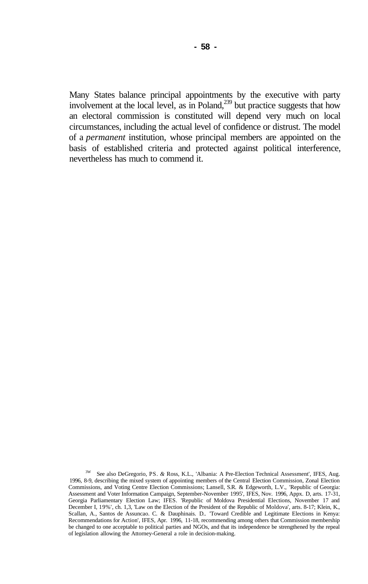Many States balance principal appointments by the executive with party involvement at the local level, as in Poland,<sup>239</sup> but practice suggests that how an electoral commission is constituted will depend very much on local circumstances, including the actual level of confidence or distrust. The model of a *permanent* institution, whose principal members are appointed on the basis of established criteria and protected against political interference, nevertheless has much to commend it.

<sup>3</sup>W See also DeGregorio, PS. *&* Ross, K.L., 'Albania: A Pre-Election Technical Assessment', IFES, Aug. 1996, 8-9, describing the mixed system of appointing members of the Central Election Commission, Zonal Election Commissions, and Voting Centre Election Commissions; Lansell, S.R. & Edgeworth, L.V., 'Republic of Georgia: Assessment and Voter Information Campaign, September-November 1995', IFES, Nov. 1996, Appx. D, arts. 17-31, Georgia Parliamentary Election Law; IFES. 'Republic of Moldova Presidential Elections, November 17 and December I, 19%', ch. 1,3, 'Law on the Election of the President of the Republic of Moldova', arts. 8-17; Klein, K., Scallan, A., Santos de Assuncao. C. & Dauphinais. D.. 'Toward Credible and Legitimate Elections in Kenya: Recommendations for Action', IFES, Apr. 1996, 11-18, recommending among others that Commission membership be changed to one acceptable to political parties and NGOs, and that its independence be strengthened by the repeal of legislation allowing the Attorney-General a role in decision-making.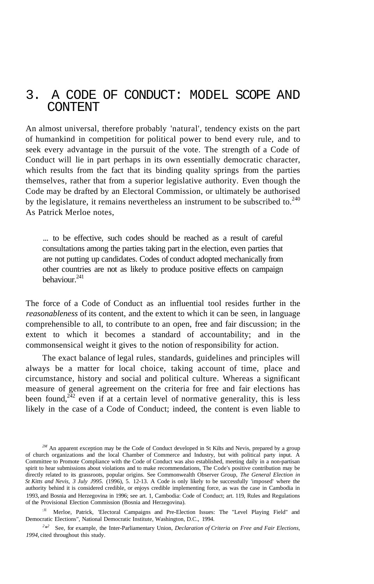# 3. A CODE OF CONDUCT: MODEL SCOPE AND CONTENT

An almost universal, therefore probably 'natural', tendency exists on the part of humankind in competition for political power to bend every rule, and to seek every advantage in the pursuit of the vote. The strength of a Code of Conduct will lie in part perhaps in its own essentially democratic character, which results from the fact that its binding quality springs from the parties themselves, rather that from a superior legislative authority. Even though the Code may be drafted by an Electoral Commission, or ultimately be authorised by the legislature, it remains nevertheless an instrument to be subscribed to.<sup>240</sup> As Patrick Merloe notes,

... to be effective, such codes should be reached as a result of careful consultations among the parties taking part in the election, even parties that are not putting up candidates. Codes of conduct adopted mechanically from other countries are not as likely to produce positive effects on campaign  $b$ ehaviour $^{241}$ 

The force of a Code of Conduct as an influential tool resides further in the *reasonableness* of its content, and the extent to which it can be seen, in language comprehensible to all, to contribute to an open, free and fair discussion; in the extent to which it becomes a standard of accountability; and in the commonsensical weight it gives to the notion of responsibility for action.

The exact balance of legal rules, standards, guidelines and principles will always be a matter for local choice, taking account of time, place and circumstance, history and social and political culture. Whereas a significant measure of general agreement on the criteria for free and fair elections has been found, $242$  even if at a certain level of normative generality, this is less likely in the case of a Code of Conduct; indeed, the content is even liable to

<sup>&</sup>lt;sup>2M</sup> An apparent exception may be the Code of Conduct developed in St Kilts and Nevis, prepared by a group of church organizations and the local Chamber of Commerce and Industry, but with political party input. A Committee to Promote Compliance with the Code of Conduct was also established, meeting daily in a non-partisan spirit to hear submissions about violations and to make recommendations, The Code's positive contribution may be directly related to its grassroots, popular origins. See Commonwealth Observer Group, *The General Election in St Kitts and Nevis, 3 July J995.* (1996), 5. 12-13. A Code is only likely to be successfully 'imposed' where the authority behind it is considered credible, or enjoys credible implementing force, as was the case in Cambodia in 1993, and Bosnia and Herzegovina in 1996; see art. 1, Cambodia: Code of Conduct; art. 119, Rules and Regulations of the Provisional Election Commission (Bosnia and Herzegovina).

<sup>:</sup>JI Merloe, Patrick, 'Electoral Campaigns and Pre-Election Issues: The "Level Playing Field" and Democratic Elections", National Democratic Institute, Washington, D.C., 1994.

<sup>&</sup>lt;sup>2</sup><sup>\*2</sup> See, for example, the Inter-Parliamentary Union, *Declaration of Criteria on Free and Fair Elections*, *1994,* cited throughout this study.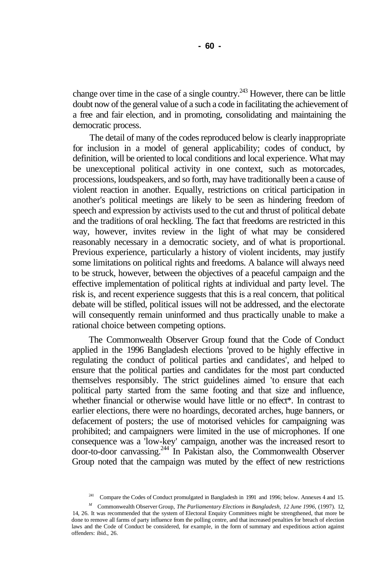change over time in the case of a single country.<sup>243</sup> However, there can be little doubt now of the general value of a such a code in facilitating the achievement of a free and fair election, and in promoting, consolidating and maintaining the democratic process.

The detail of many of the codes reproduced below is clearly inappropriate for inclusion in a model of general applicability; codes of conduct, by definition, will be oriented to local conditions and local experience. What may be unexceptional political activity in one context, such as motorcades, processions, loudspeakers, and so forth, may have traditionally been a cause of violent reaction in another. Equally, restrictions on critical participation in another's political meetings are likely to be seen as hindering freedom of speech and expression by activists used to the cut and thrust of political debate and the traditions of oral heckling. The fact that freedoms are restricted in this way, however, invites review in the light of what may be considered reasonably necessary in a democratic society, and of what is proportional. Previous experience, particularly a history of violent incidents, may justify some limitations on political rights and freedoms. A balance will always need to be struck, however, between the objectives of a peaceful campaign and the effective implementation of political rights at individual and party level. The risk is, and recent experience suggests that this is a real concern, that political debate will be stifled, political issues will not be addressed, and the electorate will consequently remain uninformed and thus practically unable to make a rational choice between competing options.

The Commonwealth Observer Group found that the Code of Conduct applied in the 1996 Bangladesh elections 'proved to be highly effective in regulating the conduct of political parties and candidates', and helped to ensure that the political parties and candidates for the most part conducted themselves responsibly. The strict guidelines aimed 'to ensure that each political party started from the same footing and that size and influence, whether financial or otherwise would have little or no effect\*. In contrast to earlier elections, there were no hoardings, decorated arches, huge banners, or defacement of posters; the use of motorised vehicles for campaigning was prohibited; and campaigners were limited in the use of microphones. If one consequence was a 'low-key' campaign, another was the increased resort to door-to-door canvassing.<sup>244</sup> In Pakistan also, the Commonwealth Observer Group noted that the campaign was muted by the effect of new restrictions

<sup>241</sup> Compare the Codes of Conduct promulgated in Bangladesh in 1991 and 1996; below. Annexes 4 and 15.

*M* Commonwealth Observer Group, *The Parliamentary Elections in Bangladesh, 12 June 1996,* (1997). 12, 14, 26. It was recommended that the system of Electoral Enquiry Committees might be strengthened, that more be done to remove all farms of party influence from the polling centre, and that increased penalties for breach of election laws and the Code of Conduct be considered, for example, in the form of summary and expeditious action against offenders: ibid., 26.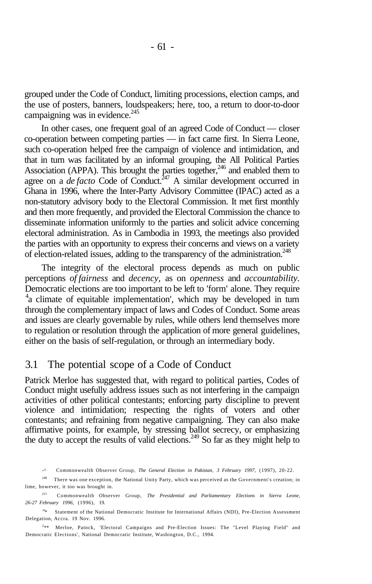grouped under the Code of Conduct, limiting processions, election camps, and the use of posters, banners, loudspeakers; here, too, a return to door-to-door campaigning was in evidence. $245$ 

In other cases, one frequent goal of an agreed Code of Conduct — closer co-operation between competing parties — in fact came first. In Sierra Leone, such co-operation helped free the campaign of violence and intimidation, and that in turn was facilitated by an informal grouping, the All Political Parties Association (APPA). This brought the parties together, $246$  and enabled them to agree on a *de facto* Code of Conduct.<sup>247</sup> A similar development occurred in Ghana in 1996, where the Inter-Party Advisory Committee (IPAC) acted as a non-statutory advisory body to the Electoral Commission. It met first monthly and then more frequently, and provided the Electoral Commission the chance to disseminate information uniformly to the parties and solicit advice concerning electoral administration. As in Cambodia in 1993, the meetings also provided the parties with an opportunity to express their concerns and views on a variety of election-related issues, adding to the transparency of the administration.<sup>248</sup>

The integrity of the electoral process depends as much on public perceptions *of fairness* and *decency,* as on *openness* and *accountability.*  Democratic elections are too important to be left to 'form' alone. They require <sup>4</sup>a climate of equitable implementation', which may be developed in turn through the complementary impact of laws and Codes of Conduct. Some areas and issues are clearly governable by rules, while others lend themselves more to regulation or resolution through the application of more general guidelines, either on the basis of self-regulation, or through an intermediary body.

# 3.1 The potential scope of a Code of Conduct

Patrick Merloe has suggested that, with regard to political parties, Codes of Conduct might usefully address issues such as not interfering in the campaign activities of other political contestants; enforcing party discipline to prevent violence and intimidation; respecting the rights of voters and other contestants; and refraining from negative campaigning. They can also make affirmative points, for example, by stressing ballot secrecy, or emphasizing the duty to accept the results of valid elections.<sup>249</sup> So far as they might help to

-^ Commonwealth Observer Group, *The General Election in Pakistan, 3 February 1997,* (1997), 20-22.

<sup>240</sup> There was one exception, the National Unity Party, which was perceived as the Government's creation; in lime, however, it too was brought in.

*<sup>211</sup>* Commonwealth Observer Group, *The Presidential and Parliamentary Elections in Sierra Leone, 26-27 February 1996,* (1996), 19.

:4\* Statement of the National Democratic Institute for International Affairs (NDI), Pre-Election Assessment Delegation, Accra. 19 Nov. 1996.

*2 \*\** Merloe, Patnck, 'Electoral Campaigns and Pre-Election Issues: The "Level Playing Field" and Democratic Elections', National Democratic Institute, Washington, D.C., 1994.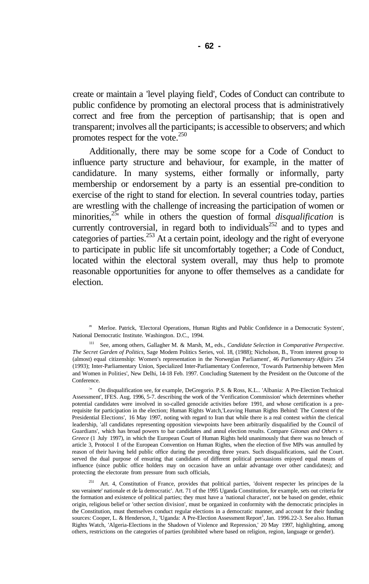create or maintain a 'level playing field', Codes of Conduct can contribute to public confidence by promoting an electoral process that is administratively correct and free from the perception of partisanship; that is open and transparent; involves all the participants; is accessible to observers; and which promotes respect for the vote.<sup>250</sup>

Additionally, there may be some scope for a Code of Conduct to influence party structure and behaviour, for example, in the matter of candidature. In many systems, either formally or informally, party membership or endorsement by a party is an essential pre-condition to exercise of the right to stand for election. In several countries today, parties are wrestling with the challenge of increasing the participation of women or minorities,  $25'$  while in others the question of formal *disqualification* is currently controversial, in regard both to individuals $^{252}$  and to types and categories of parties.<sup>253</sup> At a certain point, ideology and the right of everyone to participate in public life sit uncomfortably together; a Code of Conduct, located within the electoral system overall, may thus help to promote reasonable opportunities for anyone to offer themselves as a candidate for election.

*m* Merloe. Patrick, 'Electoral Operations, Human Rights and Public Confidence in a Democratic System', National Democratic Institute. Washington. D.C., 1994.

<sup>111</sup> See, among others, Gallagher M. & Marsh, M., eds., *Candidate Selection in Comparative Perspective*. *The Secret Garden of Politics,* Sage Modem Politics Series, vol. 18, (1988); Nicholson, B., 'From interest group to (almost) equal citizenship: Women's representation in the Norwegian Parliament', 46 *Parliamentary Affairs* 254 (1993); Inter-Parliamentary Union, Specialized Inter-Parliamentary Conference, 'Towards Partnership between Men and Women in Polities', New Delhi, 14-18 Feb. 1997. Concluding Statement by the President on the Outcome of the Conference.

On disqualification see, for example, DeGregorio. P.S. & Ross, K.L.. 'Albania: A Pre-Election Technical Assessment', IFES. Aug. 1996, 5-7. describing the work of the 'Verification Commission' which determines whether potential candidates were involved in so-called genocide activities before 1991, and whose certification is a prerequisite for participation in the election; Human Rights Watch,'Leaving Human Rights Behind: The Context of the Presidential Elections', 16 May 1997, noting with regard to Iran that while there is a real contest *within* the clerical leadership, 'all candidates representing opposition viewpoints have been arbitrarily disqualified by the Council of Guardians', which has broad powers to bar candidates and annul election results. Compare *Gitonas and Others v. Greece* (1 July 1997), in which the European Court of Human Rights held unanimously that there was no breach of article 3, Protocol I of the European Convention on Human Rights, when the election of five MPs was annulled by reason of their having held public office during the preceding three years. Such disqualifications, said the Court. served the dual purpose of ensuring that candidates of different political persuasions enjoyed equal means of influence (since public office holders may on occasion have an unfair advantage over other candidates); and protecting the electorate from pressure from such officials,

251 Art. 4, Constitution of France, provides that political parties, 'doivent respecter les principes de la sou verainete' nationale et de la democratic'. Art. 71 of the 1995 Uganda Constitution, for example, sets out criteria for the formation and existence of political parties; they must have a 'national character', not be based on gender, ethnic origin, religious belief or 'other section division', must be organized in conformity with the democratic principles in the Constitution, must themselves conduct regular elections in a democratic manner, and account for their funding sources: Cooper, L. & Henderson, J., 'Uganda: A Pre-Election Assessment Report<sup>1</sup>, Jan. 1996.22-3. See also. Human Rights Watch, 'Algeria-Elections in the Shadown of Violence and Repression,' 20 May 1997, highlighting, among others, restrictions on the categories of parties (prohibited where based on religion, region, language or gender).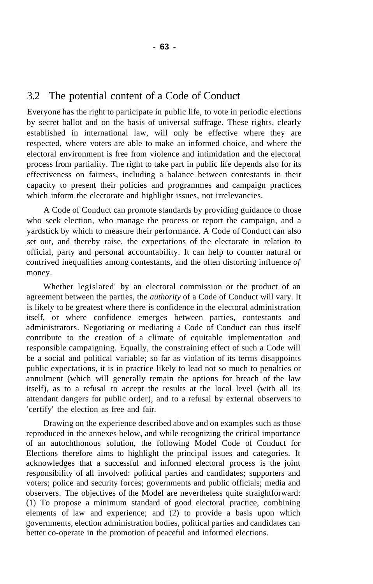# 3.2 The potential content of a Code of Conduct

Everyone has the right to participate in public life, to vote in periodic elections by secret ballot and on the basis of universal suffrage. These rights, clearly established in international law, will only be effective where they are respected, where voters are able to make an informed choice, and where the electoral environment is free from violence and intimidation and the electoral process from partiality. The right to take part in public life depends also for its effectiveness on fairness, including a balance between contestants in their capacity to present their policies and programmes and campaign practices which inform the electorate and highlight issues, not irrelevancies.

A Code of Conduct can promote standards by providing guidance to those who seek election, who manage the process or report the campaign, and a yardstick by which to measure their performance. A Code of Conduct can also set out, and thereby raise, the expectations of the electorate in relation to official, party and personal accountability. It can help to counter natural or contrived inequalities among contestants, and the often distorting influence *of*  money.

Whether legislated' by an electoral commission or the product of an agreement between the parties, the *authority* of a Code of Conduct will vary. It is likely to be greatest where there is confidence in the electoral administration itself, or where confidence emerges between parties, contestants and administrators. Negotiating or mediating a Code of Conduct can thus itself contribute to the creation of a climate of equitable implementation and responsible campaigning. Equally, the constraining effect of such a Code will be a social and political variable; so far as violation of its terms disappoints public expectations, it is in practice likely to lead not so much to penalties or annulment (which will generally remain the options for breach of the law itself), as to a refusal to accept the results at the local level (with all its attendant dangers for public order), and to a refusal by external observers to 'certify' the election as free and fair.

Drawing on the experience described above and on examples such as those reproduced in the annexes below, and while recognizing the critical importance of an autochthonous solution, the following Model Code of Conduct for Elections therefore aims to highlight the principal issues and categories. It acknowledges that a successful and informed electoral process is the joint responsibility of all involved: political parties and candidates; supporters and voters; police and security forces; governments and public officials; media and observers. The objectives of the Model are nevertheless quite straightforward: (1) To propose a minimum standard of good electoral practice, combining elements of law and experience; and (2) to provide a basis upon which governments, election administration bodies, political parties and candidates can better co-operate in the promotion of peaceful and informed elections.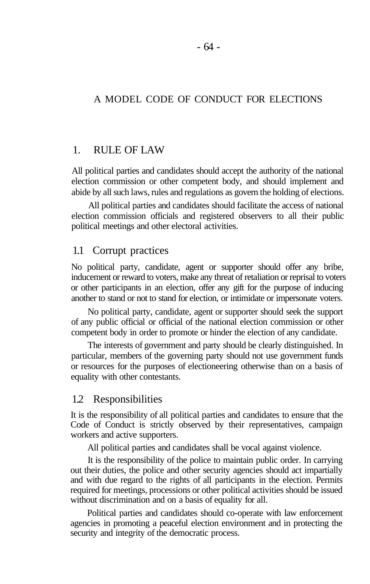# A MODEL CODE OF CONDUCT FOR ELECTIONS

# 1. RULE OF LAW

All political parties and candidates should accept the authority of the national election commission or other competent body, and should implement and abide by all such laws, rules and regulations as govern the holding of elections.

All political parties and candidates should facilitate the access of national election commission officials and registered observers to all their public political meetings and other electoral activities.

# 1.1 Corrupt practices

No political party, candidate, agent or supporter should offer any bribe, inducement or reward to voters, make any threat of retaliation or reprisal to voters or other participants in an election, offer any gift for the purpose of inducing another to stand or not to stand for election, or intimidate or impersonate voters.

No political party, candidate, agent or supporter should seek the support of any public official or official of the national election commission or other competent body in order to promote or hinder the election of any candidate.

The interests of government and party should be clearly distinguished. In particular, members of the governing party should not use government funds or resources for the purposes of electioneering otherwise than on a basis of equality with other contestants.

## 1.2 Responsibilities

It is the responsibility of all political parties and candidates to ensure that the Code of Conduct is strictly observed by their representatives, campaign workers and active supporters.

All political parties and candidates shall be vocal against violence.

It is the responsibility of the police to maintain public order. In carrying out their duties, the police and other security agencies should act impartially and with due regard to the rights of all participants in the election. Permits required for meetings, processions or other political activities should be issued without discrimination and on a basis of equality for all.

Political parties and candidates should co-operate with law enforcement agencies in promoting a peaceful election environment and in protecting the security and integrity of the democratic process.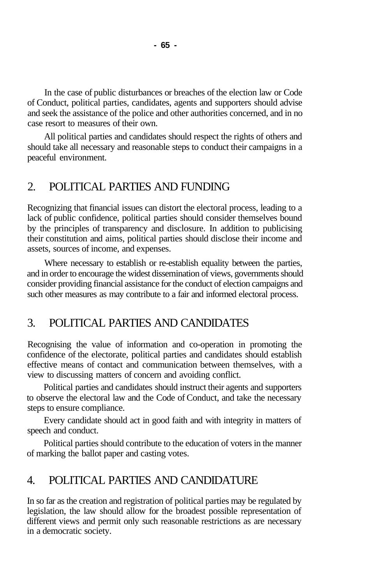In the case of public disturbances or breaches of the election law or Code of Conduct, political parties, candidates, agents and supporters should advise and seek the assistance of the police and other authorities concerned, and in no case resort to measures of their own.

All political parties and candidates should respect the rights of others and should take all necessary and reasonable steps to conduct their campaigns in a peaceful environment.

# 2. POLITICAL PARTIES AND FUNDING

Recognizing that financial issues can distort the electoral process, leading to a lack of public confidence, political parties should consider themselves bound by the principles of transparency and disclosure. In addition to publicising their constitution and aims, political parties should disclose their income and assets, sources of income, and expenses.

Where necessary to establish or re-establish equality between the parties, and in order to encourage the widest dissemination of views, governments should consider providing financial assistance for the conduct of election campaigns and such other measures as may contribute to a fair and informed electoral process.

# 3. POLITICAL PARTIES AND CANDIDATES

Recognising the value of information and co-operation in promoting the confidence of the electorate, political parties and candidates should establish effective means of contact and communication between themselves, with a view to discussing matters of concern and avoiding conflict.

Political parties and candidates should instruct their agents and supporters to observe the electoral law and the Code of Conduct, and take the necessary steps to ensure compliance.

Every candidate should act in good faith and with integrity in matters of speech and conduct.

Political parties should contribute to the education of voters in the manner of marking the ballot paper and casting votes.

# 4. POLITICAL PARTIES AND CANDIDATURE

In so far as the creation and registration of political parties may be regulated by legislation, the law should allow for the broadest possible representation of different views and permit only such reasonable restrictions as are necessary in a democratic society.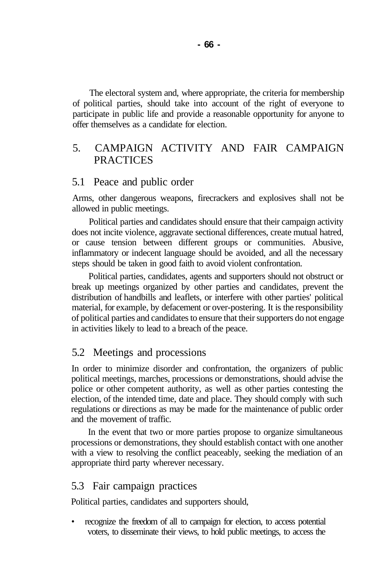The electoral system and, where appropriate, the criteria for membership of political parties, should take into account of the right of everyone to participate in public life and provide a reasonable opportunity for anyone to offer themselves as a candidate for election.

# 5. CAMPAIGN ACTIVITY AND FAIR CAMPAIGN PRACTICES

# 5.1 Peace and public order

Arms, other dangerous weapons, firecrackers and explosives shall not be allowed in public meetings.

Political parties and candidates should ensure that their campaign activity does not incite violence, aggravate sectional differences, create mutual hatred, or cause tension between different groups or communities. Abusive, inflammatory or indecent language should be avoided, and all the necessary steps should be taken in good faith to avoid violent confrontation.

Political parties, candidates, agents and supporters should not obstruct or break up meetings organized by other parties and candidates, prevent the distribution of handbills and leaflets, or interfere with other parties' political material, for example, by defacement or over-postering. It is the responsibility of political parties and candidates to ensure that their supporters do not engage in activities likely to lead to a breach of the peace.

# 5.2 Meetings and processions

In order to minimize disorder and confrontation, the organizers of public political meetings, marches, processions or demonstrations, should advise the police or other competent authority, as well as other parties contesting the election, of the intended time, date and place. They should comply with such regulations or directions as may be made for the maintenance of public order and the movement of traffic.

In the event that two or more parties propose to organize simultaneous processions or demonstrations, they should establish contact with one another with a view to resolving the conflict peaceably, seeking the mediation of an appropriate third party wherever necessary.

# 5.3 Fair campaign practices

Political parties, candidates and supporters should,

• recognize the freedom of all to campaign for election, to access potential voters, to disseminate their views, to hold public meetings, to access the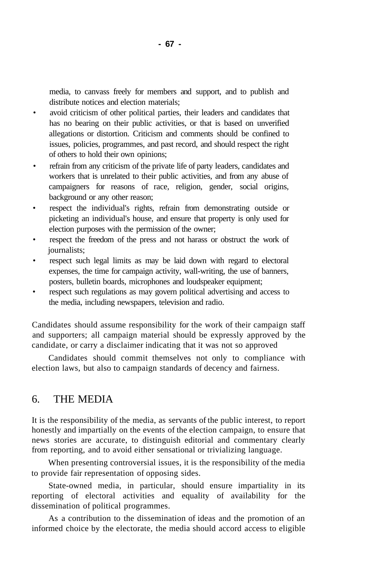media, to canvass freely for members and support, and to publish and distribute notices and election materials;

- avoid criticism of other political parties, their leaders and candidates that has no bearing on their public activities, or that is based on unverified allegations or distortion. Criticism and comments should be confined to issues, policies, programmes, and past record, and should respect the right of others to hold their own opinions;
- refrain from any criticism of the private life of party leaders, candidates and workers that is unrelated to their public activities, and from any abuse of campaigners for reasons of race, religion, gender, social origins, background or any other reason;
- respect the individual's rights, refrain from demonstrating outside or picketing an individual's house, and ensure that property is only used for election purposes with the permission of the owner;
- respect the freedom of the press and not harass or obstruct the work of journalists;
- respect such legal limits as may be laid down with regard to electoral expenses, the time for campaign activity, wall-writing, the use of banners, posters, bulletin boards, microphones and loudspeaker equipment;
- respect such regulations as may govern political advertising and access to the media, including newspapers, television and radio.

Candidates should assume responsibility for the work of their campaign staff and supporters; all campaign material should be expressly approved by the candidate, or carry a disclaimer indicating that it was not so approved

Candidates should commit themselves not only to compliance with election laws, but also to campaign standards of decency and fairness.

# 6. THE MEDIA

It is the responsibility of the media, as servants of the public interest, to report honestly and impartially on the events of the election campaign, to ensure that news stories are accurate, to distinguish editorial and commentary clearly from reporting, and to avoid either sensational or trivializing language.

When presenting controversial issues, it is the responsibility of the media to provide fair representation of opposing sides.

State-owned media, in particular, should ensure impartiality in its reporting of electoral activities and equality of availability for the dissemination of political programmes.

As a contribution to the dissemination of ideas and the promotion of an informed choice by the electorate, the media should accord access to eligible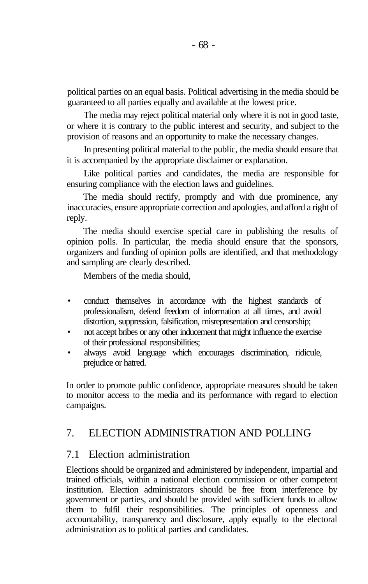political parties on an equal basis. Political advertising in the media should be guaranteed to all parties equally and available at the lowest price.

The media may reject political material only where it is not in good taste, or where it is contrary to the public interest and security, and subject to the provision of reasons and an opportunity to make the necessary changes.

In presenting political material to the public, the media should ensure that it is accompanied by the appropriate disclaimer or explanation.

Like political parties and candidates, the media are responsible for ensuring compliance with the election laws and guidelines.

The media should rectify, promptly and with due prominence, any inaccuracies, ensure appropriate correction and apologies, and afford a right of reply.

The media should exercise special care in publishing the results of opinion polls. In particular, the media should ensure that the sponsors, organizers and funding of opinion polls are identified, and that methodology and sampling are clearly described.

Members of the media should,

- conduct themselves in accordance with the highest standards of professionalism, defend freedom of information at all times, and avoid distortion, suppression, falsification, misrepresentation and censorship;
- not accept bribes or any other inducement that might influence the exercise of their professional responsibilities;
- always avoid language which encourages discrimination, ridicule, prejudice or hatred.

In order to promote public confidence, appropriate measures should be taken to monitor access to the media and its performance with regard to election campaigns.

# 7. ELECTION ADMINISTRATION AND POLLING

# 7.1 Election administration

Elections should be organized and administered by independent, impartial and trained officials, within a national election commission or other competent institution. Election administrators should be free from interference by government or parties, and should be provided with sufficient funds to allow them to fulfil their responsibilities. The principles of openness and accountability, transparency and disclosure, apply equally to the electoral administration as to political parties and candidates.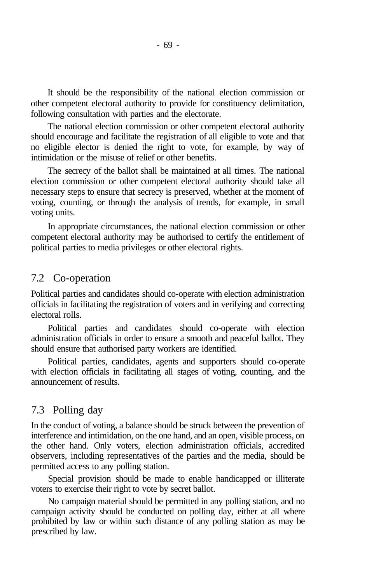It should be the responsibility of the national election commission or other competent electoral authority to provide for constituency delimitation, following consultation with parties and the electorate.

The national election commission or other competent electoral authority should encourage and facilitate the registration of all eligible to vote and that no eligible elector is denied the right to vote, for example, by way of intimidation or the misuse of relief or other benefits.

The secrecy of the ballot shall be maintained at all times. The national election commission or other competent electoral authority should take all necessary steps to ensure that secrecy is preserved, whether at the moment of voting, counting, or through the analysis of trends, for example, in small voting units.

In appropriate circumstances, the national election commission or other competent electoral authority may be authorised to certify the entitlement of political parties to media privileges or other electoral rights.

# 7.2 Co-operation

Political parties and candidates should co-operate with election administration officials in facilitating the registration of voters and in verifying and correcting electoral rolls.

Political parties and candidates should co-operate with election administration officials in order to ensure a smooth and peaceful ballot. They should ensure that authorised party workers are identified.

Political parties, candidates, agents and supporters should co-operate with election officials in facilitating all stages of voting, counting, and the announcement of results.

# 7.3 Polling day

In the conduct of voting, a balance should be struck between the prevention of interference and intimidation, on the one hand, and an open, visible process, on the other hand. Only voters, election administration officials, accredited observers, including representatives of the parties and the media, should be permitted access to any polling station.

Special provision should be made to enable handicapped or illiterate voters to exercise their right to vote by secret ballot.

No campaign material should be permitted in any polling station, and no campaign activity should be conducted on polling day, either at all where prohibited by law or within such distance of any polling station as may be prescribed by law.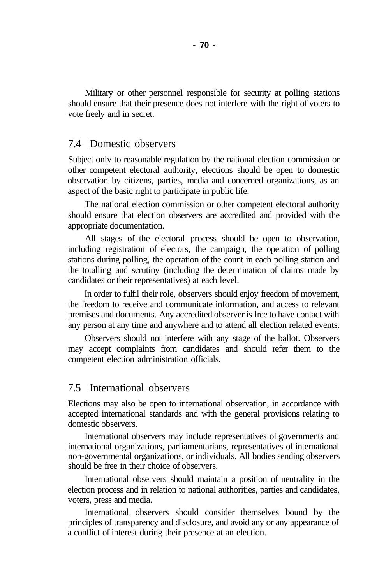Military or other personnel responsible for security at polling stations should ensure that their presence does not interfere with the right of voters to vote freely and in secret.

# 7.4 Domestic observers

Subject only to reasonable regulation by the national election commission or other competent electoral authority, elections should be open to domestic observation by citizens, parties, media and concerned organizations, as an aspect of the basic right to participate in public life.

The national election commission or other competent electoral authority should ensure that election observers are accredited and provided with the appropriate documentation.

All stages of the electoral process should be open to observation, including registration of electors, the campaign, the operation of polling stations during polling, the operation of the count in each polling station and the totalling and scrutiny (including the determination of claims made by candidates or their representatives) at each level.

In order to fulfil their role, observers should enjoy freedom of movement, the freedom to receive and communicate information, and access to relevant premises and documents. Any accredited observer is free to have contact with any person at any time and anywhere and to attend all election related events.

Observers should not interfere with any stage of the ballot. Observers may accept complaints from candidates and should refer them to the competent election administration officials.

# 7.5 International observers

Elections may also be open to international observation, in accordance with accepted international standards and with the general provisions relating to domestic observers.

International observers may include representatives of governments and international organizations, parliamentarians, representatives of international non-governmental organizations, or individuals. All bodies sending observers should be free in their choice of observers.

International observers should maintain a position of neutrality in the election process and in relation to national authorities, parties and candidates, voters, press and media.

International observers should consider themselves bound by the principles of transparency and disclosure, and avoid any or any appearance of a conflict of interest during their presence at an election.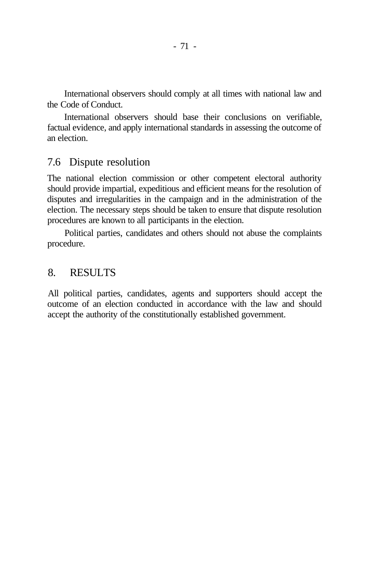International observers should comply at all times with national law and the Code of Conduct.

International observers should base their conclusions on verifiable, factual evidence, and apply international standards in assessing the outcome of an election.

# 7.6 Dispute resolution

The national election commission or other competent electoral authority should provide impartial, expeditious and efficient means for the resolution of disputes and irregularities in the campaign and in the administration of the election. The necessary steps should be taken to ensure that dispute resolution procedures are known to all participants in the election.

Political parties, candidates and others should not abuse the complaints procedure.

# 8 RESULTS

All political parties, candidates, agents and supporters should accept the outcome of an election conducted in accordance with the law and should accept the authority of the constitutionally established government.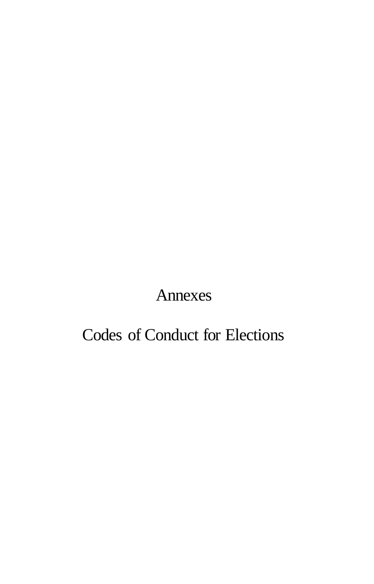# Annexes

# Codes of Conduct for Elections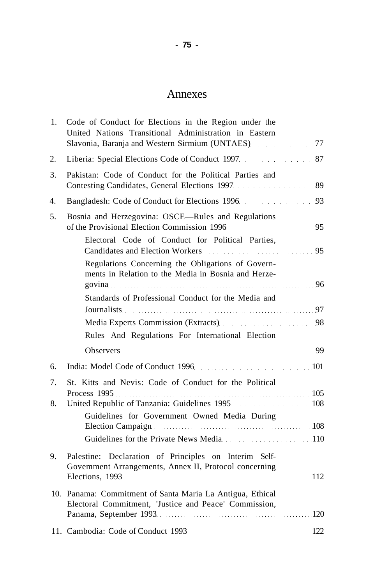# Annexes

| 1. | Code of Conduct for Elections in the Region under the<br>United Nations Transitional Administration in Eastern<br>Slavonia, Baranja and Western Sirmium (UNTAES) 77 |  |
|----|---------------------------------------------------------------------------------------------------------------------------------------------------------------------|--|
| 2. | Liberia: Special Elections Code of Conduct 1997. 37                                                                                                                 |  |
| 3. | Pakistan: Code of Conduct for the Political Parties and                                                                                                             |  |
| 4. | Bangladesh: Code of Conduct for Elections 1996. 93                                                                                                                  |  |
| 5. | Bosnia and Herzegovina: OSCE-Rules and Regulations<br>of the Provisional Election Commission 1996 [198]                                                             |  |
|    | Electoral Code of Conduct for Political Parties,                                                                                                                    |  |
|    | Regulations Concerning the Obligations of Govern-<br>ments in Relation to the Media in Bosnia and Herze-                                                            |  |
|    | Standards of Professional Conduct for the Media and                                                                                                                 |  |
|    |                                                                                                                                                                     |  |
|    | Media Experts Commission (Extracts) 48<br>Rules And Regulations For International Election                                                                          |  |
|    |                                                                                                                                                                     |  |
|    |                                                                                                                                                                     |  |
| 6. |                                                                                                                                                                     |  |
| 7. | St. Kitts and Nevis: Code of Conduct for the Political                                                                                                              |  |
| 8. | United Republic of Tanzania: Guidelines 1995. 108                                                                                                                   |  |
|    | Guidelines for Government Owned Media During                                                                                                                        |  |
|    |                                                                                                                                                                     |  |
|    |                                                                                                                                                                     |  |
| 9. | Palestine: Declaration of Principles on Interim Self-<br>Govemment Arrangements, Annex II, Protocol concerning                                                      |  |
|    |                                                                                                                                                                     |  |
|    | 10. Panama: Commitment of Santa Maria La Antigua, Ethical<br>Electoral Commitment, 'Justice and Peace' Commission,                                                  |  |
|    |                                                                                                                                                                     |  |
|    |                                                                                                                                                                     |  |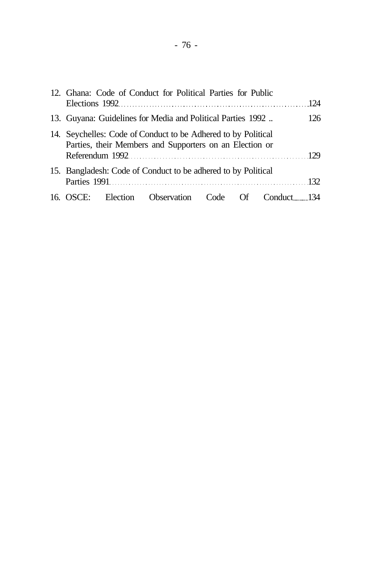|                                                                                                                          |  | 12. Ghana: Code of Conduct for Political Parties for Public<br>Elections $1992$ 2.124 |  |  |  |     |
|--------------------------------------------------------------------------------------------------------------------------|--|---------------------------------------------------------------------------------------|--|--|--|-----|
|                                                                                                                          |  | 13. Guyana: Guidelines for Media and Political Parties 1992                           |  |  |  | 126 |
| 14. Seychelles: Code of Conduct to be Adhered to by Political<br>Parties, their Members and Supporters on an Election or |  |                                                                                       |  |  |  |     |
| 15. Bangladesh: Code of Conduct to be adhered to by Political                                                            |  |                                                                                       |  |  |  |     |
|                                                                                                                          |  |                                                                                       |  |  |  |     |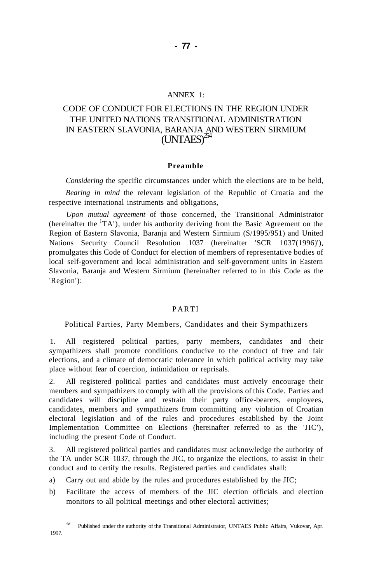#### ANNEX 1:

# CODE OF CONDUCT FOR ELECTIONS IN THE REGION UNDER THE UNITED NATIONS TRANSITIONAL ADMINISTRATION IN EASTERN SLAVONIA, BARANJA AND WESTERN SIRMIUM  $(UNTAES)^{24}$

#### **Preamble**

*Considering* the specific circumstances under which the elections are to be held, *Bearing in mind* the relevant legislation of the Republic of Croatia and the respective international instruments and obligations,

*Upon mutual agreement* of those concerned, the Transitional Administrator (hereinafter the <sup>l</sup>TA'), under his authority deriving from the Basic Agreement on the Region of Eastern Slavonia, Baranja and Western Sirmium (S/1995/951) and United Nations Security Council Resolution 1037 (hereinafter 'SCR 1037(1996)'), promulgates this Code of Conduct for election of members of representative bodies of local self-government and local administration and self-government units in Eastern Slavonia, Baranja and Western Sirmium (hereinafter referred to in this Code as the 'Region'):

#### PARTI

#### Political Parties, Party Members, Candidates and their Sympathizers

1. All registered political parties, party members, candidates and their sympathizers shall promote conditions conducive to the conduct of free and fair elections, and a climate of democratic tolerance in which political activity may take place without fear of coercion, intimidation or reprisals.

2. All registered political parties and candidates must actively encourage their members and sympathizers to comply with all the provisions of this Code. Parties and candidates will discipline and restrain their party office-bearers, employees, candidates, members and sympathizers from committing any violation of Croatian electoral legislation and of the rules and procedures established by the Joint Implementation Committee on Elections (hereinafter referred to as the 'JIC'), including the present Code of Conduct.

3. All registered political parties and candidates must acknowledge the authority of the TA under SCR 1037, through the JIC, to organize the elections, to assist in their conduct and to certify the results. Registered parties and candidates shall:

- a) Carry out and abide by the rules and procedures established by the JIC;
- b) Facilitate the access of members of the JIC election officials and election monitors to all political meetings and other electoral activities;

:M Published under the authority of the Transitional Administrator, UNTAES Public Affairs, Vukovar, Apr. 1997.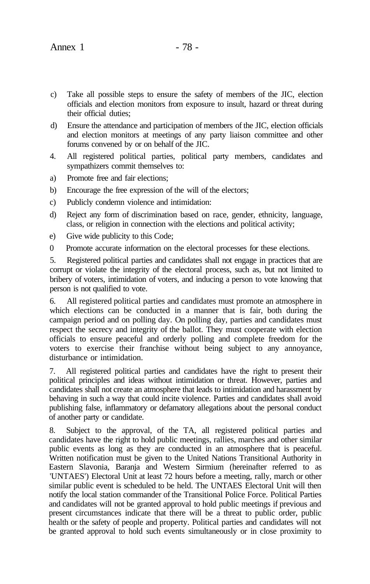- c) Take all possible steps to ensure the safety of members of the JIC, election officials and election monitors from exposure to insult, hazard or threat during their official duties;
- d) Ensure the attendance and participation of members of the JIC, election officials and election monitors at meetings of any party liaison committee and other forums convened by or on behalf of the JIC.
- 4. All registered political parties, political party members, candidates and sympathizers commit themselves to:
- a) Promote free and fair elections;
- b) Encourage the free expression of the will of the electors;
- c) Publicly condemn violence and intimidation:
- d) Reject any form of discrimination based on race, gender, ethnicity, language, class, or religion in connection with the elections and political activity;
- e) Give wide publicity to this Code;
- 0 Promote accurate information on the electoral processes for these elections.

5. Registered political parties and candidates shall not engage in practices that are corrupt or violate the integrity of the electoral process, such as, but not limited to bribery of voters, intimidation of voters, and inducing a person to vote knowing that person is not qualified to vote.

6. All registered political parties and candidates must promote an atmosphere in which elections can be conducted in a manner that is fair, both during the campaign period and on polling day. On polling day, parties and candidates must respect the secrecy and integrity of the ballot. They must cooperate with election officials to ensure peaceful and orderly polling and complete freedom for the voters to exercise their franchise without being subject to any annoyance, disturbance or intimidation.

7. All registered political parties and candidates have the right to present their political principles and ideas without intimidation or threat. However, parties and candidates shall not create an atmosphere that leads to intimidation and harassment by behaving in such a way that could incite violence. Parties and candidates shall avoid publishing false, inflammatory or defamatory allegations about the personal conduct of another party or candidate.

8. Subject to the approval, of the TA, all registered political parties and candidates have the right to hold public meetings, rallies, marches and other similar public events as long as they are conducted in an atmosphere that is peaceful. Written notification must be given to the United Nations Transitional Authority in Eastern Slavonia, Baranja and Western Sirmium (hereinafter referred to as 'UNTAES') Electoral Unit at least 72 hours before a meeting, rally, march or other similar public event is scheduled to be held. The UNTAES Electoral Unit will then notify the local station commander of the Transitional Police Force. Political Parties and candidates will not be granted approval to hold public meetings if previous and present circumstances indicate that there will be a threat to public order, public health or the safety of people and property. Political parties and candidates will not be granted approval to hold such events simultaneously or in close proximity to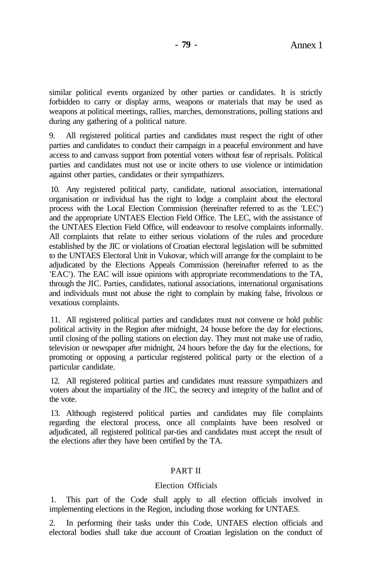similar political events organized by other parties or candidates. It is strictly forbidden to carry or display arms, weapons or materials that may be used as weapons at political meetings, rallies, marches, demonstrations, polling stations and during any gathering of a political nature.

9. All registered political parties and candidates must respect the right of other parties and candidates to conduct their campaign in a peaceful environment and have access to and canvass support from potential voters without fear of reprisals. Political parties and candidates must not use or incite others to use violence or intimidation against other parties, candidates or their sympathizers.

10. Any registered political party, candidate, national association, international organisation or individual has the right to lodge a complaint about the electoral process with the Local Election Commission (hereinafter referred to as the 'LEC') and the appropriate UNTAES Election Field Office. The LEC, with the assistance of the UNTAES Election Field Office, will endeavour to resolve complaints informally. All complaints that relate to either serious violations of the rules and procedure established by the JIC or violations of Croatian electoral legislation will be submitted to the UNTAES Electoral Unit in Vukovar, which will arrange for the complaint to be adjudicated by the Elections Appeals Commission (hereinafter referred to as the 'EAC'). The EAC will issue opinions with appropriate recommendations to the TA, through the JIC. Parties, candidates, national associations, international organisations and individuals must not abuse the right to complain by making false, frivolous or vexatious complaints.

11. All registered political parties and candidates must not convene or hold public political activity in the Region after midnight, 24 house before the day for elections, until closing of the polling stations on election day. They must not make use of radio, television or newspaper after midnight, 24 hours before the day for the elections, for promoting or opposing a particular registered political party or the election of a particular candidate.

12. All registered political parties and candidates must reassure sympathizers and voters about the impartiality of the JIC, the secrecy and integrity of the ballot and of the vote.

13. Although registered political parties and candidates may file complaints regarding the electoral process, once all complaints have been resolved or adjudicated, all registered political par-ties and candidates must accept the result of the elections after they have been certified by the TA.

## PART II

## Election Officials

1. This part of the Code shall apply to all election officials involved in implementing elections in the Region, including those working for UNTAES.

2. In performing their tasks under this Code, UNTAES election officials and electoral bodies shall take due account of Croatian legislation on the conduct of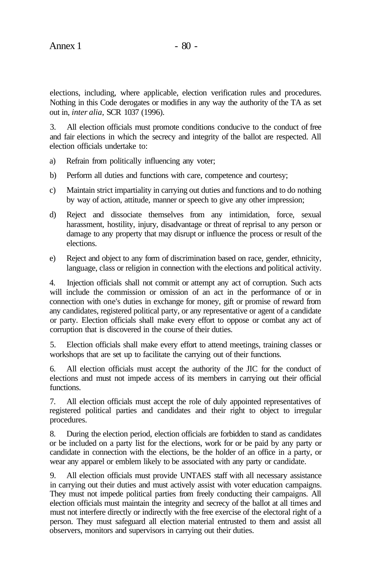elections, including, where applicable, election verification rules and procedures. Nothing in this Code derogates or modifies in any way the authority of the TA as set out in, *inter alia,* SCR 1037 (1996).

3. All election officials must promote conditions conducive to the conduct of free and fair elections in which the secrecy and integrity of the ballot are respected. All election officials undertake to:

- a) Refrain from politically influencing any voter;
- b) Perform all duties and functions with care, competence and courtesy;
- c) Maintain strict impartiality in carrying out duties and functions and to do nothing by way of action, attitude, manner or speech to give any other impression;
- d) Reject and dissociate themselves from any intimidation, force, sexual harassment, hostility, injury, disadvantage or threat of reprisal to any person or damage to any property that may disrupt or influence the process or result of the elections.
- e) Reject and object to any form of discrimination based on race, gender, ethnicity, language, class or religion in connection with the elections and political activity.

4. Injection officials shall not commit or attempt any act of corruption. Such acts will include the commission or omission of an act in the performance of or in connection with one's duties in exchange for money, gift or promise of reward from any candidates, registered political party, or any representative or agent of a candidate or party. Election officials shall make every effort to oppose or combat any act of corruption that is discovered in the course of their duties.

5. Election officials shall make every effort to attend meetings, training classes or workshops that are set up to facilitate the carrying out of their functions.

6. All election officials must accept the authority of the JIC for the conduct of elections and must not impede access of its members in carrying out their official functions.

7. All election officials must accept the role of duly appointed representatives of registered political parties and candidates and their right to object to irregular procedures.

8. During the election period, election officials are forbidden to stand as candidates or be included on a party list for the elections, work for or be paid by any party or candidate in connection with the elections, be the holder of an office in a party, or wear any apparel or emblem likely to be associated with any party or candidate.

9. All election officials must provide UNTAES staff with all necessary assistance in carrying out their duties and must actively assist with voter education campaigns. They must not impede political parties from freely conducting their campaigns. All election officials must maintain the integrity and secrecy of the ballot at all times and must not interfere directly or indirectly with the free exercise of the electoral right of a person. They must safeguard all election material entrusted to them and assist all observers, monitors and supervisors in carrying out their duties.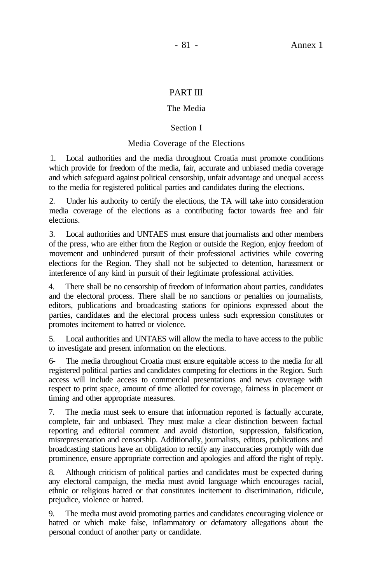# PART III

# The Media

# Section I

# Media Coverage of the Elections

1. Local authorities and the media throughout Croatia must promote conditions which provide for freedom of the media, fair, accurate and unbiased media coverage and which safeguard against political censorship, unfair advantage and unequal access to the media for registered political parties and candidates during the elections.

2. Under his authority to certify the elections, the TA will take into consideration media coverage of the elections as a contributing factor towards free and fair elections.

3. Local authorities and UNTAES must ensure that journalists and other members of the press, who are either from the Region or outside the Region, enjoy freedom of movement and unhindered pursuit of their professional activities while covering elections for the Region. They shall not be subjected to detention, harassment or interference of any kind in pursuit of their legitimate professional activities.

4. There shall be no censorship of freedom of information about parties, candidates and the electoral process. There shall be no sanctions or penalties on journalists, editors, publications and broadcasting stations for opinions expressed about the parties, candidates and the electoral process unless such expression constitutes or promotes incitement to hatred or violence.

5. Local authorities and UNTAES will allow the media to have access to the public to investigate and present information on the elections.

6- The media throughout Croatia must ensure equitable access to the media for all registered political parties and candidates competing for elections in the Region. Such access will include access to commercial presentations and news coverage with respect to print space, amount of time allotted for coverage, fairness in placement or timing and other appropriate measures.

7. The media must seek to ensure that information reported is factually accurate, complete, fair and unbiased. They must make a clear distinction between factual reporting and editorial comment and avoid distortion, suppression, falsification, misrepresentation and censorship. Additionally, journalists, editors, publications and broadcasting stations have an obligation to rectify any inaccuracies promptly with due prominence, ensure appropriate correction and apologies and afford the right of reply.

8. Although criticism of political parties and candidates must be expected during any electoral campaign, the media must avoid language which encourages racial, ethnic or religious hatred or that constitutes incitement to discrimination, ridicule, prejudice, violence or hatred.

9. The media must avoid promoting parties and candidates encouraging violence or hatred or which make false, inflammatory or defamatory allegations about the personal conduct of another party or candidate.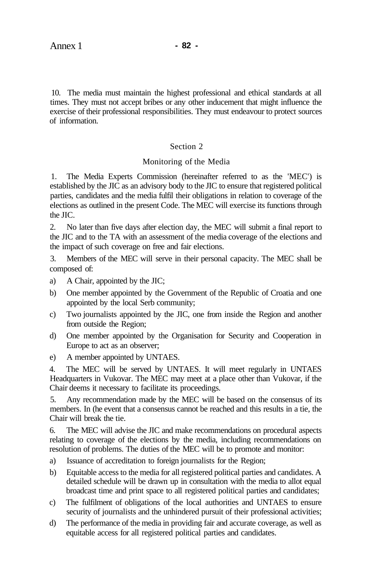10. The media must maintain the highest professional and ethical standards at all times. They must not accept bribes or any other inducement that might influence the exercise of their professional responsibilities. They must endeavour to protect sources of information.

## Section 2

## Monitoring of the Media

1. The Media Experts Commission (hereinafter referred to as the 'MEC') is established by the JIC as an advisory body to the JIC to ensure that registered political parties, candidates and the media fulfil their obligations in relation to coverage of the elections as outlined in the present Code. The MEC will exercise its functions through the JIC.

2. No later than five days after election day, the MEC will submit a final report to the JIC and to the TA with an assessment of the media coverage of the elections and the impact of such coverage on free and fair elections.

3. Members of the MEC will serve in their personal capacity. The MEC shall be composed of:

- a) A Chair, appointed by the JIC;
- b) One member appointed by the Government of the Republic of Croatia and one appointed by the local Serb community;
- c) Two journalists appointed by the JIC, one from inside the Region and another from outside the Region;
- d) One member appointed by the Organisation for Security and Cooperation in Europe to act as an observer;
- e) A member appointed by UNTAES.

4. The MEC will be served by UNTAES. It will meet regularly in UNTAES Headquarters in Vukovar. The MEC may meet at a place other than Vukovar, if the Chair deems it necessary to facilitate its proceedings.

5. Any recommendation made by the MEC will be based on the consensus of its members. In (he event that a consensus cannot be reached and this results in a tie, the Chair will break the tie.

6. The MEC will advise the JIC and make recommendations on procedural aspects relating to coverage of the elections by the media, including recommendations on resolution of problems. The duties of the MEC will be to promote and monitor:

- a) Issuance of accreditation to foreign journalists for the Region;
- b) Equitable access to the media for all registered political parties and candidates. A detailed schedule will be drawn up in consultation with the media to allot equal broadcast time and print space to all registered political parties and candidates;
- c) The fulfilment of obligations of the local authorities and UNTAES to ensure security of journalists and the unhindered pursuit of their professional activities;
- d) The performance of the media in providing fair and accurate coverage, as well as equitable access for all registered political parties and candidates.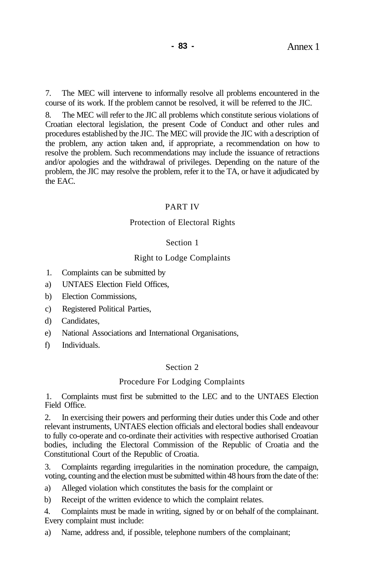7. The MEC will intervene to informally resolve all problems encountered in the course of its work. If the problem cannot be resolved, it will be referred to the JIC.

8. The MEC will refer to the JIC all problems which constitute serious violations of Croatian electoral legislation, the present Code of Conduct and other rules and procedures established by the JIC. The MEC will provide the JIC with a description of the problem, any action taken and, if appropriate, a recommendation on how to resolve the problem. Such recommendations may include the issuance of retractions and/or apologies and the withdrawal of privileges. Depending on the nature of the problem, the JIC may resolve the problem, refer it to the TA, or have it adjudicated by the EAC.

## PART IV

#### Protection of Electoral Rights

## Section 1

#### Right to Lodge Complaints

- 1. Complaints can be submitted by
- a) UNTAES Election Field Offices,
- b) Election Commissions,
- c) Registered Political Parties,
- d) Candidates,
- e) National Associations and International Organisations,
- f) Individuals.

## Section 2

#### Procedure For Lodging Complaints

1. Complaints must first be submitted to the LEC and to the UNTAES Election Field Office.

2. In exercising their powers and performing their duties under this Code and other relevant instruments, UNTAES election officials and electoral bodies shall endeavour to fully co-operate and co-ordinate their activities with respective authorised Croatian bodies, including the Electoral Commission of the Republic of Croatia and the Constitutional Court of the Republic of Croatia.

3. Complaints regarding irregularities in the nomination procedure, the campaign, voting, counting and the election must be submitted within 48 hours from the date of the:

a) Alleged violation which constitutes the basis for the complaint or

b) Receipt of the written evidence to which the complaint relates.

4. Complaints must be made in writing, signed by or on behalf of the complainant. Every complaint must include:

a) Name, address and, if possible, telephone numbers of the complainant;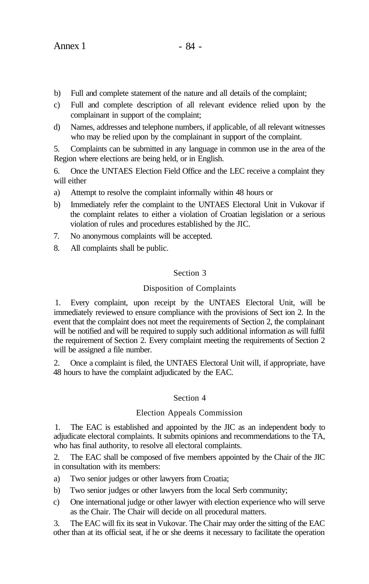- b) Full and complete statement of the nature and all details of the complaint;
- c) Full and complete description of all relevant evidence relied upon by the complainant in support of the complaint;
- d) Names, addresses and telephone numbers, if applicable, of all relevant witnesses who may be relied upon by the complainant in support of the complaint.

5. Complaints can be submitted in any language in common use in the area of the Region where elections are being held, or in English.

6. Once the UNTAES Election Field Office and the LEC receive a complaint they will either

- a) Attempt to resolve the complaint informally within 48 hours or
- b) Immediately refer the complaint to the UNTAES Electoral Unit in Vukovar if the complaint relates to either a violation of Croatian legislation or a serious violation of rules and procedures established by the JIC.
- 7. No anonymous complaints will be accepted.
- 8. All complaints shall be public.

#### Section 3

#### Disposition of Complaints

1. Every complaint, upon receipt by the UNTAES Electoral Unit, will be immediately reviewed to ensure compliance with the provisions of Sect ion 2. In the event that the complaint does not meet the requirements of Section 2, the complainant will be notified and will be required to supply such additional information as will fulfil the requirement of Section 2. Every complaint meeting the requirements of Section 2 will be assigned a file number.

2. Once a complaint is filed, the UNTAES Electoral Unit will, if appropriate, have 48 hours to have the complaint adjudicated by the EAC.

#### Section 4

## Election Appeals Commission

1. The EAC is established and appointed by the JIC as an independent body to adjudicate electoral complaints. It submits opinions and recommendations to the TA, who has final authority, to resolve all electoral complaints.

2. The EAC shall be composed of five members appointed by the Chair of the JIC in consultation with its members:

- a) Two senior judges or other lawyers from Croatia;
- b) Two senior judges or other lawyers from the local Serb community;
- c) One international judge or other lawyer with election experience who will serve as the Chair. The Chair will decide on all procedural matters.

3. The EAC will fix its seat in Vukovar. The Chair may order the sitting of the EAC other than at its official seat, if he or she deems it necessary to facilitate the operation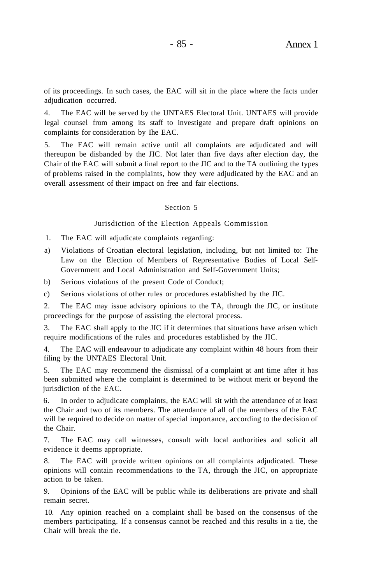of its proceedings. In such cases, the EAC will sit in the place where the facts under adiudication occurred.

4. The EAC will be served by the UNTAES Electoral Unit. UNTAES will provide legal counsel from among its staff to investigate and prepare draft opinions on complaints for consideration by Ihe EAC.

5. The EAC will remain active until all complaints are adjudicated and will thereupon be disbanded by the JIC. Not later than five days after election day, the Chair of the EAC will submit a final report to the JIC and to the TA outlining the types of problems raised in the complaints, how they were adjudicated by the EAC and an overall assessment of their impact on free and fair elections.

#### Section 5

#### Jurisdiction of the Election Appeals Commission

1. The EAC will adjudicate complaints regarding:

- a) Violations of Croatian electoral legislation, including, but not limited to: The Law on the Election of Members of Representative Bodies of Local Self-Government and Local Administration and Self-Government Units;
- b) Serious violations of the present Code of Conduct;

c) Serious violations of other rules or procedures established by the JIC.

2. The EAC may issue advisory opinions to the TA, through the JIC, or institute proceedings for the purpose of assisting the electoral process.

3. The EAC shall apply to the JIC if it determines that situations have arisen which require modifications of the rules and procedures established by the JIC.

4. The EAC will endeavour to adjudicate any complaint within 48 hours from their filing by the UNTAES Electoral Unit.

5. The EAC may recommend the dismissal of a complaint at ant time after it has been submitted where the complaint is determined to be without merit or beyond the jurisdiction of the EAC.

6. In order to adjudicate complaints, the EAC will sit with the attendance of at least the Chair and two of its members. The attendance of all of the members of the EAC will be required to decide on matter of special importance, according to the decision of the Chair.

7. The EAC may call witnesses, consult with local authorities and solicit all evidence it deems appropriate.

8. The EAC will provide written opinions on all complaints adjudicated. These opinions will contain recommendations to the TA, through the JIC, on appropriate action to be taken.

9. Opinions of the EAC will be public while its deliberations are private and shall remain secret.

10. Any opinion reached on a complaint shall be based on the consensus of the members participating. If a consensus cannot be reached and this results in a tie, the Chair will break the tie.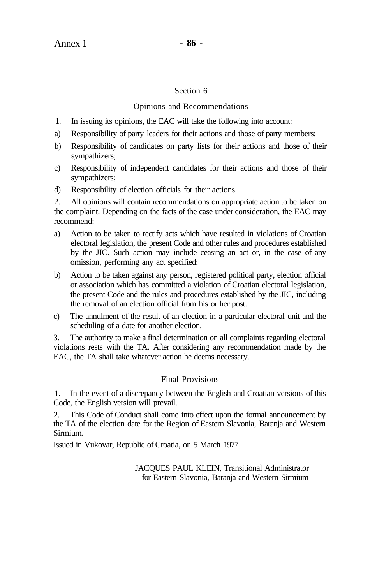# Section 6

Opinions and Recommendations

- 1. In issuing its opinions, the EAC will take the following into account:
- a) Responsibility of party leaders for their actions and those of party members;
- b) Responsibility of candidates on party lists for their actions and those of their sympathizers;
- c) Responsibility of independent candidates for their actions and those of their sympathizers;
- d) Responsibility of election officials for their actions.

2. All opinions will contain recommendations on appropriate action to be taken on the complaint. Depending on the facts of the case under consideration, the EAC may recommend:

- a) Action to be taken to rectify acts which have resulted in violations of Croatian electoral legislation, the present Code and other rules and procedures established by the JIC. Such action may include ceasing an act or, in the case of any omission, performing any act specified;
- b) Action to be taken against any person, registered political party, election official or association which has committed a violation of Croatian electoral legislation, the present Code and the rules and procedures established by the JIC, including the removal of an election official from his or her post.
- c) The annulment of the result of an election in a particular electoral unit and the scheduling of a date for another election.

3. The authority to make a final determination on all complaints regarding electoral violations rests with the TA. After considering any recommendation made by the EAC, the TA shall take whatever action he deems necessary.

# Final Provisions

1. In the event of a discrepancy between the English and Croatian versions of this Code, the English version will prevail.

2. This Code of Conduct shall come into effect upon the formal announcement by the TA of the election date for the Region of Eastern Slavonia, Baranja and Western Sirmium.

Issued in Vukovar, Republic of Croatia, on 5 March 1977

JACQUES PAUL KLEIN, Transitional Administrator for Eastern Slavonia, Baranja and Western Sirmium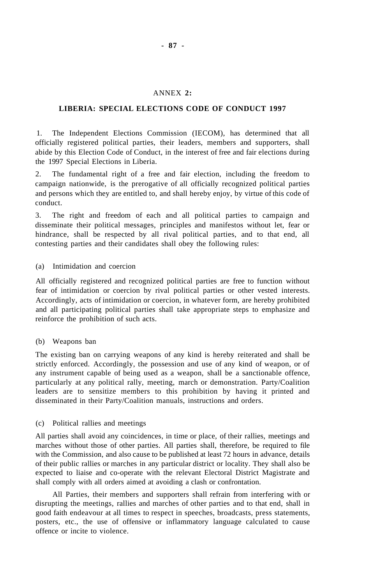#### ANNEX **2:**

#### **LIBERIA: SPECIAL ELECTIONS CODE OF CONDUCT 1997**

1. The Independent Elections Commission (IECOM), has determined that all officially registered political parties, their leaders, members and supporters, shall abide by this Election Code of Conduct, in the interest of free and fair elections during the 1997 Special Elections in Liberia.

2. The fundamental right of a free and fair election, including the freedom to campaign nationwide, is the prerogative of all officially recognized political parties and persons which they are entitled to, and shall hereby enjoy, by virtue of this code of conduct.

3. The right and freedom of each and all political parties to campaign and disseminate their political messages, principles and manifestos without let, fear or hindrance, shall be respected by all rival political parties, and to that end, all contesting parties and their candidates shall obey the following rules:

#### (a) Intimidation and coercion

All officially registered and recognized political parties are free to function without fear of intimidation or coercion by rival political parties or other vested interests. Accordingly, acts of intimidation or coercion, in whatever form, are hereby prohibited and all participating political parties shall take appropriate steps to emphasize and reinforce the prohibition of such acts.

#### (b) Weapons ban

The existing ban on carrying weapons of any kind is hereby reiterated and shall be strictly enforced. Accordingly, the possession and use of any kind of weapon, or of any instrument capable of being used as a weapon, shall be a sanctionable offence, particularly at any political rally, meeting, march or demonstration. Party/Coalition leaders are to sensitize members to this prohibition by having it printed and disseminated in their Party/Coalition manuals, instructions and orders.

#### (c) Political rallies and meetings

All parties shall avoid any coincidences, in time or place, of their rallies, meetings and marches without those of other parties. All parties shall, therefore, be required to file with the Commission, and also cause to be published at least 72 hours in advance, details of their public rallies or marches in any particular district or locality. They shall also be expected to liaise and co-operate with the relevant Electoral District Magistrate and shall comply with all orders aimed at avoiding a clash or confrontation.

All Parties, their members and supporters shall refrain from interfering with or disrupting the meetings, rallies and marches of other parties and to that end, shall in good faith endeavour at all times to respect in speeches, broadcasts, press statements, posters, etc., the use of offensive or inflammatory language calculated to cause offence or incite to violence.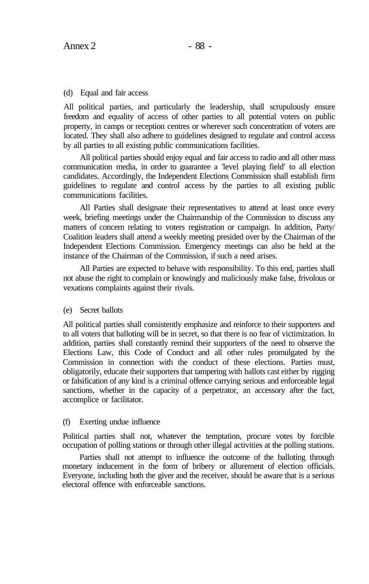#### (d) Equal and fair access

All political parties, and particularly the leadership, shall scrupulously ensure freedom and equality of access of other parties to all potential voters on public property, in camps or reception centres or wherever such concentration of voters are located. They shall also adhere to guidelines designed to regulate and control access by all parties to all existing public communications facilities.

All political parties should enjoy equal and fair access to radio and all other mass communication media, in order to guarantee a 'level playing field' to all election candidates. Accordingly, the Independent Elections Commission shall establish firm guidelines to regulate and control access by the parties to all existing public communications facilities.

All Parties shall designate their representatives to attend at least once every week, briefing meetings under the Chairmanship of the Commission to discuss any matters of concern relating to voters registration or campaign. In addition, Party/ Coalition leaders shall attend a weekly meeting presided over by the Chairman of the Independent Elections Commission. Emergency meetings can also be held at the instance of the Chairman of the Commission, if such a need arises.

All Parties are expected to behave with responsibility. To this end, parties shall not abuse the right to complain or knowingly and maliciously make false, frivolous or vexations complaints against their rivals.

#### (e) Secret ballots

All political parties shall consistently emphasize and reinforce to their supporters and to all voters that balloting will be in secret, so that there is no fear of victimization. In addition, parties shall constantly remind their supporters of the need to observe the Elections Law, this Code of Conduct and all other rules promulgated by the Commission in connection with the conduct of these elections. Parties must, obligatorily, educate their supporters that tampering with ballots cast either by rigging or falsification of any kind is a criminal offence carrying serious and enforceable legal sanctions, whether in the capacity of a perpetrator, an accessory after the fact, accomplice or facilitator.

## (f) Exerting undue influence

Political parties shall not, whatever the temptation, procure votes by forcible occupation of polling stations or through other illegal activities at the polling stations.

Parties shall not attempt to influence the outcome of the balloting through monetary inducement in the form of bribery or allurement of election officials. Everyone, including both the giver and the receiver, should be aware that is a serious electoral offence with enforceable sanctions.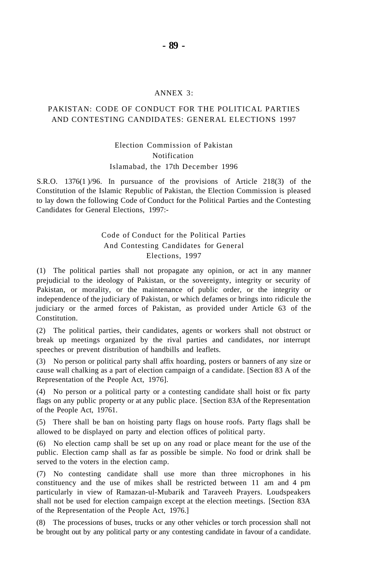#### ANNEX 3:

# PAKISTAN: CODE OF CONDUCT FOR THE POLITICAL PARTIES AND CONTESTING CANDIDATES: GENERAL ELECTIONS 1997

# Election Commission of Pakistan Notification Islamabad, the 17th December 1996

S.R.O. 1376(1 )/96. In pursuance of the provisions of Article 218(3) of the Constitution of the Islamic Republic of Pakistan, the Election Commission is pleased to lay down the following Code of Conduct for the Political Parties and the Contesting Candidates for General Elections, 1997:-

# Code of Conduct for the Political Parties And Contesting Candidates for General Elections, 1997

(1) The political parties shall not propagate any opinion, or act in any manner prejudicial to the ideology of Pakistan, or the sovereignty, integrity or security of Pakistan, or morality, or the maintenance of public order, or the integrity or independence of the judiciary of Pakistan, or which defames or brings into ridicule the judiciary or the armed forces of Pakistan, as provided under Article 63 of the Constitution.

(2) The political parties, their candidates, agents or workers shall not obstruct or break up meetings organized by the rival parties and candidates, nor interrupt speeches or prevent distribution of handbills and leaflets.

(3) No person or political party shall affix hoarding, posters or banners of any size or cause wall chalking as a part of election campaign of a candidate. [Section 83 A of the Representation of the People Act, 1976].

(4) No person or a political party or a contesting candidate shall hoist or fix party flags on any public property or at any public place. [Section 83A of the Representation of the People Act, 19761.

(5) There shall be ban on hoisting party flags on house roofs. Party flags shall be allowed to be displayed on party and election offices of political party.

(6) No election camp shall be set up on any road or place meant for the use of the public. Election camp shall as far as possible be simple. No food or drink shall be served to the voters in the election camp.

(7) No contesting candidate shall use more than three microphones in his constituency and the use of mikes shall be restricted between 11 am and 4 pm particularly in view of Ramazan-ul-Mubarik and Taraveeh Prayers. Loudspeakers shall not be used for election campaign except at the election meetings. [Section 83A of the Representation of the People Act, 1976.]

(8) The processions of buses, trucks or any other vehicles or torch procession shall not be brought out by any political party or any contesting candidate in favour of a candidate.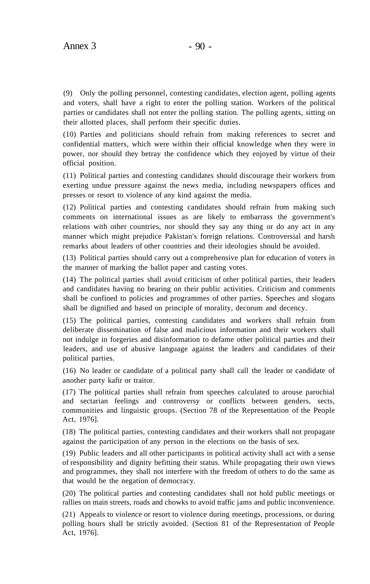(9) Only the polling personnel, contesting candidates, election agent, polling agents and voters, shall have a right to enter the polling station. Workers of the political parties or candidates shall not enter the polling station. The polling agents, sitting on their allotted places, shall perform their specific duties.

(10) Parties and politicians should refrain from making references to secret and confidential matters, which were within their official knowledge when they were in power, nor should they betray the confidence which they enjoyed by virtue of their official position.

(11) Political parties and contesting candidates should discourage their workers from exerting undue pressure against the news media, including newspapers offices and presses or resort to violence of any kind against the media.

(12) Political parties and contesting candidates should refrain from making such comments on international issues as are likely to embarrass the government's relations with other countries, nor should they say any thing or do any act in any manner which might prejudice Pakistan's foreign relations. Controversial and harsh remarks about leaders of other countries and their ideologies should be avoided.

(13) Political parties should carry out a comprehensive plan for education of voters in the manner of marking the ballot paper and casting votes.

(14) The political parties shall avoid criticism of other political parties, their leaders and candidates having no bearing on their public activities. Criticism and comments shall be confined to policies and programmes of other parties. Speeches and slogans shall be dignified and based on principle of morality, decorum and decency.

(15) The political parties, contesting candidates and workers shall refrain from deliberate dissemination of false and malicious information and their workers shall not indulge in forgeries and disinformation to defame other political parties and their leaders, and use of abusive language against the leaders and candidates of their political parties.

(16) No leader or candidate of a political party shall call the leader or candidate of another party kafir or traitor.

(17) The political parties shall refrain from speeches calculated to arouse parochial and sectarian feelings and controversy or conflicts between genders, sects, communities and linguistic groups. (Section 78 of the Representation of the People Act, 1976].

(18) The political parties, contesting candidates and their workers shall not propagate against the participation of any person in the elections on the basis of sex.

(19) Public leaders and all other participants in political activity shall act with a sense of responsibility and dignity befitting their status. While propagating their own views and programmes, they shall not interfere with the freedom of others to do the same as that would be the negation of democracy.

(20) The political parties and contesting candidates shall not hold public meetings or rallies on main streets, roads and chowks to avoid traffic jams and public inconvenience.

(21) Appeals to violence or resort to violence during meetings, processions, or during polling hours shall be strictly avoided. (Section 81 of the Representation of People Act, 1976].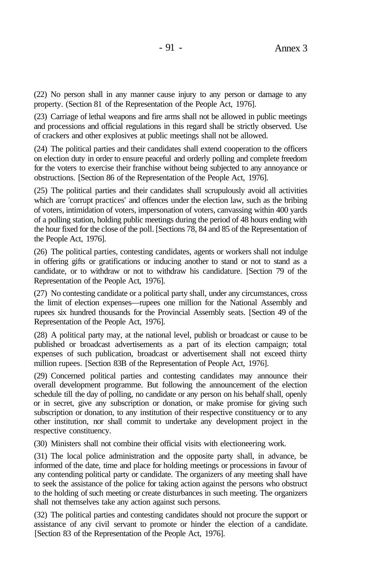(22) No person shall in any manner cause injury to any person or damage to any property. (Section 81 of the Representation of the People Act, 1976].

(23) Carriage of lethal weapons and fire arms shall not be allowed in public meetings and processions and official regulations in this regard shall be strictly observed. Use of crackers and other explosives at public meetings shall not be allowed.

(24) The political parties and their candidates shall extend cooperation to the officers on election duty in order to ensure peaceful and orderly polling and complete freedom for the voters to exercise their franchise without being subjected to any annoyance or obstructions. [Section 86 of the Representation of the People Act, 1976].

(25) The political parties and their candidates shall scrupulously avoid all activities which are 'corrupt practices' and offences under the election law, such as the bribing of voters, intimidation of voters, impersonation of voters, canvassing within 400 yards of a polling station, holding public meetings during the period of 48 hours ending with the hour fixed for the close of the poll. [Sections 78, 84 and 85 of the Representation of the People Act, 1976].

(26) The political parties, contesting candidates, agents or workers shall not indulge in offering gifts or gratifications or inducing another to stand or not to stand as a candidate, or to withdraw or not to withdraw his candidature. [Section 79 of the Representation of the People Act, 1976].

(27) No contesting candidate or a political party shall, under any circumstances, cross the limit of election expenses—rupees one million for the National Assembly and rupees six hundred thousands for the Provincial Assembly seats. [Section 49 of the Representation of the People Act, 1976].

(28) A political party may, at the national level, publish or broadcast or cause to be published or broadcast advertisements as a part of its election campaign; total expenses of such publication, broadcast or advertisement shall not exceed thirty million rupees. [Section 83B of the Representation of People Act, 1976].

(29) Concerned political parties and contesting candidates may announce their overall development programme. But following the announcement of the election schedule till the day of polling, no candidate or any person on his behalf shall, openly or in secret, give any subscription or donation, or make promise for giving such subscription or donation, to any institution of their respective constituency or to any other institution, nor shall commit to undertake any development project in the respective constituency.

(30) Ministers shall not combine their official visits with electioneering work.

(31) The local police administration and the opposite party shall, in advance, be informed of the date, time and place for holding meetings or processions in favour of any contending political party or candidate. The organizers of any meeting shall have to seek the assistance of the police for taking action against the persons who obstruct to the holding of such meeting or create disturbances in such meeting. The organizers shall not themselves take any action against such persons.

(32) The political parties and contesting candidates should not procure the support or assistance of any civil servant to promote or hinder the election of a candidate. [Section 83 of the Representation of the People Act, 1976].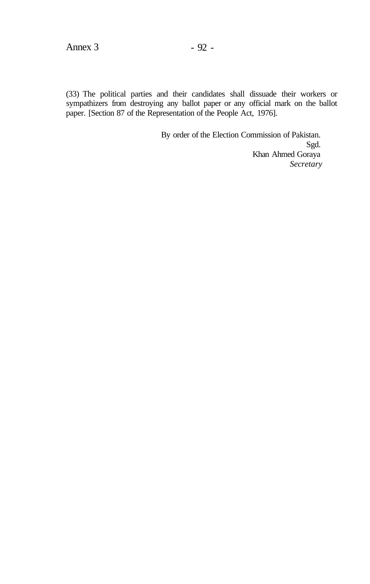(33) The political parties and their candidates shall dissuade their workers or sympathizers from destroying any ballot paper or any official mark on the ballot paper. [Section 87 of the Representation of the People Act, 1976].

> By order of the Election Commission of Pakistan. Sgd. Khan Ahmed Goraya *Secretary*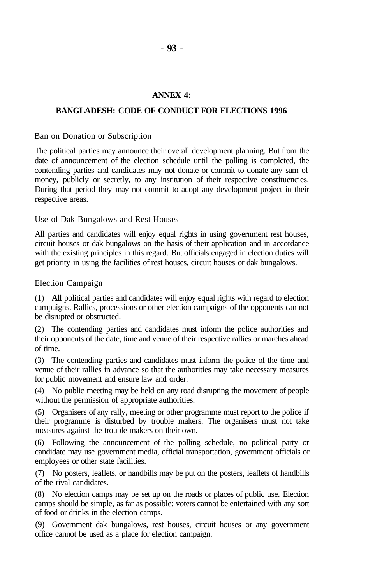## **ANNEX 4:**

## **BANGLADESH: CODE OF CONDUCT FOR ELECTIONS 1996**

Ban on Donation or Subscription

The political parties may announce their overall development planning. But from the date of announcement of the election schedule until the polling is completed, the contending parties and candidates may not donate or commit to donate any sum of money, publicly or secretly, to any institution of their respective constituencies. During that period they may not commit to adopt any development project in their respective areas.

Use of Dak Bungalows and Rest Houses

All parties and candidates will enjoy equal rights in using government rest houses, circuit houses or dak bungalows on the basis of their application and in accordance with the existing principles in this regard. But officials engaged in election duties will get priority in using the facilities of rest houses, circuit houses or dak bungalows.

Election Campaign

(1) **All** political parties and candidates will enjoy equal rights with regard to election campaigns. Rallies, processions or other election campaigns of the opponents can not be disrupted or obstructed.

(2) The contending parties and candidates must inform the police authorities and their opponents of the date, time and venue of their respective rallies or marches ahead of time.

(3) The contending parties and candidates must inform the police of the time and venue of their rallies in advance so that the authorities may take necessary measures for public movement and ensure law and order.

(4) No public meeting may be held on any road disrupting the movement of people without the permission of appropriate authorities.

(5) Organisers of any rally, meeting or other programme must report to the police if their programme is disturbed by trouble makers. The organisers must not take measures against the trouble-makers on their own.

(6) Following the announcement of the polling schedule, no political party or candidate may use government media, official transportation, government officials or employees or other state facilities.

(7) No posters, leaflets, or handbills may be put on the posters, leaflets of handbills of the rival candidates.

(8) No election camps may be set up on the roads or places of public use. Election camps should be simple, as far as possible; voters cannot be entertained with any sort of food or drinks in the election camps.

(9) Government dak bungalows, rest houses, circuit houses or any government office cannot be used as a place for election campaign.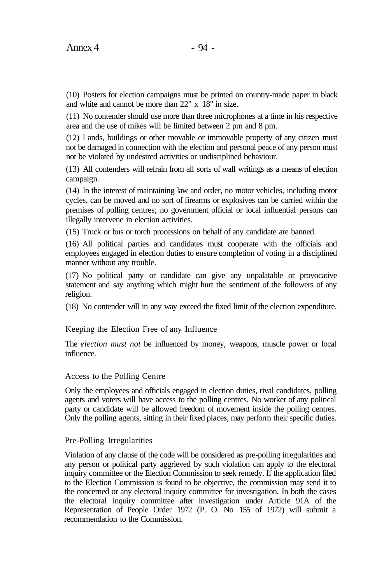(10) Posters for election campaigns must be printed on country-made paper in black and white and cannot be more than 22" x 18" in size.

(11) No contender should use more than three microphones at a time in his respective area and the use of mikes will be limited between 2 pm and 8 pm.

(12) Lands, buildings or other movable or immovable property of any citizen must not be damaged in connection with the election and personal peace of any person must not be violated by undesired activities or undisciplined behaviour.

(13) All contenders will refrain from all sorts of wall writings as a means of election campaign.

(14) In the interest of maintaining law and order, no motor vehicles, including motor cycles, can be moved and no sort of firearms or explosives can be carried within the premises of polling centres; no government official or local influential persons can illegally intervene in election activities.

(15) Truck or bus or torch processions on behalf of any candidate are banned.

(16) All political parties and candidates must cooperate with the officials and employees engaged in election duties to ensure completion of voting in a disciplined manner without any trouble.

(17) No political party or candidate can give any unpalatable or provocative statement and say anything which might hurt the sentiment of the followers of any religion.

(18) No contender will in any way exceed the fixed limit of the election expenditure.

Keeping the Election Free of any Influence

The *election must not* be influenced by money, weapons, muscle power or local influence.

#### Access to the Polling Centre

Only the employees and officials engaged in election duties, rival candidates, polling agents and voters will have access to the polling centres. No worker of any political party or candidate will be allowed freedom of movement inside the polling centres. Only the polling agents, sitting in their fixed places, may perform their specific duties.

## Pre-Polling Irregularities

Violation of any clause of the code will be considered as pre-polling irregularities and any person or political party aggrieved by such violation can apply to the electoral inquiry committee or the Election Commission to seek remedy. If the application filed to the Election Commission is found to be objective, the commission may send it to the concerned or any electoral inquiry committee for investigation. In both the cases the electoral inquiry committee after investigation under Article 91A of the Representation of People Order 1972 (P. O. No 155 of 1972) will submit a recommendation to the Commission.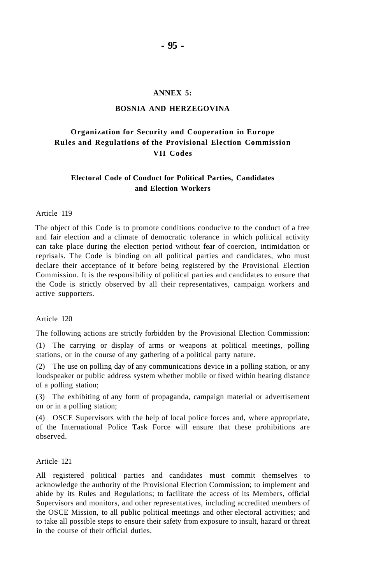#### **ANNEX 5:**

#### **BOSNIA AND HERZEGOVINA**

# **Organization for Security and Cooperation in Europe Rules and Regulations of the Provisional Election Commission VII Codes**

## **Electoral Code of Conduct for Political Parties, Candidates and Election Workers**

#### Article 119

The object of this Code is to promote conditions conducive to the conduct of a free and fair election and a climate of democratic tolerance in which political activity can take place during the election period without fear of coercion, intimidation or reprisals. The Code is binding on all political parties and candidates, who must declare their acceptance of it before being registered by the Provisional Election Commission. It is the responsibility of political parties and candidates to ensure that the Code is strictly observed by all their representatives, campaign workers and active supporters.

#### Article 120

The following actions are strictly forbidden by the Provisional Election Commission:

(1) The carrying or display of arms or weapons at political meetings, polling stations, or in the course of any gathering of a political party nature.

(2) The use on polling day of any communications device in a polling station, or any loudspeaker or public address system whether mobile or fixed within hearing distance of a polling station;

(3) The exhibiting of any form of propaganda, campaign material or advertisement on or in a polling station;

(4) OSCE Supervisors with the help of local police forces and, where appropriate, of the International Police Task Force will ensure that these prohibitions are observed.

#### Article 121

All registered political parties and candidates must commit themselves to acknowledge the authority of the Provisional Election Commission; to implement and abide by its Rules and Regulations; to facilitate the access of its Members, official Supervisors and monitors, and other representatives, including accredited members of the OSCE Mission, to all public political meetings and other electoral activities; and to take all possible steps to ensure their safety from exposure to insult, hazard or threat in the course of their official duties.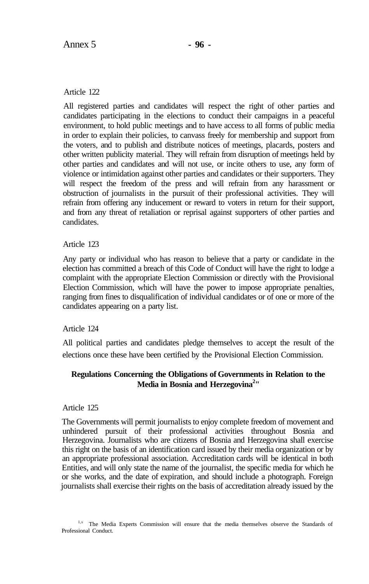## Article 122

All registered parties and candidates will respect the right of other parties and candidates participating in the elections to conduct their campaigns in a peaceful environment, to hold public meetings and to have access to all forms of public media in order to explain their policies, to canvass freely for membership and support from the voters, and to publish and distribute notices of meetings, placards, posters and other written publicity material. They will refrain from disruption of meetings held by other parties and candidates and will not use, or incite others to use, any form of violence or intimidation against other parties and candidates or their supporters. They will respect the freedom of the press and will refrain from any harassment or obstruction of journalists in the pursuit of their professional activities. They will refrain from offering any inducement or reward to voters in return for their support, and from any threat of retaliation or reprisal against supporters of other parties and candidates.

#### Article 123

Any party or individual who has reason to believe that a party or candidate in the election has committed a breach of this Code of Conduct will have the right to lodge a complaint with the appropriate Election Commission or directly with the Provisional Election Commission, which will have the power to impose appropriate penalties, ranging from fines to disqualification of individual candidates or of one or more of the candidates appearing on a party list.

## Article 124

All political parties and candidates pledge themselves to accept the result of the elections once these have been certified by the Provisional Election Commission.

# **Regulations Concerning the Obligations of Governments in Relation to the Media in Bosnia and Herzegovina<sup>2</sup> "**

#### Article 125

The Governments will permit journalists to enjoy complete freedom of movement and unhindered pursuit of their professional activities throughout Bosnia and Herzegovina. Journalists who are citizens of Bosnia and Herzegovina shall exercise this right on the basis of an identification card issued by their media organization or by an appropriate professional association. Accreditation cards will be identical in both Entities, and will only state the name of the journalist, the specific media for which he or she works, and the date of expiration, and should include a photograph. Foreign journalists shall exercise their rights on the basis of accreditation already issued by the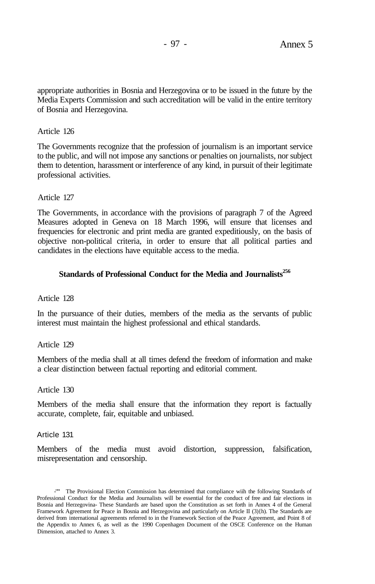appropriate authorities in Bosnia and Herzegovina or to be issued in the future by the Media Experts Commission and such accreditation will be valid in the entire territory of Bosnia and Herzegovina.

### Article 126

The Governments recognize that the profession of journalism is an important service to the public, and will not impose any sanctions or penalties on journalists, nor subject them to detention, harassment or interference of any kind, in pursuit of their legitimate professional activities.

#### Article 127

The Governments, in accordance with the provisions of paragraph 7 of the Agreed Measures adopted in Geneva on 18 March 1996, will ensure that licenses and frequencies for electronic and print media are granted expeditiously, on the basis of objective non-political criteria, in order to ensure that all political parties and candidates in the elections have equitable access to the media.

## **Standards of Professional Conduct for the Media and Journalists<sup>256</sup>**

#### Article 128

In the pursuance of their duties, members of the media as the servants of public interest must maintain the highest professional and ethical standards.

#### Article 129

Members of the media shall at all times defend the freedom of information and make a clear distinction between factual reporting and editorial comment.

#### Article 130

Members of the media shall ensure that the information they report is factually accurate, complete, fair, equitable and unbiased.

#### Article 131

Members of the media must avoid distortion, suppression, falsification, misrepresentation and censorship.

<sup>-&</sup>quot;"' The Provisional Election Commission has determined that compliance wiih the following Standards of Professional Conduct for the Media and Journalists will be essential for the conduct of free and fair elections in Bosnia and Herzegovina- These Standards are based upon the Constitution as set forth in Annex 4 of the General Framework Agreement for Peace in Bosnia and Herzegovina and particularly on Article II (3){h). The Standards are derived from international agreements referred to in the Framework Section of the Peace Agreement, and Point 8 of the Appendix to Annex 6, as well as the 1990 Copenhagen Document of the OSCE Conference on the Human Dimension, attached to Annex 3.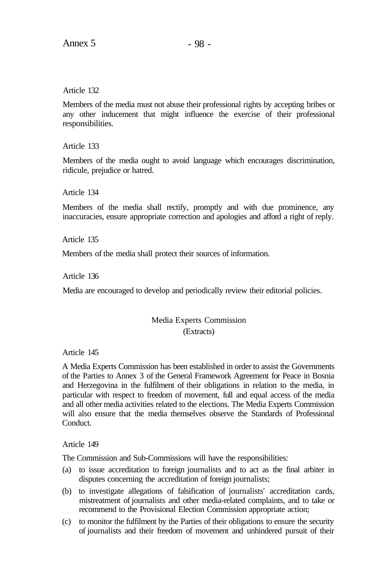## Article 132

Members of the media must not abuse their professional rights by accepting bribes or any other inducement that might influence the exercise of their professional responsibilities.

Article 133

Members of the media ought to avoid language which encourages discrimination, ridicule, prejudice or hatred.

Article 134

Members of the media shall rectify, promptly and with due prominence, any inaccuracies, ensure appropriate correction and apologies and afford a right of reply.

Article 135

Members of the media shall protect their sources of information.

Article 136

Media are encouraged to develop and periodically review their editorial policies.

# Media Experts Commission (Extracts)

Article 145

A Media Experts Commission has been established in order to assist the Governments of the Parties to Annex 3 of the General Framework Agreement for Peace in Bosnia and Herzegovina in the fulfilment of their obligations in relation to the media, in particular with respect to freedom of movement, full and equal access of the media and all other media activities related to the elections. The Media Experts Commission will also ensure that the media themselves observe the Standards of Professional Conduct.

Article 149

The Commission and Sub-Commissions will have the responsibilities:

- (a) to issue accreditation to foreign journalists and to act as the final arbiter in disputes concerning the accreditation of foreign journalists;
- (b) to investigate allegations of falsification of journalists' accreditation cards, mistreatment of journalists and other media-related complaints, and to take or recommend to the Provisional Election Commission appropriate action;
- (c) to monitor the fulfilment by the Parties of their obligations to ensure the security of journalists and their freedom of movement and unhindered pursuit of their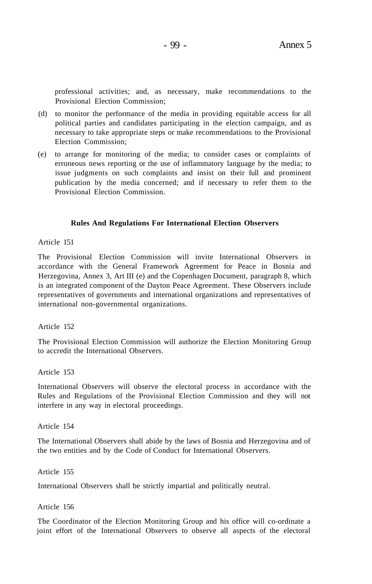professional activities; and, as necessary, make recommendations to the Provisional Election Commission;

- (d) to monitor the performance of the media in providing equitable access for all political parties and candidates participating in the election campaign, and as necessary to take appropriate steps or make recommendations to the Provisional Election Commission;
- (e) to arrange for monitoring of the media; to consider cases or complaints of erroneous news reporting or the use of inflammatory language by the media; to issue judgments on such complaints and insist on their full and prominent publication by the media concerned; and if necessary to refer them to the Provisional Election Commission.

#### **Rules And Regulations For International Election Observers**

#### Article 151

The Provisional Election Commission will invite International Observers in accordance with the General Framework Agreement for Peace in Bosnia and Herzegovina, Annex 3, Art III (e) and the Copenhagen Document, paragraph 8, which is an integrated component of the Dayton Peace Agreement. These Observers include representatives of governments and international organizations and representatives of international non-governmental organizations.

Article 152

The Provisional Election Commission will authorize the Election Monitoring Group to accredit the International Observers.

#### Article 153

International Observers will observe the electoral process in accordance with the Rules and Regulations of the Provisional Election Commission and they will not interfere in any way in electoral proceedings.

Article 154

The International Observers shall abide by the laws of Bosnia and Herzegovina and of the two entities and by the Code of Conduct for International Observers.

#### Article 155

International Observers shall be strictly impartial and politically neutral.

### Article 156

The Coordinator of the Election Monitoring Group and his office will co-ordinate a joint effort of the International Observers to observe all aspects of the electoral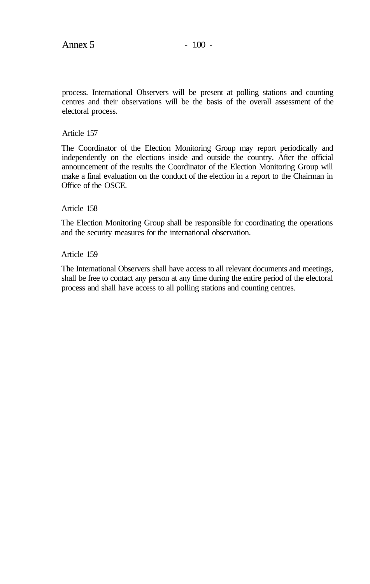process. International Observers will be present at polling stations and counting centres and their observations will be the basis of the overall assessment of the electoral process.

Article 157

The Coordinator of the Election Monitoring Group may report periodically and independently on the elections inside and outside the country. After the official announcement of the results the Coordinator of the Election Monitoring Group will make a final evaluation on the conduct of the election in a report to the Chairman in Office of the OSCE.

Article 158

The Election Monitoring Group shall be responsible for coordinating the operations and the security measures for the international observation.

Article 159

The International Observers shall have access to all relevant documents and meetings, shall be free to contact any person at any time during the entire period of the electoral process and shall have access to all polling stations and counting centres.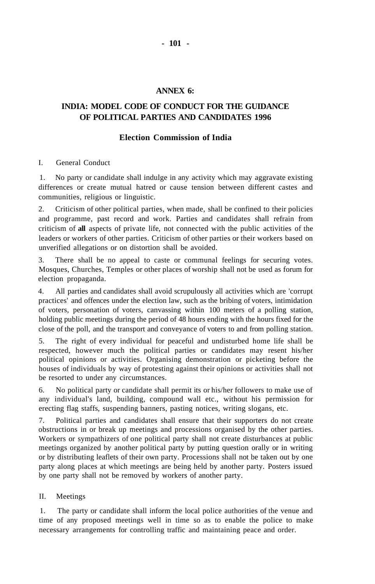## **ANNEX 6:**

# **INDIA: MODEL CODE OF CONDUCT FOR THE GUIDANCE OF POLITICAL PARTIES AND CANDIDATES 1996**

#### **Election Commission of India**

#### I. General Conduct

1. No party or candidate shall indulge in any activity which may aggravate existing differences or create mutual hatred or cause tension between different castes and communities, religious or linguistic.

2. Criticism of other political parties, when made, shall be confined to their policies and programme, past record and work. Parties and candidates shall refrain from criticism of **all** aspects of private life, not connected with the public activities of the leaders or workers of other parties. Criticism of other parties or their workers based on unverified allegations or on distortion shall be avoided.

3. There shall be no appeal to caste or communal feelings for securing votes. Mosques, Churches, Temples or other places of worship shall not be used as forum for election propaganda.

4. All parties and candidates shall avoid scrupulously all activities which are 'corrupt practices' and offences under the election law, such as the bribing of voters, intimidation of voters, personation of voters, canvassing within 100 meters of a polling station, holding public meetings during the period of 48 hours ending with the hours fixed for the close of the poll, and the transport and conveyance of voters to and from polling station.

5. The right of every individual for peaceful and undisturbed home life shall be respected, however much the political parties or candidates may resent his/her political opinions or activities. Organising demonstration or picketing before the houses of individuals by way of protesting against their opinions or activities shall not be resorted to under any circumstances.

6. No political party or candidate shall permit its or his/her followers to make use of any individual's land, building, compound wall etc., without his permission for erecting flag staffs, suspending banners, pasting notices, writing slogans, etc.

7. Political parties and candidates shall ensure that their supporters do not create obstructions in or break up meetings and processions organised by the other parties. Workers or sympathizers of one political party shall not create disturbances at public meetings organized by another political party by putting question orally or in writing or by distributing leaflets of their own party. Processions shall not be taken out by one party along places at which meetings are being held by another party. Posters issued by one party shall not be removed by workers of another party.

#### II. Meetings

1. The party or candidate shall inform the local police authorities of the venue and time of any proposed meetings well in time so as to enable the police to make necessary arrangements for controlling traffic and maintaining peace and order.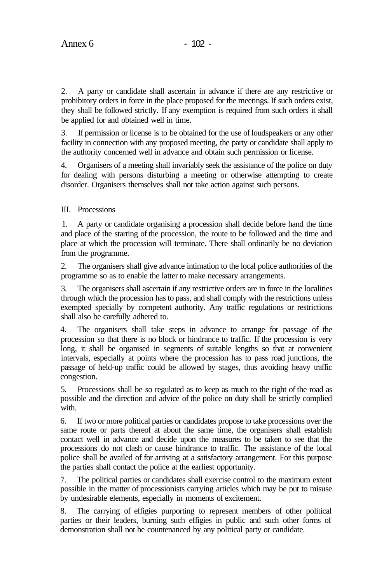2. A party or candidate shall ascertain in advance if there are any restrictive or prohibitory orders in force in the place proposed for the meetings. If such orders exist, they shall be followed strictly. If any exemption is required from such orders it shall be applied for and obtained well in time.

3. If permission or license is to be obtained for the use of loudspeakers or any other facility in connection with any proposed meeting, the party or candidate shall apply to the authority concerned well in advance and obtain such permission or license.

4. Organisers of a meeting shall invariably seek the assistance of the police on duty for dealing with persons disturbing a meeting or otherwise attempting to create disorder. Organisers themselves shall not take action against such persons.

## III. Processions

1. A party or candidate organising a procession shall decide before hand the time and place of the starting of the procession, the route to be followed and the time and place at which the procession will terminate. There shall ordinarily be no deviation from the programme.

2. The organisers shall give advance intimation to the local police authorities of the programme so as to enable the latter to make necessary arrangements.

3. The organisers shall ascertain if any restrictive orders are in force in the localities through which the procession has to pass, and shall comply with the restrictions unless exempted specially by competent authority. Any traffic regulations or restrictions shall also be carefully adhered to.

4. The organisers shall take steps in advance to arrange for passage of the procession so that there is no block or hindrance to traffic. If the procession is very long, it shall be organised in segments of suitable lengths so that at convenient intervals, especially at points where the procession has to pass road junctions, the passage of held-up traffic could be allowed by stages, thus avoiding heavy traffic congestion.

5. Processions shall be so regulated as to keep as much to the right of the road as possible and the direction and advice of the police on duty shall be strictly complied with.

6. If two or more political parties or candidates propose to take processions over the same route or parts thereof at about the same time, the organisers shall establish contact well in advance and decide upon the measures to be taken to see that the processions do not clash or cause hindrance to traffic. The assistance of the local police shall be availed of for arriving at a satisfactory arrangement. For this purpose the parties shall contact the police at the earliest opportunity.

7. The political parties or candidates shall exercise control to the maximum extent possible in the matter of processionists carrying articles which may be put to misuse by undesirable elements, especially in moments of excitement.

8. The carrying of effigies purporting to represent members of other political parties or their leaders, burning such effigies in public and such other forms of demonstration shall not be countenanced by any political party or candidate.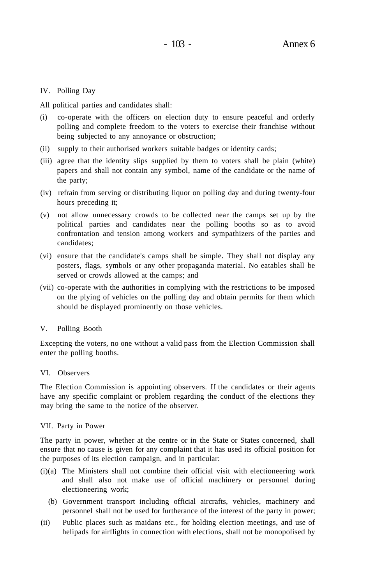#### IV. Polling Day

All political parties and candidates shall:

- (i) co-operate with the officers on election duty to ensure peaceful and orderly polling and complete freedom to the voters to exercise their franchise without being subjected to any annoyance or obstruction;
- (ii) supply to their authorised workers suitable badges or identity cards;
- (iii) agree that the identity slips supplied by them to voters shall be plain (white) papers and shall not contain any symbol, name of the candidate or the name of the party;
- (iv) refrain from serving or distributing liquor on polling day and during twenty-four hours preceding it;
- (v) not allow unnecessary crowds to be collected near the camps set up by the political parties and candidates near the polling booths so as to avoid confrontation and tension among workers and sympathizers of the parties and candidates;
- (vi) ensure that the candidate's camps shall be simple. They shall not display any posters, flags, symbols or any other propaganda material. No eatables shall be served or crowds allowed at the camps; and
- (vii) co-operate with the authorities in complying with the restrictions to be imposed on the plying of vehicles on the polling day and obtain permits for them which should be displayed prominently on those vehicles.
- V. Polling Booth

Excepting the voters, no one without a valid pass from the Election Commission shall enter the polling booths.

#### VI. Observers

The Election Commission is appointing observers. If the candidates or their agents have any specific complaint or problem regarding the conduct of the elections they may bring the same to the notice of the observer.

#### VII. Party in Power

The party in power, whether at the centre or in the State or States concerned, shall ensure that no cause is given for any complaint that it has used its official position for the purposes of its election campaign, and in particular:

- (i)(a) The Ministers shall not combine their official visit with electioneering work and shall also not make use of official machinery or personnel during electioneering work;
	- (b) Government transport including official aircrafts, vehicles, machinery and personnel shall not be used for furtherance of the interest of the party in power;
- (ii) Public places such as maidans etc., for holding election meetings, and use of helipads for airflights in connection with elections, shall not be monopolised by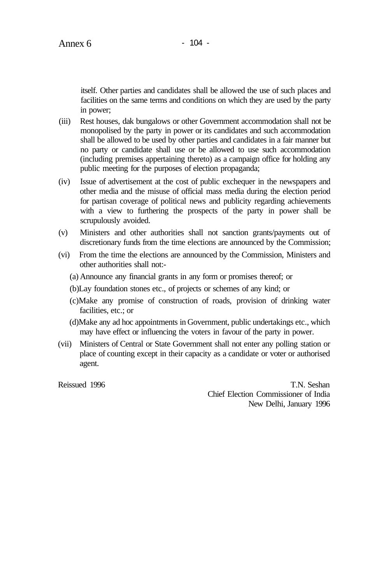itself. Other parties and candidates shall be allowed the use of such places and facilities on the same terms and conditions on which they are used by the party in power;

- (iii) Rest houses, dak bungalows or other Government accommodation shall not be monopolised by the party in power or its candidates and such accommodation shall be allowed to be used by other parties and candidates in a fair manner but no party or candidate shall use or be allowed to use such accommodation (including premises appertaining thereto) as a campaign office for holding any public meeting for the purposes of election propaganda;
- (iv) Issue of advertisement at the cost of public exchequer in the newspapers and other media and the misuse of official mass media during the election period for partisan coverage of political news and publicity regarding achievements with a view to furthering the prospects of the party in power shall be scrupulously avoided.
- (v) Ministers and other authorities shall not sanction grants/payments out of discretionary funds from the time elections are announced by the Commission;
- (vi) From the time the elections are announced by the Commission, Ministers and other authorities shall not:-
	- (a) Announce any financial grants in any form or promises thereof; or
	- (b)Lay foundation stones etc., of projects or schemes of any kind; or
	- (c)Make any promise of construction of roads, provision of drinking water facilities, etc.; or
	- (d)Make any ad hoc appointments in Government, public undertakings etc., which may have effect or influencing the voters in favour of the party in power.
- (vii) Ministers of Central or State Government shall not enter any polling station or place of counting except in their capacity as a candidate or voter or authorised agent.

Reissued 1996 TN Seshan Chief Election Commissioner of India New Delhi, January 1996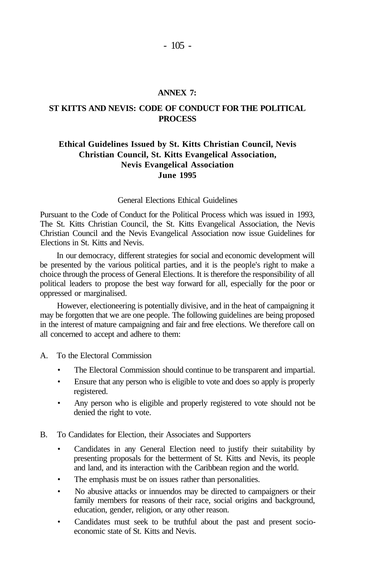#### **ANNEX 7:**

# **ST KITTS AND NEVIS: CODE OF CONDUCT FOR THE POLITICAL PROCESS**

## **Ethical Guidelines Issued by St. Kitts Christian Council, Nevis Christian Council, St. Kitts Evangelical Association, Nevis Evangelical Association June 1995**

#### General Elections Ethical Guidelines

Pursuant to the Code of Conduct for the Political Process which was issued in 1993, The St. Kitts Christian Council, the St. Kitts Evangelical Association, the Nevis Christian Council and the Nevis Evangelical Association now issue Guidelines for Elections in St. Kitts and Nevis.

In our democracy, different strategies for social and economic development will be presented by the various political parties, and it is the people's right to make a choice through the process of General Elections. It is therefore the responsibility of all political leaders to propose the best way forward for all, especially for the poor or oppressed or marginalised.

However, electioneering is potentially divisive, and in the heat of campaigning it may be forgotten that we are one people. The following guidelines are being proposed in the interest of mature campaigning and fair and free elections. We therefore call on all concerned to accept and adhere to them:

- A. To the Electoral Commission
	- The Electoral Commission should continue to be transparent and impartial.
	- Ensure that any person who is eligible to vote and does so apply is properly registered.
	- Any person who is eligible and properly registered to vote should not be denied the right to vote.
- B. To Candidates for Election, their Associates and Supporters
	- Candidates in any General Election need to justify their suitability by presenting proposals for the betterment of St. Kitts and Nevis, its people and land, and its interaction with the Caribbean region and the world.
	- The emphasis must be on issues rather than personalities.
	- No abusive attacks or innuendos may be directed to campaigners or their family members for reasons of their race, social origins and background, education, gender, religion, or any other reason.
	- Candidates must seek to be truthful about the past and present socioeconomic state of St. Kitts and Nevis.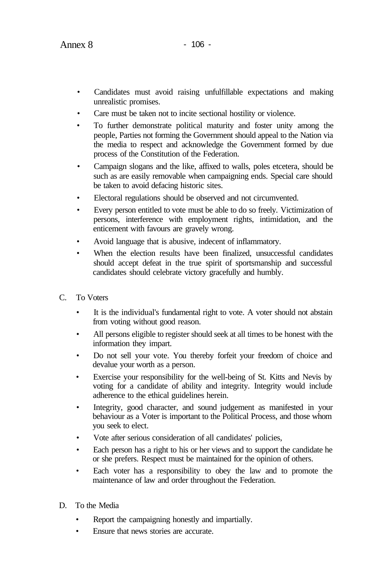- Candidates must avoid raising unfulfillable expectations and making unrealistic promises.
- Care must be taken not to incite sectional hostility or violence.
- To further demonstrate political maturity and foster unity among the people, Parties not forming the Government should appeal to the Nation via the media to respect and acknowledge the Government formed by due process of the Constitution of the Federation.
- Campaign slogans and the like, affixed to walls, poles etcetera, should be such as are easily removable when campaigning ends. Special care should be taken to avoid defacing historic sites.
- Electoral regulations should be observed and not circumvented.
- Every person entitled to vote must be able to do so freely. Victimization of persons, interference with employment rights, intimidation, and the enticement with favours are gravely wrong.
- Avoid language that is abusive, indecent of inflammatory.
- When the election results have been finalized, unsuccessful candidates should accept defeat in the true spirit of sportsmanship and successful candidates should celebrate victory gracefully and humbly.
- C. To Voters
	- It is the individual's fundamental right to vote. A voter should not abstain from voting without good reason.
	- All persons eligible to register should seek at all times to be honest with the information they impart.
	- Do not sell your vote. You thereby forfeit your freedom of choice and devalue your worth as a person.
	- Exercise your responsibility for the well-being of St. Kitts and Nevis by voting for a candidate of ability and integrity. Integrity would include adherence to the ethical guidelines herein.
	- Integrity, good character, and sound judgement as manifested in your behaviour as a Voter is important to the Political Process, and those whom you seek to elect.
	- Vote after serious consideration of all candidates' policies,
	- Each person has a right to his or her views and to support the candidate he or she prefers. Respect must be maintained for the opinion of others.
	- Each voter has a responsibility to obey the law and to promote the maintenance of law and order throughout the Federation.
- D. To the Media
	- Report the campaigning honestly and impartially.
	- Ensure that news stories are accurate.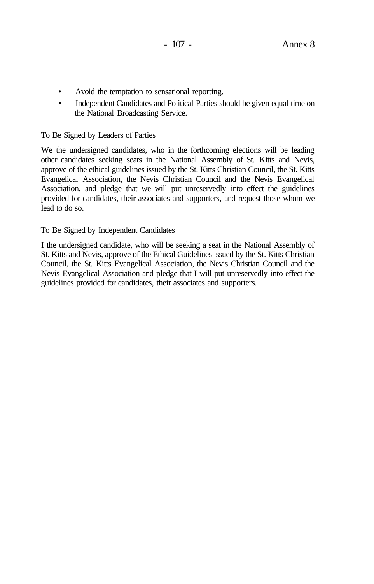- Avoid the temptation to sensational reporting.
- Independent Candidates and Political Parties should be given equal time on the National Broadcasting Service.

## To Be Signed by Leaders of Parties

We the undersigned candidates, who in the forthcoming elections will be leading other candidates seeking seats in the National Assembly of St. Kitts and Nevis, approve of the ethical guidelines issued by the St. Kitts Christian Council, the St. Kitts Evangelical Association, the Nevis Christian Council and the Nevis Evangelical Association, and pledge that we will put unreservedly into effect the guidelines provided for candidates, their associates and supporters, and request those whom we lead to do so.

# To Be Signed by Independent Candidates

I the undersigned candidate, who will be seeking a seat in the National Assembly of St. Kitts and Nevis, approve of the Ethical Guidelines issued by the St. Kitts Christian Council, the St. Kitts Evangelical Association, the Nevis Christian Council and the Nevis Evangelical Association and pledge that I will put unreservedly into effect the guidelines provided for candidates, their associates and supporters.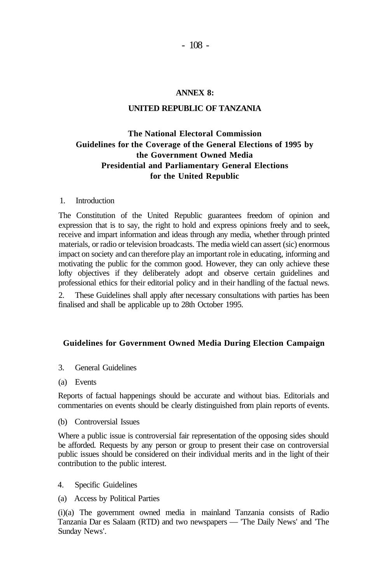#### **ANNEX 8:**

### **UNITED REPUBLIC OF TANZANIA**

# **The National Electoral Commission Guidelines for the Coverage of the General Elections of 1995 by the Government Owned Media Presidential and Parliamentary General Elections for the United Republic**

#### 1. Introduction

The Constitution of the United Republic guarantees freedom of opinion and expression that is to say, the right to hold and express opinions freely and to seek, receive and impart information and ideas through any media, whether through printed materials, or radio or television broadcasts. The media wield can assert (sic) enormous impact on society and can therefore play an important role in educating, informing and motivating the public for the common good. However, they can only achieve these lofty objectives if they deliberately adopt and observe certain guidelines and professional ethics for their editorial policy and in their handling of the factual news.

2. These Guidelines shall apply after necessary consultations with parties has been finalised and shall be applicable up to 28th October 1995.

#### **Guidelines for Government Owned Media During Election Campaign**

- 3. General Guidelines
- (a) Events

Reports of factual happenings should be accurate and without bias. Editorials and commentaries on events should be clearly distinguished from plain reports of events.

(b) Controversial Issues

Where a public issue is controversial fair representation of the opposing sides should be afforded. Requests by any person or group to present their case on controversial public issues should be considered on their individual merits and in the light of their contribution to the public interest.

- 4. Specific Guidelines
- (a) Access by Political Parties

(i)(a) The government owned media in mainland Tanzania consists of Radio Tanzania Dar es Salaam (RTD) and two newspapers — 'The Daily News' and 'The Sunday News'.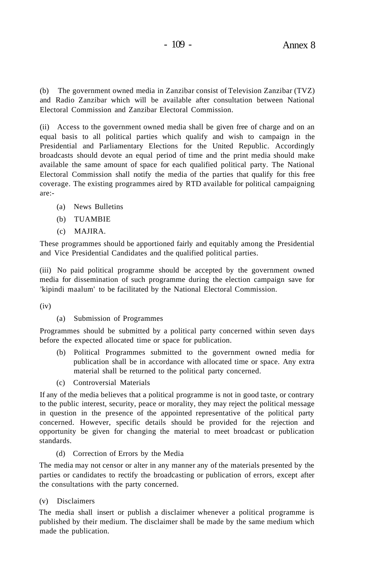(b) The government owned media in Zanzibar consist of Television Zanzibar (TVZ) and Radio Zanzibar which will be available after consultation between National Electoral Commission and Zanzibar Electoral Commission.

(ii) Access to the government owned media shall be given free of charge and on an equal basis to all political parties which qualify and wish to campaign in the Presidential and Parliamentary Elections for the United Republic. Accordingly broadcasts should devote an equal period of time and the print media should make available the same amount of space for each qualified political party. The National Electoral Commission shall notify the media of the parties that qualify for this free coverage. The existing programmes aired by RTD available for political campaigning are:-

- (a) News Bulletins
- (b) TUAMBIE
- (c) MAJIRA.

These programmes should be apportioned fairly and equitably among the Presidential and Vice Presidential Candidates and the qualified political parties.

(iii) No paid political programme should be accepted by the government owned media for dissemination of such programme during the election campaign save for 'kipindi maalum' to be facilitated by the National Electoral Commission.

 $(iv)$ 

#### (a) Submission of Programmes

Programmes should be submitted by a political party concerned within seven days before the expected allocated time or space for publication.

- (b) Political Programmes submitted to the government owned media for publication shall be in accordance with allocated time or space. Any extra material shall be returned to the political party concerned.
- (c) Controversial Materials

If any of the media believes that a political programme is not in good taste, or contrary to the public interest, security, peace or morality, they may reject the political message in question in the presence of the appointed representative of the political party concerned. However, specific details should be provided for the rejection and opportunity be given for changing the material to meet broadcast or publication standards.

(d) Correction of Errors by the Media

The media may not censor or alter in any manner any of the materials presented by the parties or candidates to rectify the broadcasting or publication of errors, except after the consultations with the party concerned.

(v) Disclaimers

The media shall insert or publish a disclaimer whenever a political programme is published by their medium. The disclaimer shall be made by the same medium which made the publication.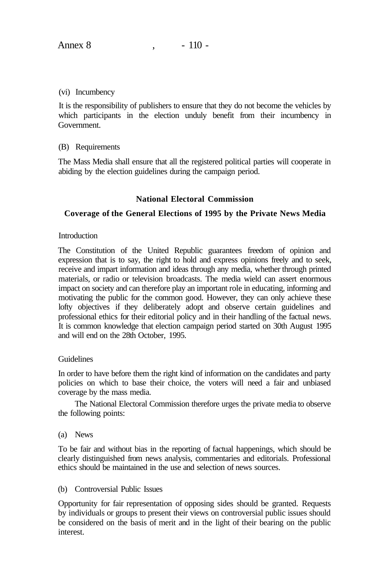#### (vi) Incumbency

It is the responsibility of publishers to ensure that they do not become the vehicles by which participants in the election unduly benefit from their incumbency in Government.

#### (B) Requirements

The Mass Media shall ensure that all the registered political parties will cooperate in abiding by the election guidelines during the campaign period.

## **National Electoral Commission**

## **Coverage of the General Elections of 1995 by the Private News Media**

#### Introduction

The Constitution of the United Republic guarantees freedom of opinion and expression that is to say, the right to hold and express opinions freely and to seek, receive and impart information and ideas through any media, whether through printed materials, or radio or television broadcasts. The media wield can assert enormous impact on society and can therefore play an important role in educating, informing and motivating the public for the common good. However, they can only achieve these lofty objectives if they deliberately adopt and observe certain guidelines and professional ethics for their editorial policy and in their handling of the factual news. It is common knowledge that election campaign period started on 30th August 1995 and will end on the 28th October, 1995.

#### **Guidelines**

In order to have before them the right kind of information on the candidates and party policies on which to base their choice, the voters will need a fair and unbiased coverage by the mass media.

The National Electoral Commission therefore urges the private media to observe the following points:

#### (a) News

To be fair and without bias in the reporting of factual happenings, which should be clearly distinguished from news analysis, commentaries and editorials. Professional ethics should be maintained in the use and selection of news sources.

#### (b) Controversial Public Issues

Opportunity for fair representation of opposing sides should be granted. Requests by individuals or groups to present their views on controversial public issues should be considered on the basis of merit and in the light of their bearing on the public interest.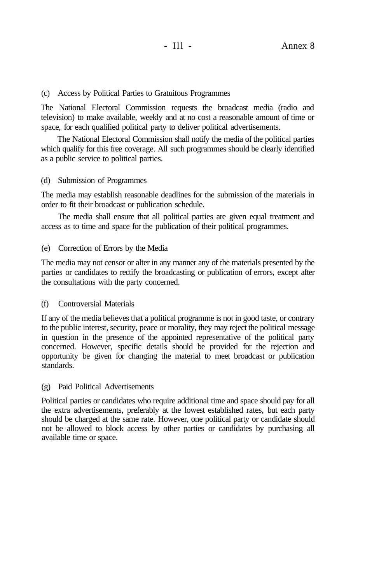## (c) Access by Political Parties to Gratuitous Programmes

The National Electoral Commission requests the broadcast media (radio and television) to make available, weekly and at no cost a reasonable amount of time or space, for each qualified political party to deliver political advertisements.

The National Electoral Commission shall notify the media of the political parties which qualify for this free coverage. All such programmes should be clearly identified as a public service to political parties.

#### (d) Submission of Programmes

The media may establish reasonable deadlines for the submission of the materials in order to fit their broadcast or publication schedule.

The media shall ensure that all political parties are given equal treatment and access as to time and space for the publication of their political programmes.

## (e) Correction of Errors by the Media

The media may not censor or alter in any manner any of the materials presented by the parties or candidates to rectify the broadcasting or publication of errors, except after the consultations with the party concerned.

#### (f) Controversial Materials

If any of the media believes that a political programme is not in good taste, or contrary to the public interest, security, peace or morality, they may reject the political message in question in the presence of the appointed representative of the political party concerned. However, specific details should be provided for the rejection and opportunity be given for changing the material to meet broadcast or publication standards.

#### (g) Paid Political Advertisements

Political parties or candidates who require additional time and space should pay for all the extra advertisements, preferably at the lowest established rates, but each party should be charged at the same rate. However, one political party or candidate should not be allowed to block access by other parties or candidates by purchasing all available time or space.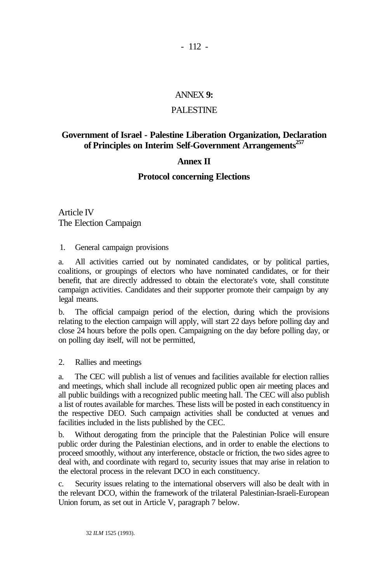## ANNEX **9:**

## PALESTINE

# **Government of Israel - Palestine Liberation Organization, Declaration of Principles on Interim Self-Government Arrangements<sup>257</sup>**

# **Annex II**

# **Protocol concerning Elections**

Article IV The Election Campaign

1. General campaign provisions

a. All activities carried out by nominated candidates, or by political parties, coalitions, or groupings of electors who have nominated candidates, or for their benefit, that are directly addressed to obtain the electorate's vote, shall constitute campaign activities. Candidates and their supporter promote their campaign by any legal means.

b. The official campaign period of the election, during which the provisions relating to the election campaign will apply, will start 22 days before polling day and close 24 hours before the polls open. Campaigning on the day before polling day, or on polling day itself, will not be permitted,

2. Rallies and meetings

a. The CEC will publish a list of venues and facilities available for election rallies and meetings, which shall include all recognized public open air meeting places and all public buildings with a recognized public meeting hall. The CEC will also publish a list of routes available for marches. These lists will be posted in each constituency in the respective DEO. Such campaign activities shall be conducted at venues and facilities included in the lists published by the CEC.

b. Without derogating from the principle that the Palestinian Police will ensure public order during the Palestinian elections, and in order to enable the elections to proceed smoothly, without any interference, obstacle or friction, the two sides agree to deal with, and coordinate with regard to, security issues that may arise in relation to the electoral process in the relevant DCO in each constituency.

c. Security issues relating to the international observers will also be dealt with in the relevant DCO, within the framework of the trilateral Palestinian-Israeli-European Union forum, as set out in Article V, paragraph 7 below.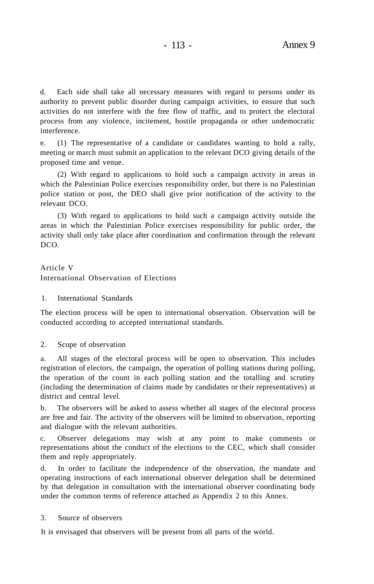d. Each side shall take all necessary measures with regard to persons under its authority to prevent public disorder during campaign activities, to ensure that such activities do not interfere with the free flow of traffic, and to protect the electoral process from any violence, incitement, hostile propaganda or other undemocratic interference.

e. (1) The representative of a candidate or candidates wanting to hold a rally, meeting or march must submit an application to the relevant DCO giving details of the proposed time and venue.

(2) With regard to applications to hold such a campaign activity in areas in which the Palestinian Police exercises responsibility order, but there is no Palestinian police station or post, the DEO shall give prior notification of the activity to the relevant DCO.

(3) With regard to applications to hold such a campaign activity outside the areas in which the Palestinian Police exercises responsibility for public order, the activity shall only take place after coordination and confirmation through the relevant DCO.

Article V International Observation of Elections

1. International Standards

The election process will be open to international observation. Observation will be conducted according to accepted international standards.

#### 2. Scope of observation

a. All stages of the electoral process will be open to observation. This includes registration of electors, the campaign, the operation of polling stations during polling, the operation of the count in each polling station and the totalling and scrutiny (including the determination of claims made by candidates or their representatives) at district and central level.

b. The observers will be asked to assess whether all stages of the electoral process are free and fair. The activity of the observers will be limited to observation, reporting and dialogue with the relevant authorities.

c. Observer delegations may wish at any point to make comments or representations about the conduct of the elections to the CEC, which shall consider them and reply appropriately.

d. In order to facilitate the independence of the observation, the mandate and operating instructions of each international observer delegation shall be determined by that delegation in consultation with the international observer coordinating body under the common terms of reference attached as Appendix 2 to this Annex.

#### 3. Source of observers

It is envisaged that observers will be present from all parts of the world.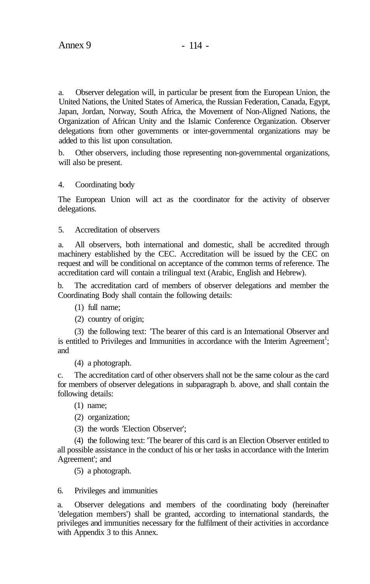a. Observer delegation will, in particular be present from the European Union, the United Nations, the United States of America, the Russian Federation, Canada, Egypt, Japan, Jordan, Norway, South Africa, the Movement of Non-Aligned Nations, the Organization of African Unity and the Islamic Conference Organization. Observer delegations from other governments or inter-governmental organizations may be added to this list upon consultation.

b. Other observers, including those representing non-governmental organizations, will also be present.

## 4. Coordinating body

The European Union will act as the coordinator for the activity of observer delegations.

#### 5. Accreditation of observers

a. All observers, both international and domestic, shall be accredited through machinery established by the CEC. Accreditation will be issued by the CEC on request and will be conditional on acceptance of the common terms of reference. The accreditation card will contain a trilingual text (Arabic, English and Hebrew).

b. The accreditation card of members of observer delegations and member the Coordinating Body shall contain the following details:

(1) full name;

(2) country of origin;

(3) the following text: 'The bearer of this card is an International Observer and is entitled to Privileges and Immunities in accordance with the Interim Agreement<sup>1</sup>; and

(4) a photograph.

c. The accreditation card of other observers shall not be the same colour as the card for members of observer delegations in subparagraph b. above, and shall contain the following details:

- (1) name;
- (2) organization;
- (3) the words 'Election Observer';

(4) the following text: 'The bearer of this card is an Election Observer entitled to all possible assistance in the conduct of his or her tasks in accordance with the Interim Agreement'; and

(5) a photograph.

6. Privileges and immunities

a. Observer delegations and members of the coordinating body (hereinafter 'delegation members') shall be granted, according to international standards, the privileges and immunities necessary for the fulfilment of their activities in accordance with Appendix 3 to this Annex.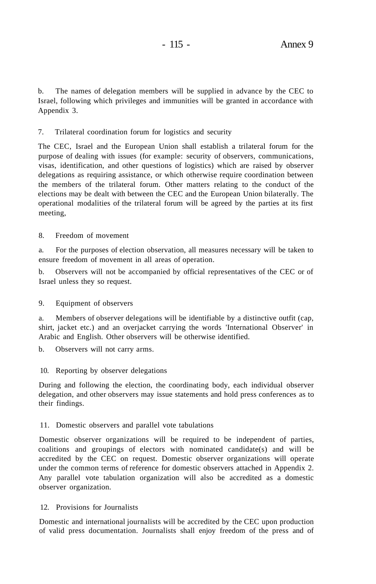b. The names of delegation members will be supplied in advance by the CEC to Israel, following which privileges and immunities will be granted in accordance with Appendix 3.

## 7. Trilateral coordination forum for logistics and security

The CEC, Israel and the European Union shall establish a trilateral forum for the purpose of dealing with issues (for example: security of observers, communications, visas, identification, and other questions of logistics) which are raised by observer delegations as requiring assistance, or which otherwise require coordination between the members of the trilateral forum. Other matters relating to the conduct of the elections may be dealt with between the CEC and the European Union bilaterally. The operational modalities of the trilateral forum will be agreed by the parties at its first meeting,

## 8. Freedom of movement

a. For the purposes of election observation, all measures necessary will be taken to ensure freedom of movement in all areas of operation.

b. Observers will not be accompanied by official representatives of the CEC or of Israel unless they so request.

#### 9. Equipment of observers

a. Members of observer delegations will be identifiable by a distinctive outfit (cap, shirt, jacket etc.) and an overjacket carrying the words 'International Observer' in Arabic and English. Other observers will be otherwise identified.

b. Observers will not carry arms.

## 10. Reporting by observer delegations

During and following the election, the coordinating body, each individual observer delegation, and other observers may issue statements and hold press conferences as to their findings.

#### 11. Domestic observers and parallel vote tabulations

Domestic observer organizations will be required to be independent of parties, coalitions and groupings of electors with nominated candidate(s) and will be accredited by the CEC on request. Domestic observer organizations will operate under the common terms of reference for domestic observers attached in Appendix 2. Any parallel vote tabulation organization will also be accredited as a domestic observer organization.

## 12. Provisions for Journalists

Domestic and international journalists will be accredited by the CEC upon production of valid press documentation. Journalists shall enjoy freedom of the press and of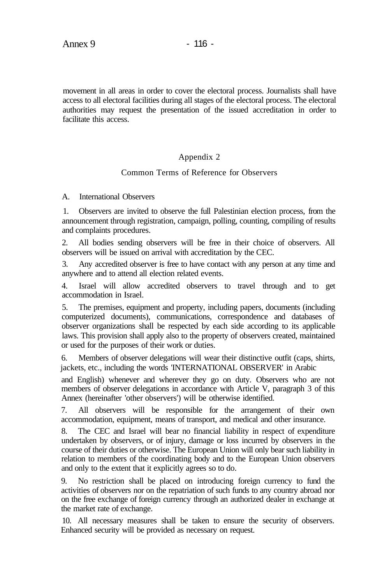movement in all areas in order to cover the electoral process. Journalists shall have access to all electoral facilities during all stages of the electoral process. The electoral authorities may request the presentation of the issued accreditation in order to facilitate this access.

#### Appendix 2

#### Common Terms of Reference for Observers

A. International Observers

1. Observers are invited to observe the full Palestinian election process, from the announcement through registration, campaign, polling, counting, compiling of results and complaints procedures.

2. All bodies sending observers will be free in their choice of observers. All observers will be issued on arrival with accreditation by the CEC.

3. Any accredited observer is free to have contact with any person at any time and anywhere and to attend all election related events.

4. Israel will allow accredited observers to travel through and to get accommodation in Israel.

5. The premises, equipment and property, including papers, documents (including computerized documents), communications, correspondence and databases of observer organizations shall be respected by each side according to its applicable laws. This provision shall apply also to the property of observers created, maintained or used for the purposes of their work or duties.

6. Members of observer delegations will wear their distinctive outfit (caps, shirts, jackets, etc., including the words 'INTERNATIONAL OBSERVER' in Arabic

and English) whenever and wherever they go on duty. Observers who are not members of observer delegations in accordance with Article V, paragraph 3 of this Annex (hereinafter 'other observers') will be otherwise identified.

7. All observers will be responsible for the arrangement of their own accommodation, equipment, means of transport, and medical and other insurance.

8. The CEC and Israel will bear no financial liability in respect of expenditure undertaken by observers, or of injury, damage or loss incurred by observers in the course of their duties or otherwise. The European Union will only bear such liability in relation to members of the coordinating body and to the European Union observers and only to the extent that it explicitly agrees so to do.

9. No restriction shall be placed on introducing foreign currency to fund the activities of observers nor on the repatriation of such funds to any country abroad nor on the free exchange of foreign currency through an authorized dealer in exchange at the market rate of exchange.

10. All necessary measures shall be taken to ensure the security of observers. Enhanced security will be provided as necessary on request.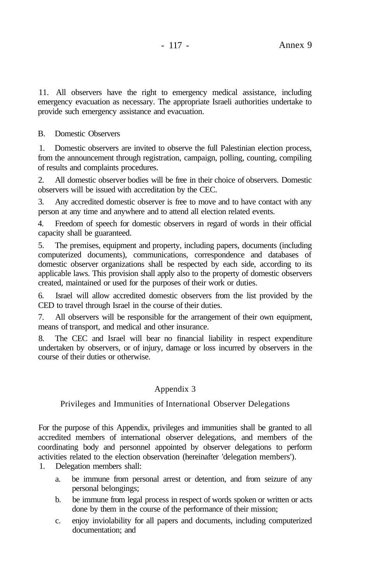11. All observers have the right to emergency medical assistance, including emergency evacuation as necessary. The appropriate Israeli authorities undertake to provide such emergency assistance and evacuation.

B. Domestic Observers

1. Domestic observers are invited to observe the full Palestinian election process, from the announcement through registration, campaign, polling, counting, compiling of results and complaints procedures.

2. All domestic observer bodies will be free in their choice of observers. Domestic observers will be issued with accreditation by the CEC.

3. Any accredited domestic observer is free to move and to have contact with any person at any time and anywhere and to attend all election related events.

4. Freedom of speech for domestic observers in regard of words in their official capacity shall be guaranteed.

5. The premises, equipment and property, including papers, documents (including computerized documents), communications, correspondence and databases of domestic observer organizations shall be respected by each side, according to its applicable laws. This provision shall apply also to the property of domestic observers created, maintained or used for the purposes of their work or duties.

6. Israel will allow accredited domestic observers from the list provided by the CED to travel through Israel in the course of their duties.

7. All observers will be responsible for the arrangement of their own equipment, means of transport, and medical and other insurance.

The CEC and Israel will bear no financial liability in respect expenditure undertaken by observers, or of injury, damage or loss incurred by observers in the course of their duties or otherwise.

## Appendix 3

Privileges and Immunities of International Observer Delegations

For the purpose of this Appendix, privileges and immunities shall be granted to all accredited members of international observer delegations, and members of the coordinating body and personnel appointed by observer delegations to perform activities related to the election observation (hereinafter 'delegation members').

- 1. Delegation members shall:
	- a. be immune from personal arrest or detention, and from seizure of any personal belongings;
	- b. be immune from legal process in respect of words spoken or written or acts done by them in the course of the performance of their mission;
	- c. enjoy inviolability for all papers and documents, including computerized documentation; and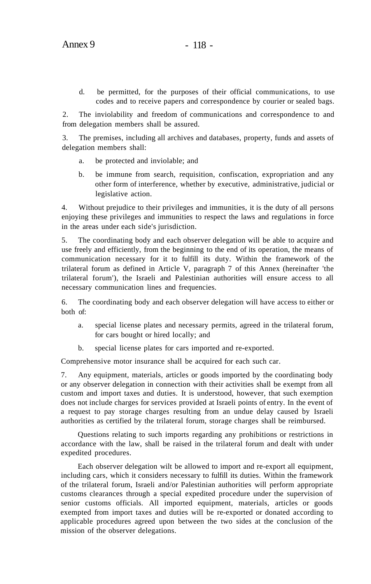d. be permitted, for the purposes of their official communications, to use codes and to receive papers and correspondence by courier or sealed bags.

2. The inviolability and freedom of communications and correspondence to and from delegation members shall be assured.

3. The premises, including all archives and databases, property, funds and assets of delegation members shall:

- a. be protected and inviolable; and
- b. be immune from search, requisition, confiscation, expropriation and any other form of interference, whether by executive, administrative, judicial or legislative action.

4. Without prejudice to their privileges and immunities, it is the duty of all persons enjoying these privileges and immunities to respect the laws and regulations in force in the areas under each side's jurisdiction.

5. The coordinating body and each observer delegation will be able to acquire and use freely and efficiently, from the beginning to the end of its operation, the means of communication necessary for it to fulfill its duty. Within the framework of the trilateral forum as defined in Article V, paragraph 7 of this Annex (hereinafter 'the trilateral forum'), the Israeli and Palestinian authorities will ensure access to all necessary communication lines and frequencies.

6. The coordinating body and each observer delegation will have access to either or both of:

- a. special license plates and necessary permits, agreed in the trilateral forum, for cars bought or hired locally; and
- b. special license plates for cars imported and re-exported.

Comprehensive motor insurance shall be acquired for each such car.

7. Any equipment, materials, articles or goods imported by the coordinating body or any observer delegation in connection with their activities shall be exempt from all custom and import taxes and duties. It is understood, however, that such exemption does not include charges for services provided at Israeli points of entry. In the event of a request to pay storage charges resulting from an undue delay caused by Israeli authorities as certified by the trilateral forum, storage charges shall be reimbursed.

Questions relating to such imports regarding any prohibitions or restrictions in accordance with the law, shall be raised in the trilateral forum and dealt with under expedited procedures.

Each observer delegation wilt be allowed to import and re-export all equipment, including cars, which it considers necessary to fulfill its duties. Within the framework of the trilateral forum, Israeli and/or Palestinian authorities will perform appropriate customs clearances through a special expedited procedure under the supervision of senior customs officials. All imported equipment, materials, articles or goods exempted from import taxes and duties will be re-exported or donated according to applicable procedures agreed upon between the two sides at the conclusion of the mission of the observer delegations.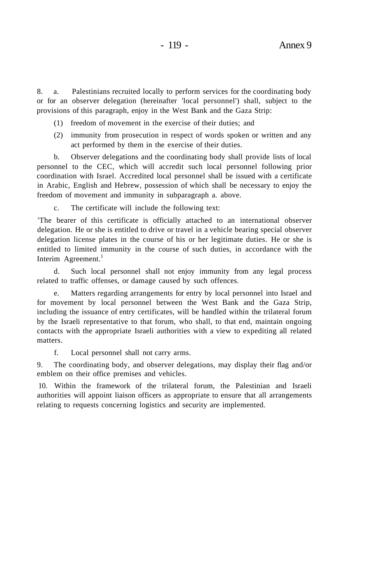8. a. Palestinians recruited locally to perform services for the coordinating body or for an observer delegation (hereinafter 'local personnel') shall, subject to the provisions of this paragraph, enjoy in the West Bank and the Gaza Strip:

- (1) freedom of movement in the exercise of their duties; and
- (2) immunity from prosecution in respect of words spoken or written and any act performed by them in the exercise of their duties.

b. Observer delegations and the coordinating body shall provide lists of local personnel to the CEC, which will accredit such local personnel following prior coordination with Israel. Accredited local personnel shall be issued with a certificate in Arabic, English and Hebrew, possession of which shall be necessary to enjoy the freedom of movement and immunity in subparagraph a. above.

c. The certificate will include the following text:

'The bearer of this certificate is officially attached to an international observer delegation. He or she is entitled to drive or travel in a vehicle bearing special observer delegation license plates in the course of his or her legitimate duties. He or she is entitled to limited immunity in the course of such duties, in accordance with the Interim Agreement.<sup>1</sup>

d. Such local personnel shall not enjoy immunity from any legal process related to traffic offenses, or damage caused by such offences.

Matters regarding arrangements for entry by local personnel into Israel and for movement by local personnel between the West Bank and the Gaza Strip, including the issuance of entry certificates, will be handled within the trilateral forum by the Israeli representative to that forum, who shall, to that end, maintain ongoing contacts with the appropriate Israeli authorities with a view to expediting all related matters.

f. Local personnel shall not carry arms.

9. The coordinating body, and observer delegations, may display their flag and/or emblem on their office premises and vehicles.

10. Within the framework of the trilateral forum, the Palestinian and Israeli authorities will appoint liaison officers as appropriate to ensure that all arrangements relating to requests concerning logistics and security are implemented.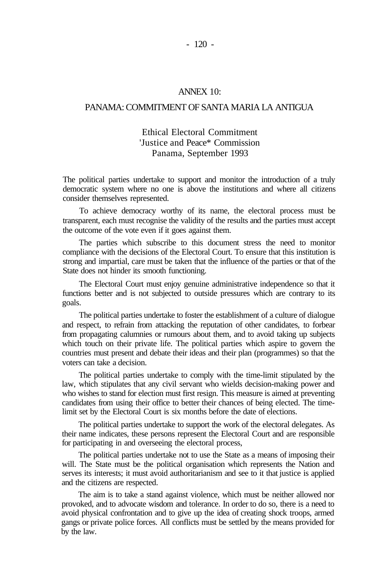## ANNEX  $10$

#### PANAMA: COMMITMENT OF SANTA MARIA LA ANTIGUA

# Ethical Electoral Commitment 'Justice and Peace\* Commission Panama, September 1993

The political parties undertake to support and monitor the introduction of a truly democratic system where no one is above the institutions and where all citizens consider themselves represented.

To achieve democracy worthy of its name, the electoral process must be transparent, each must recognise the validity of the results and the parties must accept the outcome of the vote even if it goes against them.

The parties which subscribe to this document stress the need to monitor compliance with the decisions of the Electoral Court. To ensure that this institution is strong and impartial, care must be taken that the influence of the parties or that of the State does not hinder its smooth functioning.

The Electoral Court must enjoy genuine administrative independence so that it functions better and is not subjected to outside pressures which are contrary to its goals.

The political parties undertake to foster the establishment of a culture of dialogue and respect, to refrain from attacking the reputation of other candidates, to forbear from propagating calumnies or rumours about them, and to avoid taking up subjects which touch on their private life. The political parties which aspire to govern the countries must present and debate their ideas and their plan (programmes) so that the voters can take a decision.

The political parties undertake to comply with the time-limit stipulated by the law, which stipulates that any civil servant who wields decision-making power and who wishes to stand for election must first resign. This measure is aimed at preventing candidates from using their office to better their chances of being elected. The timelimit set by the Electoral Court is six months before the date of elections.

The political parties undertake to support the work of the electoral delegates. As their name indicates, these persons represent the Electoral Court and are responsible for participating in and overseeing the electoral process,

The political parties undertake not to use the State as a means of imposing their will. The State must be the political organisation which represents the Nation and serves its interests; it must avoid authoritarianism and see to it that justice is applied and the citizens are respected.

The aim is to take a stand against violence, which must be neither allowed nor provoked, and to advocate wisdom and tolerance. In order to do so, there is a need to avoid physical confrontation and to give up the idea of creating shock troops, armed gangs or private police forces. All conflicts must be settled by the means provided for by the law.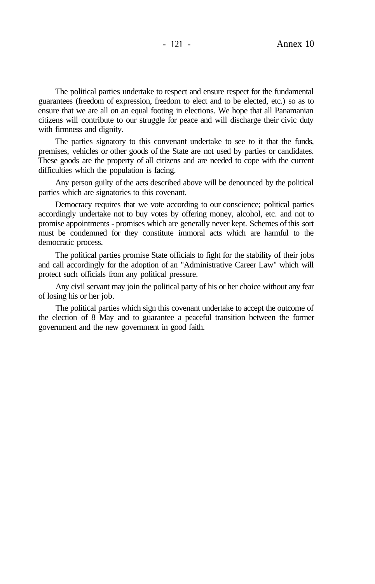The political parties undertake to respect and ensure respect for the fundamental guarantees (freedom of expression, freedom to elect and to be elected, etc.) so as to ensure that we are all on an equal footing in elections. We hope that all Panamanian citizens will contribute to our struggle for peace and will discharge their civic duty with firmness and dignity.

The parties signatory to this convenant undertake to see to it that the funds, premises, vehicles or other goods of the State are not used by parties or candidates. These goods are the property of all citizens and are needed to cope with the current difficulties which the population is facing.

Any person guilty of the acts described above will be denounced by the political parties which are signatories to this covenant.

Democracy requires that we vote according to our conscience; political parties accordingly undertake not to buy votes by offering money, alcohol, etc. and not to promise appointments - promises which are generally never kept. Schemes of this sort must be condemned for they constitute immoral acts which are harmful to the democratic process.

The political parties promise State officials to fight for the stability of their jobs and call accordingly for the adoption of an "Administrative Career Law" which will protect such officials from any political pressure.

Any civil servant may join the political party of his or her choice without any fear of losing his or her job.

The political parties which sign this covenant undertake to accept the outcome of the election of 8 May and to guarantee a peaceful transition between the former government and the new government in good faith.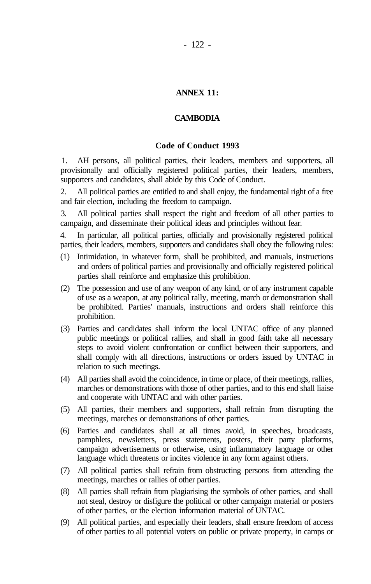## **ANNEX 11:**

## **CAMBODIA**

## **Code of Conduct 1993**

1. AH persons, all political parties, their leaders, members and supporters, all provisionally and officially registered political parties, their leaders, members, supporters and candidates, shall abide by this Code of Conduct.

2. All political parties are entitled to and shall enjoy, the fundamental right of a free and fair election, including the freedom to campaign.

3. All political parties shall respect the right and freedom of all other parties to campaign, and disseminate their political ideas and principles without fear.

4. In particular, all political parties, officially and provisionally registered political parties, their leaders, members, supporters and candidates shall obey the following rules:

- (1) Intimidation, in whatever form, shall be prohibited, and manuals, instructions and orders of political parties and provisionally and officially registered political parties shall reinforce and emphasize this prohibition.
- (2) The possession and use of any weapon of any kind, or of any instrument capable of use as a weapon, at any political rally, meeting, march or demonstration shall be prohibited. Parties' manuals, instructions and orders shall reinforce this prohibition.
- (3) Parties and candidates shall inform the local UNTAC office of any planned public meetings or political rallies, and shall in good faith take all necessary steps to avoid violent confrontation or conflict between their supporters, and shall comply with all directions, instructions or orders issued by UNTAC in relation to such meetings.
- (4) All parties shall avoid the coincidence, in time or place, of their meetings, rallies, marches or demonstrations with those of other parties, and to this end shall liaise and cooperate with UNTAC and with other parties.
- (5) All parties, their members and supporters, shall refrain from disrupting the meetings, marches or demonstrations of other parties.
- (6) Parties and candidates shall at all times avoid, in speeches, broadcasts, pamphlets, newsletters, press statements, posters, their party platforms, campaign advertisements or otherwise, using inflammatory language or other language which threatens or incites violence in any form against others.
- (7) All political parties shall refrain from obstructing persons from attending the meetings, marches or rallies of other parties.
- (8) All parties shall refrain from plagiarising the symbols of other parties, and shall not steal, destroy or disfigure the political or other campaign material or posters of other parties, or the election information material of UNTAC.
- (9) All political parties, and especially their leaders, shall ensure freedom of access of other parties to all potential voters on public or private property, in camps or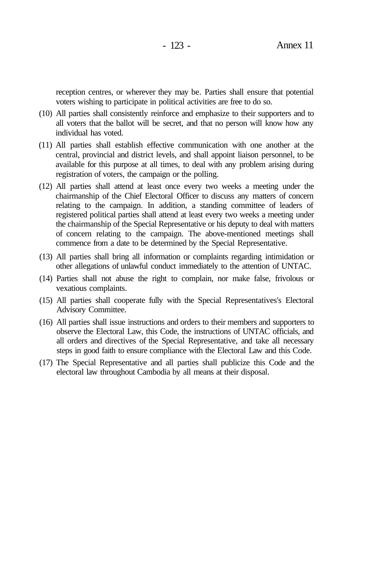reception centres, or wherever they may be. Parties shall ensure that potential voters wishing to participate in political activities are free to do so.

- (10) All parties shall consistently reinforce and emphasize to their supporters and to all voters that the ballot will be secret, and that no person will know how any individual has voted.
- (11) All parties shall establish effective communication with one another at the central, provincial and district levels, and shall appoint liaison personnel, to be available for this purpose at all times, to deal with any problem arising during registration of voters, the campaign or the polling.
- (12) All parties shall attend at least once every two weeks a meeting under the chairmanship of the Chief Electoral Officer to discuss any matters of concern relating to the campaign. In addition, a standing committee of leaders of registered political parties shall attend at least every two weeks a meeting under the chairmanship of the Special Representative or his deputy to deal with matters of concern relating to the campaign. The above-mentioned meetings shall commence from a date to be determined by the Special Representative.
- (13) All parties shall bring all information or complaints regarding intimidation or other allegations of unlawful conduct immediately to the attention of UNTAC.
- (14) Parties shall not abuse the right to complain, nor make false, frivolous or vexatious complaints.
- (15) All parties shall cooperate fully with the Special Representatives's Electoral Advisory Committee.
- (16) All parties shall issue instructions and orders to their members and supporters to observe the Electoral Law, this Code, the instructions of UNTAC officials, and all orders and directives of the Special Representative, and take all necessary steps in good faith to ensure compliance with the Electoral Law and this Code.
- (17) The Special Representative and all parties shall publicize this Code and the electoral law throughout Cambodia by all means at their disposal.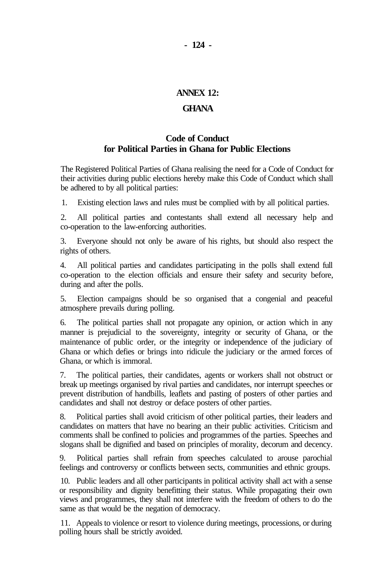# **ANNEX 12:**

# **GHANA**

# **Code of Conduct for Political Parties in Ghana for Public Elections**

The Registered Political Parties of Ghana realising the need for a Code of Conduct for their activities during public elections hereby make this Code of Conduct which shall be adhered to by all political parties:

1. Existing election laws and rules must be complied with by all political parties.

2. All political parties and contestants shall extend all necessary help and co-operation to the law-enforcing authorities.

3. Everyone should not only be aware of his rights, but should also respect the rights of others.

4. All political parties and candidates participating in the polls shall extend full co-operation to the election officials and ensure their safety and security before, during and after the polls.

5. Election campaigns should be so organised that a congenial and peaceful atmosphere prevails during polling.

6. The political parties shall not propagate any opinion, or action which in any manner is prejudicial to the sovereignty, integrity or security of Ghana, or the maintenance of public order, or the integrity or independence of the judiciary of Ghana or which defies or brings into ridicule the judiciary or the armed forces of Ghana, or which is immoral.

7. The political parties, their candidates, agents or workers shall not obstruct or break up meetings organised by rival parties and candidates, nor interrupt speeches or prevent distribution of handbills, leaflets and pasting of posters of other parties and candidates and shall not destroy or deface posters of other parties.

8. Political parties shall avoid criticism of other political parties, their leaders and candidates on matters that have no bearing an their public activities. Criticism and comments shall be confined to policies and programmes of the parties. Speeches and slogans shall be dignified and based on principles of morality, decorum and decency.

9. Political parties shall refrain from speeches calculated to arouse parochial feelings and controversy or conflicts between sects, communities and ethnic groups.

10. Public leaders and all other participants in political activity shall act with a sense or responsibility and dignity benefitting their status. While propagating their own views and programmes, they shall not interfere with the freedom of others to do the same as that would be the negation of democracy.

11. Appeals to violence or resort to violence during meetings, processions, or during polling hours shall be strictly avoided.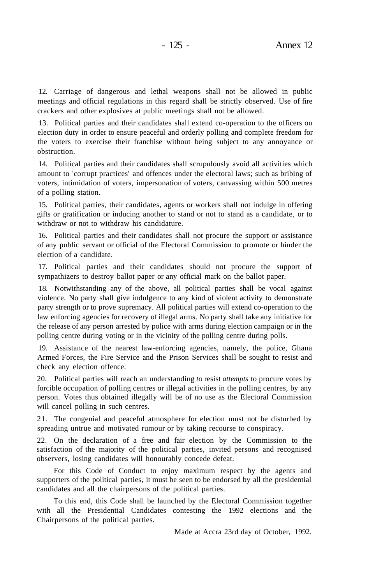12. Carriage of dangerous and lethal weapons shall not be allowed in public meetings and official regulations in this regard shall be strictly observed. Use of fire crackers and other explosives at public meetings shall not be allowed.

13. Political parties and their candidates shall extend co-operation to the officers on election duty in order to ensure peaceful and orderly polling and complete freedom for the voters to exercise their franchise without being subject to any annoyance or obstruction.

14. Political parties and their candidates shall scrupulously avoid all activities which amount to 'corrupt practices' and offences under the electoral laws; such as bribing of voters, intimidation of voters, impersonation of voters, canvassing within 500 metres of a polling station.

15. Political parties, their candidates, agents or workers shall not indulge in offering gifts or gratification or inducing another to stand or not to stand as a candidate, or to withdraw or not to withdraw his candidature.

16. Political parties and their candidates shall not procure the support or assistance of any public servant or official of the Electoral Commission to promote or hinder the election of a candidate.

17. Political parties and their candidates should not procure the support of sympathizers to destroy ballot paper or any official mark on the ballot paper.

18. Notwithstanding any of the above, all political parties shall be vocal against violence. No party shall give indulgence to any kind of violent activity to demonstrate parry strength or to prove supremacy. All political parties will extend co-operation to the law enforcing agencies for recovery of illegal arms. No party shall take any initiative for the release of any person arrested by police with arms during election campaign or in the polling centre during voting or in the vicinity of the polling centre during polls.

19. Assistance of the nearest law-enforcing agencies, namely, the police, Ghana Armed Forces, the Fire Service and the Prison Services shall be sought to resist and check any election offence.

20. Political parties will reach an understanding *to* resist *attempts* to procure votes by forcible occupation of polling centres or illegal activities in the polling centres, by any person. Votes thus obtained illegally will be of no use as the Electoral Commission will cancel polling in such centres.

21. The congenial and peaceful atmosphere for election must not be disturbed by spreading untrue and motivated rumour or by taking recourse to conspiracy.

22. On the declaration of a free and fair election by the Commission to the satisfaction of the majority of the political parties, invited persons and recognised observers, losing candidates will honourably concede defeat.

For this Code of Conduct to enjoy maximum respect by the agents and supporters of the political parties, it must be seen to be endorsed by all the presidential candidates and all the chairpersons of the political parties.

To this end, this Code shall be launched by the Electoral Commission together with all the Presidential Candidates contesting the 1992 elections and the Chairpersons of the political parties.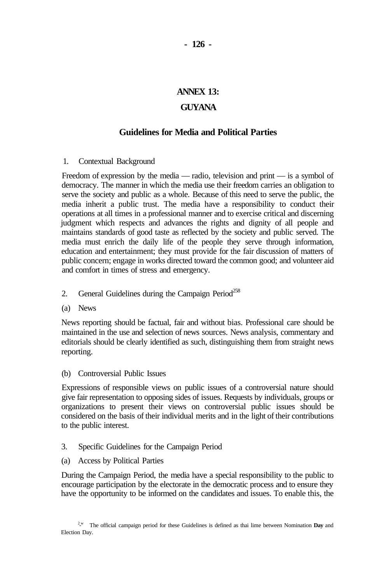# **ANNEX 13:**

# **GUYANA**

# **Guidelines for Media and Political Parties**

## 1. Contextual Background

Freedom of expression by the media — radio, television and print — is a symbol of democracy. The manner in which the media use their freedom carries an obligation to serve the society and public as a whole. Because of this need to serve the public, the media inherit a public trust. The media have a responsibility to conduct their operations at all times in a professional manner and to exercise critical and discerning judgment which respects and advances the rights and dignity of all people and maintains standards of good taste as reflected by the society and public served. The media must enrich the daily life of the people they serve through information, education and entertainment; they must provide for the fair discussion of matters of public concern; engage in works directed toward the common good; and volunteer aid and comfort in times of stress and emergency.

- 2. General Guidelines during the Campaign Period<sup>258</sup>
- (a) News

News reporting should be factual, fair and without bias. Professional care should be maintained in the use and selection of news sources. News analysis, commentary and editorials should be clearly identified as such, distinguishing them from straight news reporting.

(b) Controversial Public Issues

Expressions of responsible views on public issues of a controversial nature should give fair representation to opposing sides of issues. Requests by individuals, groups or organizations to present their views on controversial public issues should be considered on the basis of their individual merits and in the light of their contributions to the public interest.

- 3. Specific Guidelines for the Campaign Period
- (a) Access by Political Parties

During the Campaign Period, the media have a special responsibility to the public to encourage participation by the electorate in the democratic process and to ensure they have the opportunity to be informed on the candidates and issues. To enable this, the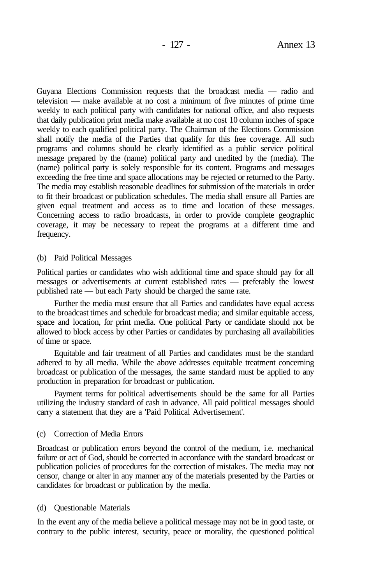Guyana Elections Commission requests that the broadcast media — radio and television — make available at no cost a minimum of five minutes of prime time weekly to each political party with candidates for national office, and also requests that daily publication print media make available at no cost 10 column inches of space weekly to each qualified political party. The Chairman of the Elections Commission shall notify the media of the Parties that qualify for this free coverage. All such programs and columns should be clearly identified as a public service political message prepared by the (name) political party and unedited by the (media). The (name) political party is solely responsible for its content. Programs and messages exceeding the free time and space allocations may be rejected or returned to the Party. The media may establish reasonable deadlines for submission of the materials in order to fit their broadcast or publication schedules. The media shall ensure all Parties are given equal treatment and access as to time and location of these messages. Concerning access to radio broadcasts, in order to provide complete geographic coverage, it may be necessary to repeat the programs at a different time and frequency.

#### (b) Paid Political Messages

Political parties or candidates who wish additional time and space should pay for all messages or advertisements at current established rates — preferably the lowest published rate — but each Party should be charged the same rate.

Further the media must ensure that all Parties and candidates have equal access to the broadcast times and schedule for broadcast media; and similar equitable access, space and location, for print media. One political Party or candidate should not be allowed to block access by other Parties or candidates by purchasing all availabilities of time or space.

Equitable and fair treatment of all Parties and candidates must be the standard adhered to by all media. While the above addresses equitable treatment concerning broadcast or publication of the messages, the same standard must be applied to any production in preparation for broadcast or publication.

Payment terms for political advertisements should be the same for all Parties utilizing the industry standard of cash in advance. All paid political messages should carry a statement that they are a 'Paid Political Advertisement'.

#### (c) Correction of Media Errors

Broadcast or publication errors beyond the control of the medium, i.e. mechanical failure or act of God, should be corrected in accordance with the standard broadcast or publication policies of procedures for the correction of mistakes. The media may not censor, change or alter in any manner any of the materials presented by the Parties or candidates for broadcast or publication by the media.

#### (d) Questionable Materials

In the event any of the media believe a political message may not be in good taste, or contrary to the public interest, security, peace or morality, the questioned political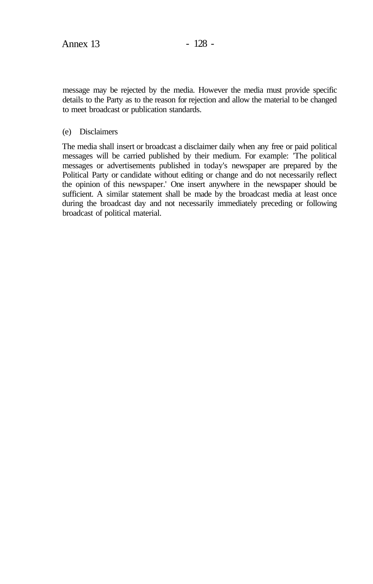message may be rejected by the media. However the media must provide specific details to the Party as to the reason for rejection and allow the material to be changed to meet broadcast or publication standards.

#### (e) Disclaimers

The media shall insert or broadcast a disclaimer daily when any free or paid political messages will be carried published by their medium. For example: 'The political messages or advertisements published in today's newspaper are prepared by the Political Party or candidate without editing or change and do not necessarily reflect the opinion of this newspaper.' One insert anywhere in the newspaper should be sufficient. A similar statement shall be made by the broadcast media at least once during the broadcast day and not necessarily immediately preceding or following broadcast of political material.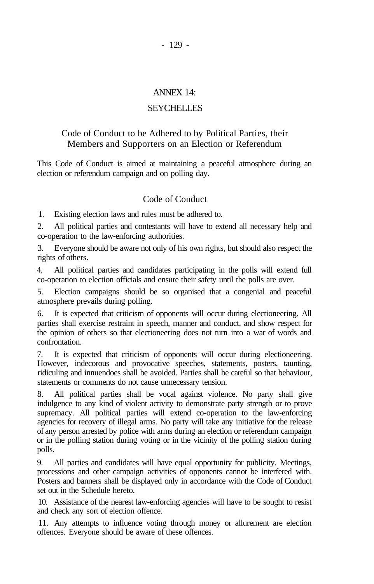# SEYCHELLES

# Code of Conduct to be Adhered to by Political Parties, their Members and Supporters on an Election or Referendum

This Code of Conduct is aimed at maintaining a peaceful atmosphere during an election or referendum campaign and on polling day.

# Code of Conduct

1. Existing election laws and rules must be adhered to.

2. All political parties and contestants will have to extend all necessary help and co-operation to the law-enforcing authorities.

3. Everyone should be aware not only of his own rights, but should also respect the rights of others.

4. All political parties and candidates participating in the polls will extend full co-operation to election officials and ensure their safety until the polls are over.

5. Election campaigns should be so organised that a congenial and peaceful atmosphere prevails during polling.

6. It is expected that criticism of opponents will occur during electioneering. All parties shall exercise restraint in speech, manner and conduct, and show respect for the opinion of others so that electioneering does not turn into a war of words and confrontation.

7. It is expected that criticism of opponents will occur during electioneering. However, indecorous and provocative speeches, statements, posters, taunting, ridiculing and innuendoes shall be avoided. Parties shall be careful so that behaviour, statements or comments do not cause unnecessary tension.

8. All political parties shall be vocal against violence. No party shall give indulgence to any kind of violent activity to demonstrate party strength or to prove supremacy. All political parties will extend co-operation to the law-enforcing agencies for recovery of illegal arms. No party will take any initiative for the release of any person arrested by police with arms during an election or referendum campaign or in the polling station during voting or in the vicinity of the polling station during polls.

9. All parties and candidates will have equal opportunity for publicity. Meetings, processions and other campaign activities of opponents cannot be interfered with. Posters and banners shall be displayed only in accordance with the Code of Conduct set out in the Schedule hereto.

10. Assistance of the nearest law-enforcing agencies will have to be sought to resist and check any sort of election offence.

11. Any attempts to influence voting through money or allurement are election offences. Everyone should be aware of these offences.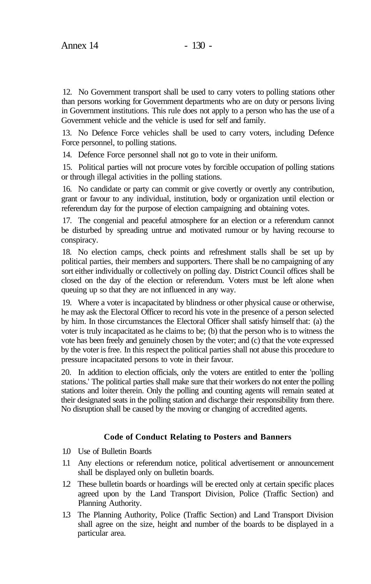12. No Government transport shall be used to carry voters to polling stations other than persons working for Government departments who are on duty or persons living in Government institutions. This rule does not apply to a person who has the use of a Government vehicle and the vehicle is used for self and family.

13. No Defence Force vehicles shall be used to carry voters, including Defence Force personnel, to polling stations.

14. Defence Force personnel shall not go to vote in their uniform.

15. Political parties will not procure votes by forcible occupation of polling stations or through illegal activities in the polling stations.

16. No candidate or party can commit or give covertly or overtly any contribution, grant or favour to any individual, institution, body or organization until election or referendum day for the purpose of election campaigning and obtaining votes.

17. The congenial and peaceful atmosphere for an election or a referendum cannot be disturbed by spreading untrue and motivated rumour or by having recourse to conspiracy.

18. No election camps, check points and refreshment stalls shall be set up by political parties, their members and supporters. There shall be no campaigning of any sort either individually or collectively on polling day. District Council offices shall be closed on the day of the election or referendum. Voters must be left alone when queuing up so that they are not influenced in any way.

19. Where a voter is incapacitated by blindness or other physical cause or otherwise, he may ask the Electoral Officer to record his vote in the presence of a person selected by him. In those circumstances the Electoral Officer shall satisfy himself that: (a) the voter is truly incapacitated as he claims to be; (b) that the person who is to witness the vote has been freely and genuinely chosen by the voter; and (c) that the vote expressed by the voter is free. In this respect the political parties shall not abuse this procedure to pressure incapacitated persons to vote in their favour.

20. In addition to election officials, only the voters are entitled to enter the 'polling stations.' The political parties shall make sure that their workers do not enter the polling stations and loiter therein. Only the polling and counting agents will remain seated at their designated seats in the polling station and discharge their responsibility from there. No disruption shall be caused by the moving or changing of accredited agents.

## **Code of Conduct Relating to Posters and Banners**

- 1.0 Use of Bulletin Boards
- 1.1 Any elections or referendum notice, political advertisement or announcement shall be displayed only on bulletin boards.
- 1.2 These bulletin boards or hoardings will be erected only at certain specific places agreed upon by the Land Transport Division, Police (Traffic Section) and Planning Authority.
- 1.3 The Planning Authority, Police (Traffic Section) and Land Transport Division shall agree on the size, height and number of the boards to be displayed in a particular area.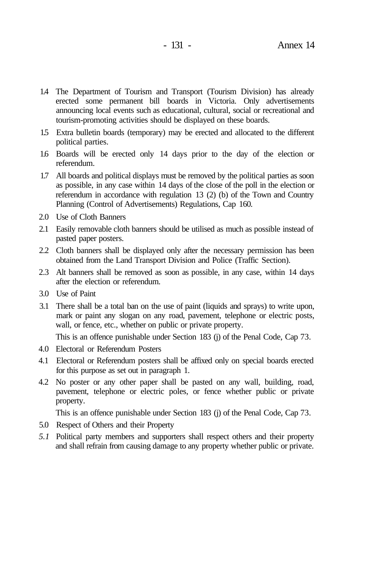- 1.4 The Department of Tourism and Transport (Tourism Division) has already erected some permanent bill boards in Victoria. Only advertisements announcing local events such as educational, cultural, social or recreational and tourism-promoting activities should be displayed on these boards.
- 1.5 Extra bulletin boards (temporary) may be erected and allocated to the different political parties.
- 1.6 Boards will be erected only 14 days prior to the day of the election or referendum.
- 1.7 All boards and political displays must be removed by the political parties as soon as possible, in any case within 14 days of the close of the poll in the election or referendum in accordance with regulation 13 (2) (b) of the Town and Country Planning (Control of Advertisements) Regulations, Cap 160.
- 2.0 Use of Cloth Banners
- 2.1 Easily removable cloth banners should be utilised as much as possible instead of pasted paper posters.
- 2.2 Cloth banners shall be displayed only after the necessary permission has been obtained from the Land Transport Division and Police (Traffic Section).
- 2.3 Alt banners shall be removed as soon as possible, in any case, within 14 days after the election or referendum.
- 3.0 Use of Paint
- 3.1 There shall be a total ban on the use of paint (liquids and sprays) to write upon, mark or paint any slogan on any road, pavement, telephone or electric posts, wall, or fence, etc., whether on public or private property.

This is an offence punishable under Section 183 (j) of the Penal Code, Cap 73.

- 4.0 Electoral or Referendum Posters
- 4.1 Electoral or Referendum posters shall be affixed only on special boards erected for this purpose as set out in paragraph 1.
- 4.2 No poster or any other paper shall be pasted on any wall, building, road, pavement, telephone or electric poles, or fence whether public or private property.

This is an offence punishable under Section 183 (j) of the Penal Code, Cap 73.

- 5.0 Respect of Others and their Property
- *5.1* Political party members and supporters shall respect others and their property and shall refrain from causing damage to any property whether public or private.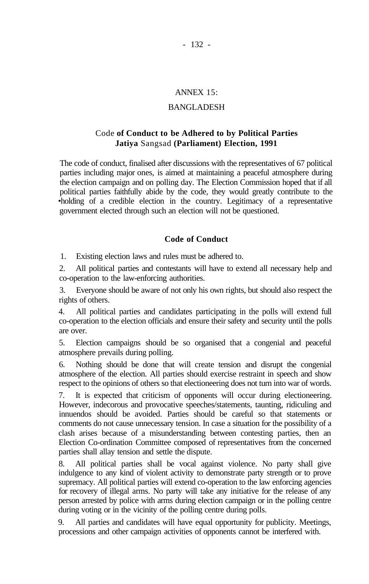## ANNEX  $15$

## BANGLADESH

# Code **of Conduct to be Adhered to by Political Parties Jatiya** Sangsad **(Parliament) Election, 1991**

The code of conduct, finalised after discussions with the representatives of 67 political parties including major ones, is aimed at maintaining a peaceful atmosphere during the election campaign and on polling day. The Election Commission hoped that if all political parties faithfully abide by the code, they would greatly contribute to the •holding of a credible election in the country. Legitimacy of a representative government elected through such an election will not be questioned.

## **Code of Conduct**

1. Existing election laws and rules must be adhered to.

2. All political parties and contestants will have to extend all necessary help and co-operation to the law-enforcing authorities.

3. Everyone should be aware of not only his own rights, but should also respect the rights of others.

4. All political parties and candidates participating in the polls will extend full co-operation to the election officials and ensure their safety and security until the polls are over.

5. Election campaigns should be so organised that a congenial and peaceful atmosphere prevails during polling.

6. Nothing should be done that will create tension and disrupt the congenial atmosphere of the election. All parties should exercise restraint in speech and show respect to the opinions of others so that electioneering does not turn into war of words.

7. It is expected that criticism of opponents will occur during electioneering. However, indecorous and provocative speeches/statements, taunting, ridiculing and innuendos should be avoided. Parties should be careful so that statements or comments do not cause unnecessary tension. In case a situation for the possibility of a clash arises because of a misunderstanding between contesting parties, then an Election Co-ordination Committee composed of representatives from the concerned parties shall allay tension and settle the dispute.

8. All political parties shall be vocal against violence. No party shall give indulgence to any kind of violent activity to demonstrate party strength or to prove supremacy. All political parties will extend co-operation to the law enforcing agencies for recovery of illegal arms. No party will take any initiative for the release of any person arrested by police with arms during election campaign or in the polling centre during voting or in the vicinity of the polling centre during polls.

9. All parties and candidates will have equal opportunity for publicity. Meetings, processions and other campaign activities of opponents cannot be interfered with.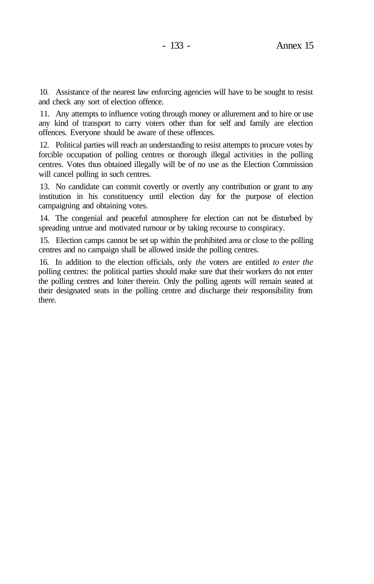10. Assistance of the nearest law enforcing agencies will have to be sought to resist and check any sort of election offence.

11. Any attempts to influence voting through money or allurement and to hire or use any kind of transport to carry voters other than for self and family are election offences. Everyone should be aware of these offences.

12. Political parties will reach an understanding to resist attempts to procure votes by forcible occupation of polling centres or thorough illegal activities in the polling centres. Votes thus obtained illegally will be of no use as the Election Commission will cancel polling in such centres.

13. No candidate can commit covertly or overtly any contribution or grant to any institution in his constituency until election day for the purpose of election campaigning and obtaining votes.

14. The congenial and peaceful atmosphere for election can not be disturbed by spreading untrue and motivated rumour or by taking recourse to conspiracy.

15. Election camps cannot be set up within the prohibited area or close to the polling centres and no campaign shall be allowed inside the polling centres.

16. In addition to the election officials, only *the* voters are entitled *to enter the*  polling centres: the political parties should make sure that their workers do not enter the polling centres and loiter therein. Only the polling agents will remain seated at their designated seats in the polling centre and discharge their responsibility from there.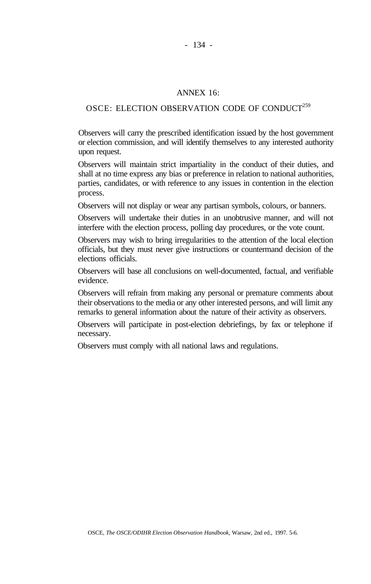## ANNEX 16:

## OSCE: ELECTION OBSERVATION CODE OF CONDUCT<sup>259</sup>

Observers will carry the prescribed identification issued by the host government or election commission, and will identify themselves to any interested authority upon request.

Observers will maintain strict impartiality in the conduct of their duties, and shall at no time express any bias or preference in relation to national authorities, parties, candidates, or with reference to any issues in contention in the election process.

Observers will not display or wear any partisan symbols, colours, or banners.

Observers will undertake their duties in an unobtrusive manner, and will not interfere with the election process, polling day procedures, or the vote count.

Observers may wish to bring irregularities to the attention of the local election officials, but they must never give instructions or countermand decision of the elections officials.

Observers will base all conclusions on well-documented, factual, and verifiable evidence.

Observers will refrain from making any personal or premature comments about their observations to the media or any other interested persons, and will limit any remarks to general information about the nature of their activity as observers.

Observers will participate in post-election debriefings, by fax or telephone if necessary.

Observers must comply with all national laws and regulations.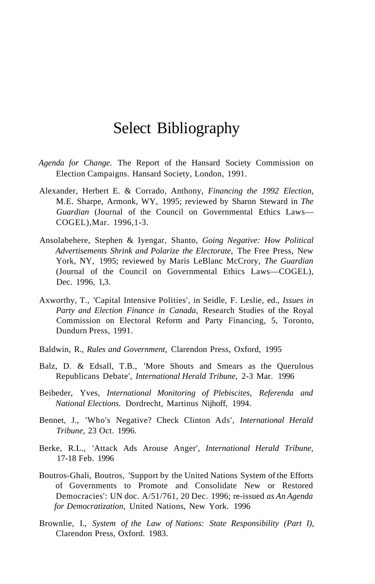# Select Bibliography

- *Agenda for Change.* The Report of the Hansard Society Commission on Election Campaigns. Hansard Society, London, 1991.
- Alexander, Herbert E. & Corrado, Anthony, *Financing the 1992 Election,*  M.E. Sharpe, Armonk, WY, 1995; reviewed by Sharon Steward in *The Guardian* (Journal of the Council on Governmental Ethics Laws— COGEL),Mar. 1996,1-3.
- Ansolabehere, Stephen & Iyengar, Shanto, *Going Negative: How Political Advertisements Shrink and Polarize the Electorate,* The Free Press, New York, NY, 1995; reviewed by Maris LeBlanc McCrory, *The Guardian*  (Journal of the Council on Governmental Ethics Laws—COGEL), Dec. 1996, 1,3.
- Axworthy, T., 'Capital Intensive Polities', in Seidle, F. Leslie, ed., *Issues in Party and Election Finance in Canada,* Research Studies of the Royal Commission on Electoral Reform and Party Financing, 5, Toronto, Dundurn Press, 1991.
- Baldwin, R., *Rules and Government,* Clarendon Press, Oxford, 1995
- Balz, D. & Edsall, T.B., 'More Shouts and Smears as the Querulous Republicans Debate', *International Herald Tribune,* 2-3 Mar. 1996
- Beibeder, Yves, *International Monitoring of Plebiscites, Referenda and National Elections.* Dordrecht, Martinus Nijhoff, 1994.
- Bennet, J., 'Who's Negative? Check Clinton Ads', *International Herald Tribune,* 23 Oct. 1996.
- Berke, R.L., 'Attack Ads Arouse Anger', *International Herald Tribune,*  17-18 Feb. 1996
- Boutros-Ghali, Boutros, 'Support by the United Nations System of the Efforts of Governments to Promote and Consolidate New or Restored Democracies': UN doc. A/51/761, 20 Dec. 1996; re-issued *as An Agenda for Democratization,* United Nations, New York. 1996
- Brownlie, I., *System of the Law of Nations: State Responsibility (Part I),*  Clarendon Press, Oxford. 1983.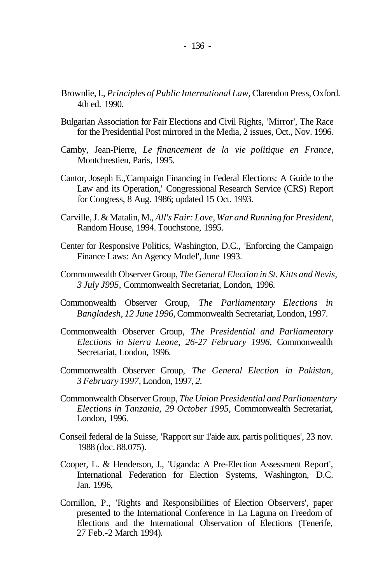- Brownlie, I., *Principles of Public International Law,* Clarendon Press, Oxford. 4th ed. 1990.
- Bulgarian Association for Fair Elections and Civil Rights, 'Mirror', The Race for the Presidential Post mirrored in the Media, 2 issues, Oct., Nov. 1996.
- Camby, Jean-Pierre, *Le financement de la vie politique en France,*  Montchrestien, Paris, 1995.
- Cantor, Joseph E.,'Campaign Financing in Federal Elections: A Guide to the Law and its Operation,' Congressional Research Service (CRS) Report for Congress, 8 Aug. 1986; updated 15 Oct. 1993.
- Carville, J. & Matalin, M., *All's Fair: Love, War and Running for President,*  Random House, 1994. Touchstone, 1995.
- Center for Responsive Politics, Washington, D.C., 'Enforcing the Campaign Finance Laws: An Agency Model', June 1993.
- Commonwealth Observer Group, *The General Election in St. Kitts and Nevis, 3 July J995,* Commonwealth Secretariat, London, 1996.
- Commonwealth Observer Group, *The Parliamentary Elections in Bangladesh, 12 June 1996,* Commonwealth Secretariat, London, 1997.
- Commonwealth Observer Group, *The Presidential and Parliamentary Elections in Sierra Leone, 26-27 February 1996,* Commonwealth Secretariat, London, 1996.
- Commonwealth Observer Group, *The General Election in Pakistan, 3 February 1997,* London, 1997, *2.*
- Commonwealth Observer Group, *The Union Presidential and Parliamentary Elections in Tanzania, 29 October 1995,* Commonwealth Secretariat, London, 1996.
- Conseil federal de la Suisse, 'Rapport sur 1'aide aux. partis politiques', 23 nov. 1988 (doc. 88.075).
- Cooper, L. & Henderson, J., 'Uganda: A Pre-Election Assessment Report', International Federation for Election Systems, Washington, D.C. Jan. 1996,
- Cornillon, P., 'Rights and Responsibilities of Election Observers', paper presented to the International Conference in La Laguna on Freedom of Elections and the International Observation of Elections (Tenerife, 27 Feb.-2 March 1994).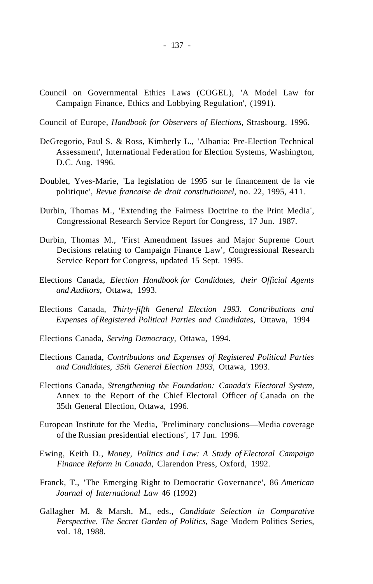Council on Governmental Ethics Laws (COGEL), 'A Model Law for Campaign Finance, Ethics and Lobbying Regulation', (1991).

Council of Europe, *Handbook for Observers of Elections,* Strasbourg. 1996.

- DeGregorio, Paul S. & Ross, Kimberly L., 'Albania: Pre-Election Technical Assessment', International Federation for Election Systems, Washington, D.C. Aug. 1996.
- Doublet, Yves-Marie, 'La legislation de 1995 sur le financement de la vie politique', *Revue francaise de droit constitutionnel,* no. 22, 1995, 411.
- Durbin, Thomas M., 'Extending the Fairness Doctrine to the Print Media', Congressional Research Service Report for Congress, 17 Jun. 1987.
- Durbin, Thomas M., 'First Amendment Issues and Major Supreme Court Decisions relating to Campaign Finance Law', Congressional Research Service Report for Congress, updated 15 Sept. 1995.
- Elections Canada, *Election Handbook for Candidates, their Official Agents and Auditors,* Ottawa, 1993.
- Elections Canada, *Thirty-fifth General Election 1993. Contributions and Expenses of Registered Political Parties and Candidates,* Ottawa, 1994
- Elections Canada, *Serving Democracy,* Ottawa, 1994.
- Elections Canada, *Contributions and Expenses of Registered Political Parties and Candidates, 35th General Election 1993,* Ottawa, 1993.
- Elections Canada, *Strengthening the Foundation: Canada's Electoral System,*  Annex to the Report of the Chief Electoral Officer *of* Canada on the 35th General Election, Ottawa, 1996.
- European Institute for the Media, 'Preliminary conclusions—Media coverage of the Russian presidential elections', 17 Jun. 1996.
- Ewing, Keith D., *Money, Politics and Law: A Study of Electoral Campaign Finance Reform in Canada,* Clarendon Press, Oxford, 1992.
- Franck, T., 'The Emerging Right to Democratic Governance', 86 *American Journal of International Law* 46 (1992)
- Gallagher M. & Marsh, M., eds., *Candidate Selection in Comparative Perspective. The Secret Garden of Politics,* Sage Modern Politics Series, vol. 18, 1988.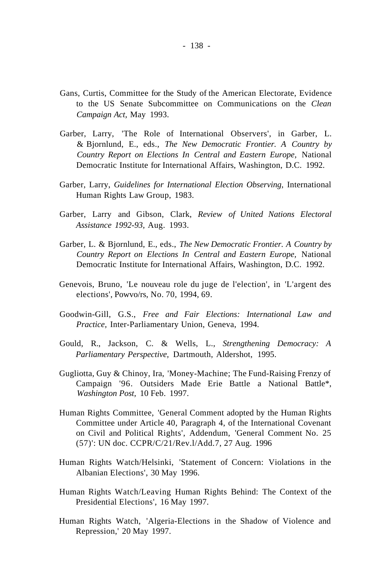- Gans, Curtis, Committee for the Study of the American Electorate, Evidence to the US Senate Subcommittee on Communications on the *Clean Campaign Act,* May 1993.
- Garber, Larry, 'The Role of International Observers', in Garber, L. & Bjornlund, E., eds., *The New Democratic Frontier. A Country by Country Report on Elections In Central and Eastern Europe,* National Democratic Institute for International Affairs, Washington, D.C. 1992.
- Garber, Larry, *Guidelines for International Election Observing,* International Human Rights Law Group, 1983.
- Garber, Larry and Gibson, Clark, *Review of United Nations Electoral Assistance 1992-93,* Aug. 1993.
- Garber, L. & Bjornlund, E., eds., *The New Democratic Frontier. A Country by Country Report on Elections In Central and Eastern Europe,* National Democratic Institute for International Affairs, Washington, D.C. 1992.
- Genevois, Bruno, 'Le nouveau role du juge de l'election', in 'L'argent des elections', Powvo/rs, No. 70, 1994, 69.
- Goodwin-Gill, G.S., *Free and Fair Elections: International Law and Practice,* Inter-Parliamentary Union, Geneva, 1994.
- Gould, R., Jackson, C. & Wells, L., *Strengthening Democracy: A Parliamentary Perspective,* Dartmouth, Aldershot, 1995.
- Gugliotta, Guy & Chinoy, Ira, 'Money-Machine; The Fund-Raising Frenzy of Campaign '96. Outsiders Made Erie Battle a National Battle\*, *Washington Post,* 10 Feb. 1997.
- Human Rights Committee, 'General Comment adopted by the Human Rights Committee under Article 40, Paragraph 4, of the International Covenant on Civil and Political Rights', Addendum, 'General Comment No. 25 (57)': UN doc. CCPR/C/21/Rev.l/Add.7, 27 Aug. 1996
- Human Rights Watch/Helsinki, 'Statement of Concern: Violations in the Albanian Elections', 30 May 1996.
- Human Rights Watch/Leaving Human Rights Behind: The Context of the Presidential Elections', 16 May 1997.
- Human Rights Watch, 'Algeria-Elections in the Shadow of Violence and Repression,' 20 May 1997.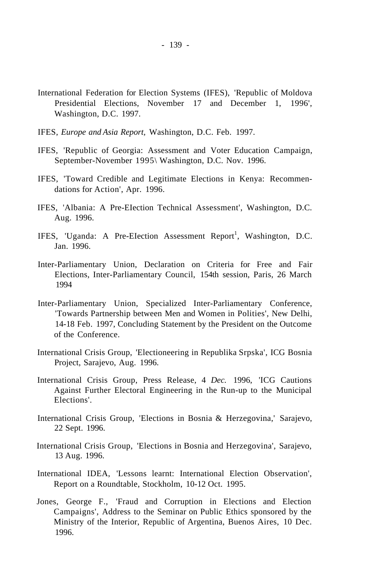- International Federation for Election Systems (IFES), 'Republic of Moldova Presidential Elections, November 17 and December 1, 1996', Washington, D.C. 1997.
- IFES, *Europe and Asia Report,* Washington, D.C. Feb. 1997.
- IFES, 'Republic of Georgia: Assessment and Voter Education Campaign, September-November 1995\ Washington, D.C. Nov. 1996.
- IFES, 'Toward Credible and Legitimate Elections in Kenya: Recommendations for Action', Apr. 1996.
- IFES, 'Albania: A Pre-EIection Technical Assessment', Washington, D.C. Aug. 1996.
- IFES, 'Uganda: A Pre-Election Assessment Report<sup>1</sup>, Washington, D.C. Jan. 1996.
- Inter-Parliamentary Union, Declaration on Criteria for Free and Fair Elections, Inter-Parliamentary Council, 154th session, Paris, 26 March 1994
- Inter-Parliamentary Union, Specialized Inter-Parliamentary Conference, 'Towards Partnership between Men and Women in Polities', New Delhi, 14-18 Feb. 1997, Concluding Statement by the President on the Outcome of the Conference.
- International Crisis Group, 'Electioneering in Republika Srpska', ICG Bosnia Project, Sarajevo, Aug. 1996.
- International Crisis Group, Press Release, 4 *Dec.* 1996, 'ICG Cautions Against Further Electoral Engineering in the Run-up to the Municipal Elections'.
- International Crisis Group, 'Elections in Bosnia & Herzegovina,' Sarajevo, 22 Sept. 1996.
- International Crisis Group, 'Elections in Bosnia and Herzegovina', Sarajevo, 13 Aug. 1996.
- International IDEA, 'Lessons learnt: International Election Observation', Report on a Roundtable, Stockholm, 10-12 Oct. 1995.
- Jones, George F., 'Fraud and Corruption in Elections and Election Campaigns', Address to the Seminar on Public Ethics sponsored by the Ministry of the Interior, Republic of Argentina, Buenos Aires, 10 Dec. 1996.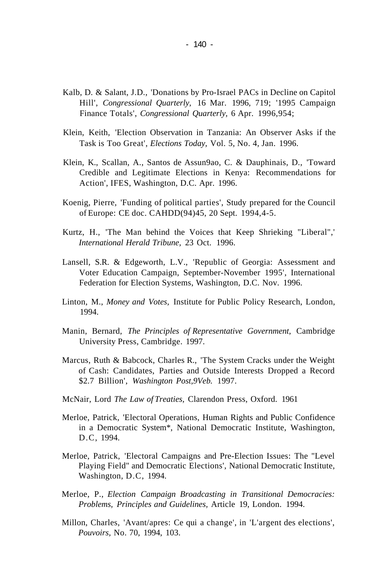- Kalb, D. & Salant, J.D., 'Donations by Pro-Israel PACs in Decline on Capitol Hill', *Congressional Quarterly,* 16 Mar. 1996, 719; '1995 Campaign Finance Totals', *Congressional Quarterly,* 6 Apr. 1996,954;
- Klein, Keith, 'Election Observation in Tanzania: An Observer Asks if the Task is Too Great', *Elections Today,* Vol. 5, No. 4, Jan. 1996.
- Klein, K., Scallan, A., Santos de Assun9ao, C. & Dauphinais, D., 'Toward Credible and Legitimate Elections in Kenya: Recommendations for Action', IFES, Washington, D.C. Apr. 1996.
- Koenig, Pierre, 'Funding of political parties', Study prepared for the Council of Europe: CE doc. CAHDD(94)45, 20 Sept. 1994,4-5.
- Kurtz, H., 'The Man behind the Voices that Keep Shrieking "Liberal",' *International Herald Tribune,* 23 Oct. 1996.
- Lansell, S.R. & Edgeworth, L.V., 'Republic of Georgia: Assessment and Voter Education Campaign, September-November 1995', International Federation for Election Systems, Washington, D.C. Nov. 1996.
- Linton, M., *Money and Votes,* Institute for Public Policy Research, London, 1994.
- Manin, Bernard, *The Principles of Representative Government,* Cambridge University Press, Cambridge. 1997.
- Marcus, Ruth & Babcock, Charles R., 'The System Cracks under the Weight of Cash: Candidates, Parties and Outside Interests Dropped a Record \$2.7 Billion', *Washington Post,9Veb.* 1997.
- McNair, Lord *The Law of Treaties,* Clarendon Press, Oxford. 1961
- Merloe, Patrick, 'Electoral Operations, Human Rights and Public Confidence in a Democratic System\*, National Democratic Institute, Washington, D.C, 1994.
- Merloe, Patrick, 'Electoral Campaigns and Pre-Election Issues: The "Level Playing Field" and Democratic Elections', National Democratic Institute, Washington, D.C, 1994.
- Merloe, P., *Election Campaign Broadcasting in Transitional Democracies: Problems, Principles and Guidelines,* Article 19, London. 1994.
- Millon, Charles, 'Avant/apres: Ce qui a change', in 'L'argent des elections', *Pouvoirs,* No. 70, 1994, 103.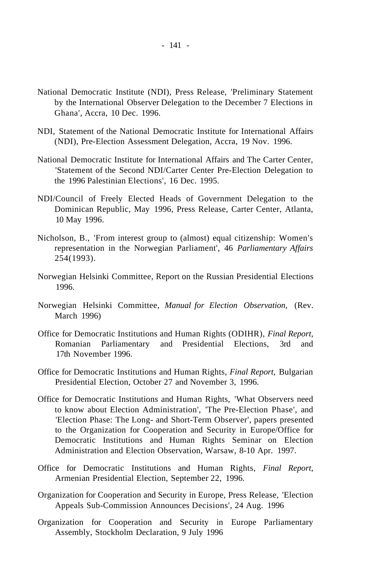- National Democratic Institute (NDI), Press Release, 'Preliminary Statement by the International Observer Delegation to the December 7 Elections in Ghana', Accra, 10 Dec. 1996.
- NDI, Statement of the National Democratic Institute for International Affairs (NDI), Pre-Election Assessment Delegation, Accra, 19 Nov. 1996.
- National Democratic Institute for International Affairs and The Carter Center, 'Statement of the Second NDI/Carter Center Pre-Election Delegation to the 1996 Palestinian Elections', 16 Dec. 1995.
- NDI/Council of Freely Elected Heads of Government Delegation to the Dominican Republic, May 1996, Press Release, Carter Center, Atlanta, 10 May 1996.
- Nicholson, B., 'From interest group to (almost) equal citizenship: Women's representation in the Norwegian Parliament', 46 *Parliamentary Affairs*  254(1993).
- Norwegian Helsinki Committee, Report on the Russian Presidential Elections 1996.
- Norwegian Helsinki Committee, *Manual for Election Observation,* (Rev. March 1996)
- Office for Democratic Institutions and Human Rights (ODIHR), *Final Report,*  Romanian Parliamentary and Presidential Elections, 3rd and 17th November 1996.
- Office for Democratic Institutions and Human Rights, *Final Report,* Bulgarian Presidential Election, October 27 and November 3, 1996.
- Office for Democratic Institutions and Human Rights, 'What Observers need to know about Election Administration', 'The Pre-Election Phase', and 'Election Phase: The Long- and Short-Term Observer', papers presented to the Organization for Cooperation and Security in Europe/Office for Democratic Institutions and Human Rights Seminar on Election Administration and Election Observation, Warsaw, 8-10 Apr. 1997.
- Office for Democratic Institutions and Human Rights, *Final Report,*  Armenian Presidential Election, September 22, 1996.
- Organization for Cooperation and Security in Europe, Press Release, 'Election Appeals Sub-Commission Announces Decisions', 24 Aug. 1996
- Organization for Cooperation and Security in Europe Parliamentary Assembly, Stockholm Declaration, 9 July 1996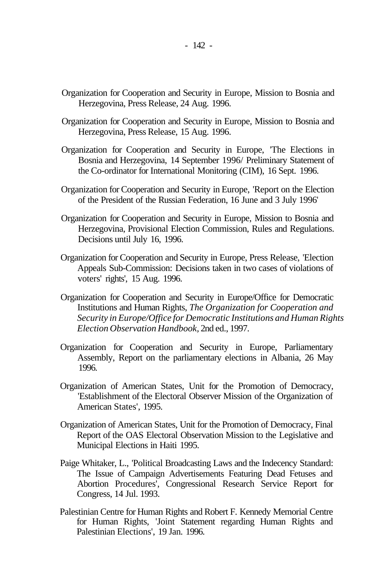- Organization for Cooperation and Security in Europe, Mission to Bosnia and Herzegovina, Press Release, 24 Aug. 1996.
- Organization for Cooperation and Security in Europe, Mission to Bosnia and Herzegovina, Press Release, 15 Aug. 1996.
- Organization for Cooperation and Security in Europe, 'The Elections in Bosnia and Herzegovina, 14 September 1996/ Preliminary Statement of the Co-ordinator for International Monitoring (CIM), 16 Sept. 1996.
- Organization for Cooperation and Security in Europe, 'Report on the Election of the President of the Russian Federation, 16 June and 3 July 1996'
- Organization for Cooperation and Security in Europe, Mission to Bosnia and Herzegovina, Provisional Election Commission, Rules and Regulations. Decisions until July 16, 1996.
- Organization for Cooperation and Security in Europe, Press Release, 'Election Appeals Sub-Commission: Decisions taken in two cases of violations of voters' rights', 15 Aug. 1996.
- Organization for Cooperation and Security in Europe/Office for Democratic Institutions and Human Rights, *The Organization for Cooperation and Security in Europe/Office for Democratic Institutions and Human Rights Election Observation Handbook,* 2nd ed., 1997.
- Organization for Cooperation and Security in Europe, Parliamentary Assembly, Report on the parliamentary elections in Albania, 26 May 1996.
- Organization of American States, Unit for the Promotion of Democracy, 'Establishment of the Electoral Observer Mission of the Organization of American States', 1995.
- Organization of American States, Unit for the Promotion of Democracy, Final Report of the OAS Electoral Observation Mission to the Legislative and Municipal Elections in Haiti 1995.
- Paige Whitaker, L., 'Political Broadcasting Laws and the Indecency Standard: The Issue of Campaign Advertisements Featuring Dead Fetuses and Abortion Procedures', Congressional Research Service Report for Congress, 14 Jul. 1993.
- Palestinian Centre for Human Rights and Robert F. Kennedy Memorial Centre for Human Rights, 'Joint Statement regarding Human Rights and Palestinian Elections', 19 Jan. 1996.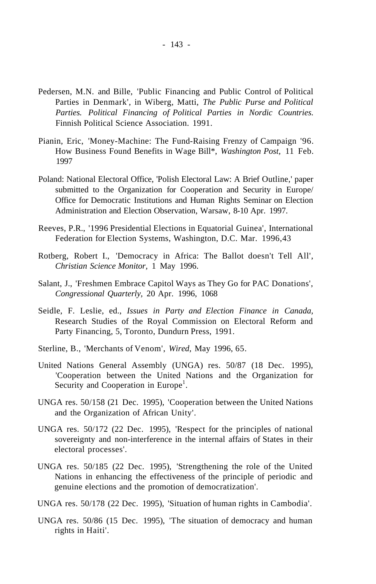- Pedersen, M.N. and Bille, 'Public Financing and Public Control of Political Parties in Denmark', in Wiberg, Matti, *The Public Purse and Political Parties. Political Financing of Political Parties in Nordic Countries.*  Finnish Political Science Association. 1991.
- Pianin, Eric, 'Money-Machine: The Fund-Raising Frenzy of Campaign '96. How Business Found Benefits in Wage Bill\*, *Washington Post,* 11 Feb. 1997
- Poland: National Electoral Office, 'Polish Electoral Law: A Brief Outline,' paper submitted to the Organization for Cooperation and Security in Europe/ Office for Democratic Institutions and Human Rights Seminar on Election Administration and Election Observation, Warsaw, 8-10 Apr. 1997.
- Reeves, P.R., '1996 Presidential Elections in Equatorial Guinea', International Federation for Election Systems, Washington, D.C. Mar. 1996,43
- Rotberg, Robert I., 'Democracy in Africa: The Ballot doesn't Tell All', *Christian Science Monitor,* 1 May 1996.
- Salant, J., 'Freshmen Embrace Capitol Ways as They Go for PAC Donations', *Congressional Quarterly,* 20 Apr. 1996, 1068
- Seidle, F. Leslie, ed., *Issues in Party and Election Finance in Canada,*  Research Studies of the Royal Commission on Electoral Reform and Party Financing, 5, Toronto, Dundurn Press, 1991.
- Sterline, B., 'Merchants of Venom', *Wired,* May 1996, 65.
- United Nations General Assembly (UNGA) res. 50/87 (18 Dec. 1995), 'Cooperation between the United Nations and the Organization for Security and Cooperation in Europe<sup>1</sup>.
- UNGA res. 50/158 (21 Dec. 1995), 'Cooperation between the United Nations and the Organization of African Unity'.
- UNGA res. 50/172 (22 Dec. 1995), 'Respect for the principles of national sovereignty and non-interference in the internal affairs of States in their electoral processes'.
- UNGA res. 50/185 (22 Dec. 1995), 'Strengthening the role of the United Nations in enhancing the effectiveness of the principle of periodic and genuine elections and the promotion of democratization'.
- UNGA res. 50/178 (22 Dec. 1995), 'Situation of human rights in Cambodia'.
- UNGA res. 50/86 (15 Dec. 1995), 'The situation of democracy and human rights in Haiti'.